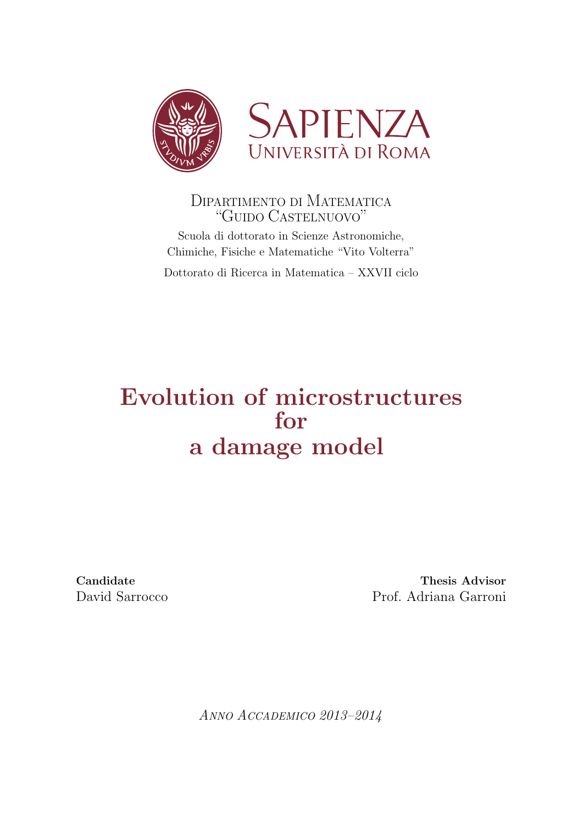



# DIPARTIMENTO DI MATEMATICA "GUIDO CASTELNUOVO"

Scuola di dottorato in Scienze Astronomiche, Chimiche, Fisiche e Matematiche "Vito Volterra"

Dottorato di Ricerca in Matematica – XXVII ciclo

# Evolution of microstructures for a damage model

Candidate Thesis Advisor David Sarrocco Prof. Adriana Garroni

ANNO ACCADEMICO 2013–2014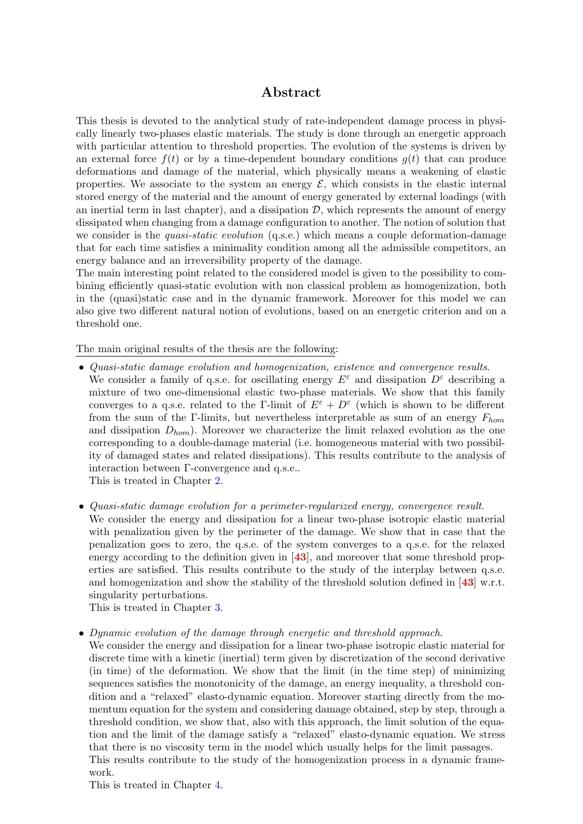## Abstract

This thesis is devoted to the analytical study of rate-independent damage process in physically linearly two-phases elastic materials. The study is done through an energetic approach with particular attention to threshold properties. The evolution of the systems is driven by an external force  $f(t)$  or by a time-dependent boundary conditions  $g(t)$  that can produce deformations and damage of the material, which physically means a weakening of elastic properties. We associate to the system an energy  $\mathcal{E}$ , which consists in the elastic internal stored energy of the material and the amount of energy generated by external loadings (with an inertial term in last chapter), and a dissipation  $\mathcal{D}$ , which represents the amount of energy dissipated when changing from a damage configuration to another. The notion of solution that we consider is the *quasi-static evolution* (q.s.e.) which means a couple deformation-damage that for each time satisfies a minimality condition among all the admissible competitors, an energy balance and an irreversibility property of the damage.

The main interesting point related to the considered model is given to the possibility to combining efficiently quasi-static evolution with non classical problem as homogenization, both in the (quasi)static case and in the dynamic framework. Moreover for this model we can also give two different natural notion of evolutions, based on an energetic criterion and on a threshold one.

The main original results of the thesis are the following:

- Quasi-static damage evolution and homogenization, existence and convergence results. We consider a family of q.s.e. for oscillating energy  $E^{\varepsilon}$  and dissipation  $D^{\varepsilon}$  describing a mixture of two one-dimensional elastic two-phase materials. We show that this family converges to a q.s.e. related to the Γ-limit of  $E^{\varepsilon} + D^{\varepsilon}$  (which is shown to be different from the sum of the Γ-limits, but nevertheless interpretable as sum of an energy  $F_{hom}$ and dissipation  $D_{hom}$ ). Moreover we characterize the limit relaxed evolution as the one corresponding to a double-damage material (i.e. homogeneous material with two possibility of damaged states and related dissipations). This results contribute to the analysis of interaction between Γ-convergence and q.s.e..
	- This is treated in Chapter [2.](#page-19-0)
- Quasi-static damage evolution for a perimeter-regularized energy, convergence result.
- We consider the energy and dissipation for a linear two-phase isotropic elastic material with penalization given by the perimeter of the damage. We show that in case that the penalization goes to zero, the q.s.e. of the system converges to a q.s.e. for the relaxed energy according to the definition given in  $[43]$  $[43]$  $[43]$ , and moreover that some threshold properties are satisfied. This results contribute to the study of the interplay between q.s.e. and homogenization and show the stability of the threshold solution defined in [[43](#page-82-0)] w.r.t. singularity perturbations.

This is treated in Chapter [3.](#page-40-0)

• Dynamic evolution of the damage through energetic and threshold approach.

We consider the energy and dissipation for a linear two-phase isotropic elastic material for discrete time with a kinetic (inertial) term given by discretization of the second derivative (in time) of the deformation. We show that the limit (in the time step) of minimizing sequences satisfies the monotonicity of the damage, an energy inequality, a threshold condition and a "relaxed" elasto-dynamic equation. Moreover starting directly from the momentum equation for the system and considering damage obtained, step by step, through a threshold condition, we show that, also with this approach, the limit solution of the equation and the limit of the damage satisfy a "relaxed" elasto-dynamic equation. We stress that there is no viscosity term in the model which usually helps for the limit passages. This results contribute to the study of the homogenization process in a dynamic framework.

This is treated in Chapter [4.](#page-59-0)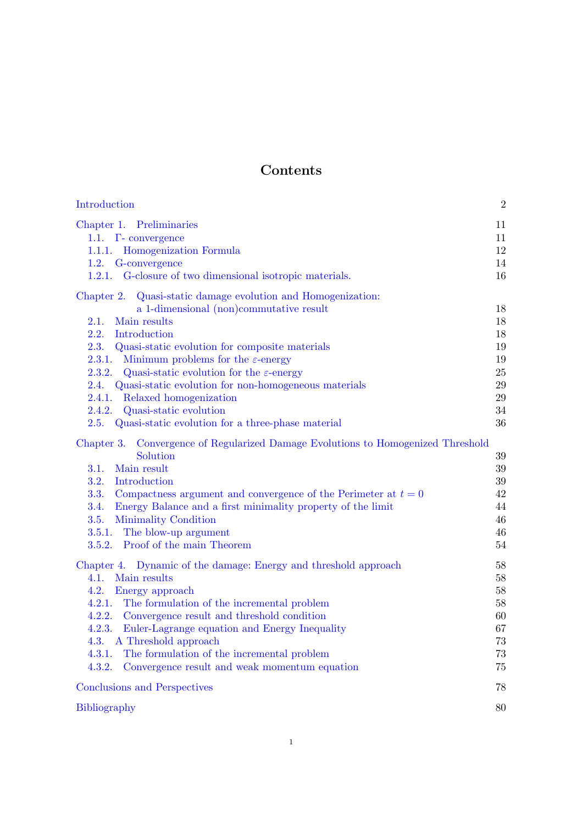# Contents

| Introduction                                                                                                                                                                                                                                                                                                                                                                                                                                                                                                                       | $\overline{2}$                                           |
|------------------------------------------------------------------------------------------------------------------------------------------------------------------------------------------------------------------------------------------------------------------------------------------------------------------------------------------------------------------------------------------------------------------------------------------------------------------------------------------------------------------------------------|----------------------------------------------------------|
| Chapter 1. Preliminaries<br>1.1. $\Gamma$ - convergence<br>1.1.1. Homogenization Formula<br>1.2. G-convergence<br>1.2.1. G-closure of two dimensional isotropic materials.                                                                                                                                                                                                                                                                                                                                                         | 11<br>11<br>12<br>14<br>16                               |
| Chapter 2. Quasi-static damage evolution and Homogenization:<br>a 1-dimensional (non)commutative result<br>Main results<br>2.1.<br>2.2.<br>Introduction<br>2.3. Quasi-static evolution for composite materials<br>2.3.1.<br>Minimum problems for the $\varepsilon$ -energy<br>2.3.2. Quasi-static evolution for the $\varepsilon$ -energy<br>2.4. Quasi-static evolution for non-homogeneous materials<br>2.4.1. Relaxed homogenization<br>2.4.2. Quasi-static evolution<br>2.5. Quasi-static evolution for a three-phase material | 18<br>18<br>18<br>19<br>19<br>25<br>29<br>29<br>34<br>36 |
| Convergence of Regularized Damage Evolutions to Homogenized Threshold<br>Chapter 3.<br>Solution<br>3.1.<br>Main result<br>Introduction<br>3.2.<br>3.3.<br>Compactness argument and convergence of the Perimeter at $t=0$<br>Energy Balance and a first minimality property of the limit<br>3.4.<br>Minimality Condition<br>3.5.<br>3.5.1. The blow-up argument<br>3.5.2. Proof of the main Theorem                                                                                                                                 | 39<br>39<br>39<br>42<br>44<br>46<br>46<br>54             |
| Chapter 4. Dynamic of the damage: Energy and threshold approach<br>4.1.<br>Main results<br>4.2.<br>Energy approach<br>4.2.1. The formulation of the incremental problem<br>4.2.2. Convergence result and threshold condition<br>4.2.3.<br>Euler-Lagrange equation and Energy Inequality<br>4.3.<br>A Threshold approach<br>The formulation of the incremental problem<br>4.3.1.<br>Convergence result and weak momentum equation<br>4.3.2.                                                                                         | 58<br>58<br>58<br>58<br>60<br>67<br>73<br>73<br>75       |
| Conclusions and Perspectives                                                                                                                                                                                                                                                                                                                                                                                                                                                                                                       | 78                                                       |
| <b>Bibliography</b>                                                                                                                                                                                                                                                                                                                                                                                                                                                                                                                | 80                                                       |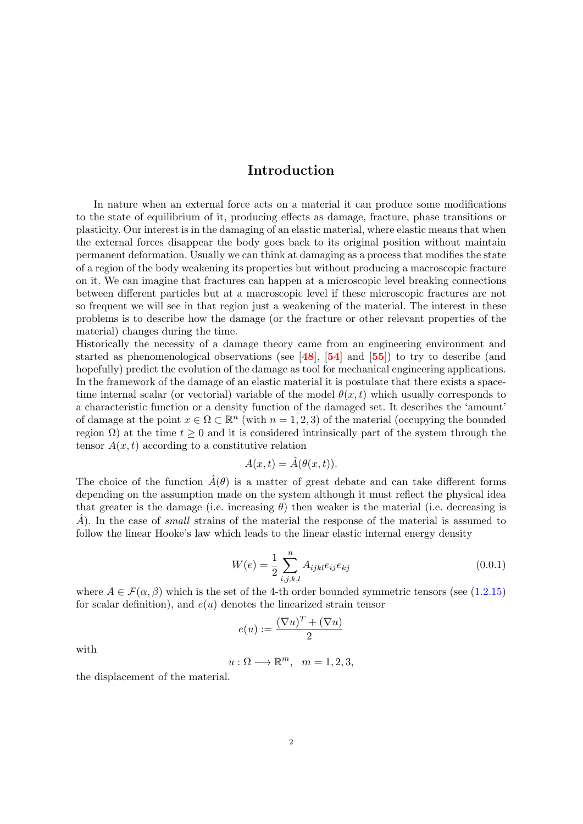# Introduction

<span id="page-3-0"></span>In nature when an external force acts on a material it can produce some modifications to the state of equilibrium of it, producing effects as damage, fracture, phase transitions or plasticity. Our interest is in the damaging of an elastic material, where elastic means that when the external forces disappear the body goes back to its original position without maintain permanent deformation. Usually we can think at damaging as a process that modifies the state of a region of the body weakening its properties but without producing a macroscopic fracture on it. We can imagine that fractures can happen at a microscopic level breaking connections between different particles but at a macroscopic level if these microscopic fractures are not so frequent we will see in that region just a weakening of the material. The interest in these problems is to describe how the damage (or the fracture or other relevant properties of the material) changes during the time.

Historically the necessity of a damage theory came from an engineering environment and started as phenomenological observations (see  $[48]$  $[48]$  $[48]$ ,  $[54]$  $[54]$  $[54]$  and  $[55]$  $[55]$  $[55]$ ) to try to describe (and hopefully) predict the evolution of the damage as tool for mechanical engineering applications. In the framework of the damage of an elastic material it is postulate that there exists a spacetime internal scalar (or vectorial) variable of the model  $\theta(x, t)$  which usually corresponds to a characteristic function or a density function of the damaged set. It describes the 'amount' of damage at the point  $x \in \Omega \subset \mathbb{R}^n$  (with  $n = 1, 2, 3$ ) of the material (occupying the bounded region  $\Omega$ ) at the time  $t \geq 0$  and it is considered intrinsically part of the system through the tensor  $A(x, t)$  according to a constitutive relation

$$
A(x,t) = \hat{A}(\theta(x,t)).
$$

The choice of the function  $\hat{A}(\theta)$  is a matter of great debate and can take different forms depending on the assumption made on the system although it must reflect the physical idea that greater is the damage (i.e. increasing  $\theta$ ) then weaker is the material (i.e. decreasing is  $\hat{A}$ ). In the case of small strains of the material the response of the material is assumed to follow the linear Hooke's law which leads to the linear elastic internal energy density

$$
W(e) = \frac{1}{2} \sum_{i,j,k,l}^{n} A_{ijkl} e_{ij} e_{kj}
$$
 (0.0.1)

where  $A \in \mathcal{F}(\alpha, \beta)$  which is the set of the 4-th order bounded symmetric tensors (see [\(1.2.15\)](#page-15-1) for scalar definition), and  $e(u)$  denotes the linearized strain tensor

$$
e(u) := \frac{(\nabla u)^T + (\nabla u)}{2}
$$

with

$$
u:\Omega\longrightarrow \mathbb{R}^m, \quad m=1,2,3,
$$

the displacement of the material.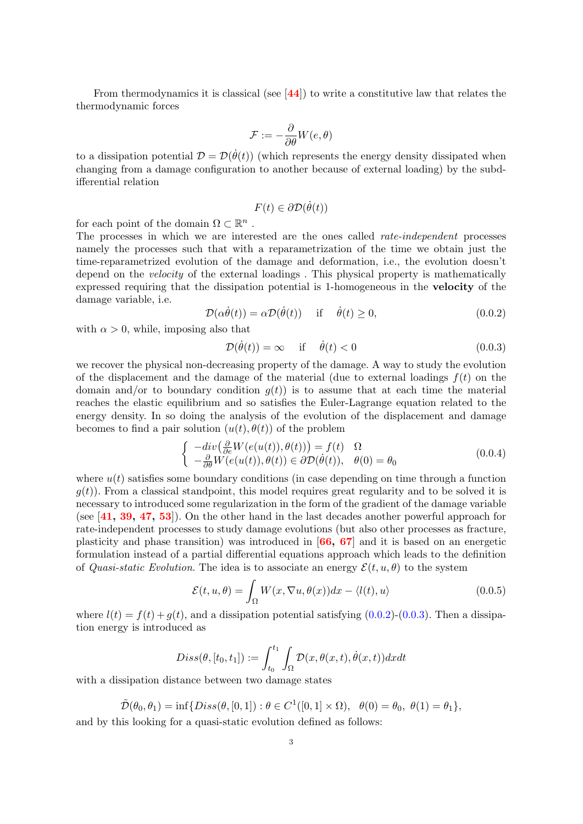From thermodynamics it is classical (see  $[44]$  $[44]$  $[44]$ ) to write a constitutive law that relates the thermodynamic forces

$$
\mathcal{F}:=-\frac{\partial}{\partial \theta}W(e,\theta)
$$

to a dissipation potential  $\mathcal{D} = \mathcal{D}(\dot{\theta}(t))$  (which represents the energy density dissipated when changing from a damage configuration to another because of external loading) by the subdifferential relation

$$
F(t) \in \partial \mathcal{D}(\dot{\theta}(t))
$$

for each point of the domain  $\Omega \subset \mathbb{R}^n$ .

The processes in which we are interested are the ones called *rate-independent* processes namely the processes such that with a reparametrization of the time we obtain just the time-reparametrized evolution of the damage and deformation, i.e., the evolution doesn't depend on the *velocity* of the external loadings. This physical property is mathematically expressed requiring that the dissipation potential is 1-homogeneous in the velocity of the damage variable, i.e.

<span id="page-4-0"></span>
$$
\mathcal{D}(\alpha \dot{\theta}(t)) = \alpha \mathcal{D}(\dot{\theta}(t)) \quad \text{if} \quad \dot{\theta}(t) \ge 0,
$$
\n(0.0.2)

with  $\alpha > 0$ , while, imposing also that

<span id="page-4-1"></span>
$$
\mathcal{D}(\dot{\theta}(t)) = \infty \quad \text{if} \quad \dot{\theta}(t) < 0 \tag{0.0.3}
$$

we recover the physical non-decreasing property of the damage. A way to study the evolution of the displacement and the damage of the material (due to external loadings  $f(t)$ ) on the domain and/or to boundary condition  $g(t)$  is to assume that at each time the material reaches the elastic equilibrium and so satisfies the Euler-Lagrange equation related to the energy density. In so doing the analysis of the evolution of the displacement and damage becomes to find a pair solution  $(u(t), \theta(t))$  of the problem

<span id="page-4-2"></span>
$$
\begin{cases}\n-\text{div}\left(\frac{\partial}{\partial e}W(e(u(t)),\theta(t))\right) = f(t) & \Omega\\ \n-\frac{\partial}{\partial \theta}W(e(u(t)),\theta(t)) \in \partial \mathcal{D}(\dot{\theta}(t)), & \theta(0) = \theta_0\n\end{cases}
$$
\n(0.0.4)

where  $u(t)$  satisfies some boundary conditions (in case depending on time through a function  $g(t)$ ). From a classical standpoint, this model requires great regularity and to be solved it is necessary to introduced some regularization in the form of the gradient of the damage variable (see [[41,](#page-82-3) [39,](#page-82-4) [47,](#page-82-5) [53](#page-82-6)]). On the other hand in the last decades another powerful approach for rate-independent processes to study damage evolutions (but also other processes as fracture, plasticity and phase transition) was introduced in [[66,](#page-83-2) [67](#page-83-3)] and it is based on an energetic formulation instead of a partial differential equations approach which leads to the definition of Quasi-static Evolution. The idea is to associate an energy  $\mathcal{E}(t, u, \theta)$  to the system

$$
\mathcal{E}(t, u, \theta) = \int_{\Omega} W(x, \nabla u, \theta(x)) dx - \langle l(t), u \rangle \tag{0.0.5}
$$

where  $l(t) = f(t) + q(t)$ , and a dissipation potential satisfying [\(0.0.2\)](#page-4-0)-[\(0.0.3\)](#page-4-1). Then a dissipation energy is introduced as

$$
Diss(\theta, [t_0, t_1]) := \int_{t_0}^{t_1} \int_{\Omega} \mathcal{D}(x, \theta(x, t), \dot{\theta}(x, t)) dx dt
$$

with a dissipation distance between two damage states

 $\tilde{\mathcal{D}}(\theta_0, \theta_1) = \inf \{ Diss(\theta, [0, 1]) : \theta \in C^1([0, 1] \times \Omega), \ \ \theta(0) = \theta_0, \ \theta(1) = \theta_1 \},$ and by this looking for a quasi-static evolution defined as follows: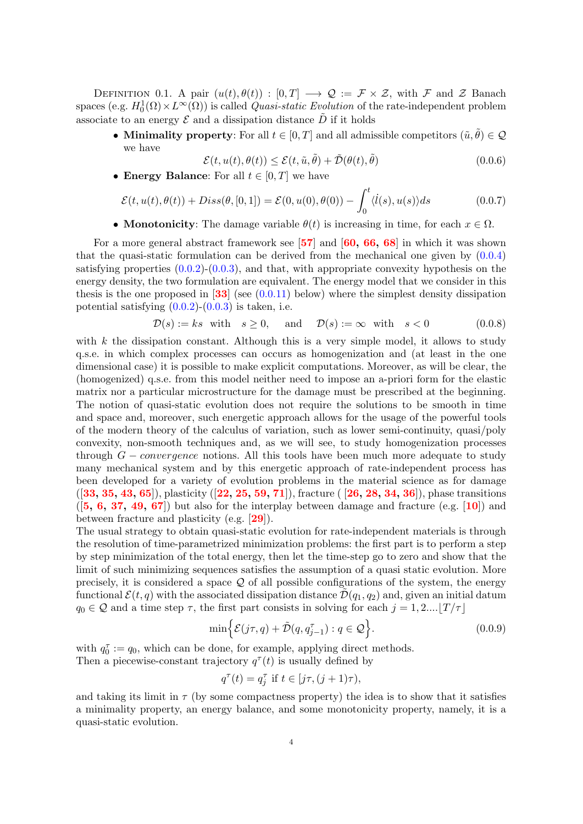DEFINITION 0.1. A pair  $(u(t), \theta(t)) : [0, T] \longrightarrow \mathcal{Q} := \mathcal{F} \times \mathcal{Z}$ , with  $\mathcal F$  and  $\mathcal Z$  Banach spaces (e.g.  $H_0^1(\Omega) \times L^{\infty}(\Omega)$ ) is called *Quasi-static Evolution* of the rate-independent problem associate to an energy  $\mathcal E$  and a dissipation distance  $\bar D$  if it holds

• Minimality property: For all  $t \in [0, T]$  and all admissible competitors  $(\tilde{u}, \tilde{\theta}) \in \mathcal{Q}$ we have

$$
\mathcal{E}(t, u(t), \theta(t)) \le \mathcal{E}(t, \tilde{u}, \tilde{\theta}) + \tilde{\mathcal{D}}(\theta(t), \tilde{\theta})
$$
\n(0.0.6)

• Energy Balance: For all  $t \in [0, T]$  we have

$$
\mathcal{E}(t, u(t), \theta(t)) + Diss(\theta, [0, 1]) = \mathcal{E}(0, u(0), \theta(0)) - \int_0^t \langle \dot{l}(s), u(s) \rangle ds \tag{0.0.7}
$$

• **Monotonicity**: The damage variable  $\theta(t)$  is increasing in time, for each  $x \in \Omega$ .

For a more general abstract framework see [[57](#page-83-4)] and [[60,](#page-83-5) [66,](#page-83-2) [68](#page-83-6)] in which it was shown that the quasi-static formulation can be derived from the mechanical one given by  $(0.0.4)$ satisfying properties  $(0.0.2)-(0.0.3)$  $(0.0.2)-(0.0.3)$ , and that, with appropriate convexity hypothesis on the energy density, the two formulation are equivalent. The energy model that we consider in this thesis is the one proposed in  $\boxed{33}$  $\boxed{33}$  $\boxed{33}$  (see  $(0.0.11)$  below) where the simplest density dissipation potential satisfying  $(0.0.2)-(0.0.3)$  $(0.0.2)-(0.0.3)$  is taken, i.e.

<span id="page-5-0"></span>
$$
\mathcal{D}(s) := ks \text{ with } s \ge 0, \text{ and } \mathcal{D}(s) := \infty \text{ with } s < 0 \tag{0.0.8}
$$

with  $k$  the dissipation constant. Although this is a very simple model, it allows to study q.s.e. in which complex processes can occurs as homogenization and (at least in the one dimensional case) it is possible to make explicit computations. Moreover, as will be clear, the (homogenized) q.s.e. from this model neither need to impose an a-priori form for the elastic matrix nor a particular microstructure for the damage must be prescribed at the beginning. The notion of quasi-static evolution does not require the solutions to be smooth in time and space and, moreover, such energetic approach allows for the usage of the powerful tools of the modern theory of the calculus of variation, such as lower semi-continuity, quasi/poly convexity, non-smooth techniques and, as we will see, to study homogenization processes through  $G$  – *convergence* notions. All this tools have been much more adequate to study many mechanical system and by this energetic approach of rate-independent process has been developed for a variety of evolution problems in the material science as for damage  $([33, 35, 43, 65])$  $([33, 35, 43, 65])$  $([33, 35, 43, 65])$  $([33, 35, 43, 65])$  $([33, 35, 43, 65])$  $([33, 35, 43, 65])$  $([33, 35, 43, 65])$  $([33, 35, 43, 65])$  $([33, 35, 43, 65])$ , plasticity  $([22, 25, 59, 71])$  $([22, 25, 59, 71])$  $([22, 25, 59, 71])$  $([22, 25, 59, 71])$  $([22, 25, 59, 71])$  $([22, 25, 59, 71])$  $([22, 25, 59, 71])$  $([22, 25, 59, 71])$  $([22, 25, 59, 71])$ , fracture  $([26, 28, 34, 36])$  $([26, 28, 34, 36])$  $([26, 28, 34, 36])$  $([26, 28, 34, 36])$  $([26, 28, 34, 36])$  $([26, 28, 34, 36])$  $([26, 28, 34, 36])$  $([26, 28, 34, 36])$  $([26, 28, 34, 36])$ , phase transitions  $([5, 6, 37, 49, 67])$  $([5, 6, 37, 49, 67])$  $([5, 6, 37, 49, 67])$  $([5, 6, 37, 49, 67])$  $([5, 6, 37, 49, 67])$  $([5, 6, 37, 49, 67])$  $([5, 6, 37, 49, 67])$  $([5, 6, 37, 49, 67])$  $([5, 6, 37, 49, 67])$  $([5, 6, 37, 49, 67])$  $([5, 6, 37, 49, 67])$  but also for the interplay between damage and fracture (e.g. [[10](#page-81-4)]) and between fracture and plasticity (e.g. [[29](#page-82-16)]).

The usual strategy to obtain quasi-static evolution for rate-independent materials is through the resolution of time-parametrized minimization problems: the first part is to perform a step by step minimization of the total energy, then let the time-step go to zero and show that the limit of such minimizing sequences satisfies the assumption of a quasi static evolution. More precisely, it is considered a space  $Q$  of all possible configurations of the system, the energy functional  $\mathcal{E}(t, q)$  with the associated dissipation distance  $\mathcal{D}(q_1, q_2)$  and, given an initial datum  $q_0 \in \mathcal{Q}$  and a time step  $\tau$ , the first part consists in solving for each  $j = 1, 2...$ 

<span id="page-5-1"></span>
$$
\min\Big\{\mathcal{E}(j\tau,q)+\tilde{\mathcal{D}}(q,q_{j-1}^{\tau}):q\in\mathcal{Q}\Big\}.\tag{0.0.9}
$$

with  $q_0^{\tau} := q_0$ , which can be done, for example, applying direct methods. Then a piecewise-constant trajectory  $q^{\tau}(t)$  is usually defined by

$$
q^{\tau}(t) = q_j^{\tau} \text{ if } t \in [j\tau, (j+1)\tau),
$$

and taking its limit in  $\tau$  (by some compactness property) the idea is to show that it satisfies a minimality property, an energy balance, and some monotonicity property, namely, it is a quasi-static evolution.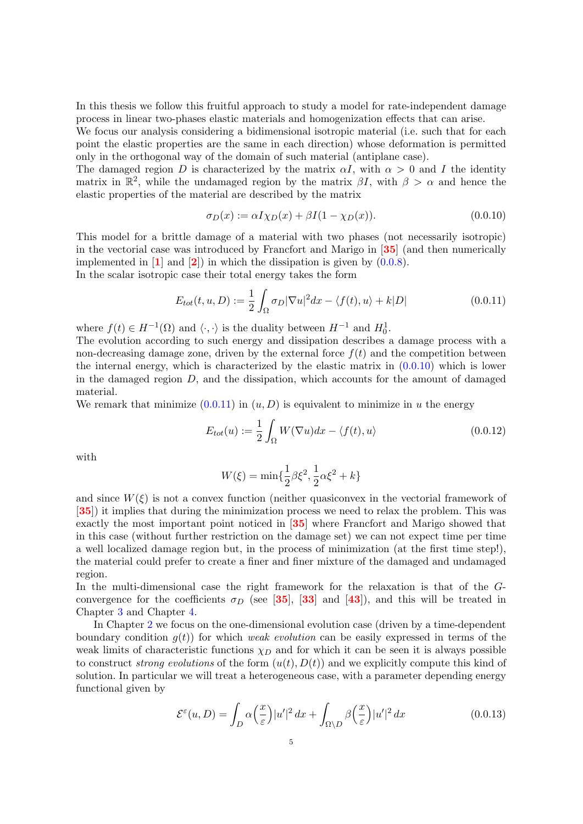In this thesis we follow this fruitful approach to study a model for rate-independent damage process in linear two-phases elastic materials and homogenization effects that can arise.

We focus our analysis considering a bidimensional isotropic material (i.e. such that for each point the elastic properties are the same in each direction) whose deformation is permitted only in the orthogonal way of the domain of such material (antiplane case).

The damaged region D is characterized by the matrix  $\alpha I$ , with  $\alpha > 0$  and I the identity matrix in  $\mathbb{R}^2$ , while the undamaged region by the matrix  $\beta I$ , with  $\beta > \alpha$  and hence the elastic properties of the material are described by the matrix

<span id="page-6-1"></span>
$$
\sigma_D(x) := \alpha I \chi_D(x) + \beta I (1 - \chi_D(x)). \tag{0.0.10}
$$

This model for a brittle damage of a material with two phases (not necessarily isotropic) in the vectorial case was introduced by Francfort and Marigo in [[35](#page-82-8)] (and then numerically implemented in  $\mathbf{1}$  $\mathbf{1}$  $\mathbf{1}$  and  $\mathbf{2}$  $\mathbf{2}$  $\mathbf{2}$ ) in which the dissipation is given by  $(0.0.8)$ .

In the scalar isotropic case their total energy takes the form

<span id="page-6-0"></span>
$$
E_{tot}(t, u, D) := \frac{1}{2} \int_{\Omega} \sigma_D |\nabla u|^2 dx - \langle f(t), u \rangle + k|D| \qquad (0.0.11)
$$

where  $f(t) \in H^{-1}(\Omega)$  and  $\langle \cdot, \cdot \rangle$  is the duality between  $H^{-1}$  and  $H_0^1$ .

The evolution according to such energy and dissipation describes a damage process with a non-decreasing damage zone, driven by the external force  $f(t)$  and the competition between the internal energy, which is characterized by the elastic matrix in [\(0.0.10\)](#page-6-1) which is lower in the damaged region  $D$ , and the dissipation, which accounts for the amount of damaged material.

We remark that minimize  $(0.0.11)$  in  $(u, D)$  is equivalent to minimize in u the energy

<span id="page-6-3"></span>
$$
E_{tot}(u) := \frac{1}{2} \int_{\Omega} W(\nabla u) dx - \langle f(t), u \rangle \tag{0.0.12}
$$

with

$$
W(\xi) = \min\{\frac{1}{2}\beta\xi^2, \frac{1}{2}\alpha\xi^2 + k\}
$$

and since  $W(\xi)$  is not a convex function (neither quasiconvex in the vectorial framework of [[35](#page-82-8)]) it implies that during the minimization process we need to relax the problem. This was exactly the most important point noticed in [[35](#page-82-8)] where Francfort and Marigo showed that in this case (without further restriction on the damage set) we can not expect time per time a well localized damage region but, in the process of minimization (at the first time step!), the material could prefer to create a finer and finer mixture of the damaged and undamaged region.

In the multi-dimensional case the right framework for the relaxation is that of the Gconvergence for the coefficients  $\sigma_D$  (see [[35](#page-82-8)], [[33](#page-82-7)] and [[43](#page-82-0)]), and this will be treated in Chapter [3](#page-40-0) and Chapter [4.](#page-59-0)

In Chapter [2](#page-19-0) we focus on the one-dimensional evolution case (driven by a time-dependent boundary condition  $g(t)$  for which weak evolution can be easily expressed in terms of the weak limits of characteristic functions  $\chi_D$  and for which it can be seen it is always possible to construct *strong evolutions* of the form  $(u(t), D(t))$  and we explicitly compute this kind of solution. In particular we will treat a heterogeneous case, with a parameter depending energy functional given by

<span id="page-6-2"></span>
$$
\mathcal{E}^{\varepsilon}(u,D) = \int_{D} \alpha \left(\frac{x}{\varepsilon}\right) |u'|^2 \, dx + \int_{\Omega \setminus D} \beta \left(\frac{x}{\varepsilon}\right) |u'|^2 \, dx \tag{0.0.13}
$$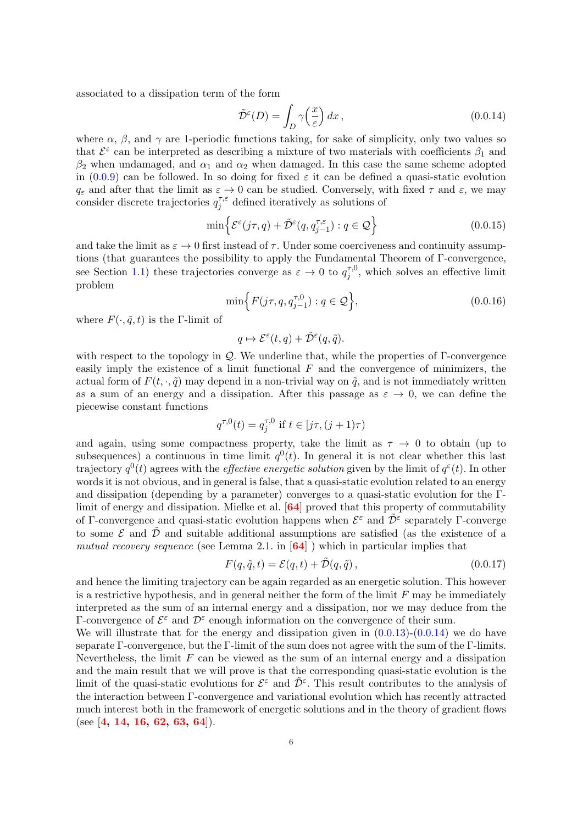associated to a dissipation term of the form

<span id="page-7-0"></span>
$$
\tilde{\mathcal{D}}^{\varepsilon}(D) = \int_{D} \gamma\left(\frac{x}{\varepsilon}\right) dx, \tag{0.0.14}
$$

where  $\alpha$ ,  $\beta$ , and  $\gamma$  are 1-periodic functions taking, for sake of simplicity, only two values so that  $\mathcal{E}^{\varepsilon}$  can be interpreted as describing a mixture of two materials with coefficients  $\beta_1$  and  $\beta_2$  when undamaged, and  $\alpha_1$  and  $\alpha_2$  when damaged. In this case the same scheme adopted in  $(0.0.9)$  can be followed. In so doing for fixed  $\varepsilon$  it can be defined a quasi-static evolution  $q_{\varepsilon}$  and after that the limit as  $\varepsilon \to 0$  can be studied. Conversely, with fixed  $\tau$  and  $\varepsilon$ , we may consider discrete trajectories  $q_i^{\tau,\varepsilon}$  $j_j^{\tau,\varepsilon}$  defined iteratively as solutions of

$$
\min \left\{ \mathcal{E}^{\varepsilon}(j\tau, q) + \tilde{\mathcal{D}}^{\varepsilon}(q, q^{\tau, \varepsilon}_{j-1}) : q \in \mathcal{Q} \right\}
$$
\n(0.0.15)

and take the limit as  $\varepsilon \to 0$  first instead of  $\tau$ . Under some coerciveness and continuity assumptions (that guarantees the possibility to apply the Fundamental Theorem of Γ-convergence, see Section [1.1\)](#page-12-1) these trajectories converge as  $\varepsilon \to 0$  to  $q_i^{\tau,0}$  $j_j^{\tau,0}$ , which solves an effective limit problem

$$
\min\Big\{F(j\tau, q, q_{j-1}^{\tau, 0}) : q \in \mathcal{Q}\Big\},\tag{0.0.16}
$$

where  $F(\cdot, \tilde{q}, t)$  is the Γ-limit of

$$
q \mapsto \mathcal{E}^{\varepsilon}(t,q) + \tilde{\mathcal{D}}^{\varepsilon}(q,\tilde{q}).
$$

with respect to the topology in  $\mathcal{Q}$ . We underline that, while the properties of  $\Gamma$ -convergence easily imply the existence of a limit functional  $F$  and the convergence of minimizers, the actual form of  $F(t, \cdot, \tilde{q})$  may depend in a non-trivial way on  $\tilde{q}$ , and is not immediately written as a sum of an energy and a dissipation. After this passage as  $\varepsilon \to 0$ , we can define the piecewise constant functions

$$
q^{\tau,0}(t) = q^{\tau,0}_j \text{ if } t \in [j\tau, (j+1)\tau)
$$

and again, using some compactness property, take the limit as  $\tau \to 0$  to obtain (up to subsequences) a continuous in time limit  $q<sup>0</sup>(t)$ . In general it is not clear whether this last trajectory  $q^0(t)$  agrees with the *effective energetic solution* given by the limit of  $q^{\varepsilon}(t)$ . In other words it is not obvious, and in general is false, that a quasi-static evolution related to an energy and dissipation (depending by a parameter) converges to a quasi-static evolution for the Γlimit of energy and dissipation. Mielke et al. [[64](#page-83-10)] proved that this property of commutability of Γ-convergence and quasi-static evolution happens when  $\mathcal{E}^{\varepsilon}$  and  $\tilde{\mathcal{D}}^{\varepsilon}$  separately Γ-converge to some  $\mathcal E$  and  $\tilde{\mathcal D}$  and suitable additional assumptions are satisfied (as the existence of a mutual recovery sequence (see Lemma 2.1. in  $[64]$  $[64]$  $[64]$ ) which in particular implies that

$$
F(q, \tilde{q}, t) = \mathcal{E}(q, t) + \tilde{\mathcal{D}}(q, \tilde{q}), \qquad (0.0.17)
$$

and hence the limiting trajectory can be again regarded as an energetic solution. This however is a restrictive hypothesis, and in general neither the form of the limit  $F$  may be immediately interpreted as the sum of an internal energy and a dissipation, nor we may deduce from the Γ-convergence of  $\mathcal{E}^{\varepsilon}$  and  $\mathcal{D}^{\varepsilon}$  enough information on the convergence of their sum.

We will illustrate that for the energy and dissipation given in  $(0.0.13)-(0.0.14)$  $(0.0.13)-(0.0.14)$  we do have separate Γ-convergence, but the Γ-limit of the sum does not agree with the sum of the Γ-limits. Nevertheless, the limit  $F$  can be viewed as the sum of an internal energy and a dissipation and the main result that we will prove is that the corresponding quasi-static evolution is the limit of the quasi-static evolutions for  $\mathcal{E}^{\varepsilon}$  and  $\tilde{\mathcal{D}}^{\varepsilon}$ . This result contributes to the analysis of the interaction between Γ-convergence and variational evolution which has recently attracted much interest both in the framework of energetic solutions and in the theory of gradient flows (see [[4,](#page-81-7) [14,](#page-81-8) [16,](#page-81-9) [62,](#page-83-11) [63,](#page-83-12) [64](#page-83-10)]).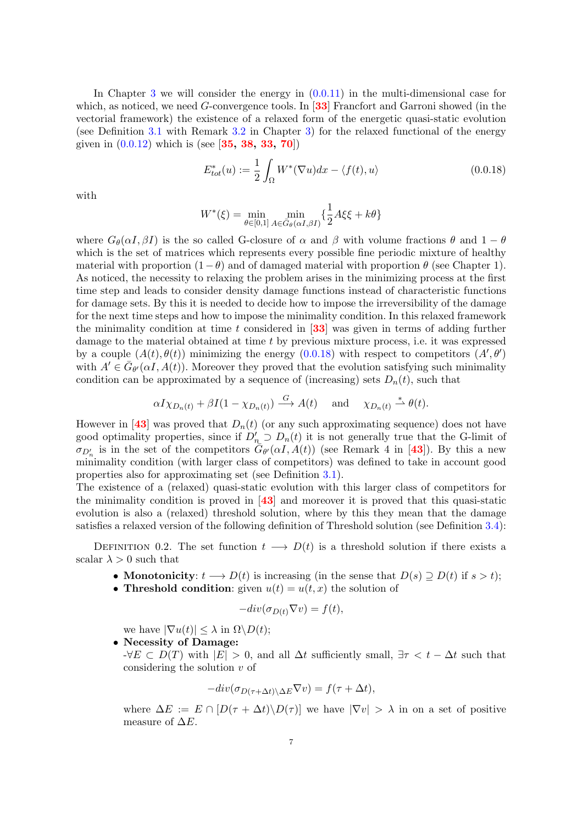In Chapter [3](#page-40-0) we will consider the energy in  $(0.0.11)$  in the multi-dimensional case for which, as noticed, we need  $G$ -convergence tools. In [[33](#page-82-7)] Francfort and Garroni showed (in the vectorial framework) the existence of a relaxed form of the energetic quasi-static evolution (see Definition [3.1](#page-41-0) with Remark [3.2](#page-41-1) in Chapter [3\)](#page-40-0) for the relaxed functional of the energy given in  $(0.0.12)$  which is (see [[35,](#page-82-8) [38,](#page-82-17) [33,](#page-82-7) [70](#page-83-13)])

<span id="page-8-0"></span>
$$
E_{tot}^*(u) := \frac{1}{2} \int_{\Omega} W^*(\nabla u) dx - \langle f(t), u \rangle \tag{0.0.18}
$$

with

$$
W^*(\xi) = \min_{\theta \in [0,1]} \min_{A \in \bar{G}_{\theta}(\alpha I, \beta I)} \left\{ \frac{1}{2} A \xi \xi + k \theta \right\}
$$

where  $G_{\theta}(\alpha I, \beta I)$  is the so called G-closure of  $\alpha$  and  $\beta$  with volume fractions  $\theta$  and  $1 - \theta$ which is the set of matrices which represents every possible fine periodic mixture of healthy material with proportion  $(1 - \theta)$  and of damaged material with proportion  $\theta$  (see Chapter 1). As noticed, the necessity to relaxing the problem arises in the minimizing process at the first time step and leads to consider density damage functions instead of characteristic functions for damage sets. By this it is needed to decide how to impose the irreversibility of the damage for the next time steps and how to impose the minimality condition. In this relaxed framework the minimality condition at time t considered in  $\overline{33}$  $\overline{33}$  $\overline{33}$  was given in terms of adding further damage to the material obtained at time t by previous mixture process, i.e. it was expressed by a couple  $(A(t), \theta(t))$  minimizing the energy  $(0.0.18)$  with respect to competitors  $(A', \theta')$ with  $A' \in \bar{G}_{\theta'}(\alpha I, A(t))$ . Moreover they proved that the evolution satisfying such minimality condition can be approximated by a sequence of (increasing) sets  $D_n(t)$ , such that

$$
\alpha I \chi_{D_n(t)} + \beta I (1 - \chi_{D_n(t)}) \stackrel{G}{\longrightarrow} A(t)
$$
 and  $\chi_{D_n(t)} \stackrel{*}{\rightharpoonup} \theta(t)$ .

However in [[43](#page-82-0)] was proved that  $D_n(t)$  (or any such approximating sequence) does not have good optimality properties, since if  $D'_n \supset D_n(t)$  it is not generally true that the G-limit of  $\sigma_{D'_n}$  is in the set of the competitors  $\tilde{G}_{\theta'}(\alpha I, A(t))$  (see Remark 4 in [[43](#page-82-0)]). By this a new minimality condition (with larger class of competitors) was defined to take in account good properties also for approximating set (see Definition [3.1\)](#page-41-0).

The existence of a (relaxed) quasi-static evolution with this larger class of competitors for the minimality condition is proved in [[43](#page-82-0)] and moreover it is proved that this quasi-static evolution is also a (relaxed) threshold solution, where by this they mean that the damage satisfies a relaxed version of the following definition of Threshold solution (see Definition [3.4\)](#page-42-0):

DEFINITION 0.2. The set function  $t \longrightarrow D(t)$  is a threshold solution if there exists a scalar  $\lambda > 0$  such that

- Monotonicity:  $t \longrightarrow D(t)$  is increasing (in the sense that  $D(s) \supseteq D(t)$  if  $s > t$ );
- Threshold condition: given  $u(t) = u(t, x)$  the solution of

$$
-div(\sigma_{D(t)} \nabla v) = f(t),
$$

we have  $|\nabla u(t)| \leq \lambda$  in  $\Omega \backslash D(t)$ ;

#### • Necessity of Damage:

 $-\forall E \subset D(T)$  with  $|E| > 0$ , and all  $\Delta t$  sufficiently small,  $\exists \tau < t - \Delta t$  such that considering the solution  $v$  of

$$
-div(\sigma_{D(\tau+\Delta t)\Delta E}\nabla v) = f(\tau + \Delta t),
$$

where  $\Delta E := E \cap [D(\tau + \Delta t) \setminus D(\tau)]$  we have  $|\nabla v| > \lambda$  in on a set of positive measure of  $\Delta E$ .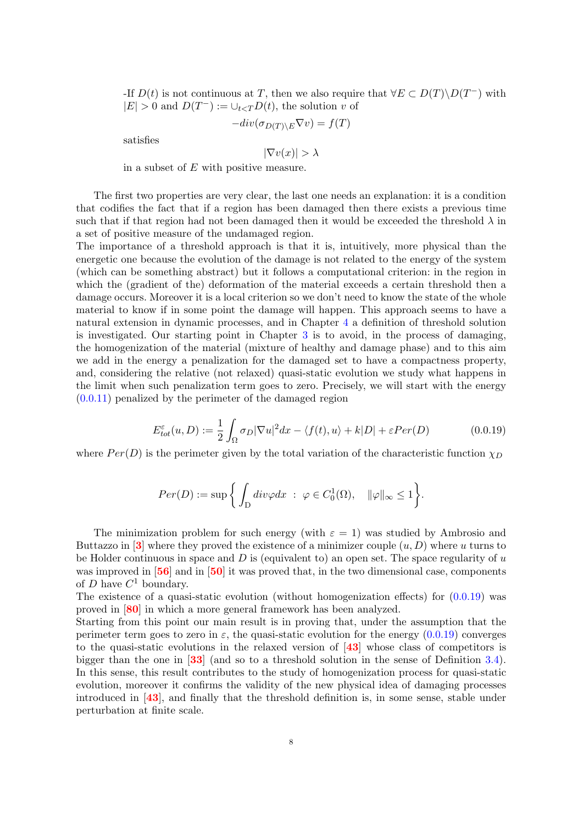-If  $D(t)$  is not continuous at T, then we also require that  $\forall E \subset D(T) \backslash D(T^{-})$  with  $|E| > 0$  and  $D(T^{-}) := \bigcup_{t \leq T} D(t)$ , the solution v of

$$
-div(\sigma_{D(T)\setminus E}\nabla v) = f(T)
$$

satisfies

$$
|\nabla v(x)| > \lambda
$$

in a subset of E with positive measure.

The first two properties are very clear, the last one needs an explanation: it is a condition that codifies the fact that if a region has been damaged then there exists a previous time such that if that region had not been damaged then it would be exceeded the threshold  $\lambda$  in a set of positive measure of the undamaged region.

The importance of a threshold approach is that it is, intuitively, more physical than the energetic one because the evolution of the damage is not related to the energy of the system (which can be something abstract) but it follows a computational criterion: in the region in which the (gradient of the) deformation of the material exceeds a certain threshold then a damage occurs. Moreover it is a local criterion so we don't need to know the state of the whole material to know if in some point the damage will happen. This approach seems to have a natural extension in dynamic processes, and in Chapter [4](#page-59-0) a definition of threshold solution is investigated. Our starting point in Chapter [3](#page-40-0) is to avoid, in the process of damaging, the homogenization of the material (mixture of healthy and damage phase) and to this aim we add in the energy a penalization for the damaged set to have a compactness property, and, considering the relative (not relaxed) quasi-static evolution we study what happens in the limit when such penalization term goes to zero. Precisely, we will start with the energy [\(0.0.11\)](#page-6-0) penalized by the perimeter of the damaged region

<span id="page-9-0"></span>
$$
E_{tot}^{\varepsilon}(u,D) := \frac{1}{2} \int_{\Omega} \sigma_D |\nabla u|^2 dx - \langle f(t), u \rangle + k|D| + \varepsilon Per(D)
$$
(0.0.19)

where  $Per(D)$  is the perimeter given by the total variation of the characteristic function  $\chi_D$ 

$$
Per(D) := \sup \bigg\{ \int_D \operatorname{div} \varphi \, dx \; : \; \varphi \in C_0^1(\Omega), \quad ||\varphi||_{\infty} \le 1 \bigg\}.
$$

The minimization problem for such energy (with  $\varepsilon = 1$ ) was studied by Ambrosio and Buttazzo in  $\mathbf{3}$  $\mathbf{3}$  $\mathbf{3}$  where they proved the existence of a minimizer couple  $(u, D)$  where u turns to be Holder continuous in space and  $D$  is (equivalent to) an open set. The space regularity of  $u$ was improved in [[56](#page-83-14)] and in [[50](#page-82-18)] it was proved that, in the two dimensional case, components of D have  $C^1$  boundary.

The existence of a quasi-static evolution (without homogenization effects) for  $(0.0.19)$  was proved in [[80](#page-83-15)] in which a more general framework has been analyzed.

Starting from this point our main result is in proving that, under the assumption that the perimeter term goes to zero in  $\varepsilon$ , the quasi-static evolution for the energy [\(0.0.19\)](#page-9-0) converges to the quasi-static evolutions in the relaxed version of  $\left[43\right]$  $\left[43\right]$  $\left[43\right]$  whose class of competitors is bigger than the one in [[33](#page-82-7)] (and so to a threshold solution in the sense of Definition [3.4\)](#page-42-0). In this sense, this result contributes to the study of homogenization process for quasi-static evolution, moreover it confirms the validity of the new physical idea of damaging processes introduced in [[43](#page-82-0)], and finally that the threshold definition is, in some sense, stable under perturbation at finite scale.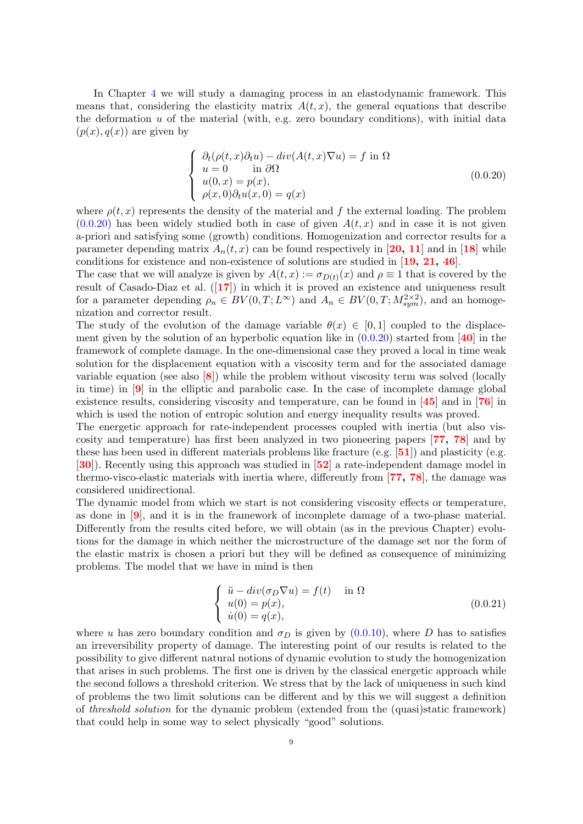In Chapter [4](#page-59-0) we will study a damaging process in an elastodynamic framework. This means that, considering the elasticity matrix  $A(t, x)$ , the general equations that describe the deformation  $u$  of the material (with, e.g. zero boundary conditions), with initial data  $(p(x), q(x))$  are given by

<span id="page-10-0"></span>
$$
\begin{cases}\n\partial_t(\rho(t,x)\partial_t u) - div(A(t,x)\nabla u) = f \text{ in } \Omega \\
u = 0 \quad \text{in } \partial\Omega \\
u(0,x) = p(x), \\
\rho(x,0)\partial_t u(x,0) = q(x)\n\end{cases}
$$
\n(0.0.20)

where  $\rho(t, x)$  represents the density of the material and f the external loading. The problem  $(0.0.20)$  has been widely studied both in case of given  $A(t, x)$  and in case it is not given a-priori and satisfying some (growth) conditions. Homogenization and corrector results for a parameter depending matrix  $A_n(t, x)$  can be found respectively in [[20,](#page-81-11) [11](#page-81-12)] and in [[18](#page-81-13)] while conditions for existence and non-existence of solutions are studied in [[19,](#page-81-14) [21,](#page-81-15) [46](#page-82-19)].

The case that we will analyze is given by  $A(t, x) := \sigma_{D(t)}(x)$  and  $\rho \equiv 1$  that is covered by the result of Casado-Diaz et al. ([[17](#page-81-16)]) in which it is proved an existence and uniqueness result for a parameter depending  $\rho_n \in BV(0,T;L^{\infty})$  and  $A_n \in BV(0,T;M^{2\times 2}_{sym})$ , and an homogenization and corrector result.

The study of the evolution of the damage variable  $\theta(x) \in [0,1]$  coupled to the displacement given by the solution of an hyperbolic equation like in  $(0.0.20)$  started from [[40](#page-82-20)] in the framework of complete damage. In the one-dimensional case they proved a local in time weak solution for the displacement equation with a viscosity term and for the associated damage variable equation (see also  $\langle 8 \rangle$  $\langle 8 \rangle$  $\langle 8 \rangle$ ) while the problem without viscosity term was solved (locally in time) in  $\left[9\right]$  $\left[9\right]$  $\left[9\right]$  in the elliptic and parabolic case. In the case of incomplete damage global existence results, considering viscosity and temperature, can be found in [[45](#page-82-21)] and in [[76](#page-83-16)] in which is used the notion of entropic solution and energy inequality results was proved.

The energetic approach for rate-independent processes coupled with inertia (but also viscosity and temperature) has first been analyzed in two pioneering papers [[77,](#page-83-17) [78](#page-83-18)] and by these has been used in different materials problems like fracture  $(e.g. [51])$  $(e.g. [51])$  $(e.g. [51])$  and plasticity (e.g. [[30](#page-82-23)]). Recently using this approach was studied in [[52](#page-82-24)] a rate-independent damage model in thermo-visco-elastic materials with inertia where, differently from [[77,](#page-83-17) [78](#page-83-18)], the damage was considered unidirectional.

The dynamic model from which we start is not considering viscosity effects or temperature, as done in [[9](#page-81-18)], and it is in the framework of incomplete damage of a two-phase material. Differently from the results cited before, we will obtain (as in the previous Chapter) evolutions for the damage in which neither the microstructure of the damage set nor the form of the elastic matrix is chosen a priori but they will be defined as consequence of minimizing problems. The model that we have in mind is then

<span id="page-10-1"></span>
$$
\begin{cases}\n\ddot{u} - div(\sigma_D \nabla u) = f(t) & \text{in } \Omega \\
u(0) = p(x), \\
\dot{u}(0) = q(x),\n\end{cases}
$$
\n(0.0.21)

where u has zero boundary condition and  $\sigma_D$  is given by [\(0.0.10\)](#page-6-1), where D has to satisfies an irreversibility property of damage. The interesting point of our results is related to the possibility to give different natural notions of dynamic evolution to study the homogenization that arises in such problems. The first one is driven by the classical energetic approach while the second follows a threshold criterion. We stress that by the lack of uniqueness in such kind of problems the two limit solutions can be different and by this we will suggest a definition of threshold solution for the dynamic problem (extended from the (quasi)static framework) that could help in some way to select physically "good" solutions.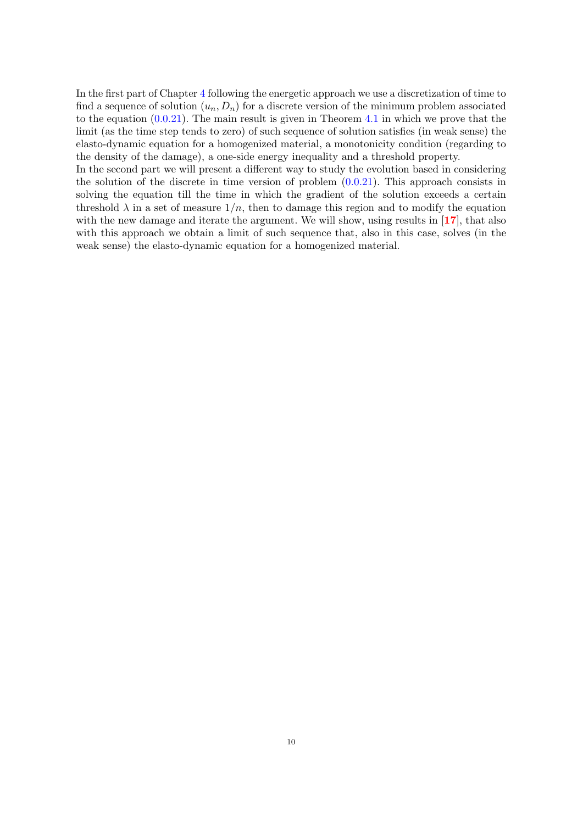In the first part of Chapter [4](#page-59-0) following the energetic approach we use a discretization of time to find a sequence of solution  $(u_n, D_n)$  for a discrete version of the minimum problem associated to the equation [\(0.0.21\)](#page-10-1). The main result is given in Theorem [4.1](#page-61-1) in which we prove that the limit (as the time step tends to zero) of such sequence of solution satisfies (in weak sense) the elasto-dynamic equation for a homogenized material, a monotonicity condition (regarding to the density of the damage), a one-side energy inequality and a threshold property.

In the second part we will present a different way to study the evolution based in considering the solution of the discrete in time version of problem  $(0.0.21)$ . This approach consists in solving the equation till the time in which the gradient of the solution exceeds a certain threshold  $\lambda$  in a set of measure  $1/n$ , then to damage this region and to modify the equation with the new damage and iterate the argument. We will show, using results in [[17](#page-81-16)], that also with this approach we obtain a limit of such sequence that, also in this case, solves (in the weak sense) the elasto-dynamic equation for a homogenized material.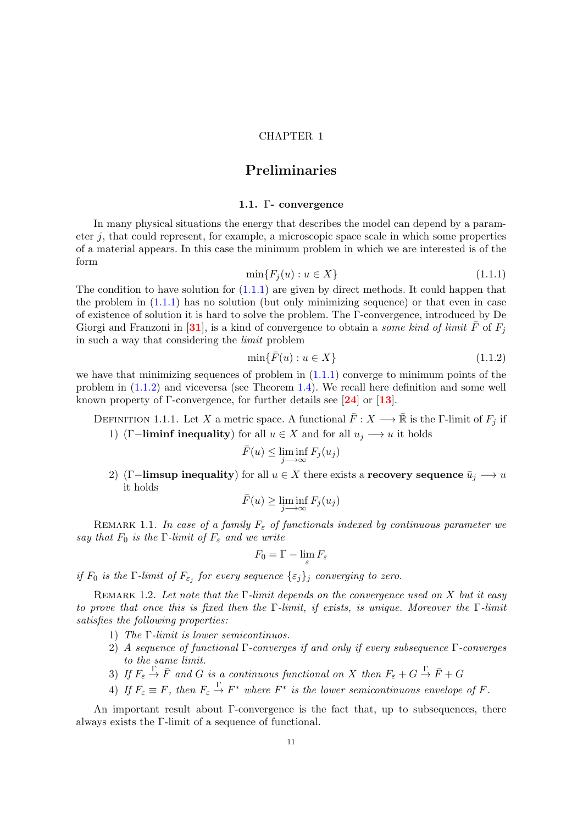#### CHAPTER 1

## Preliminaries

#### 1.1. Γ- convergence

<span id="page-12-1"></span><span id="page-12-0"></span>In many physical situations the energy that describes the model can depend by a parameter  $j$ , that could represent, for example, a microscopic space scale in which some properties of a material appears. In this case the minimum problem in which we are interested is of the form

<span id="page-12-2"></span>
$$
\min\{F_j(u) : u \in X\} \tag{1.1.1}
$$

The condition to have solution for  $(1.1.1)$  are given by direct methods. It could happen that the problem in  $(1.1.1)$  has no solution (but only minimizing sequence) or that even in case of existence of solution it is hard to solve the problem. The Γ-convergence, introduced by De Giorgi and Franzoni in [[31](#page-82-25)], is a kind of convergence to obtain a *some kind of limit*  $\bar{F}$  of  $F_i$ in such a way that considering the limit problem

<span id="page-12-3"></span>
$$
\min\{\bar{F}(u) : u \in X\} \tag{1.1.2}
$$

we have that minimizing sequences of problem in  $(1.1.1)$  converge to minimum points of the problem in [\(1.1.2\)](#page-12-3) and viceversa (see Theorem [1.4\)](#page-13-1). We recall here definition and some well known property of  $\Gamma$ -convergence, for further details see [[24](#page-82-26)] or [[13](#page-81-19)].

DEFINITION 1.1.1. Let X a metric space. A functional  $\bar{F}: X \longrightarrow \bar{\mathbb{R}}$  is the Γ-limit of  $F_j$  if 1) (Γ-liminf inequality) for all  $u \in X$  and for all  $u_j \longrightarrow u$  it holds

$$
\bar{F}(u) \le \liminf_{j \to \infty} F_j(u_j)
$$

2) (Γ-limsup inequality) for all  $u \in X$  there exists a recovery sequence  $\bar{u}_j \longrightarrow u$ it holds

$$
\bar{F}(u) \ge \liminf_{j \to \infty} F_j(u_j)
$$

REMARK 1.1. In case of a family  $F_{\varepsilon}$  of functionals indexed by continuous parameter we say that  $F_0$  is the  $\Gamma$ -limit of  $F_\varepsilon$  and we write

$$
F_0 = \Gamma - \lim_{\varepsilon} F_{\varepsilon}
$$

if  $F_0$  is the  $\Gamma$ -limit of  $F_{\varepsilon_j}$  for every sequence  $\{\varepsilon_j\}_j$  converging to zero.

REMARK 1.2. Let note that the  $\Gamma$ -limit depends on the convergence used on X but it easy to prove that once this is fixed then the Γ-limit, if exists, is unique. Moreover the Γ-limit satisfies the following properties:

- 1) The Γ-limit is lower semicontinuos.
- 2) A sequence of functional Γ-converges if and only if every subsequence Γ-converges to the same limit.
- 3) If  $F_{\varepsilon} \stackrel{\Gamma}{\to} \bar{F}$  and G is a continuous functional on X then  $F_{\varepsilon} + G \stackrel{\Gamma}{\to} \bar{F} + G$
- 4) If  $F_{\varepsilon} \equiv F$ , then  $F_{\varepsilon} \stackrel{\Gamma}{\to} F^*$  where  $F^*$  is the lower semicontinuous envelope of F.

An important result about Γ-convergence is the fact that, up to subsequences, there always exists the Γ-limit of a sequence of functional.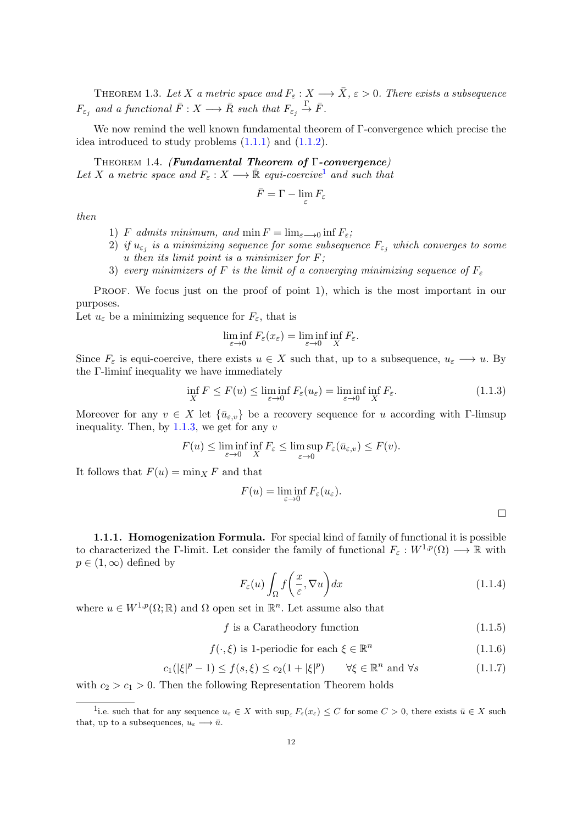THEOREM 1.3. Let X a metric space and  $F_{\varepsilon}: X \longrightarrow \overline{X}, \varepsilon > 0$ . There exists a subsequence  $F_{\varepsilon_j}$  and a functional  $\bar{F}: X \longrightarrow \bar{R}$  such that  $F_{\varepsilon_j} \stackrel{\Gamma}{\rightarrow} \bar{F}$ .

We now remind the well known fundamental theorem of Γ-convergence which precise the idea introduced to study problems  $(1.1.1)$  and  $(1.1.2)$ .

<span id="page-13-1"></span>Theorem 1.4. (Fundamental Theorem of Γ-convergence) Let X a metric space and  $F_{\varepsilon}: X \longrightarrow \bar{\mathbb{R}}$  equi-coercive<sup>[1](#page-13-2)</sup> and such that

$$
\bar{F}=\Gamma-\lim_{\varepsilon}F_\varepsilon
$$

then

- 1) F admits minimum, and  $\min F = \lim_{\varepsilon \to 0} \inf F_{\varepsilon}$ ;
- $2)$  if  $u_{\varepsilon_j}$  is a minimizing sequence for some subsequence  $F_{\varepsilon_j}$  which converges to some u then its limit point is a minimizer for  $F$ ;
- 3) every minimizers of F is the limit of a converging minimizing sequence of  $F<sub>\varepsilon</sub>$

PROOF. We focus just on the proof of point 1), which is the most important in our purposes.

Let  $u_{\varepsilon}$  be a minimizing sequence for  $F_{\varepsilon}$ , that is

$$
\liminf_{\varepsilon \to 0} F_{\varepsilon}(x_{\varepsilon}) = \liminf_{\varepsilon \to 0} \inf_{X} F_{\varepsilon}.
$$

Since  $F_{\varepsilon}$  is equi-coercive, there exists  $u \in X$  such that, up to a subsequence,  $u_{\varepsilon} \longrightarrow u$ . By the Γ-liminf inequality we have immediately

<span id="page-13-3"></span>
$$
\inf_{X} F \le F(u) \le \liminf_{\varepsilon \to 0} F_{\varepsilon}(u_{\varepsilon}) = \liminf_{\varepsilon \to 0} \inf_{X} F_{\varepsilon}.
$$
\n(1.1.3)

Moreover for any  $v \in X$  let  $\{\bar{u}_{\varepsilon,v}\}\)$  be a recovery sequence for u according with Γ-limsup inequality. Then, by  $1.1.3$ , we get for any v

$$
F(u) \le \liminf_{\varepsilon \to 0} \inf_{X} F_{\varepsilon} \le \limsup_{\varepsilon \to 0} F_{\varepsilon}(\bar{u}_{\varepsilon,v}) \le F(v).
$$

It follows that  $F(u) = \min_{X} F$  and that

$$
F(u) = \liminf_{\varepsilon \to 0} F_{\varepsilon}(u_{\varepsilon}).
$$

<span id="page-13-0"></span>1.1.1. Homogenization Formula. For special kind of family of functional it is possible to characterized the Γ-limit. Let consider the family of functional  $F_{\varepsilon}: W^{1,p}(\Omega) \longrightarrow \mathbb{R}$  with  $p \in (1,\infty)$  defined by

<span id="page-13-4"></span>
$$
F_{\varepsilon}(u) \int_{\Omega} f\left(\frac{x}{\varepsilon}, \nabla u\right) dx \tag{1.1.4}
$$

where  $u \in W^{1,p}(\Omega;\mathbb{R})$  and  $\Omega$  open set in  $\mathbb{R}^n$ . Let assume also that

### <span id="page-13-5"></span> $f$  is a Caratheodory function (1.1.5)

<span id="page-13-6"></span>
$$
f(\cdot,\xi) \text{ is 1-periodic for each } \xi \in \mathbb{R}^n \tag{1.1.6}
$$

<span id="page-13-7"></span>
$$
c_1(|\xi|^p - 1) \le f(s, \xi) \le c_2(1 + |\xi|^p) \qquad \forall \xi \in \mathbb{R}^n \text{ and } \forall s \tag{1.1.7}
$$

with  $c_2 > c_1 > 0$ . Then the following Representation Theorem holds

<span id="page-13-2"></span><sup>&</sup>lt;sup>1</sup>i.e. such that for any sequence  $u_{\varepsilon} \in X$  with  $\sup_{\varepsilon} F_{\varepsilon}(x_{\varepsilon}) \leq C$  for some  $C > 0$ , there exists  $\bar{u} \in X$  such that, up to a subsequences,  $u_{\varepsilon} \longrightarrow \bar{u}$ .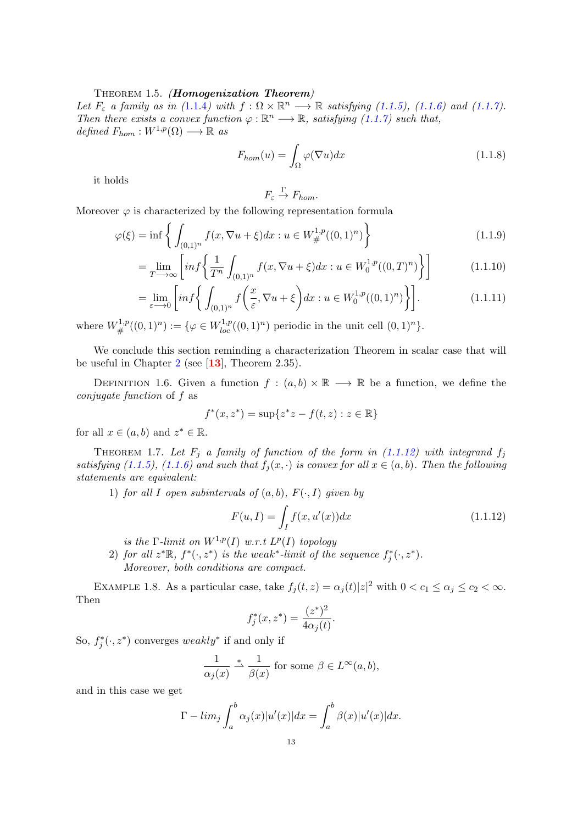#### THEOREM 1.5. (Homogenization Theorem)

Let  $F_{\varepsilon}$  a family as in ([1](#page-13-4).1.4) with  $f: \Omega \times \mathbb{R}^n \longrightarrow \mathbb{R}$  satisfying [\(1.1.5\)](#page-13-5), [\(1.1.6\)](#page-13-6) and [\(1.1.7\)](#page-13-7). Then there exists a convex function  $\varphi : \mathbb{R}^n \longrightarrow \mathbb{R}$ , satisfying [\(1.1.7\)](#page-13-7) such that, defined  $F_{hom}: W^{1,p}(\Omega) \longrightarrow \mathbb{R}$  as

$$
F_{hom}(u) = \int_{\Omega} \varphi(\nabla u) dx \qquad (1.1.8)
$$

it holds

<span id="page-14-1"></span>
$$
F_{\varepsilon} \xrightarrow{\Gamma} F_{hom}.
$$

Moreover  $\varphi$  is characterized by the following representation formula

$$
\varphi(\xi) = \inf \left\{ \int_{(0,1)^n} f(x, \nabla u + \xi) dx : u \in W^{1,p}_{\#}((0,1)^n) \right\} \tag{1.1.9}
$$

$$
= \lim_{T \to \infty} \left[ inf \left\{ \frac{1}{T^n} \int_{(0,1)^n} f(x, \nabla u + \xi) dx : u \in W_0^{1,p}((0,T)^n) \right\} \right] \tag{1.1.10}
$$

$$
= \lim_{\varepsilon \to 0} \left[ inf \left\{ \int_{(0,1)^n} f\left(\frac{x}{\varepsilon}, \nabla u + \xi \right) dx : u \in W_0^{1,p}((0,1)^n) \right\} \right].
$$
 (1.1.11)

where  $W^{1,p}_{\#}((0,1)^n) := \{ \varphi \in W^{1,p}_{loc}((0,1)^n) \text{ periodic in the unit cell } (0,1)^n \}.$ 

We conclude this section reminding a characterization Theorem in scalar case that will be useful in Chapter [2](#page-19-0) (see  $[13]$  $[13]$  $[13]$ , Theorem 2.35).

DEFINITION 1.6. Given a function  $f : (a, b) \times \mathbb{R} \longrightarrow \mathbb{R}$  be a function, we define the conjugate function of f as

$$
f^*(x, z^*) = \sup\{z^*z - f(t, z) : z \in \mathbb{R}\}\
$$

for all  $x \in (a, b)$  and  $z^* \in \mathbb{R}$ .

<span id="page-14-3"></span>THEOREM 1.7. Let  $F_j$  a family of function of the form in [\(1.1.12\)](#page-14-0) with integrand  $f_j$ satisfying [\(1.1.5\)](#page-13-5), [\(1.1.6\)](#page-13-6) and such that  $f_i(x, \cdot)$  is convex for all  $x \in (a, b)$ . Then the following statements are equivalent:

1) for all I open subintervals of  $(a, b)$ ,  $F(\cdot, I)$  given by

<span id="page-14-0"></span>
$$
F(u, I) = \int_{I} f(x, u'(x)) dx
$$
\n(1.1.12)

is the  $\Gamma$ -limit on  $W^{1,p}(I)$  w.r.t  $L^p(I)$  topology

2) for all  $z^*\mathbb{R}$ ,  $f^*(\cdot, z^*)$  is the weak<sup>\*</sup>-limit of the sequence  $f_j^*(\cdot, z^*)$ . Moreover, both conditions are compact.

<span id="page-14-2"></span>EXAMPLE 1.8. As a particular case, take  $f_j(t, z) = \alpha_j(t)|z|^2$  with  $0 < c_1 \leq \alpha_j \leq c_2 < \infty$ . Then

$$
f_j^*(x, z^*) = \frac{(z^*)^2}{4\alpha_j(t)}.
$$

So,  $f_j^*(\cdot, z^*)$  converges weakly<sup>\*</sup> if and only if

$$
\frac{1}{\alpha_j(x)} \stackrel{*}{\to} \frac{1}{\beta(x)}
$$
 for some  $\beta \in L^{\infty}(a, b)$ ,

and in this case we get

$$
\Gamma - \lim_{j} \int_{a}^{b} \alpha_{j}(x)|u'(x)| dx = \int_{a}^{b} \beta(x)|u'(x)| dx.
$$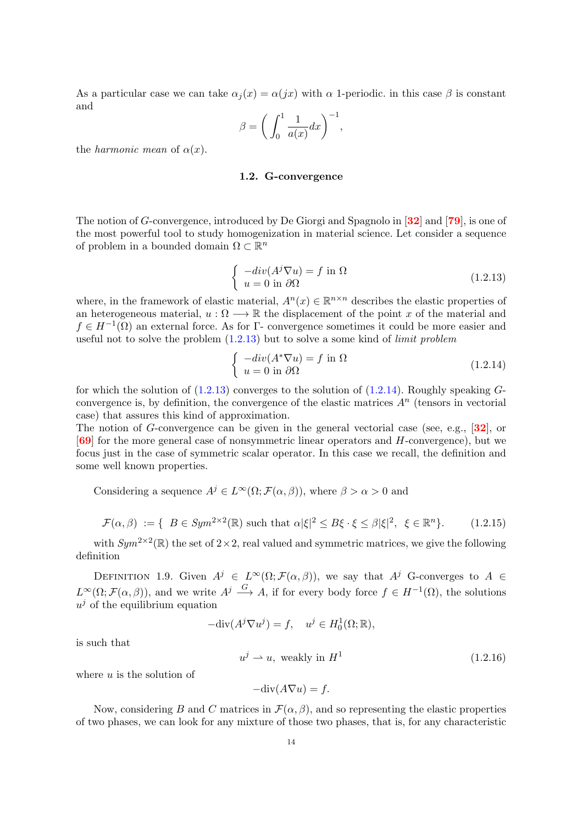As a particular case we can take  $\alpha_i(x) = \alpha(jx)$  with  $\alpha$  1-periodic. in this case  $\beta$  is constant and

$$
\beta = \bigg(\int_0^1 \frac{1}{a(x)} dx\bigg)^{-1},
$$

<span id="page-15-0"></span>the *harmonic* mean of  $\alpha(x)$ .

#### 1.2. G-convergence

The notion of G-convergence, introduced by De Giorgi and Spagnolo in [[32](#page-82-27)] and [[79](#page-83-19)], is one of the most powerful tool to study homogenization in material science. Let consider a sequence of problem in a bounded domain  $\Omega \subset \mathbb{R}^n$ 

<span id="page-15-2"></span>
$$
\begin{cases}\n-div(A^{j}\nabla u) = f \text{ in } \Omega \\
u = 0 \text{ in } \partial\Omega\n\end{cases}
$$
\n(1.2.13)

where, in the framework of elastic material,  $A^{n}(x) \in \mathbb{R}^{n \times n}$  describes the elastic properties of an heterogeneous material,  $u : \Omega \longrightarrow \mathbb{R}$  the displacement of the point x of the material and  $f \in H^{-1}(\Omega)$  an external force. As for  $\Gamma$ - convergence sometimes it could be more easier and useful not to solve the problem  $(1.2.13)$  but to solve a some kind of *limit problem* 

<span id="page-15-3"></span>
$$
\begin{cases}\n-div(A^*\nabla u) = f \text{ in } \Omega\\ \nu = 0 \text{ in } \partial\Omega\n\end{cases}
$$
\n(1.2.14)

for which the solution of  $(1.2.13)$  converges to the solution of  $(1.2.14)$ . Roughly speaking  $G$ convergence is, by definition, the convergence of the elastic matrices  $A<sup>n</sup>$  (tensors in vectorial case) that assures this kind of approximation.

The notion of G-convergence can be given in the general vectorial case (see, e.g.,  $[32]$  $[32]$  $[32]$ , or [[69](#page-83-20)] for the more general case of nonsymmetric linear operators and H-convergence), but we focus just in the case of symmetric scalar operator. In this case we recall, the definition and some well known properties.

Considering a sequence  $A^{j} \in L^{\infty}(\Omega; \mathcal{F}(\alpha, \beta))$ , where  $\beta > \alpha > 0$  and

<span id="page-15-1"></span>
$$
\mathcal{F}(\alpha,\beta) := \{ \ B \in Sym^{2 \times 2}(\mathbb{R}) \text{ such that } \alpha |\xi|^2 \le B\xi \cdot \xi \le \beta |\xi|^2, \ \xi \in \mathbb{R}^n \}. \tag{1.2.15}
$$

with  $Sym^{2\times 2}(\mathbb{R})$  the set of  $2\times 2$ , real valued and symmetric matrices, we give the following definition

DEFINITION 1.9. Given  $A^j \in L^{\infty}(\Omega; \mathcal{F}(\alpha, \beta))$ , we say that  $A^j$  G-converges to  $A \in$  $L^{\infty}(\Omega; \mathcal{F}(\alpha, \beta))$ , and we write  $A^j \stackrel{G}{\longrightarrow} A$ , if for every body force  $f \in H^{-1}(\Omega)$ , the solutions  $u^j$  of the equilibrium equation

 $-\text{div}(A^j \nabla u^j) = f, \quad u^j \in H_0^1(\Omega; \mathbb{R}),$ 

is such that

 $u^j \rightharpoonup u$ , weakly in  $H^1$ (1.2.16)

where  $u$  is the solution of

$$
-\text{div}(A\nabla u) = f.
$$

Now, considering B and C matrices in  $\mathcal{F}(\alpha, \beta)$ , and so representing the elastic properties of two phases, we can look for any mixture of those two phases, that is, for any characteristic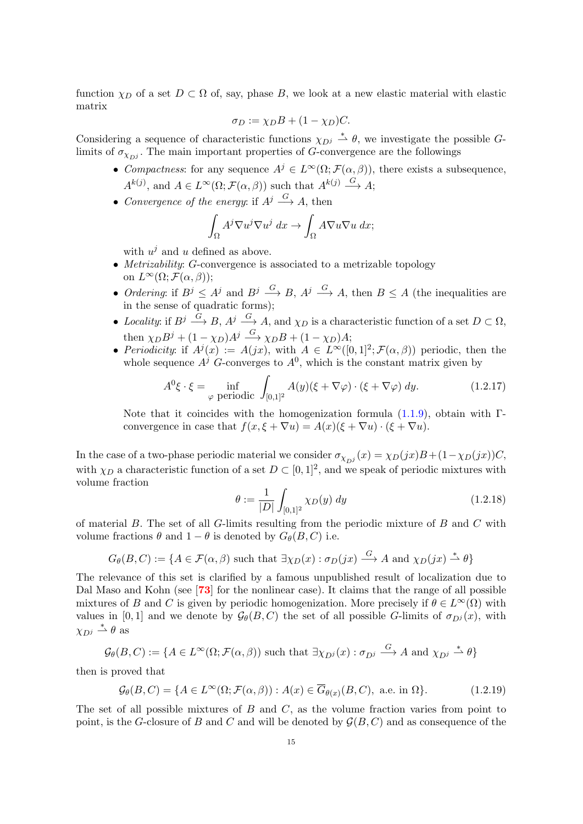function  $\chi_D$  of a set  $D \subset \Omega$  of, say, phase B, we look at a new elastic material with elastic matrix

$$
\sigma_D := \chi_D B + (1 - \chi_D)C.
$$

Considering a sequence of characteristic functions  $\chi_{D^j} \stackrel{*}{\rightharpoonup} \theta$ , we investigate the possible Glimits of  $\sigma_{\chi_{D^j}}$ . The main important properties of G-convergence are the followings

- Compactness: for any sequence  $A^j \in L^{\infty}(\Omega; \mathcal{F}(\alpha, \beta))$ , there exists a subsequence,  $A^{k(j)}$ , and  $A \in L^{\infty}(\Omega; \mathcal{F}(\alpha, \beta))$  such that  $A^{k(j)} \stackrel{G}{\longrightarrow} A;$
- Convergence of the energy: if  $A^j \stackrel{G}{\longrightarrow} A$ , then

$$
\int_{\Omega} A^j \nabla u^j \nabla u^j dx \to \int_{\Omega} A \nabla u \nabla u dx;
$$

with  $u^j$  and u defined as above.

- Metrizability: G-convergence is associated to a metrizable topology on  $L^{\infty}(\Omega; \mathcal{F}(\alpha, \beta))$ ;
- Ordering: if  $B^j \leq A^j$  and  $B^j \stackrel{G}{\longrightarrow} B$ ,  $A^j \stackrel{G}{\longrightarrow} A$ , then  $B \leq A$  (the inequalities are in the sense of quadratic forms);
- Locality: if  $B^j \stackrel{G}{\longrightarrow} B$ ,  $A^j \stackrel{G}{\longrightarrow} A$ , and  $\chi_D$  is a characteristic function of a set  $D \subset \Omega$ , then  $\chi_D B^j + (1 - \chi_D) A^j \stackrel{G}{\longrightarrow} \chi_D B + (1 - \chi_D) A;$
- Periodicity: if  $A^j(x) := A(jx)$ , with  $A \in L^{\infty}([0,1]^2; \mathcal{F}(\alpha,\beta))$  periodic, then the whole sequence  $A^j$  G-converges to  $A^0$ , which is the constant matrix given by

$$
A^{0}\xi \cdot \xi = \inf_{\varphi \text{ periodic}} \int_{[0,1]^{2}} A(y)(\xi + \nabla \varphi) \cdot (\xi + \nabla \varphi) dy.
$$
 (1.2.17)

Note that it coincides with the homogenization formula  $(1.1.9)$ , obtain with Γ convergence in case that  $f(x, \xi + \nabla u) = A(x)(\xi + \nabla u) \cdot (\xi + \nabla u)$ .

In the case of a two-phase periodic material we consider  $\sigma_{\chi_{D}j}(x) = \chi_D(jx)B + (1-\chi_D(jx))C$ , with  $\chi_D$  a characteristic function of a set  $D \subset [0,1]^2$ , and we speak of periodic mixtures with volume fraction

<span id="page-16-0"></span>
$$
\theta := \frac{1}{|D|} \int_{[0,1]^2} \chi_D(y) \, dy \tag{1.2.18}
$$

of material  $B$ . The set of all  $G$ -limits resulting from the periodic mixture of  $B$  and  $C$  with volume fractions  $\theta$  and  $1 - \theta$  is denoted by  $G_{\theta}(B, C)$  i.e.

$$
G_{\theta}(B, C) := \{ A \in \mathcal{F}(\alpha, \beta) \text{ such that } \exists \chi_D(x) : \sigma_D(jx) \stackrel{G}{\longrightarrow} A \text{ and } \chi_D(jx) \stackrel{*}{\rightharpoonup} \theta \}
$$

The relevance of this set is clarified by a famous unpublished result of localization due to Dal Maso and Kohn (see [[73](#page-83-21)] for the nonlinear case). It claims that the range of all possible mixtures of B and C is given by periodic homogenization. More precisely if  $\theta \in L^{\infty}(\Omega)$  with values in [0, 1] and we denote by  $\mathcal{G}_{\theta}(B, C)$  the set of all possible G-limits of  $\sigma_{D^{j}}(x)$ , with  $\chi_{D^j} \stackrel{*}{\rightharpoonup} \theta$  as

$$
\mathcal{G}_{\theta}(B,C) := \{ A \in L^{\infty}(\Omega; \mathcal{F}(\alpha,\beta)) \text{ such that } \exists \chi_{D^j}(x) : \sigma_{D^j} \stackrel{G}{\longrightarrow} A \text{ and } \chi_{D^j} \stackrel{*}{\rightharpoonup} \theta \}
$$

then is proved that

$$
\mathcal{G}_{\theta}(B,C) = \{ A \in L^{\infty}(\Omega; \mathcal{F}(\alpha,\beta)) : A(x) \in \overline{G}_{\theta(x)}(B,C), \text{ a.e. in } \Omega \}. \tag{1.2.19}
$$

The set of all possible mixtures of  $B$  and  $C$ , as the volume fraction varies from point to point, is the G-closure of B and C and will be denoted by  $\mathcal{G}(B, C)$  and as consequence of the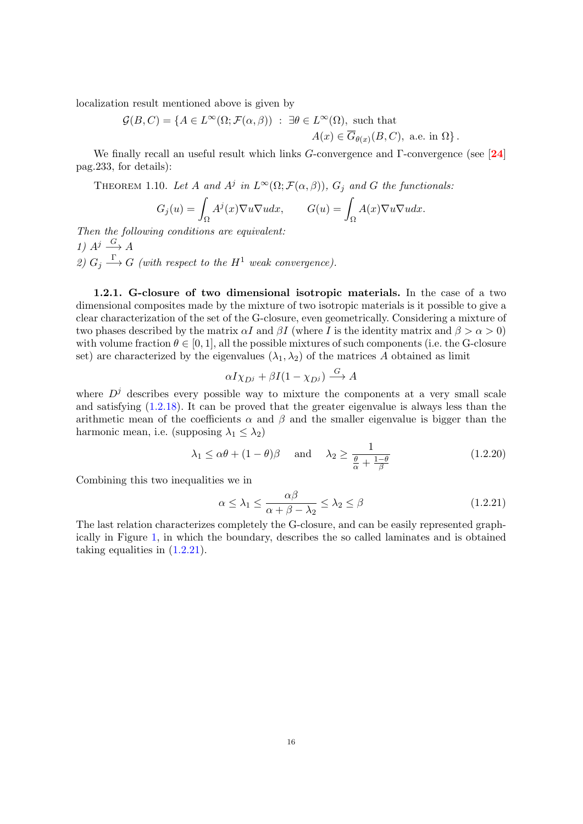localization result mentioned above is given by

$$
\mathcal{G}(B,C) = \{ A \in L^{\infty}(\Omega; \mathcal{F}(\alpha,\beta)) : \exists \theta \in L^{\infty}(\Omega), \text{ such that } A(x) \in \overline{G}_{\theta(x)}(B,C), \text{ a.e. in } \Omega \}.
$$

We finally recall an useful result which links G-convergence and  $\Gamma$ -convergence (see [[24](#page-82-26)] pag.233, for details):

THEOREM 1.10. Let A and  $A^j$  in  $L^{\infty}(\Omega; \mathcal{F}(\alpha, \beta)), G_j$  and G the functionals:

$$
G_j(u) = \int_{\Omega} A^j(x) \nabla u \nabla u dx, \qquad G(u) = \int_{\Omega} A(x) \nabla u \nabla u dx.
$$

Then the following conditions are equivalent: 1)  $A^j \xrightarrow{G} A$ 2)  $G_j \longrightarrow G$  (with respect to the  $H^1$  weak convergence).

<span id="page-17-0"></span>1.2.1. G-closure of two dimensional isotropic materials. In the case of a two dimensional composites made by the mixture of two isotropic materials is it possible to give a clear characterization of the set of the G-closure, even geometrically. Considering a mixture of two phases described by the matrix  $\alpha I$  and  $\beta I$  (where I is the identity matrix and  $\beta > \alpha > 0$ ) with volume fraction  $\theta \in [0, 1]$ , all the possible mixtures of such components (i.e. the G-closure set) are characterized by the eigenvalues  $(\lambda_1, \lambda_2)$  of the matrices A obtained as limit

$$
\alpha I \chi_{D^j} + \beta I (1 - \chi_{D^j}) \stackrel{G}{\longrightarrow} A
$$

where  $D^{j}$  describes every possible way to mixture the components at a very small scale and satisfying [\(1.2.18\)](#page-16-0). It can be proved that the greater eigenvalue is always less than the arithmetic mean of the coefficients  $\alpha$  and  $\beta$  and the smaller eigenvalue is bigger than the harmonic mean, i.e. (supposing  $\lambda_1 \leq \lambda_2$ )

$$
\lambda_1 \leq \alpha \theta + (1 - \theta)\beta
$$
 and  $\lambda_2 \geq \frac{1}{\frac{\theta}{\alpha} + \frac{1 - \theta}{\beta}}$  (1.2.20)

Combining this two inequalities we in

<span id="page-17-1"></span>
$$
\alpha \le \lambda_1 \le \frac{\alpha \beta}{\alpha + \beta - \lambda_2} \le \lambda_2 \le \beta \tag{1.2.21}
$$

The last relation characterizes completely the G-closure, and can be easily represented graphically in Figure [1,](#page-18-0) in which the boundary, describes the so called laminates and is obtained taking equalities in [\(1.2.21\)](#page-17-1).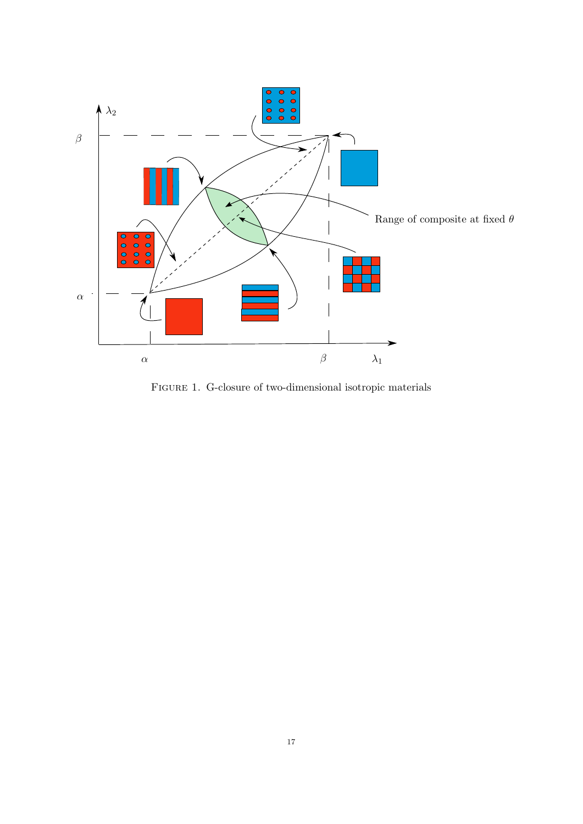

<span id="page-18-0"></span>Figure 1. G-closure of two-dimensional isotropic materials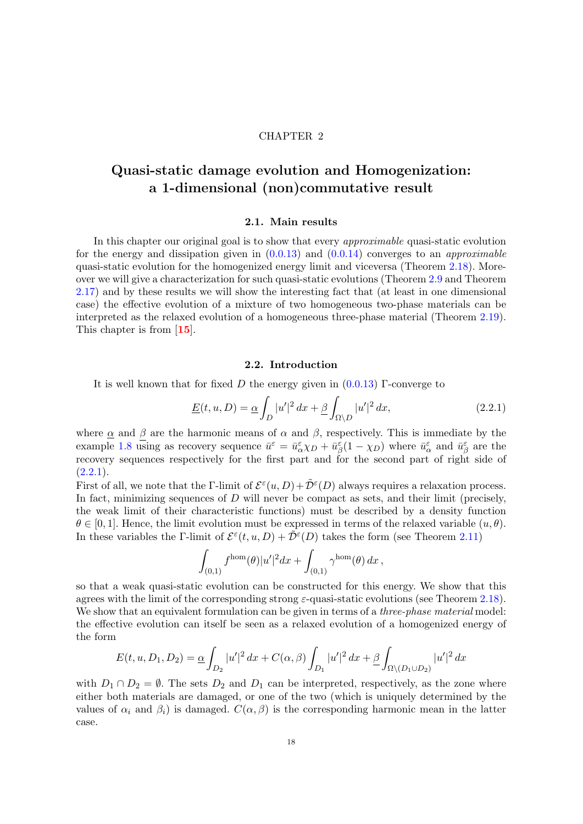#### CHAPTER 2

# <span id="page-19-0"></span>Quasi-static damage evolution and Homogenization: a 1-dimensional (non)commutative result

#### 2.1. Main results

<span id="page-19-1"></span>In this chapter our original goal is to show that every approximable quasi-static evolution for the energy and dissipation given in  $(0.0.13)$  and  $(0.0.14)$  converges to an *approximable* quasi-static evolution for the homogenized energy limit and viceversa (Theorem [2.18\)](#page-37-1). Moreover we will give a characterization for such quasi-static evolutions (Theorem [2.9](#page-27-0) and Theorem [2.17\)](#page-35-1) and by these results we will show the interesting fact that (at least in one dimensional case) the effective evolution of a mixture of two homogeneous two-phase materials can be interpreted as the relaxed evolution of a homogeneous three-phase material (Theorem [2.19\)](#page-39-0). This chapter is from [[15](#page-81-20)].

#### 2.2. Introduction

<span id="page-19-2"></span>It is well known that for fixed D the energy given in  $(0.0.13)$  Γ-converge to

<span id="page-19-3"></span>
$$
\underline{E}(t, u, D) = \underline{\alpha} \int_{D} |u'|^2 dx + \underline{\beta} \int_{\Omega \setminus D} |u'|^2 dx, \qquad (2.2.1)
$$

where  $\alpha$  and  $\beta$  are the harmonic means of  $\alpha$  and  $\beta$ , respectively. This is immediate by the example [1.8](#page-14-2) using as recovery sequence  $\bar{u}^{\varepsilon} = \bar{u}^{\varepsilon}_{\alpha} \chi_D + \bar{u}^{\varepsilon}_{\beta} (1 - \chi_D)$  where  $\bar{u}^{\varepsilon}_{\alpha}$  and  $\bar{u}^{\varepsilon}_{\beta}$  are the recovery sequences respectively for the first part and for the second part of right side of  $(2.2.1).$  $(2.2.1).$ 

First of all, we note that the Γ-limit of  $\mathcal{E}^{\varepsilon}(u,D) + \tilde{\mathcal{D}}^{\varepsilon}(D)$  always requires a relaxation process. In fact, minimizing sequences of  $D$  will never be compact as sets, and their limit (precisely, the weak limit of their characteristic functions) must be described by a density function  $\theta \in [0, 1]$ . Hence, the limit evolution must be expressed in terms of the relaxed variable  $(u, \theta)$ . In these variables the Γ-limit of  $\mathcal{E}^{\varepsilon}(t, u, D) + \tilde{\mathcal{D}}^{\varepsilon}(D)$  takes the form (see Theorem [2.11\)](#page-30-2)

$$
\int_{(0,1)} f^{\text{hom}}(\theta) |u'|^2 dx + \int_{(0,1)} \gamma^{\text{hom}}(\theta) dx,
$$

so that a weak quasi-static evolution can be constructed for this energy. We show that this agrees with the limit of the corresponding strong  $\varepsilon$ -quasi-static evolutions (see Theorem [2.18\)](#page-37-1). We show that an equivalent formulation can be given in terms of a *three-phase material* model: the effective evolution can itself be seen as a relaxed evolution of a homogenized energy of the form

$$
E(t, u, D_1, D_2) = \underline{\alpha} \int_{D_2} |u'|^2 dx + C(\alpha, \beta) \int_{D_1} |u'|^2 dx + \underline{\beta} \int_{\Omega \setminus (D_1 \cup D_2)} |u'|^2 dx
$$

with  $D_1 \cap D_2 = \emptyset$ . The sets  $D_2$  and  $D_1$  can be interpreted, respectively, as the zone where either both materials are damaged, or one of the two (which is uniquely determined by the values of  $\alpha_i$  and  $\beta_i$ ) is damaged.  $C(\alpha, \beta)$  is the corresponding harmonic mean in the latter case.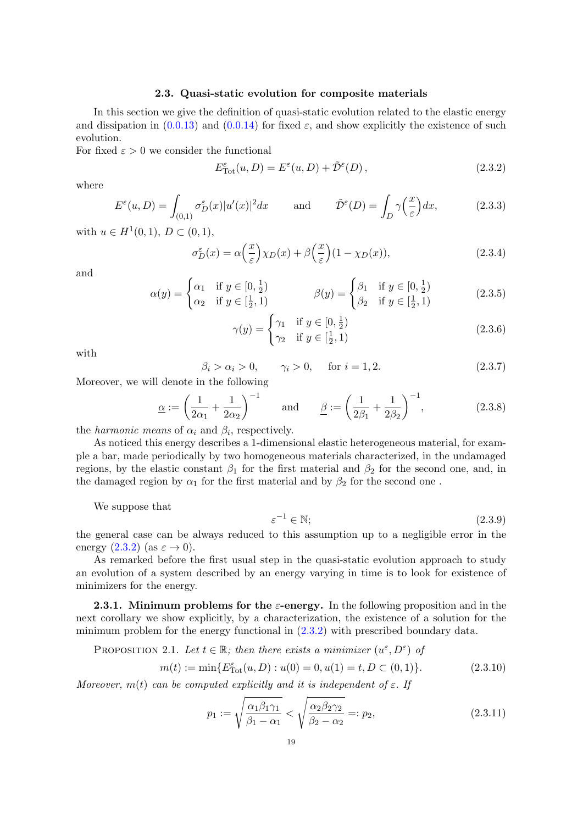#### 2.3. Quasi-static evolution for composite materials

<span id="page-20-0"></span>In this section we give the definition of quasi-static evolution related to the elastic energy and dissipation in  $(0.0.13)$  and  $(0.0.14)$  for fixed  $\varepsilon$ , and show explicitly the existence of such evolution.

For fixed  $\varepsilon > 0$  we consider the functional

<span id="page-20-2"></span>
$$
E_{\text{Tot}}^{\varepsilon}(u, D) = E^{\varepsilon}(u, D) + \tilde{\mathcal{D}}^{\varepsilon}(D), \qquad (2.3.2)
$$

where

$$
E^{\varepsilon}(u,D) = \int_{(0,1)} \sigma_D^{\varepsilon}(x) |u'(x)|^2 dx \quad \text{and} \quad \tilde{\mathcal{D}}^{\varepsilon}(D) = \int_D \gamma\left(\frac{x}{\varepsilon}\right) dx, \tag{2.3.3}
$$

with  $u \in H^1(0,1), D \subset (0,1),$ 

$$
\sigma_D^{\varepsilon}(x) = \alpha \left(\frac{x}{\varepsilon}\right) \chi_D(x) + \beta \left(\frac{x}{\varepsilon}\right) (1 - \chi_D(x)),\tag{2.3.4}
$$

and

$$
\alpha(y) = \begin{cases} \alpha_1 & \text{if } y \in [0, \frac{1}{2}) \\ \alpha_2 & \text{if } y \in [\frac{1}{2}, 1) \end{cases} \qquad \beta(y) = \begin{cases} \beta_1 & \text{if } y \in [0, \frac{1}{2}) \\ \beta_2 & \text{if } y \in [\frac{1}{2}, 1) \end{cases} \tag{2.3.5}
$$

$$
\gamma(y) = \begin{cases} \gamma_1 & \text{if } y \in [0, \frac{1}{2}) \\ \gamma_2 & \text{if } y \in [\frac{1}{2}, 1) \end{cases}
$$
 (2.3.6)

with

$$
\beta_i > \alpha_i > 0, \qquad \gamma_i > 0, \quad \text{for } i = 1, 2. \tag{2.3.7}
$$

Moreover, we will denote in the following

$$
\underline{\alpha} := \left(\frac{1}{2\alpha_1} + \frac{1}{2\alpha_2}\right)^{-1} \quad \text{and} \quad \underline{\beta} := \left(\frac{1}{2\beta_1} + \frac{1}{2\beta_2}\right)^{-1}, \tag{2.3.8}
$$

the *harmonic means* of  $\alpha_i$  and  $\beta_i$ , respectively.

As noticed this energy describes a 1-dimensional elastic heterogeneous material, for example a bar, made periodically by two homogeneous materials characterized, in the undamaged regions, by the elastic constant  $\beta_1$  for the first material and  $\beta_2$  for the second one, and, in the damaged region by  $\alpha_1$  for the first material and by  $\beta_2$  for the second one.

We suppose that

$$
\varepsilon^{-1} \in \mathbb{N};\tag{2.3.9}
$$

the general case can be always reduced to this assumption up to a negligible error in the energy  $(2.3.2)$  (as  $\varepsilon \rightarrow 0$ ).

As remarked before the first usual step in the quasi-static evolution approach to study an evolution of a system described by an energy varying in time is to look for existence of minimizers for the energy.

<span id="page-20-1"></span>**2.3.1.** Minimum problems for the  $\varepsilon$ -energy. In the following proposition and in the next corollary we show explicitly, by a characterization, the existence of a solution for the minimum problem for the energy functional in [\(2.3.2\)](#page-20-2) with prescribed boundary data.

<span id="page-20-5"></span>PROPOSITION 2.1. Let 
$$
t \in \mathbb{R}
$$
; then there exists a minimizer  $(u^{\varepsilon}, D^{\varepsilon})$  of

<span id="page-20-4"></span>
$$
m(t) := \min\{E_{\text{Tot}}^{\varepsilon}(u, D) : u(0) = 0, u(1) = t, D \subset (0, 1)\}.
$$
 (2.3.10)

Moreover,  $m(t)$  can be computed explicitly and it is independent of  $\varepsilon$ . If

<span id="page-20-3"></span>
$$
p_1 := \sqrt{\frac{\alpha_1 \beta_1 \gamma_1}{\beta_1 - \alpha_1}} < \sqrt{\frac{\alpha_2 \beta_2 \gamma_2}{\beta_2 - \alpha_2}} =: p_2,
$$
\n(2.3.11)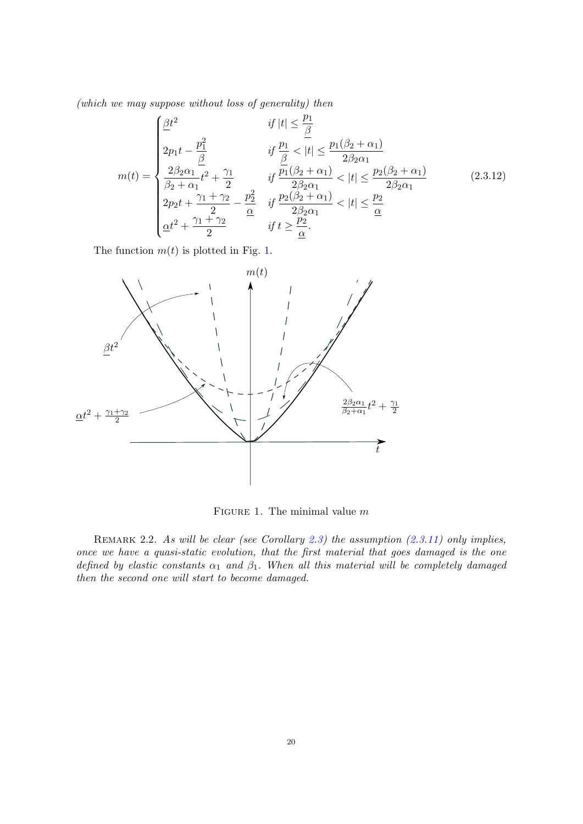(which we may suppose without loss of generality) then

<span id="page-21-1"></span>
$$
m(t) = \begin{cases} \frac{\beta t^2}{2} & \text{if } |t| \le \frac{p_1}{\beta} \\ 2p_1 t - \frac{p_1^2}{\beta} & \text{if } \frac{p_1}{\beta} < |t| \le \frac{p_1(\beta_2 + \alpha_1)}{2\beta_2 \alpha_1} \\ \frac{2\beta_2 \alpha_1}{\beta_2 + \alpha_1} t^2 + \frac{\gamma_1}{2} & \text{if } \frac{p_1(\beta_2 + \alpha_1)}{2\beta_2 \alpha_1} < |t| \le \frac{p_2(\beta_2 + \alpha_1)}{2\beta_2 \alpha_1} \\ 2p_2 t + \frac{\gamma_1 + \gamma_2}{2} - \frac{p_2^2}{\alpha} & \text{if } \frac{p_2(\beta_2 + \alpha_1)}{2\beta_2 \alpha_1} < |t| \le \frac{p_2}{\alpha} \\ \frac{\alpha t^2}{2} + \frac{\gamma_1 + \gamma_2}{2} & \text{if } t \ge \frac{p_2}{\alpha} \end{cases} (2.3.12)
$$

The function  $m(t)$  is plotted in Fig. [1.](#page-21-0)



<span id="page-21-0"></span>FIGURE 1. The minimal value  $m$ 

REMARK 2.2. As will be clear (see Corollary [2.3\)](#page-23-0) the assumption  $(2.3.11)$  only implies, once we have a quasi-static evolution, that the first material that goes damaged is the one defined by elastic constants  $\alpha_1$  and  $\beta_1$ . When all this material will be completely damaged then the second one will start to become damaged.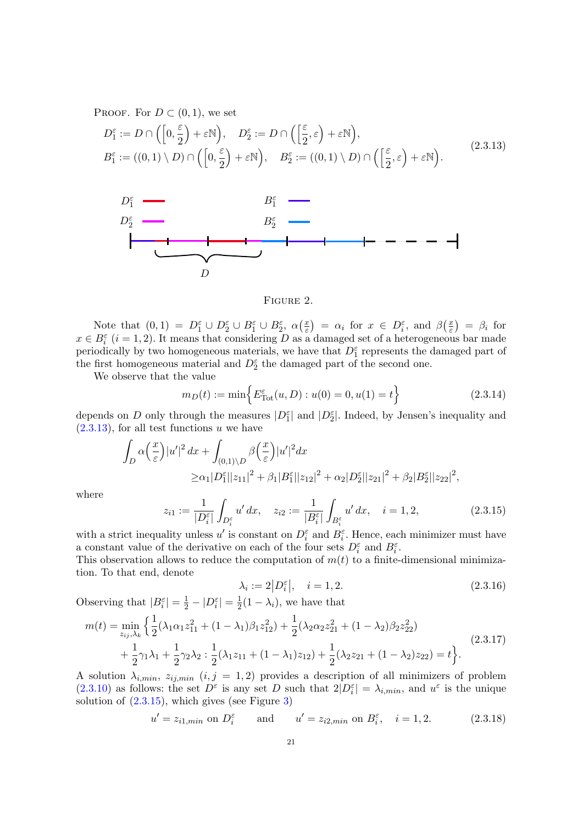PROOF. For  $D \subset (0,1)$ , we set

<span id="page-22-0"></span>
$$
D_1^{\varepsilon} := D \cap \left( \left[ 0, \frac{\varepsilon}{2} \right] + \varepsilon \mathbb{N} \right), \quad D_2^{\varepsilon} := D \cap \left( \left[ \frac{\varepsilon}{2}, \varepsilon \right] + \varepsilon \mathbb{N} \right),
$$
  
\n
$$
B_1^{\varepsilon} := ((0, 1) \setminus D) \cap \left( \left[ 0, \frac{\varepsilon}{2} \right] + \varepsilon \mathbb{N} \right), \quad B_2^{\varepsilon} := ((0, 1) \setminus D) \cap \left( \left[ \frac{\varepsilon}{2}, \varepsilon \right] + \varepsilon \mathbb{N} \right).
$$
\n(2.3.13)



#### Figure 2.

Note that  $(0,1) = D_1^{\varepsilon} \cup D_2^{\varepsilon} \cup B_1^{\varepsilon} \cup B_2^{\varepsilon}$ ,  $\alpha(\frac{x}{\varepsilon})$  $\left( \frac{x}{\varepsilon} \right) = \alpha_i \text{ for } x \in D_i^{\varepsilon}, \text{ and } \beta \left( \frac{x}{\varepsilon} \right)$  $\left(\frac{x}{\varepsilon}\right) = \beta_i$  for  $x \in B_i^{\varepsilon}$  (i = 1, 2). It means that considering D as a damaged set of a heterogeneous bar made periodically by two homogeneous materials, we have that  $D_1^{\varepsilon}$  represents the damaged part of the first homogeneous material and  $D_2^{\varepsilon}$  the damaged part of the second one.

We observe that the value

$$
m_D(t) := \min\left\{ E_{\text{Tot}}^{\varepsilon}(u, D) : u(0) = 0, u(1) = t \right\}
$$
\n(2.3.14)

depends on D only through the measures  $|D_1^{\varepsilon}|$  and  $|D_2^{\varepsilon}|$ . Indeed, by Jensen's inequality and  $(2.3.13)$ , for all test functions u we have

$$
\int_{D} \alpha \left(\frac{x}{\varepsilon}\right) |u'|^2 dx + \int_{(0,1)\setminus D} \beta \left(\frac{x}{\varepsilon}\right) |u'|^2 dx
$$
  
\n
$$
\geq \alpha_1 |D_1^{\varepsilon}| |z_{11}|^2 + \beta_1 |B_1^{\varepsilon}| |z_{12}|^2 + \alpha_2 |D_2^{\varepsilon}| |z_{21}|^2 + \beta_2 |B_2^{\varepsilon}| |z_{22}|^2,
$$

where

<span id="page-22-1"></span>
$$
z_{i1} := \frac{1}{|D_i^{\varepsilon}|} \int_{D_i^{\varepsilon}} u' dx, \quad z_{i2} := \frac{1}{|B_i^{\varepsilon}|} \int_{B_i^{\varepsilon}} u' dx, \quad i = 1, 2,
$$
 (2.3.15)

with a strict inequality unless  $u'$  is constant on  $D_i^{\varepsilon}$  and  $B_i^{\varepsilon}$ . Hence, each minimizer must have a constant value of the derivative on each of the four sets  $D_i^{\varepsilon}$  and  $B_i^{\varepsilon}$ .

This observation allows to reduce the computation of  $m(t)$  to a finite-dimensional minimization. To that end, denote

<span id="page-22-3"></span>
$$
\lambda_i := 2|D_i^{\varepsilon}|, \quad i = 1, 2. \tag{2.3.16}
$$

Observing that  $|B_i^{\varepsilon}| = \frac{1}{2} - |D_i^{\varepsilon}| = \frac{1}{2}$  $\frac{1}{2}(1-\lambda_i)$ , we have that

<span id="page-22-2"></span>
$$
m(t) = \min_{z_{ij},\lambda_k} \left\{ \frac{1}{2} (\lambda_1 \alpha_1 z_{11}^2 + (1 - \lambda_1) \beta_1 z_{12}^2) + \frac{1}{2} (\lambda_2 \alpha_2 z_{21}^2 + (1 - \lambda_2) \beta_2 z_{22}^2) + \frac{1}{2} \gamma_1 \lambda_1 + \frac{1}{2} \gamma_2 \lambda_2 : \frac{1}{2} (\lambda_1 z_{11} + (1 - \lambda_1) z_{12}) + \frac{1}{2} (\lambda_2 z_{21} + (1 - \lambda_2) z_{22}) = t \right\}.
$$
\n(2.3.17)

A solution  $\lambda_{i,min}$ ,  $z_{ij,min}$   $(i, j = 1, 2)$  provides a description of all minimizers of problem [\(2.3.10\)](#page-20-4) as follows: the set  $D^{\varepsilon}$  is any set D such that  $2|D_i^{\varepsilon}| = \lambda_{i,min}$ , and  $u^{\varepsilon}$  is the unique solution of  $(2.3.15)$ , which gives (see Figure [3\)](#page-23-1)

<span id="page-22-4"></span>
$$
u' = z_{i1,min} \text{ on } D_i^{\varepsilon} \quad \text{and} \quad u' = z_{i2,min} \text{ on } B_i^{\varepsilon}, \quad i = 1, 2. \tag{2.3.18}
$$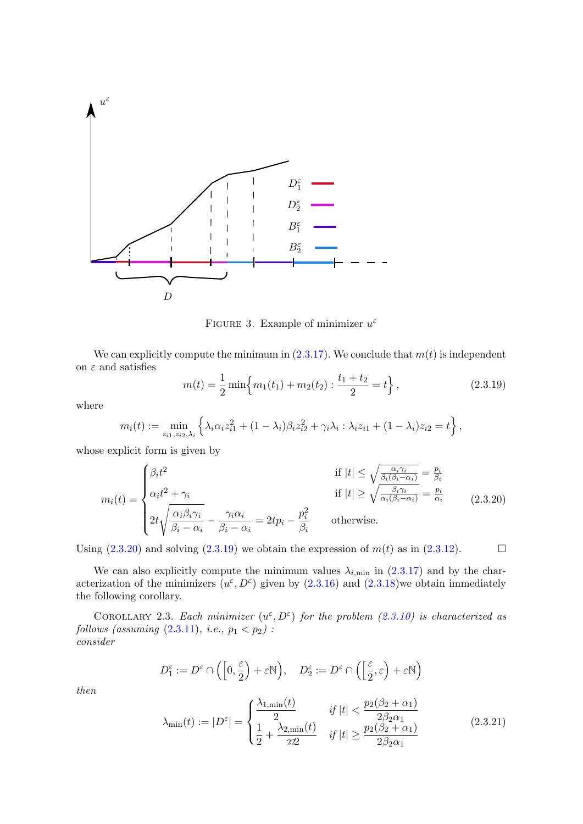

<span id="page-23-1"></span>FIGURE 3. Example of minimizer  $u^{\varepsilon}$ 

We can explicitly compute the minimum in  $(2.3.17)$ . We conclude that  $m(t)$  is independent on  $\varepsilon$  and satisfies

<span id="page-23-3"></span>
$$
m(t) = \frac{1}{2} \min \left\{ m_1(t_1) + m_2(t_2) : \frac{t_1 + t_2}{2} = t \right\},\tag{2.3.19}
$$

where

$$
m_i(t) := \min_{z_{i1}, z_{i2}, \lambda_i} \left\{ \lambda_i \alpha_i z_{i1}^2 + (1 - \lambda_i) \beta_i z_{i2}^2 + \gamma_i \lambda_i : \lambda_i z_{i1} + (1 - \lambda_i) z_{i2} = t \right\},\,
$$

whose explicit form is given by

<span id="page-23-2"></span>
$$
m_i(t) = \begin{cases} \beta_i t^2 & \text{if } |t| \le \sqrt{\frac{\alpha_i \gamma_i}{\beta_i(\beta_i - \alpha_i)}} = \frac{p_i}{\beta_i} \\ \alpha_i t^2 + \gamma_i & \text{if } |t| \ge \sqrt{\frac{\beta_i \gamma_i}{\alpha_i(\beta_i - \alpha_i)}} = \frac{p_i}{\alpha_i} \\ 2t \sqrt{\frac{\alpha_i \beta_i \gamma_i}{\beta_i - \alpha_i}} - \frac{\gamma_i \alpha_i}{\beta_i - \alpha_i} = 2tp_i - \frac{p_i^2}{\beta_i} & \text{otherwise.} \end{cases}
$$
(2.3.20)

Using  $(2.3.20)$  and solving  $(2.3.19)$  we obtain the expression of  $m(t)$  as in  $(2.3.12)$ .

We can also explicitly compute the minimum values  $\lambda_{i,\text{min}}$  in [\(2.3.17\)](#page-22-2) and by the characterization of the minimizers  $(u^{\varepsilon}, D^{\varepsilon})$  given by  $(2.3.16)$  and  $(2.3.18)$  we obtain immediately the following corollary.

<span id="page-23-0"></span>COROLLARY 2.3. Each minimizer  $(u^{\varepsilon}, D^{\varepsilon})$  for the problem [\(2.3.10\)](#page-20-4) is characterized as follows (assuming  $(2.3.11)$ , *i.e.*,  $p_1 < p_2$ ): consider

$$
D_1^{\varepsilon} := D^{\varepsilon} \cap \left( \left[ 0, \frac{\varepsilon}{2} \right) + \varepsilon \mathbb{N} \right), \quad D_2^{\varepsilon} := D^{\varepsilon} \cap \left( \left[ \frac{\varepsilon}{2}, \varepsilon \right) + \varepsilon \mathbb{N} \right)
$$

then

<span id="page-23-4"></span>
$$
\lambda_{\min}(t) := |D^{\varepsilon}| = \begin{cases} \frac{\lambda_{1,\min}(t)}{2} & \text{if } |t| < \frac{p_2(\beta_2 + \alpha_1)}{2\beta_2 \alpha_1} \\ \frac{1}{2} + \frac{\lambda_{2,\min}(t)}{222} & \text{if } |t| \ge \frac{p_2(\beta_2 + \alpha_1)}{2\beta_2 \alpha_1} \end{cases} \tag{2.3.21}
$$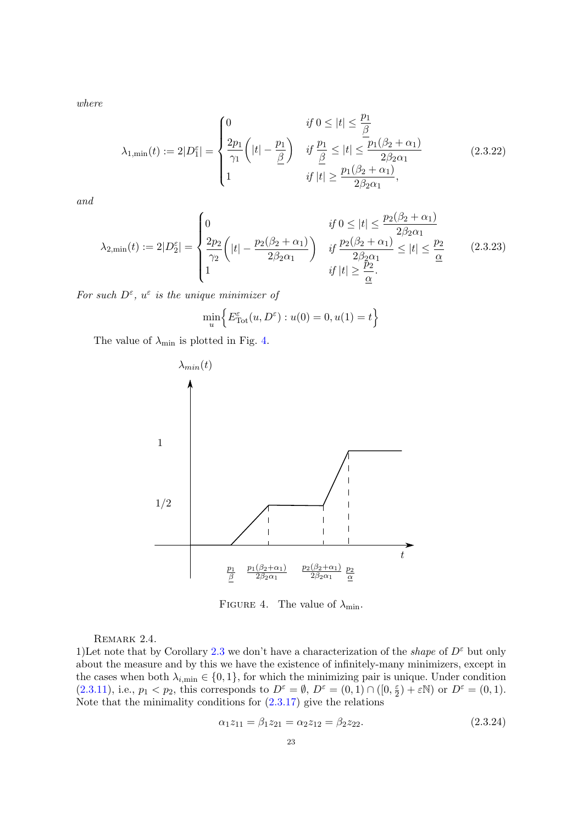where

<span id="page-24-3"></span>
$$
\lambda_{1,\min}(t) := 2|D_1^c| = \begin{cases} 0 & \text{if } 0 \le |t| \le \frac{p_1}{\beta} \\ \frac{2p_1}{\gamma_1} \left( |t| - \frac{p_1}{\beta} \right) & \text{if } \frac{p_1}{\beta} \le |t| \le \frac{p_1(\beta_2 + \alpha_1)}{2\beta_2 \alpha_1} \\ 1 & \text{if } |t| \ge \frac{p_1(\beta_2 + \alpha_1)}{2\beta_2 \alpha_1}, \end{cases}
$$
(2.3.22)

and

<span id="page-24-4"></span>
$$
\lambda_{2,\min}(t) := 2|D_2^{\varepsilon}| = \begin{cases} 0 & \text{if } 0 \le |t| \le \frac{p_2(\beta_2 + \alpha_1)}{2\beta_2 \alpha_1} \\ \frac{2p_2}{\gamma_2} \left( |t| - \frac{p_2(\beta_2 + \alpha_1)}{2\beta_2 \alpha_1} \right) & \text{if } \frac{p_2(\beta_2 + \alpha_1)}{2\beta_2 \alpha_1} \le |t| \le \frac{p_2}{\underline{\alpha}} \\ 1 & \text{if } |t| \ge \frac{p_2}{\underline{\alpha}}. \end{cases} \tag{2.3.23}
$$

For such  $D^{\varepsilon}$ ,  $u^{\varepsilon}$  is the unique minimizer of

$$
\min_{u} \Big\{ E_{\text{Tot}}^{\varepsilon}(u, D^{\varepsilon}) : u(0) = 0, u(1) = t \Big\}
$$

The value of  $\lambda_{\min}$  is plotted in Fig. [4.](#page-24-0)



<span id="page-24-0"></span>FIGURE 4. The value of  $\lambda_{\min}$ .

REMARK 2.4.

<span id="page-24-1"></span>1)Let note that by Corollary [2.3](#page-23-0) we don't have a characterization of the *shape* of  $D^{\varepsilon}$  but only about the measure and by this we have the existence of infinitely-many minimizers, except in the cases when both  $\lambda_{i,\min} \in \{0,1\}$ , for which the minimizing pair is unique. Under condition  $(2.3.11)$ , i.e.,  $p_1 < p_2$ , this corresponds to  $D^{\varepsilon} = \emptyset$ ,  $D^{\varepsilon} = (0,1) \cap ([0, \frac{\varepsilon}{2})]$  $(\frac{\varepsilon}{2}) + \varepsilon \mathbb{N}$  or  $D^{\varepsilon} = (0, 1)$ . Note that the minimality conditions for  $(2.3.17)$  give the relations

<span id="page-24-2"></span>
$$
\alpha_1 z_{11} = \beta_1 z_{21} = \alpha_2 z_{12} = \beta_2 z_{22}.
$$
\n(2.3.24)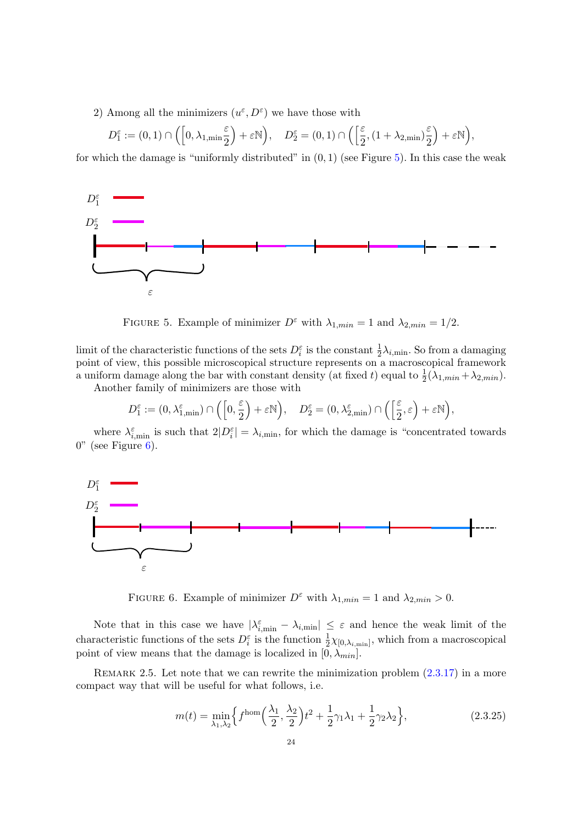2) Among all the minimizers  $(u^{\varepsilon}, D^{\varepsilon})$  we have those with

$$
D_1^\varepsilon:=(0,1)\cap\Big(\Big[0,\lambda_{1,\min}\frac{\varepsilon}{2}\Big)+\varepsilon\mathbb{N}\Big),\quad D_2^\varepsilon=(0,1)\cap\Big(\Big[\frac{\varepsilon}{2},(1+\lambda_{2,\min})\frac{\varepsilon}{2}\Big)+\varepsilon\mathbb{N}\Big),
$$

for which the damage is "uniformly distributed" in  $(0, 1)$  (see Figure [5\)](#page-25-0). In this case the weak



<span id="page-25-0"></span>FIGURE 5. Example of minimizer  $D^{\varepsilon}$  with  $\lambda_{1,min} = 1$  and  $\lambda_{2,min} = 1/2$ .

limit of the characteristic functions of the sets  $D_i^{\varepsilon}$  is the constant  $\frac{1}{2}\lambda_{i,\min}$ . So from a damaging point of view, this possible microscopical structure represents on a macroscopical framework a uniform damage along the bar with constant density (at fixed t) equal to  $\frac{1}{2}(\lambda_{1,min} + \lambda_{2,min})$ .

Another family of minimizers are those with

$$
D_1^\varepsilon:=(0,\lambda^\varepsilon_{1,\min})\cap\Big(\Big[0,\frac{\varepsilon}{2}\Big)+\varepsilon\mathbb{N}\Big),\quad D_2^\varepsilon=(0,\lambda^\varepsilon_{2,\min})\cap\Big(\Big[\frac{\varepsilon}{2},\varepsilon\Big)+\varepsilon\mathbb{N}\Big),
$$

where  $\lambda_{i,\text{min}}^{\varepsilon}$  is such that  $2|D_i^{\varepsilon}| = \lambda_{i,\text{min}}$ , for which the damage is "concentrated towards"  $0"$  (see Figure  $6$ ).



<span id="page-25-1"></span>FIGURE 6. Example of minimizer  $D^{\varepsilon}$  with  $\lambda_{1,min} = 1$  and  $\lambda_{2,min} > 0$ .

Note that in this case we have  $|\lambda_{i,\min}^{\varepsilon} - \lambda_{i,\min}| \leq \varepsilon$  and hence the weak limit of the characteristic functions of the sets  $D_i^{\varepsilon}$  is the function  $\frac{1}{2}\chi_{[0,\lambda_{i,\text{min}}]}$ , which from a macroscopical point of view means that the damage is localized in  $[0, \lambda_{min}]$ .

<span id="page-25-2"></span>REMARK 2.5. Let note that we can rewrite the minimization problem  $(2.3.17)$  in a more compact way that will be useful for what follows, i.e.

$$
m(t) = \min_{\lambda_1, \lambda_2} \left\{ f^{\text{hom}}\left(\frac{\lambda_1}{2}, \frac{\lambda_2}{2}\right) t^2 + \frac{1}{2} \gamma_1 \lambda_1 + \frac{1}{2} \gamma_2 \lambda_2 \right\},\tag{2.3.25}
$$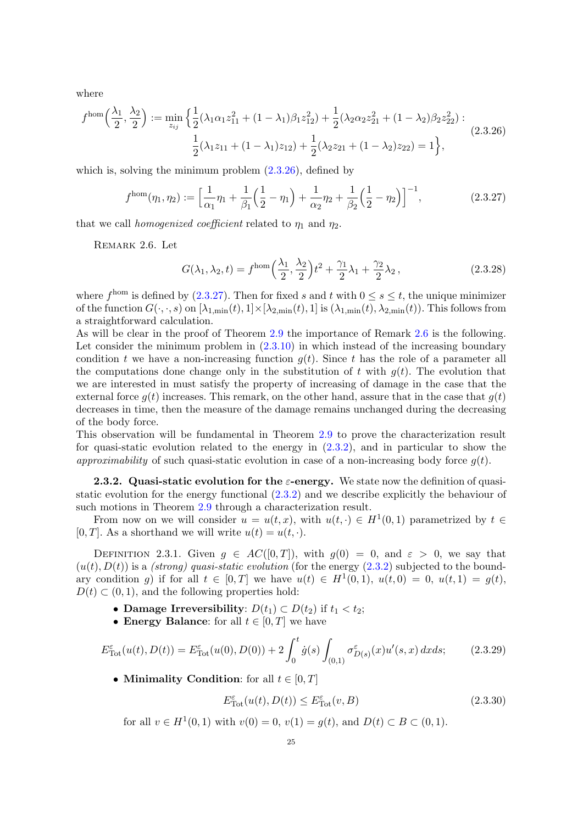where

<span id="page-26-1"></span>
$$
f^{\text{hom}}\left(\frac{\lambda_1}{2}, \frac{\lambda_2}{2}\right) := \min_{z_{ij}} \left\{ \frac{1}{2} (\lambda_1 \alpha_1 z_{11}^2 + (1 - \lambda_1)\beta_1 z_{12}^2) + \frac{1}{2} (\lambda_2 \alpha_2 z_{21}^2 + (1 - \lambda_2)\beta_2 z_{22}^2) : \frac{1}{2} (\lambda_1 z_{11} + (1 - \lambda_1) z_{12}) + \frac{1}{2} (\lambda_2 z_{21} + (1 - \lambda_2) z_{22}) = 1 \right\},
$$
\n(2.3.26)

which is, solving the minimum problem  $(2.3.26)$ , defined by

<span id="page-26-2"></span>
$$
f^{\text{hom}}(\eta_1, \eta_2) := \left[\frac{1}{\alpha_1}\eta_1 + \frac{1}{\beta_1}\left(\frac{1}{2} - \eta_1\right) + \frac{1}{\alpha_2}\eta_2 + \frac{1}{\beta_2}\left(\frac{1}{2} - \eta_2\right)\right]^{-1},\tag{2.3.27}
$$

<span id="page-26-3"></span>that we call *homogenized coefficient* related to  $\eta_1$  and  $\eta_2$ .

Remark 2.6. Let

$$
G(\lambda_1, \lambda_2, t) = f^{\text{hom}}\left(\frac{\lambda_1}{2}, \frac{\lambda_2}{2}\right)t^2 + \frac{\gamma_1}{2}\lambda_1 + \frac{\gamma_2}{2}\lambda_2, \qquad (2.3.28)
$$

where  $f^{\text{hom}}$  is defined by [\(2.3.27\)](#page-26-2). Then for fixed s and t with  $0 \leq s \leq t$ , the unique minimizer of the function  $G(\cdot,\cdot,s)$  on  $[\lambda_{1,\min}(t),1] \times [\lambda_{2,\min}(t),1]$  is  $(\lambda_{1,\min}(t),\lambda_{2,\min}(t))$ . This follows from a straightforward calculation.

As will be clear in the proof of Theorem [2.9](#page-27-0) the importance of Remark [2.6](#page-26-3) is the following. Let consider the minimum problem in  $(2.3.10)$  in which instead of the increasing boundary condition t we have a non-increasing function  $q(t)$ . Since t has the role of a parameter all the computations done change only in the substitution of t with  $q(t)$ . The evolution that we are interested in must satisfy the property of increasing of damage in the case that the external force  $g(t)$  increases. This remark, on the other hand, assure that in the case that  $g(t)$ decreases in time, then the measure of the damage remains unchanged during the decreasing of the body force.

This observation will be fundamental in Theorem [2.9](#page-27-0) to prove the characterization result for quasi-static evolution related to the energy in [\(2.3.2\)](#page-20-2), and in particular to show the approximability of such quasi-static evolution in case of a non-increasing body force  $q(t)$ .

<span id="page-26-0"></span>**2.3.2.** Quasi-static evolution for the  $\varepsilon$ -energy. We state now the definition of quasistatic evolution for the energy functional [\(2.3.2\)](#page-20-2) and we describe explicitly the behaviour of such motions in Theorem [2.9](#page-27-0) through a characterization result.

From now on we will consider  $u = u(t, x)$ , with  $u(t, \cdot) \in H^1(0, 1)$  parametrized by  $t \in$ [0, T]. As a shorthand we will write  $u(t) = u(t, \cdot)$ .

<span id="page-26-5"></span>DEFINITION 2.3.1. Given  $q \in AC([0,T])$ , with  $q(0) = 0$ , and  $\varepsilon > 0$ , we say that  $(u(t), D(t))$  is a *(strong)* quasi-static evolution (for the energy  $(2.3.2)$ ) subjected to the boundary condition g) if for all  $t \in [0,T]$  we have  $u(t) \in H^1(0,1)$ ,  $u(t,0) = 0$ ,  $u(t,1) = g(t)$ ,  $D(t) \subset (0, 1)$ , and the following properties hold:

- Damage Irreversibility:  $D(t_1) \subset D(t_2)$  if  $t_1 < t_2$ ;
- Energy Balance: for all  $t \in [0, T]$  we have

<span id="page-26-6"></span>
$$
E_{\text{Tot}}^{\varepsilon}(u(t), D(t)) = E_{\text{Tot}}^{\varepsilon}(u(0), D(0)) + 2 \int_{0}^{t} \dot{g}(s) \int_{(0,1)} \sigma_{D(s)}^{\varepsilon}(x) u'(s, x) \, dx ds; \tag{2.3.29}
$$

• Minimality Condition: for all  $t \in [0, T]$ 

<span id="page-26-4"></span>
$$
E_{\text{Tot}}^{\varepsilon}(u(t), D(t)) \le E_{\text{Tot}}^{\varepsilon}(v, B)
$$
\n(2.3.30)

for all  $v \in H^1(0,1)$  with  $v(0) = 0$ ,  $v(1) = g(t)$ , and  $D(t) \subset B \subset (0,1)$ .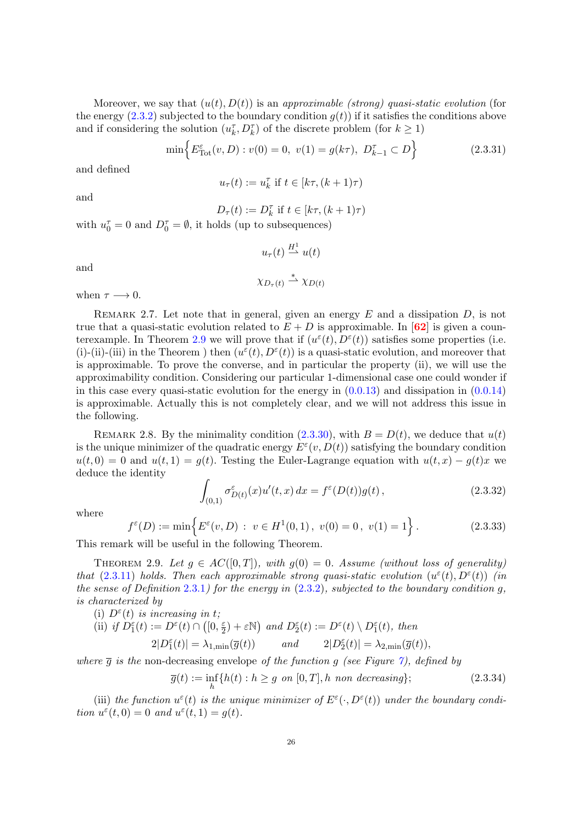Moreover, we say that  $(u(t), D(t))$  is an approximable (strong) quasi-static evolution (for the energy  $(2.3.2)$  subjected to the boundary condition  $g(t)$  if it satisfies the conditions above and if considering the solution  $(u_k^\tau, D_k^\tau)$  of the discrete problem (for  $k\geq 1)$ 

<span id="page-27-1"></span>
$$
\min\left\{E_{\text{Tot}}^{\varepsilon}(v, D) : v(0) = 0, \ v(1) = g(k\tau), \ D_{k-1}^{\tau} \subset D\right\}
$$
\n(2.3.31)

and defined

$$
u_{\tau}(t):=u_k^{\tau} \text{ if } t\in[k\tau,(k+1)\tau)
$$

and

$$
D_{\tau}(t) := D_k^{\tau} \text{ if } t \in [k\tau, (k+1)\tau)
$$

with  $u_0^{\tau} = 0$  and  $D_0^{\tau} = \emptyset$ , it holds (up to subsequences)

$$
u_{\tau}(t) \stackrel{H^1}{\rightharpoonup} u(t)
$$

and

$$
\chi_{D_{\tau}(t)} \stackrel{*}{\rightharpoonup} \chi_{D(t)}
$$

when  $\tau \longrightarrow 0$ .

REMARK 2.7. Let note that in general, given an energy  $E$  and a dissipation  $D$ , is not true that a quasi-static evolution related to  $E + D$  is approximable. In [[62](#page-83-11)] is given a coun-terexample. In Theorem [2.9](#page-27-0) we will prove that if  $(u^{\varepsilon}(t), D^{\varepsilon}(t))$  satisfies some properties (i.e. (i)-(ii)-(iii) in the Theorem ) then  $(u^{\varepsilon}(t), D^{\varepsilon}(t))$  is a quasi-static evolution, and moreover that is approximable. To prove the converse, and in particular the property (ii), we will use the approximability condition. Considering our particular 1-dimensional case one could wonder if in this case every quasi-static evolution for the energy in  $(0.0.13)$  and dissipation in  $(0.0.14)$ is approximable. Actually this is not completely clear, and we will not address this issue in the following.

<span id="page-27-4"></span>REMARK 2.8. By the minimality condition [\(2.3.30\)](#page-26-4), with  $B = D(t)$ , we deduce that  $u(t)$ is the unique minimizer of the quadratic energy  $E^{\varepsilon}(v, D(t))$  satisfying the boundary condition  $u(t, 0) = 0$  and  $u(t, 1) = q(t)$ . Testing the Euler-Lagrange equation with  $u(t, x) - q(t)x$  we deduce the identity

$$
\int_{(0,1)} \sigma_{D(t)}^{\varepsilon}(x) u'(t,x) dx = f^{\varepsilon}(D(t))g(t), \qquad (2.3.32)
$$

where

<span id="page-27-3"></span>
$$
f^{\varepsilon}(D) := \min\left\{ E^{\varepsilon}(v, D) : v \in H^1(0, 1), v(0) = 0, v(1) = 1 \right\}.
$$
 (2.3.33)

This remark will be useful in the following Theorem.

<span id="page-27-0"></span>THEOREM 2.9. Let  $g \in AC([0,T])$ , with  $g(0) = 0$ . Assume (without loss of generality) that [\(2.3.11\)](#page-20-3) holds. Then each approximable strong quasi-static evolution  $(u^{\varepsilon}(t), D^{\varepsilon}(t))$  (in the sense of Definition [2.3.1](#page-26-5)) for the energy in  $(2.3.2)$ , subjected to the boundary condition g, is characterized by

(i) 
$$
D^{\varepsilon}(t)
$$
 is increasing in t;

(ii) if 
$$
D_1^{\varepsilon}(t) := D^{\varepsilon}(t) \cap ([0, \frac{\varepsilon}{2}) + \varepsilon \mathbb{N})
$$
 and  $D_2^{\varepsilon}(t) := D^{\varepsilon}(t) \setminus D_1^{\varepsilon}(t)$ , then  
\n
$$
2|D_1^{\varepsilon}(t)| = \lambda_{1, \min}(\overline{g}(t)) \qquad and \qquad 2|D_2^{\varepsilon}(t)| = \lambda_{2, \min}(\overline{g}(t)),
$$

where  $\bar{g}$  is the non-decreasing envelope of the function g (see Figure [7\)](#page-28-0), defined by

<span id="page-27-2"></span>
$$
\overline{g}(t) := \inf_{h} \{ h(t) : h \ge g \text{ on } [0, T], h \text{ non decreasing} \};
$$
\n(2.3.34)

(iii) the function  $u^{\varepsilon}(t)$  is the unique minimizer of  $E^{\varepsilon}(\cdot, D^{\varepsilon}(t))$  under the boundary condition  $u^{\varepsilon}(t,0) = 0$  and  $u^{\varepsilon}(t,1) = g(t)$ .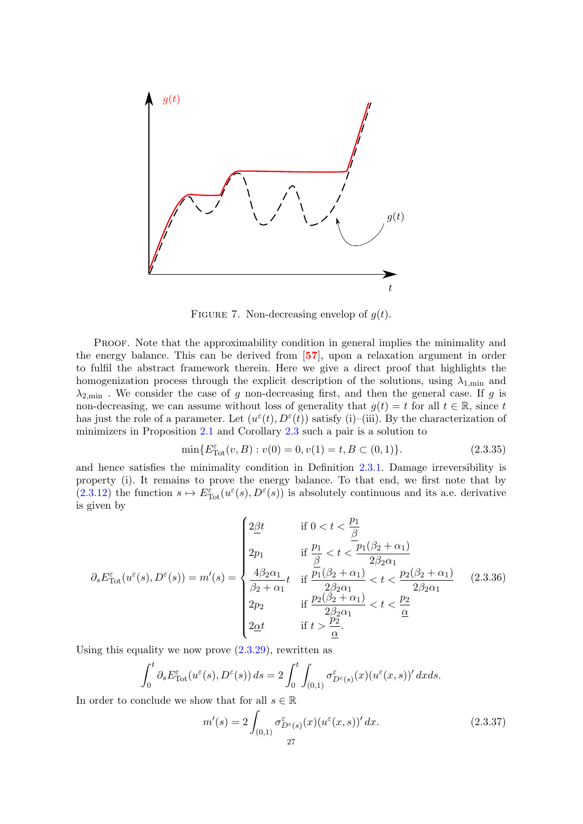

<span id="page-28-0"></span>FIGURE 7. Non-decreasing envelop of  $g(t)$ .

PROOF. Note that the approximability condition in general implies the minimality and the energy balance. This can be derived from [[57](#page-83-4)], upon a relaxation argument in order to fulfil the abstract framework therein. Here we give a direct proof that highlights the homogenization process through the explicit description of the solutions, using  $\lambda_{1,\text{min}}$  and  $\lambda_{2,\text{min}}$ . We consider the case of g non-decreasing first, and then the general case. If g is non-decreasing, we can assume without loss of generality that  $g(t) = t$  for all  $t \in \mathbb{R}$ , since t has just the role of a parameter. Let  $(u^{\varepsilon}(t), D^{\varepsilon}(t))$  satisfy (i)–(iii). By the characterization of minimizers in Proposition [2.1](#page-20-5) and Corollary [2.3](#page-23-0) such a pair is a solution to

$$
\min\{E_{\text{Tot}}^{\varepsilon}(v,B) : v(0) = 0, v(1) = t, B \subset (0,1)\}.
$$
\n(2.3.35)

and hence satisfies the minimality condition in Definition [2.3.1.](#page-26-5) Damage irreversibility is property (i). It remains to prove the energy balance. To that end, we first note that by  $(2.3.12)$  the function  $s \mapsto E_{\text{Tot}}^{\varepsilon}(u^{\varepsilon}(s), D^{\varepsilon}(s))$  is absolutely continuous and its a.e. derivative is given by

<span id="page-28-2"></span>
$$
\partial_s E_{\text{Tot}}^{\varepsilon}(u^{\varepsilon}(s), D^{\varepsilon}(s)) = m'(s) = \begin{cases} 2\underline{\beta}t & \text{if } 0 < t < \frac{p_1}{\underline{\beta}} \\ 2p_1 & \text{if } \frac{p_1}{\underline{\beta}} < t < \frac{p_1(\beta_2 + \alpha_1)}{2\beta_2 \alpha_1} \\ \frac{4\beta_2 \alpha_1}{\beta_2 + \alpha_1} t & \text{if } \frac{p_1(\beta_2 + \alpha_1)}{2\beta_2 \alpha_1} < t < \frac{p_2(\beta_2 + \alpha_1)}{2\beta_2 \alpha_1} \\ 2p_2 & \text{if } \frac{p_2(\beta_2 + \alpha_1)}{2\beta_2 \alpha_1} < t < \frac{p_2}{\underline{\alpha}} \\ 2\underline{\alpha}t & \text{if } t > \frac{p_2}{\underline{\alpha}}. \end{cases} \tag{2.3.36}
$$

Using this equality we now prove  $(2.3.29)$ , rewritten as

$$
\int_0^t \partial_s E_{\text{Tot}}^{\varepsilon}(u^{\varepsilon}(s), D^{\varepsilon}(s)) ds = 2 \int_0^t \int_{(0,1)} \sigma_{D^{\varepsilon}(s)}^{\varepsilon}(x) (u^{\varepsilon}(x,s))' dx ds.
$$

In order to conclude we show that for all  $s \in \mathbb{R}$ 

<span id="page-28-1"></span>
$$
m'(s) = 2 \int_{(0,1)} \sigma_{D^{\varepsilon}(s)}^{\varepsilon}(x) (u^{\varepsilon}(x,s))' dx.
$$
 (2.3.37)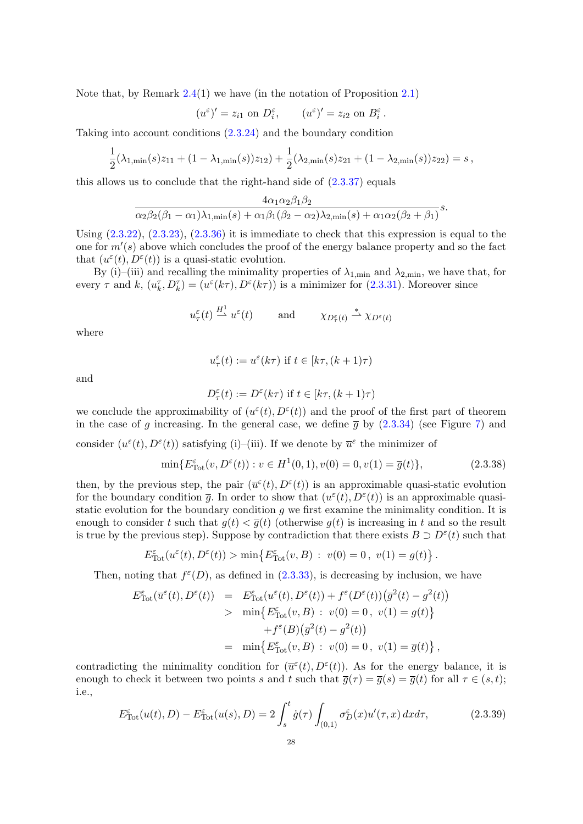Note that, by Remark [2.4\(](#page-24-1)1) we have (in the notation of Proposition [2.1\)](#page-20-5)

$$
(u^{\varepsilon})' = z_{i1}
$$
 on  $D_i^{\varepsilon}$ ,  $(u^{\varepsilon})' = z_{i2}$  on  $B_i^{\varepsilon}$ .

Taking into account conditions [\(2.3.24\)](#page-24-2) and the boundary condition

$$
\frac{1}{2}(\lambda_{1,\min}(s)z_{11}+(1-\lambda_{1,\min}(s))z_{12})+\frac{1}{2}(\lambda_{2,\min}(s)z_{21}+(1-\lambda_{2,\min}(s))z_{22})=s,
$$

this allows us to conclude that the right-hand side of  $(2.3.37)$  equals

$$
\frac{4\alpha_1\alpha_2\beta_1\beta_2}{\alpha_2\beta_2(\beta_1-\alpha_1)\lambda_{1,\min}(s)+\alpha_1\beta_1(\beta_2-\alpha_2)\lambda_{2,\min}(s)+\alpha_1\alpha_2(\beta_2+\beta_1)}s.
$$

Using [\(2.3.22\)](#page-24-3), [\(2.3.23\)](#page-24-4), [\(2.3.36\)](#page-28-2) it is immediate to check that this expression is equal to the one for  $m'(s)$  above which concludes the proof of the energy balance property and so the fact that  $(u^{\varepsilon}(t), D^{\varepsilon}(t))$  is a quasi-static evolution.

By (i)–(iii) and recalling the minimality properties of  $\lambda_{1,\text{min}}$  and  $\lambda_{2,\text{min}}$ , we have that, for every  $\tau$  and  $k$ ,  $(u_k^{\tau}, D_k^{\tau}) = (u^{\varepsilon}(k\tau), D^{\varepsilon}(k\tau))$  is a minimizer for [\(2.3.31\)](#page-27-1). Moreover since

$$
u_{\tau}^{\varepsilon}(t) \stackrel{H^1}{\longrightarrow} u^{\varepsilon}(t)
$$
 and  $\chi_{D_{\tau}^{\varepsilon}(t)} \stackrel{*}{\longrightarrow} \chi_{D^{\varepsilon}(t)}$ 

where

$$
u^\varepsilon_\tau(t):=u^\varepsilon(k\tau)\text{ if }t\in[k\tau,(k+1)\tau)
$$

and

$$
D_{\tau}^{\varepsilon}(t):=D^{\varepsilon}(k\tau)\text{ if }t\in[k\tau,(k+1)\tau)
$$

we conclude the approximability of  $(u^{\varepsilon}(t), D^{\varepsilon}(t))$  and the proof of the first part of theorem in the case of g increasing. In the general case, we define  $\bar{q}$  by [\(2.3.34\)](#page-27-2) (see Figure [7\)](#page-28-0) and

consider  $(u^{\varepsilon}(t), D^{\varepsilon}(t))$  satisfying (i)–(iii). If we denote by  $\overline{u}^{\varepsilon}$  the minimizer of

$$
\min\{E_{\text{Tot}}^{\varepsilon}(v, D^{\varepsilon}(t)) : v \in H^{1}(0, 1), v(0) = 0, v(1) = \overline{g}(t)\},\tag{2.3.38}
$$

then, by the previous step, the pair  $(\bar{u}^{\varepsilon}(t), D^{\varepsilon}(t))$  is an approximable quasi-static evolution for the boundary condition  $\bar{g}$ . In order to show that  $(u^{\varepsilon}(t), D^{\varepsilon}(t))$  is an approximable quasistatic evolution for the boundary condition  $q$  we first examine the minimality condition. It is enough to consider t such that  $g(t) < \overline{g}(t)$  (otherwise  $g(t)$ ) is increasing in t and so the result is true by the previous step). Suppose by contradiction that there exists  $B \supset D^{\epsilon}(t)$  such that

$$
E^{\varepsilon}_{\rm Tot}(u^{\varepsilon}(t),D^{\varepsilon}(t))>\min\left\{E^{\varepsilon}_{\rm Tot}(v,B)\,:\ v(0)=0\,,\ v(1)=g(t)\right\}.
$$

Then, noting that  $f^{\epsilon}(D)$ , as defined in  $(2.3.33)$ , is decreasing by inclusion, we have

$$
E_{\text{Tot}}^{\varepsilon}(\overline{u}^{\varepsilon}(t), D^{\varepsilon}(t)) = E_{\text{Tot}}^{\varepsilon}(u^{\varepsilon}(t), D^{\varepsilon}(t)) + f^{\varepsilon}(D^{\varepsilon}(t))(\overline{g}^{2}(t) - g^{2}(t))
$$
  
> 
$$
\min \{ E_{\text{Tot}}^{\varepsilon}(v, B) : v(0) = 0, v(1) = g(t) \}
$$
  
+ 
$$
f^{\varepsilon}(B)(\overline{g}^{2}(t) - g^{2}(t))
$$
  
= 
$$
\min \{ E_{\text{Tot}}^{\varepsilon}(v, B) : v(0) = 0, v(1) = \overline{g}(t) \},
$$

contradicting the minimality condition for  $(\bar{u}^{\varepsilon}(t), D^{\varepsilon}(t))$ . As for the energy balance, it is enough to check it between two points s and t such that  $\overline{g}(\tau) = \overline{g}(s) = \overline{g}(t)$  for all  $\tau \in (s, t)$ ; i.e.,

<span id="page-29-0"></span>
$$
E_{\text{Tot}}^{\varepsilon}(u(t), D) - E_{\text{Tot}}^{\varepsilon}(u(s), D) = 2 \int_{s}^{t} \dot{g}(\tau) \int_{(0,1)} \sigma_{D}^{\varepsilon}(x) u'(\tau, x) dx d\tau, \tag{2.3.39}
$$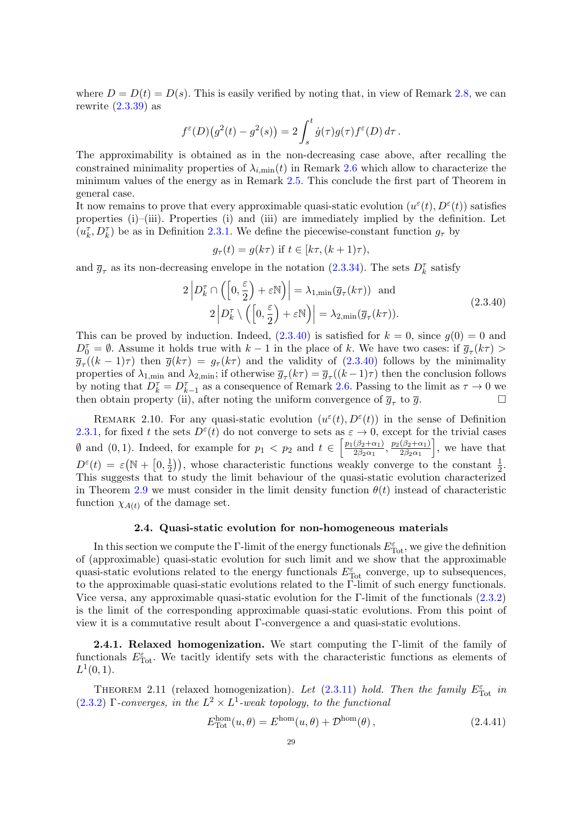where  $D = D(t) = D(s)$ . This is easily verified by noting that, in view of Remark [2.8,](#page-27-4) we can rewrite  $(2.3.39)$  as

$$
f^{\varepsilon}(D)(g^2(t) - g^2(s)) = 2 \int_s^t \dot{g}(\tau)g(\tau)f^{\varepsilon}(D) d\tau.
$$

The approximability is obtained as in the non-decreasing case above, after recalling the constrained minimality properties of  $\lambda_{i,\min}(t)$  in Remark [2.6](#page-26-3) which allow to characterize the minimum values of the energy as in Remark [2.5.](#page-25-2) This conclude the first part of Theorem in general case.

It now remains to prove that every approximable quasi-static evolution  $(u^{\varepsilon}(t), D^{\varepsilon}(t))$  satisfies properties (i)–(iii). Properties (i) and (iii) are immediately implied by the definition. Let  $(u_k^{\tau}, D_k^{\tau})$  be as in Definition [2.3.1.](#page-26-5) We define the piecewise-constant function  $g_{\tau}$  by

$$
g_{\tau}(t) = g(k\tau) \text{ if } t \in [k\tau, (k+1)\tau),
$$

<span id="page-30-3"></span>and  $\bar{g}_{\tau}$  as its non-decreasing envelope in the notation [\(2.3.34\)](#page-27-2). The sets  $D_k^{\tau}$  satisfy

$$
2\left|D_k^{\tau} \cap \left(\left[0, \frac{\varepsilon}{2}\right) + \varepsilon \mathbb{N}\right)\right| = \lambda_{1, \min}(\overline{g}_{\tau}(k\tau)) \text{ and}
$$
  
 
$$
2\left|D_k^{\tau} \setminus \left(\left[0, \frac{\varepsilon}{2}\right) + \varepsilon \mathbb{N}\right)\right| = \lambda_{2, \min}(\overline{g}_{\tau}(k\tau)).
$$
 (2.3.40)

This can be proved by induction. Indeed,  $(2.3.40)$  is satisfied for  $k = 0$ , since  $g(0) = 0$  and  $D_0^{\tau} = \emptyset$ . Assume it holds true with  $k-1$  in the place of k. We have two cases: if  $\overline{g}_{\tau}(k\tau)$  $\overline{g}_{\tau}((k-1)\tau)$  then  $\overline{g}(k\tau) = g_{\tau}(k\tau)$  and the validity of  $(2.3.40)$  follows by the minimality properties of  $\lambda_{1,\min}$  and  $\lambda_{2,\min}$ ; if otherwise  $\overline{g}_{\tau}(k\tau) = \overline{g}_{\tau}((k-1)\tau)$  then the conclusion follows by noting that  $D_k^{\tau} = D_{k-1}^{\tau}$  as a consequence of Remark [2.6.](#page-26-3) Passing to the limit as  $\tau \to 0$  we then obtain property (ii), after noting the uniform convergence of  $\overline{g}_{\tau}$  to  $\overline{g}$ .

REMARK 2.10. For any quasi-static evolution  $(u^{\varepsilon}(t), D^{\varepsilon}(t))$  in the sense of Definition [2.3.1,](#page-26-5) for fixed t the sets  $D^{\varepsilon}(t)$  do not converge to sets as  $\varepsilon \to 0$ , except for the trivial cases  $\emptyset$  and  $(0, 1)$ . Indeed, for example for  $p_1 < p_2$  and  $t \in \left[\frac{p_1(\beta_2+\alpha_1)}{2\beta_2\alpha_1}\right]$  $\frac{(\beta_2+\alpha_1)}{2\beta_2\alpha_1}, \frac{p_2(\beta_2+\alpha_1)}{2\beta_2\alpha_1}$  $2\beta_2\alpha_1$ eed, for example for  $p_1 < p_2$  and  $t \in \left[\frac{p_1(\beta_2+\alpha_1)}{2\beta_2\alpha_1}, \frac{p_2(\beta_2+\alpha_1)}{2\beta_2\alpha_1}\right]$ , we have that  $D^{\varepsilon}(t) = \varepsilon (\mathbb{N} + \left[0, \frac{1}{2}\right])$  $(\frac{1}{2})$ , whose characteristic functions weakly converge to the constant  $\frac{1}{2}$ . This suggests that to study the limit behaviour of the quasi-static evolution characterized in Theorem [2.9](#page-27-0) we must consider in the limit density function  $\theta(t)$  instead of characteristic function  $\chi_{A(t)}$  of the damage set.

#### 2.4. Quasi-static evolution for non-homogeneous materials

<span id="page-30-0"></span>In this section we compute the  $\Gamma$ -limit of the energy functionals  $E_{\text{Tot}}^{\varepsilon}$ , we give the definition of (approximable) quasi-static evolution for such limit and we show that the approximable quasi-static evolutions related to the energy functionals  $E_{\text{Tot}}^{\varepsilon}$  converge, up to subsequences, to the approximable quasi-static evolutions related to the Γ-limit of such energy functionals. Vice versa, any approximable quasi-static evolution for the Γ-limit of the functionals [\(2.3.2\)](#page-20-2) is the limit of the corresponding approximable quasi-static evolutions. From this point of view it is a commutative result about Γ-convergence a and quasi-static evolutions.

<span id="page-30-1"></span>2.4.1. Relaxed homogenization. We start computing the Γ-limit of the family of functionals  $E_{\text{Tot}}^{\varepsilon}$ . We tacitly identify sets with the characteristic functions as elements of  $L^1(0,1)$ .

<span id="page-30-2"></span>THEOREM 2.11 (relaxed homogenization). Let  $(2.3.11)$  hold. Then the family  $E_{\text{Tot}}^{\varepsilon}$  in  $(2.3.2)$  Γ-converges, in the  $L^2 \times L^1$ -weak topology, to the functional

<span id="page-30-4"></span>
$$
E_{\text{Tot}}^{\text{hom}}(u,\theta) = E^{\text{hom}}(u,\theta) + \mathcal{D}^{\text{hom}}(\theta), \qquad (2.4.41)
$$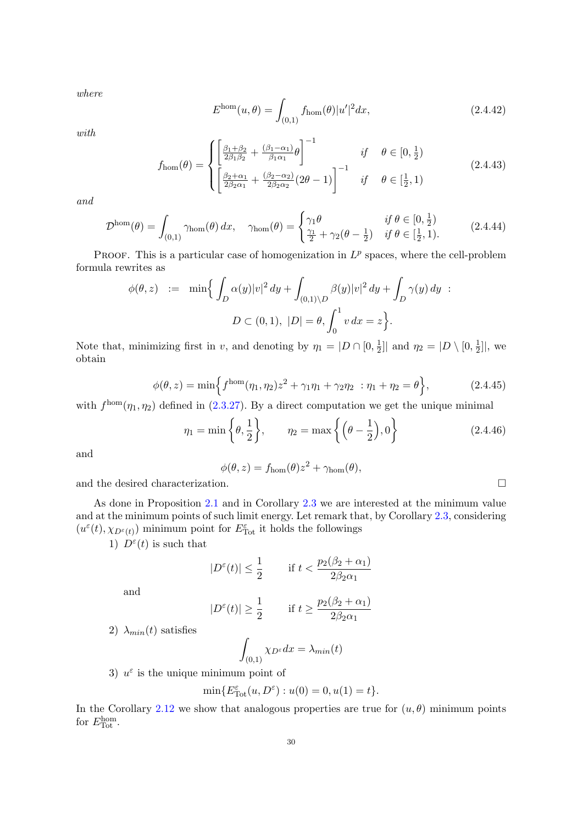where

$$
E^{\text{hom}}(u,\theta) = \int_{(0,1)} f_{\text{hom}}(\theta) |u'|^2 dx, \qquad (2.4.42)
$$

with

$$
f_{\text{hom}}(\theta) = \begin{cases} \left[ \frac{\beta_1 + \beta_2}{2\beta_1 \beta_2} + \frac{(\beta_1 - \alpha_1)}{\beta_1 \alpha_1} \theta \right]^{-1} & \text{if } \theta \in [0, \frac{1}{2})\\ \left[ \frac{\beta_2 + \alpha_1}{2\beta_2 \alpha_1} + \frac{(\beta_2 - \alpha_2)}{2\beta_2 \alpha_2} (2\theta - 1) \right]^{-1} & \text{if } \theta \in [\frac{1}{2}, 1) \end{cases}
$$
(2.4.43)

and

$$
\mathcal{D}^{\text{hom}}(\theta) = \int_{(0,1)} \gamma_{\text{hom}}(\theta) dx, \quad \gamma_{\text{hom}}(\theta) = \begin{cases} \gamma_1 \theta & \text{if } \theta \in [0, \frac{1}{2}) \\ \frac{\gamma_1}{2} + \gamma_2 (\theta - \frac{1}{2}) & \text{if } \theta \in [\frac{1}{2}, 1). \end{cases} (2.4.44)
$$

PROOF. This is a particular case of homogenization in  $L^p$  spaces, where the cell-problem formula rewrites as

$$
\phi(\theta, z) := \min \Biggl\{ \int_D \alpha(y) |v|^2 dy + \int_{(0,1) \setminus D} \beta(y) |v|^2 dy + \int_D \gamma(y) dy \Biggr\}.
$$
  

$$
D \subset (0,1), \ |D| = \theta, \int_0^1 v dx = z \Biggr\}.
$$

Note that, minimizing first in v, and denoting by  $\eta_1 = |D \cap [0, \frac{1}{2}]$  $\frac{1}{2}$ ] and  $\eta_2 = |D \setminus [0, \frac{1}{2}]$  $\frac{1}{2}$ ], we obtain

<span id="page-31-0"></span>
$$
\phi(\theta, z) = \min\left\{f^{\text{hom}}(\eta_1, \eta_2)z^2 + \gamma_1\eta_1 + \gamma_2\eta_2 : \eta_1 + \eta_2 = \theta\right\},\tag{2.4.45}
$$

with  $f^{\text{hom}}(\eta_1, \eta_2)$  defined in [\(2.3.27\)](#page-26-2). By a direct computation we get the unique minimal

<span id="page-31-1"></span>
$$
\eta_1 = \min\left\{\theta, \frac{1}{2}\right\}, \quad \eta_2 = \max\left\{\left(\theta - \frac{1}{2}\right), 0\right\}
$$
\n(2.4.46)

and

 $\phi(\theta, z) = f_{\text{hom}}(\theta)z^2 + \gamma_{\text{hom}}(\theta),$ 

and the desired characterization.

As done in Proposition [2.1](#page-20-5) and in Corollary [2.3](#page-23-0) we are interested at the minimum value and at the minimum points of such limit energy. Let remark that, by Corollary [2.3,](#page-23-0) considering  $(u^{\varepsilon}(t), \chi_{D^{\varepsilon}(t)})$  minimum point for  $E_{\rm Tot}^{\varepsilon}$  it holds the followings

1)  $D^{\varepsilon}(t)$  is such that

$$
|D^{\varepsilon}(t)| \leq \frac{1}{2} \qquad \text{if } t < \frac{p_2(\beta_2 + \alpha_1)}{2\beta_2 \alpha_1}
$$

and

$$
|D^{\varepsilon}(t)| \geq \frac{1}{2} \qquad \text{ if } t \geq \frac{p_2(\beta_2 + \alpha_1)}{2\beta_2 \alpha_1}
$$

2)  $\lambda_{min}(t)$  satisfies

$$
\int_{(0,1)} \chi_{D^{\varepsilon}} dx = \lambda_{min}(t)
$$

3)  $u^{\varepsilon}$  is the unique minimum point of

$$
\min\{E_{\text{Tot}}^{\varepsilon}(u, D^{\varepsilon}) : u(0) = 0, u(1) = t\}.
$$

In the Corollary [2.12](#page-32-0) we show that analogous properties are true for  $(u, \theta)$  minimum points for  $E_{\text{Tot}}^{\text{hom}}$ .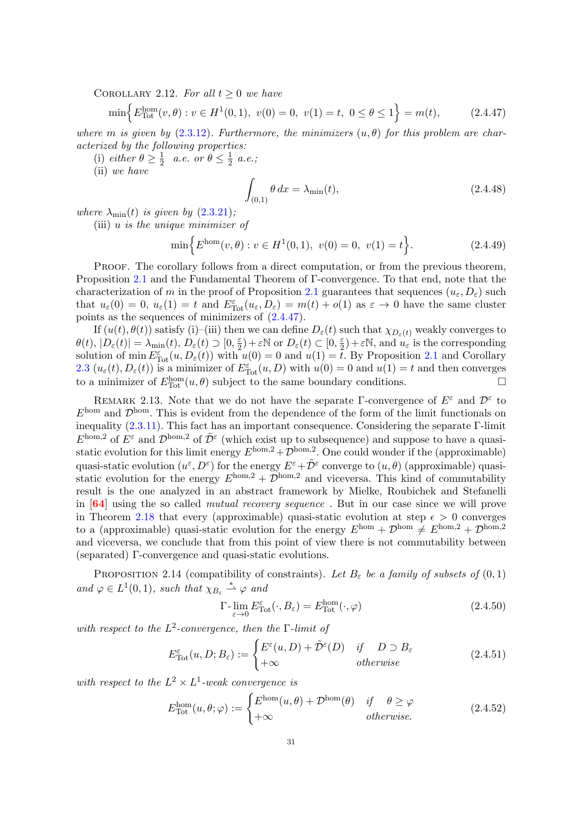<span id="page-32-0"></span>COROLLARY 2.12. For all  $t > 0$  we have

<span id="page-32-1"></span>
$$
\min\left\{E_{\text{Tot}}^{\text{hom}}(v,\theta) : v \in H^1(0,1), \ v(0) = 0, \ v(1) = t, \ 0 \le \theta \le 1\right\} = m(t), \tag{2.4.47}
$$

where m is given by  $(2.3.12)$ . Furthermore, the minimizers  $(u, \theta)$  for this problem are characterized by the following properties:

(i) either  $\theta \geq \frac{1}{2}$  $rac{1}{2}$  a.e. or  $\theta \leq \frac{1}{2}$  $\frac{1}{2}$  a.e.;

(ii) we have

$$
\int_{(0,1)} \theta \, dx = \lambda_{\min}(t),\tag{2.4.48}
$$

where  $\lambda_{\min}(t)$  is given by  $(2.3.21)$ ;

(iii) u is the unique minimizer of

$$
\min\Big\{E^{\text{hom}}(v,\theta): v \in H^1(0,1), \ v(0) = 0, \ v(1) = t\Big\}.
$$
\n(2.4.49)

PROOF. The corollary follows from a direct computation, or from the previous theorem, Proposition [2.1](#page-20-5) and the Fundamental Theorem of Γ-convergence. To that end, note that the characterization of m in the proof of Proposition [2.1](#page-20-5) guarantees that sequences  $(u_{\varepsilon}, D_{\varepsilon})$  such that  $u_{\varepsilon}(0) = 0$ ,  $u_{\varepsilon}(1) = t$  and  $E_{\text{Tot}}^{\varepsilon}(u_{\varepsilon}, D_{\varepsilon}) = m(t) + o(1)$  as  $\varepsilon \to 0$  have the same cluster points as the sequences of minimizers of [\(2.4.47\)](#page-32-1).

If  $(u(t), \theta(t))$  satisfy (i)–(iii) then we can define  $D_{\varepsilon}(t)$  such that  $\chi_{D_{\varepsilon}(t)}$  weakly converges to  $\theta(t), |D_{\varepsilon}(t)| = \lambda_{\min}(t), D_{\varepsilon}(t) \supset [0, \frac{\varepsilon}{2}]$  $(\frac{\varepsilon}{2})+\varepsilon\mathbb{N}$  or  $D_{\varepsilon}(t)\subset[0,\frac{\varepsilon}{2}]$  $(\frac{\varepsilon}{2}) + \varepsilon \mathbb{N}$ , and  $u_{\varepsilon}$  is the corresponding solution of min  $E_{\text{Tot}}^{\varepsilon}(u, D_{\varepsilon}(t))$  with  $u(0) = 0$  and  $u(1) = \tilde{t}$ . By Proposition [2.1](#page-20-5) and Corollary [2.3](#page-23-0)  $(u_\varepsilon(t), D_\varepsilon(t))$  is a minimizer of  $E_{\text{Tot}}^{\varepsilon}(u, D)$  with  $u(0) = 0$  and  $u(1) = t$  and then converges to a minimizer of  $E_{\text{Tot}}^{\text{hom}}(u, \theta)$  subject to the same boundary conditions.

REMARK 2.13. Note that we do not have the separate Γ-convergence of  $E^{\varepsilon}$  and  $\mathcal{D}^{\varepsilon}$  to  $E^{\text{hom}}$  and  $\mathcal{D}^{\text{hom}}$ . This is evident from the dependence of the form of the limit functionals on inequality  $(2.3.11)$ . This fact has an important consequence. Considering the separate Γ-limit  $E^{\text{hom},2}$  of  $E^{\varepsilon}$  and  $\mathcal{D}^{\text{hom},2}$  of  $\tilde{\mathcal{D}}^{\varepsilon}$  (which exist up to subsequence) and suppose to have a quasistatic evolution for this limit energy  $E^{\text{hom},2} + \mathcal{D}^{\text{hom},2}$ . One could wonder if the (approximable) quasi-static evolution  $(u^{\varepsilon}, D^{\varepsilon})$  for the energy  $E^{\varepsilon} + \tilde{\mathcal{D}}^{\varepsilon}$  converge to  $(u, \theta)$  (approximable) quasistatic evolution for the energy  $E^{\text{hom},2} + \overline{\mathcal{D}}^{\text{hom},2}$  and viceversa. This kind of commutability result is the one analyzed in an abstract framework by Mielke, Roubichek and Stefanelli in [[64](#page-83-10)] using the so called mutual recovery sequence . But in our case since we will prove in Theorem [2.18](#page-37-1) that every (approximable) quasi-static evolution at step  $\epsilon > 0$  converges to a (approximable) quasi-static evolution for the energy  $E^{\text{hom}} + \mathcal{D}^{\text{hom}} \neq E^{\text{hom},2} + \mathcal{D}^{\text{hom},2}$ and viceversa, we conclude that from this point of view there is not commutability between (separated) Γ-convergence and quasi-static evolutions.

<span id="page-32-3"></span>PROPOSITION 2.14 (compatibility of constraints). Let  $B_{\varepsilon}$  be a family of subsets of  $(0,1)$ and  $\varphi \in L^1(0,1)$ , such that  $\chi_{B_\varepsilon} \stackrel{*}{\rightharpoonup} \varphi$  and

<span id="page-32-2"></span>
$$
\Gamma\text{-}\lim_{\varepsilon \to 0} E_{\text{Tot}}^{\varepsilon}(\cdot, B_{\varepsilon}) = E_{\text{Tot}}^{\text{hom}}(\cdot, \varphi)
$$
\n(2.4.50)

with respect to the  $L^2$ -convergence, then the  $\Gamma$ -limit of

$$
E_{\text{Tot}}^{\varepsilon}(u, D; B_{\varepsilon}) := \begin{cases} E^{\varepsilon}(u, D) + \tilde{\mathcal{D}}^{\varepsilon}(D) & \text{if } D \supset B_{\varepsilon} \\ +\infty & \text{otherwise} \end{cases}
$$
 (2.4.51)

with respect to the  $L^2 \times L^1$ -weak convergence is

<span id="page-32-4"></span>
$$
E_{\text{Tot}}^{\text{hom}}(u,\theta;\varphi) := \begin{cases} E^{\text{hom}}(u,\theta) + \mathcal{D}^{\text{hom}}(\theta) & \text{if } \theta \ge \varphi \\ +\infty & \text{otherwise.} \end{cases}
$$
 (2.4.52)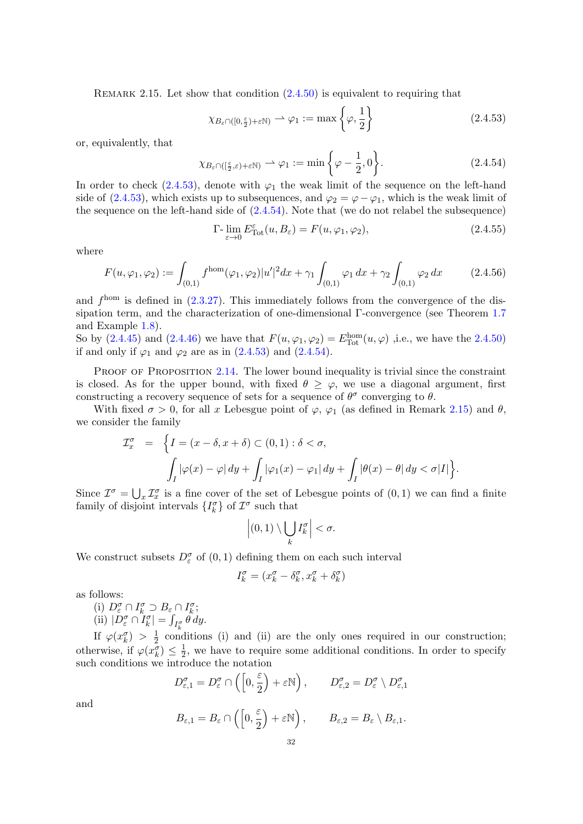<span id="page-33-2"></span>REMARK 2.15. Let show that condition  $(2.4.50)$  is equivalent to requiring that

<span id="page-33-0"></span>
$$
\chi_{B_{\varepsilon}\cap([0,\frac{\varepsilon}{2})+\varepsilon\mathbb{N})} \rightharpoonup \varphi_1 := \max\left\{\varphi, \frac{1}{2}\right\} \tag{2.4.53}
$$

or, equivalently, that

<span id="page-33-1"></span>
$$
\chi_{B_{\varepsilon} \cap (\lbrack \frac{\varepsilon}{2}, \varepsilon) + \varepsilon \mathbb{N})} \rightharpoonup \varphi_1 := \min \left\{ \varphi - \frac{1}{2}, 0 \right\}.
$$
 (2.4.54)

In order to check [\(2.4.53\)](#page-33-0), denote with  $\varphi_1$  the weak limit of the sequence on the left-hand side of [\(2.4.53\)](#page-33-0), which exists up to subsequences, and  $\varphi_2 = \varphi - \varphi_1$ , which is the weak limit of the sequence on the left-hand side of [\(2.4.54\)](#page-33-1). Note that (we do not relabel the subsequence)

$$
\Gamma\text{-}\lim_{\varepsilon \to 0} E_{\text{Tot}}^{\varepsilon}(u, B_{\varepsilon}) = F(u, \varphi_1, \varphi_2),\tag{2.4.55}
$$

where

$$
F(u, \varphi_1, \varphi_2) := \int_{(0,1)} f^{\text{hom}}(\varphi_1, \varphi_2) |u'|^2 dx + \gamma_1 \int_{(0,1)} \varphi_1 dx + \gamma_2 \int_{(0,1)} \varphi_2 dx \qquad (2.4.56)
$$

and  $f<sup>hom</sup>$  is defined in  $(2.3.27)$ . This immediately follows from the convergence of the dissipation term, and the characterization of one-dimensional Γ-convergence (see Theorem [1.7](#page-14-3) and Example [1.8\)](#page-14-2).

So by  $(2.4.45)$  and  $(2.4.46)$  we have that  $F(u, \varphi_1, \varphi_2) = E_{\text{Tot}}^{\text{hom}}(u, \varphi)$  , i.e., we have the [2.4.50\)](#page-32-2) if and only if  $\varphi_1$  and  $\varphi_2$  are as in  $(2.4.53)$  and  $(2.4.54)$ .

PROOF OF PROPOSITION [2.14](#page-32-3). The lower bound inequality is trivial since the constraint is closed. As for the upper bound, with fixed  $\theta \geq \varphi$ , we use a diagonal argument, first constructing a recovery sequence of sets for a sequence of  $\theta^{\sigma}$  converging to  $\theta$ .

With fixed  $\sigma > 0$ , for all x Lebesgue point of  $\varphi$ ,  $\varphi_1$  (as defined in Remark [2.15\)](#page-33-2) and  $\theta$ , we consider the family

$$
\mathcal{I}_{x}^{\sigma} = \left\{ I = (x - \delta, x + \delta) \subset (0, 1) : \delta < \sigma, \right\}
$$

$$
\int_{I} |\varphi(x) - \varphi| \, dy + \int_{I} |\varphi_1(x) - \varphi_1| \, dy + \int_{I} |\theta(x) - \theta| \, dy < \sigma |I| \right\}.
$$

Since  $\mathcal{I}^{\sigma} = \bigcup_{x} \mathcal{I}^{\sigma}_x$  is a fine cover of the set of Lebesgue points of  $(0, 1)$  we can find a finite family of disjoint intervals  $\{I_k^{\sigma}\}\$  of  $\mathcal{I}^{\sigma}$  such that

$$
\left| (0,1) \setminus \bigcup_k I_k^{\sigma} \right| < \sigma.
$$

We construct subsets  $D_{\varepsilon}^{\sigma}$  of  $(0,1)$  defining them on each such interval

$$
I_k^\sigma = (x_k^\sigma - \delta_k^\sigma, x_k^\sigma + \delta_k^\sigma)
$$

as follows:

(i)  $D_{\varepsilon}^{\sigma} \cap I_{k}^{\sigma} \supset B_{\varepsilon} \cap I_{k}^{\sigma};$ (ii)  $|D_{\varepsilon}^{\sigma} \cap T_{k}^{\sigma}| = \int_{I_{k}^{\sigma}} \theta \, dy.$ 

If  $\varphi(x_k^{\sigma}) > \frac{1}{2}$  $\frac{1}{2}$  conditions (i) and (ii) are the only ones required in our construction; otherwise, if  $\varphi(x_k^{\sigma}) \leq \frac{1}{2}$  $\frac{1}{2}$ , we have to require some additional conditions. In order to specify such conditions we introduce the notation

$$
D_{\varepsilon,1}^{\sigma} = D_{\varepsilon}^{\sigma} \cap \left( \left[ 0, \frac{\varepsilon}{2} \right) + \varepsilon \mathbb{N} \right), \qquad D_{\varepsilon,2}^{\sigma} = D_{\varepsilon}^{\sigma} \setminus D_{\varepsilon,1}^{\sigma}
$$

and

$$
B_{\varepsilon,1} = B_{\varepsilon} \cap \left( \left[ 0, \frac{\varepsilon}{2} \right) + \varepsilon \mathbb{N} \right), \qquad B_{\varepsilon,2} = B_{\varepsilon} \setminus B_{\varepsilon,1}.
$$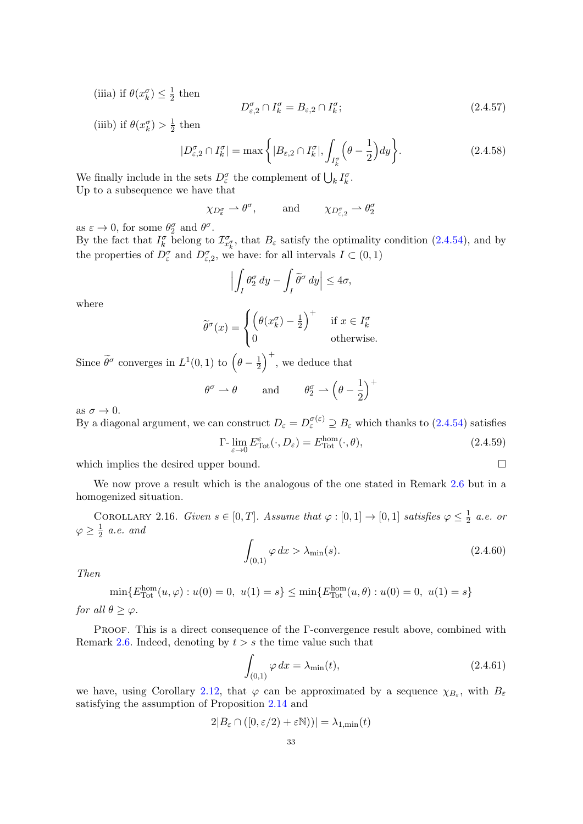(iiia) if  $\theta(x_k^{\sigma}) \leq \frac{1}{2}$  $rac{1}{2}$  then

$$
D_{\varepsilon,2}^{\sigma} \cap I_k^{\sigma} = B_{\varepsilon,2} \cap I_k^{\sigma};\tag{2.4.57}
$$

(iiib) if  $\theta(x_k^{\sigma}) > \frac{1}{2}$  $rac{1}{2}$  then

$$
|D_{\varepsilon,2}^{\sigma} \cap I_k^{\sigma}| = \max\left\{|B_{\varepsilon,2} \cap I_k^{\sigma}|, \int_{I_k^{\sigma}} \left(\theta - \frac{1}{2}\right) dy\right\}.
$$
 (2.4.58)

We finally include in the sets  $D_{\varepsilon}^{\sigma}$  the complement of  $\bigcup_{k} I_{k}^{\sigma}$ . Up to a subsequence we have that

> $\chi_{D_{\varepsilon}^{\sigma}} \rightharpoonup \theta^{\sigma}$ , and  $\chi_{D_{\varepsilon}^{\sigma}}$  $\theta_{{\varepsilon},2}^{\sigma} \rightharpoonup \theta_2^{\sigma}$

as  $\varepsilon \to 0$ , for some  $\theta_2^{\sigma}$  and  $\theta^{\sigma}$ .

By the fact that  $I_k^{\sigma}$  belong to  $\mathcal{I}_{x_k^{\sigma}}^{\sigma}$ , that  $B_{\varepsilon}$  satisfy the optimality condition [\(2.4.54\)](#page-33-1), and by the properties of  $\overline{D_{\varepsilon}^{\sigma}}$  and  $\overline{D_{\varepsilon,2}^{\sigma}}$ , we have: for all intervals  $I \subset (0,1)$ 

$$
\left| \int_I \theta_2^{\sigma} dy - \int_I \widetilde{\theta}^{\sigma} dy \right| \leq 4\sigma,
$$

where

$$
\widetilde{\theta}^{\sigma}(x) = \begin{cases} \left(\theta(x_k^{\sigma}) - \frac{1}{2}\right)^{+} & \text{if } x \in I_k^{\sigma} \\ 0 & \text{otherwise.} \end{cases}
$$

Since  $\widetilde{\theta}^{\sigma}$  converges in  $L^{1}(0, 1)$  to  $\left(\theta - \frac{1}{2}\right)$  $(\frac{1}{2})^+$ , we deduce that

$$
\theta^{\sigma} \to \theta
$$
 and  $\theta_2^{\sigma} \to \left(\theta - \frac{1}{2}\right)^+$ 

as  $\sigma \to 0$ .

By a diagonal argument, we can construct  $D_{\varepsilon} = D_{\varepsilon}^{\sigma(\varepsilon)} \supseteq B_{\varepsilon}$  which thanks to  $(2.4.54)$  satisfies  $\mathbf I$ 

$$
\Gamma\text{-}\lim_{\varepsilon \to 0} E_{\text{Tot}}^{\varepsilon}(\cdot, D_{\varepsilon}) = E_{\text{Tot}}^{\text{hom}}(\cdot, \theta),\tag{2.4.59}
$$

which implies the desired upper bound.

We now prove a result which is the analogous of the one stated in Remark [2.6](#page-26-3) but in a homogenized situation.

COROLLARY 2.16. Given  $s \in [0, T]$ . Assume that  $\varphi : [0, 1] \to [0, 1]$  satisfies  $\varphi \leq \frac{1}{2}$  $rac{1}{2}$  a.e. or  $\varphi \geq \frac{1}{2}$  $rac{1}{2}$  a.e. and

$$
\int_{(0,1)} \varphi \, dx > \lambda_{\min}(s). \tag{2.4.60}
$$

Then

$$
\min\{E_{\text{Tot}}^{\text{hom}}(u,\varphi) : u(0) = 0, \ u(1) = s\} \le \min\{E_{\text{Tot}}^{\text{hom}}(u,\theta) : u(0) = 0, \ u(1) = s\}
$$

for all  $\theta \geq \varphi$ .

Proof. This is a direct consequence of the Γ-convergence result above, combined with Remark [2.6.](#page-26-3) Indeed, denoting by  $t > s$  the time value such that

$$
\int_{(0,1)} \varphi \, dx = \lambda_{\min}(t),\tag{2.4.61}
$$

we have, using Corollary [2.12,](#page-32-0) that  $\varphi$  can be approximated by a sequence  $\chi_{B_{\varepsilon}}$ , with  $B_{\varepsilon}$ satisfying the assumption of Proposition [2.14](#page-32-3) and

$$
2|B_{\varepsilon} \cap ([0, \varepsilon/2) + \varepsilon \mathbb{N}))| = \lambda_{1, \min}(t)
$$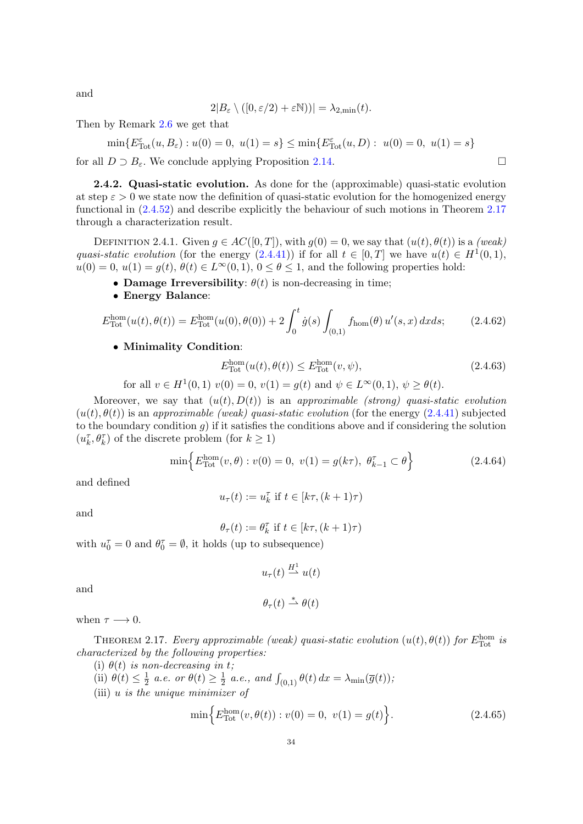and

$$
2|B_{\varepsilon} \setminus ([0, \varepsilon/2) + \varepsilon \mathbb{N}))| = \lambda_{2, \min}(t).
$$

Then by Remark [2.6](#page-26-3) we get that

$$
\min\{E_{\text{Tot}}^{\varepsilon}(u, B_{\varepsilon}) : u(0) = 0, \ u(1) = s\} \le \min\{E_{\text{Tot}}^{\varepsilon}(u, D) : u(0) = 0, \ u(1) = s\}
$$

for all  $D \supset B_{\varepsilon}$ . We conclude applying Proposition [2.14.](#page-32-3)

<span id="page-35-0"></span>2.4.2. Quasi-static evolution. As done for the (approximable) quasi-static evolution at step  $\varepsilon > 0$  we state now the definition of quasi-static evolution for the homogenized energy functional in [\(2.4.52\)](#page-32-4) and describe explicitly the behaviour of such motions in Theorem [2.17](#page-35-1) through a characterization result.

DEFINITION 2.4.1. Given  $g \in AC([0,T])$ , with  $g(0) = 0$ , we say that  $(u(t), \theta(t))$  is a (weak) quasi-static evolution (for the energy  $(2.4.41)$ ) if for all  $t \in [0, T]$  we have  $u(t) \in H^1(0, 1)$ ,  $u(0) = 0, u(1) = g(t), \theta(t) \in L^{\infty}(0, 1), 0 \le \theta \le 1$ , and the following properties hold:

- Damage Irreversibility:  $\theta(t)$  is non-decreasing in time;
- Energy Balance:

$$
E_{\text{Tot}}^{\text{hom}}(u(t), \theta(t)) = E_{\text{Tot}}^{\text{hom}}(u(0), \theta(0)) + 2 \int_{0}^{t} \dot{g}(s) \int_{(0,1)} f_{\text{hom}}(\theta) u'(s, x) dx ds; \qquad (2.4.62)
$$

#### • Minimality Condition:

$$
E_{\text{Tot}}^{\text{hom}}(u(t), \theta(t)) \le E_{\text{Tot}}^{\text{hom}}(v, \psi), \tag{2.4.63}
$$

for all  $v \in H^1(0,1)$   $v(0) = 0$ ,  $v(1) = g(t)$  and  $\psi \in L^{\infty}(0,1)$ ,  $\psi \geq \theta(t)$ .

Moreover, we say that  $(u(t), D(t))$  is an approximable (strong) quasi-static evolution  $(u(t), \theta(t))$  is an approximable (weak) quasi-static evolution (for the energy [\(2.4.41\)](#page-30-4) subjected to the boundary condition q) if it satisfies the conditions above and if considering the solution  $(u_k^{\tau},\theta_k^{\tau})$  of the discrete problem (for  $k\geq 1)$ 

$$
\min\left\{E_{\text{Tot}}^{\text{hom}}(v,\theta): v(0) = 0, \ v(1) = g(k\tau), \ \theta_{k-1}^{\tau} \subset \theta\right\} \tag{2.4.64}
$$

and defined

$$
u_\tau(t):=u_k^\tau \text{ if } t\in[k\tau,(k+1)\tau)
$$

and

$$
\theta_\tau(t):=\theta_k^\tau \text{ if } t\in[k\tau,(k+1)\tau)
$$

with  $u_0^{\tau} = 0$  and  $\theta_0^{\tau} = \emptyset$ , it holds (up to subsequence)

$$
u_{\tau}(t) \stackrel{H^1}{\rightharpoonup} u(t)
$$

and

$$
\theta_{\tau}(t) \stackrel{*}{\rightharpoonup} \theta(t)
$$

when  $\tau \longrightarrow 0$ .

<span id="page-35-1"></span>THEOREM 2.17. Every approximable (weak) quasi-static evolution  $(u(t), \theta(t))$  for  $E_{\text{Tot}}^{\text{hom}}$  is characterized by the following properties:

- (i)  $\theta(t)$  is non-decreasing in t;
- (ii)  $\theta(t) \leq \frac{1}{2}$  $\frac{1}{2}$  a.e. or  $\theta(t) \geq \frac{1}{2}$  $\frac{1}{2}$  a.e., and  $\int_{(0,1)} \theta(t) dx = \lambda_{\min}(\overline{g}(t)),$
- (iii) u is the unique minimizer of

$$
\min\left\{E_{\text{Tot}}^{\text{hom}}(v,\theta(t)):v(0)=0,\ v(1)=g(t)\right\}.\tag{2.4.65}
$$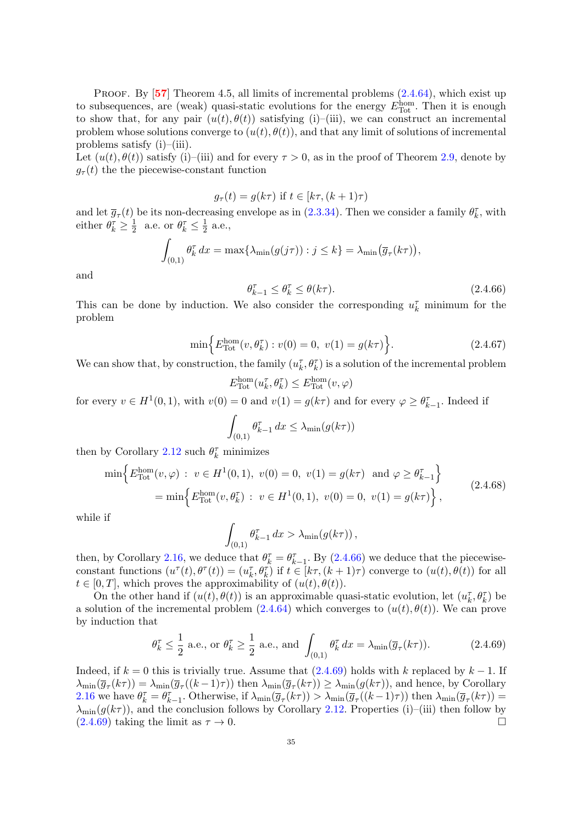PROOF. By  $[57]$  $[57]$  $[57]$  Theorem 4.5, all limits of incremental problems  $(2.4.64)$ , which exist up to subsequences, are (weak) quasi-static evolutions for the energy  $E_{\text{Tot}}^{\text{hom}}$ . Then it is enough to show that, for any pair  $(u(t), \theta(t))$  satisfying (i)–(iii), we can construct an incremental problem whose solutions converge to  $(u(t), \theta(t))$ , and that any limit of solutions of incremental problems satisfy (i)–(iii).

Let  $(u(t), \theta(t))$  satisfy (i)–(iii) and for every  $\tau > 0$ , as in the proof of Theorem [2.9,](#page-27-0) denote by  $g_{\tau}(t)$  the the piecewise-constant function

$$
g_{\tau}(t) = g(k\tau)
$$
 if  $t \in [k\tau, (k+1)\tau)$ 

and let  $\overline{g}_{\tau}(t)$  be its non-decreasing envelope as in [\(2.3.34\)](#page-27-1). Then we consider a family  $\theta_k^{\tau}$ , with either  $\theta_k^{\tau} \geq \frac{1}{2}$  $\frac{1}{2}$  a.e. or  $\theta_k^{\tau} \leq \frac{1}{2}$  $\frac{1}{2}$  a.e.,

$$
\int_{(0,1)} \theta_k^{\tau} dx = \max \{ \lambda_{\min}(g(j\tau)) : j \le k \} = \lambda_{\min}(\overline{g}_{\tau}(k\tau)),
$$

and

<span id="page-36-0"></span>
$$
\theta_{k-1}^{\tau} \le \theta_k^{\tau} \le \theta(k\tau). \tag{2.4.66}
$$

This can be done by induction. We also consider the corresponding  $u_k^{\tau}$  minimum for the problem

$$
\min\left\{E_{\text{Tot}}^{\text{hom}}(v, \theta_k^{\tau}) : v(0) = 0, \ v(1) = g(k\tau)\right\}.
$$
\n(2.4.67)

We can show that, by construction, the family  $(u_k^{\tau}, \theta_k^{\tau})$  is a solution of the incremental problem

$$
E_{\text{Tot}}^{\text{hom}}(u_k^{\tau}, \theta_k^{\tau}) \le E_{\text{Tot}}^{\text{hom}}(v, \varphi)
$$

for every  $v \in H^1(0,1)$ , with  $v(0) = 0$  and  $v(1) = g(k\tau)$  and for every  $\varphi \ge \theta_{k-1}^{\tau}$ . Indeed if

$$
\int_{(0,1)} \theta_{k-1}^{\tau} dx \le \lambda_{\min}(g(k\tau))
$$

then by Corollary [2.12](#page-32-0) such  $\theta_k^{\tau}$  minimizes

$$
\min\left\{E_{\text{Tot}}^{\text{hom}}(v,\varphi): v \in H^{1}(0,1), v(0) = 0, v(1) = g(k\tau) \text{ and } \varphi \geq \theta_{k-1}^{\tau}\right\}
$$
  
= 
$$
\min\left\{E_{\text{Tot}}^{\text{hom}}(v,\theta_{k}^{\tau}): v \in H^{1}(0,1), v(0) = 0, v(1) = g(k\tau)\right\},
$$
 (2.4.68)

while if

$$
\int_{(0,1)} \theta_{k-1}^{\tau} dx > \lambda_{\min}(g(k\tau)),
$$

then, by Corollary [2.16,](#page-34-0) we deduce that  $\theta_k^{\tau} = \theta_{k-1}^{\tau}$ . By [\(2.4.66\)](#page-36-0) we deduce that the piecewiseconstant functions  $(u^{\tau}(t), \theta^{\tau}(t)) = (u_k^{\tau}, \theta_k^{\tau})$  if  $t \in [k\tau, (k+1)\tau)$  converge to  $(u(t), \theta(t))$  for all  $t \in [0, T]$ , which proves the approximability of  $(u(t), \theta(t))$ .

On the other hand if  $(u(t), \theta(t))$  is an approximable quasi-static evolution, let  $(u_k^{\tau}, \theta_k^{\tau})$  be a solution of the incremental problem  $(2.4.64)$  which converges to  $(u(t), \theta(t))$ . We can prove by induction that

<span id="page-36-1"></span>
$$
\theta_k^{\tau} \le \frac{1}{2} \text{ a.e., or } \theta_k^{\tau} \ge \frac{1}{2} \text{ a.e., and } \int_{(0,1)} \theta_k^{\tau} dx = \lambda_{\min}(\overline{g}_{\tau}(k\tau)). \tag{2.4.69}
$$

Indeed, if  $k = 0$  this is trivially true. Assume that  $(2.4.69)$  holds with k replaced by  $k - 1$ . If  $\lambda_{\min}(\overline{g}_{\tau}(k\tau)) = \lambda_{\min}(\overline{g}_{\tau}((k-1)\tau))$  then  $\lambda_{\min}(\overline{g}_{\tau}(k\tau)) \geq \lambda_{\min}(g(k\tau))$ , and hence, by Corollary [2.16](#page-34-0) we have  $\theta_k^{\tau} = \theta_{k-1}^{\tau}$ . Otherwise, if  $\lambda_{\min}(\overline{g}_{\tau}(k\tau)) > \lambda_{\min}(\overline{g}_{\tau}((k-1)\tau))$  then  $\lambda_{\min}(\overline{g}_{\tau}(k\tau)) =$  $\lambda_{\min}(g(k\tau))$ , and the conclusion follows by Corollary [2.12.](#page-32-0) Properties (i)–(iii) then follow by  $(2.4.69)$  taking the limit as  $\tau \to 0$ .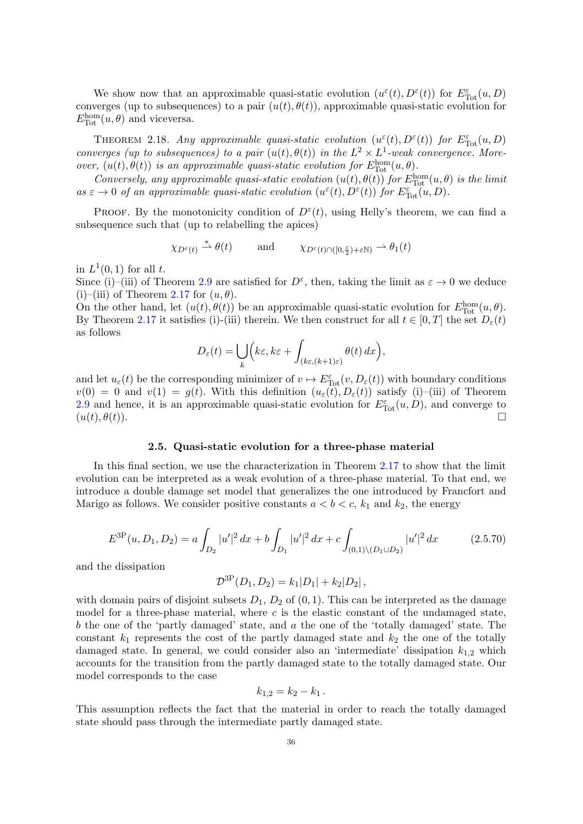We show now that an approximable quasi-static evolution  $(u^{\varepsilon}(t), D^{\varepsilon}(t))$  for  $E_{\text{Tot}}^{\varepsilon}(u, D)$ converges (up to subsequences) to a pair  $(u(t), \theta(t))$ , approximable quasi-static evolution for  $E_{\text{Tot}}^{\text{hom}}(u, \theta)$  and viceversa.

<span id="page-37-1"></span>THEOREM 2.18. Any approximable quasi-static evolution  $(u^{\varepsilon}(t), D^{\varepsilon}(t))$  for  $E_{\text{Tot}}^{\varepsilon}(u, D)$ converges (up to subsequences) to a pair  $(u(t), \theta(t))$  in the  $L^2 \times L^1$ -weak convergence. Moreover,  $(u(t), \theta(t))$  is an approximable quasi-static evolution for  $E_{\text{Tot}}^{\text{hom}}(u, \theta)$ .

Conversely, any approximable quasi-static evolution  $(u(t), \theta(t))$  for  $E_{\text{Tot}}^{\text{hom}}(u, \theta)$  is the limit as  $\varepsilon \to 0$  of an approximable quasi-static evolution  $(u^{\varepsilon}(t), D^{\varepsilon}(t))$  for  $E_{\text{Tot}}^{\varepsilon}(u, D)$ .

PROOF. By the monotonicity condition of  $D^{\varepsilon}(t)$ , using Helly's theorem, we can find a subsequence such that (up to relabelling the apices)

$$
\chi_{D^{\varepsilon}(t)} \stackrel{*}{\rightharpoonup} \theta(t) \quad \text{and} \quad \chi_{D^{\varepsilon}(t) \cap ([0, \frac{\varepsilon}{2}) + \varepsilon \mathbb{N})} \rightharpoonup \theta_1(t)
$$

in  $L^1(0,1)$  for all t.

Since (i)–(iii) of Theorem [2.9](#page-27-0) are satisfied for  $D^{\varepsilon}$ , then, taking the limit as  $\varepsilon \to 0$  we deduce (i)–(iii) of Theorem [2.17](#page-35-1) for  $(u, \theta)$ .

On the other hand, let  $(u(t), \theta(t))$  be an approximable quasi-static evolution for  $E_{\text{Tot}}^{\text{hom}}(u, \theta)$ . By Theorem [2.17](#page-35-1) it satisfies (i)-(iii) therein. We then construct for all  $t \in [0, T]$  the set  $D_{\varepsilon}(t)$ as follows

$$
D_{\varepsilon}(t) = \bigcup_{k} \Bigl(k\varepsilon, k\varepsilon + \int_{(k\varepsilon, (k+1)\varepsilon)} \theta(t) \, dx\Bigr),
$$

and let  $u_\varepsilon(t)$  be the corresponding minimizer of  $v \mapsto E_{\text{Tot}}^{\varepsilon}(v, D_{\varepsilon}(t))$  with boundary conditions  $v(0) = 0$  and  $v(1) = g(t)$ . With this definition  $(u_\varepsilon(t), D_\varepsilon(t))$  satisfy (i)-(iii) of Theorem [2.9](#page-27-0) and hence, it is an approximable quasi-static evolution for  $E_{\text{Tot}}^{\varepsilon}(u, D)$ , and converge to  $(u(t), \theta(t)).$ 

#### 2.5. Quasi-static evolution for a three-phase material

In this final section, we use the characterization in Theorem [2.17](#page-35-1) to show that the limit evolution can be interpreted as a weak evolution of a three-phase material. To that end, we introduce a double damage set model that generalizes the one introduced by Francfort and Marigo as follows. We consider positive constants  $a < b < c$ ,  $k_1$  and  $k_2$ , the energy

<span id="page-37-0"></span>
$$
E^{3P}(u, D_1, D_2) = a \int_{D_2} |u'|^2 dx + b \int_{D_1} |u'|^2 dx + c \int_{(0,1) \setminus (D_1 \cup D_2)} |u'|^2 dx \tag{2.5.70}
$$

and the dissipation

$$
\mathcal{D}^{\rm 3P}(D_1, D_2) = k_1|D_1| + k_2|D_2|,
$$

with domain pairs of disjoint subsets  $D_1$ ,  $D_2$  of  $(0, 1)$ . This can be interpreted as the damage model for a three-phase material, where  $c$  is the elastic constant of the undamaged state, b the one of the 'partly damaged' state, and a the one of the 'totally damaged' state. The constant  $k_1$  represents the cost of the partly damaged state and  $k_2$  the one of the totally damaged state. In general, we could consider also an 'intermediate' dissipation  $k_{1,2}$  which accounts for the transition from the partly damaged state to the totally damaged state. Our model corresponds to the case

$$
k_{1,2} = k_2 - k_1.
$$

This assumption reflects the fact that the material in order to reach the totally damaged state should pass through the intermediate partly damaged state.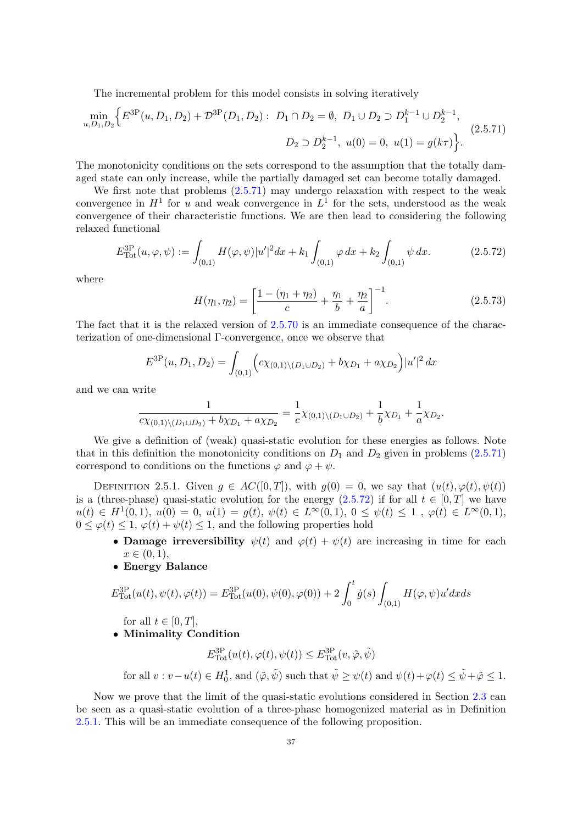The incremental problem for this model consists in solving iteratively

<span id="page-38-0"></span>
$$
\min_{u, D_1, D_2} \left\{ E^{3P}(u, D_1, D_2) + \mathcal{D}^{3P}(D_1, D_2) : D_1 \cap D_2 = \emptyset, D_1 \cup D_2 \supset D_1^{k-1} \cup D_2^{k-1}, \right\}
$$
\n
$$
D_2 \supset D_2^{k-1}, u(0) = 0, u(1) = g(k\tau) \right\}.
$$
\n(2.5.71)

The monotonicity conditions on the sets correspond to the assumption that the totally damaged state can only increase, while the partially damaged set can become totally damaged.

We first note that problems  $(2.5.71)$  may undergo relaxation with respect to the weak convergence in  $H^1$  for u and weak convergence in  $L^1$  for the sets, understood as the weak convergence of their characteristic functions. We are then lead to considering the following relaxed functional

<span id="page-38-1"></span>
$$
E_{\text{Tot}}^{3P}(u,\varphi,\psi) := \int_{(0,1)} H(\varphi,\psi)|u'|^2 dx + k_1 \int_{(0,1)} \varphi dx + k_2 \int_{(0,1)} \psi dx. \tag{2.5.72}
$$

where

$$
H(\eta_1, \eta_2) = \left[\frac{1 - (\eta_1 + \eta_2)}{c} + \frac{\eta_1}{b} + \frac{\eta_2}{a}\right]^{-1}.
$$
 (2.5.73)

The fact that it is the relaxed version of [2.5.70](#page-37-0) is an immediate consequence of the characterization of one-dimensional Γ-convergence, once we observe that

$$
E^{3P}(u, D_1, D_2) = \int_{(0,1)} \left( c\chi_{(0,1)\setminus(D_1 \cup D_2)} + b\chi_{D_1} + a\chi_{D_2} \right) |u'|^2 dx
$$

and we can write

$$
\frac{1}{c\chi_{(0,1)\setminus(D_1\cup D_2)}+b\chi_{D_1}+a\chi_{D_2}}=\frac{1}{c}\chi_{(0,1)\setminus(D_1\cup D_2)}+\frac{1}{b}\chi_{D_1}+\frac{1}{a}\chi_{D_2}.
$$

We give a definition of (weak) quasi-static evolution for these energies as follows. Note that in this definition the monotonicity conditions on  $D_1$  and  $D_2$  given in problems [\(2.5.71\)](#page-38-0) correspond to conditions on the functions  $\varphi$  and  $\varphi + \psi$ .

<span id="page-38-2"></span>DEFINITION 2.5.1. Given  $g \in AC([0,T])$ , with  $g(0) = 0$ , we say that  $(u(t), \varphi(t), \psi(t))$ is a (three-phase) quasi-static evolution for the energy  $(2.5.72)$  if for all  $t \in [0, T]$  we have  $u(t) \in H^1(0,1), u(0) = 0, u(1) = g(t), \psi(t) \in L^{\infty}(0,1), 0 \leq \psi(t) \leq 1, \varphi(t) \in L^{\infty}(0,1),$  $0 \leq \varphi(t) \leq 1$ ,  $\varphi(t) + \psi(t) \leq 1$ , and the following properties hold

- Damage irreversibility  $\psi(t)$  and  $\varphi(t) + \psi(t)$  are increasing in time for each  $x \in (0, 1),$
- Energy Balance

$$
E_{\text{Tot}}^{3P}(u(t), \psi(t), \varphi(t)) = E_{\text{Tot}}^{3P}(u(0), \psi(0), \varphi(0)) + 2 \int_{0}^{t} \dot{g}(s) \int_{(0,1)} H(\varphi, \psi) u' dx ds
$$

for all  $t \in [0, T]$ ,

• Minimality Condition

$$
E_{\text{Tot}}^{3P}(u(t), \varphi(t), \psi(t)) \leq E_{\text{Tot}}^{3P}(v, \tilde{\varphi}, \tilde{\psi})
$$

for all  $v: v-u(t) \in H_0^1$ , and  $(\tilde{\varphi}, \tilde{\psi})$  such that  $\tilde{\psi} \geq \psi(t)$  and  $\psi(t)+\varphi(t) \leq \tilde{\psi}+\tilde{\varphi} \leq 1$ .

Now we prove that the limit of the quasi-static evolutions considered in Section [2.3](#page-20-0) can be seen as a quasi-static evolution of a three-phase homogenized material as in Definition [2.5.1.](#page-38-2) This will be an immediate consequence of the following proposition.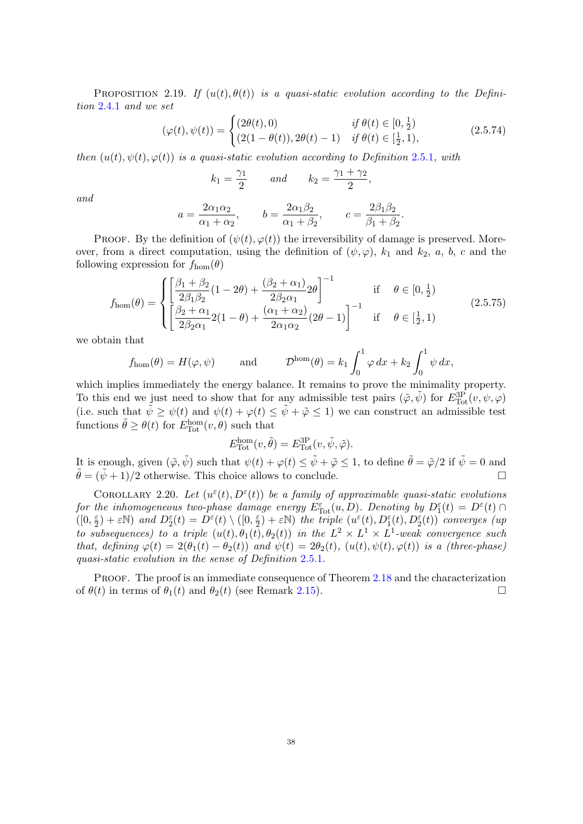PROPOSITION 2.19. If  $(u(t), \theta(t))$  is a quasi-static evolution according to the Definition [2.4.1](#page-35-2) and we set

$$
(\varphi(t), \psi(t)) = \begin{cases} (2\theta(t), 0) & \text{if } \theta(t) \in [0, \frac{1}{2}) \\ (2(1 - \theta(t)), 2\theta(t) - 1) & \text{if } \theta(t) \in [\frac{1}{2}, 1), \end{cases}
$$
(2.5.74)

.

then  $(u(t), \psi(t), \varphi(t))$  is a quasi-static evolution according to Definition [2.5.1](#page-38-2), with

$$
k_1 = \frac{\gamma_1}{2} \qquad \text{and} \qquad k_2 = \frac{\gamma_1 + \gamma_2}{2},
$$

and

$$
a = \frac{2\alpha_1\alpha_2}{\alpha_1 + \alpha_2}, \qquad b = \frac{2\alpha_1\beta_2}{\alpha_1 + \beta_2}, \qquad c = \frac{2\beta_1\beta_2}{\beta_1 + \beta_2}
$$

PROOF. By the definition of  $(\psi(t), \varphi(t))$  the irreversibility of damage is preserved. Moreover, from a direct computation, using the definition of  $(\psi, \varphi)$ ,  $k_1$  and  $k_2$ , a, b, c and the following expression for  $f_{\text{hom}}(\theta)$ 

$$
f_{\text{hom}}(\theta) = \begin{cases} \left[ \frac{\beta_1 + \beta_2}{2\beta_1 \beta_2} (1 - 2\theta) + \frac{(\beta_2 + \alpha_1)}{2\beta_2 \alpha_1} 2\theta \right]^{-1} & \text{if } \theta \in [0, \frac{1}{2})\\ \left[ \frac{\beta_2 + \alpha_1}{2\beta_2 \alpha_1} 2(1 - \theta) + \frac{(\alpha_1 + \alpha_2)}{2\alpha_1 \alpha_2} (2\theta - 1) \right]^{-1} & \text{if } \theta \in [\frac{1}{2}, 1) \end{cases}
$$
(2.5.75)

we obtain that

$$
f_{\text{hom}}(\theta) = H(\varphi, \psi)
$$
 and  $\mathcal{D}^{\text{hom}}(\theta) = k_1 \int_0^1 \varphi \, dx + k_2 \int_0^1 \psi \, dx$ ,

which implies immediately the energy balance. It remains to prove the minimality property. To this end we just need to show that for any admissible test pairs  $(\tilde{\varphi}, \tilde{\psi})$  for  $E^{3P}_{\text{Tot}}(v, \psi, \varphi)$ (i.e. such that  $\tilde{\psi} \geq \psi(t)$  and  $\psi(t) + \varphi(t) \leq \tilde{\psi} + \tilde{\varphi} \leq 1$ ) we can construct an admissible test functions  $\tilde{\theta} \geq \theta(t)$  for  $E_{\text{Tot}}^{\text{hom}}(v, \theta)$  such that

$$
E_{\text{Tot}}^{\text{hom}}(v, \tilde{\theta}) = E_{\text{Tot}}^{3P}(v, \tilde{\psi}, \tilde{\varphi}).
$$

It is enough, given  $(\tilde{\varphi}, \tilde{\psi})$  such that  $\psi(t) + \varphi(t) \leq \tilde{\psi} + \tilde{\varphi} \leq 1$ , to define  $\tilde{\theta} = \tilde{\varphi}/2$  if  $\tilde{\psi} = 0$  and  $\tilde{\theta} = (\tilde{\psi} + 1)/2$  otherwise. This choice allows to conclude.

COROLLARY 2.20. Let  $(u^{\varepsilon}(t), D^{\varepsilon}(t))$  be a family of approximable quasi-static evolutions for the inhomogeneous two-phase damage energy  $E_{\text{Tot}}^{\varepsilon}(u, D)$ . Denoting by  $D_1^{\varepsilon}(t) = D^{\varepsilon}(t)$  $([0, \frac{\varepsilon}{2}$  $(\frac{\varepsilon}{2}) + \varepsilon \mathbb{N}$ ) and  $D_2^{\varepsilon}(t) = D^{\varepsilon}(t) \setminus ([0, \frac{\varepsilon}{2})]$  $\frac{\varepsilon}{2}$ ) +  $\varepsilon$ N) the triple  $(u^{\varepsilon}(t), D_1^{\varepsilon}(t), D_2^{\varepsilon}(t))$  converges (up to subsequences) to a triple  $(u(t), \theta_1(t), \theta_2(t))$  in the  $L^2 \times L^1 \times L^1$ -weak convergence such that, defining  $\varphi(t) = 2(\theta_1(t) - \theta_2(t))$  and  $\psi(t) = 2\theta_2(t)$ ,  $(u(t), \psi(t), \varphi(t))$  is a (three-phase) quasi-static evolution in the sense of Definition [2.5.1.](#page-38-2)

Proof. The proof is an immediate consequence of Theorem [2.18](#page-37-1) and the characterization of  $\theta(t)$  in terms of  $\theta_1(t)$  and  $\theta_2(t)$  (see Remark [2.15\)](#page-33-0).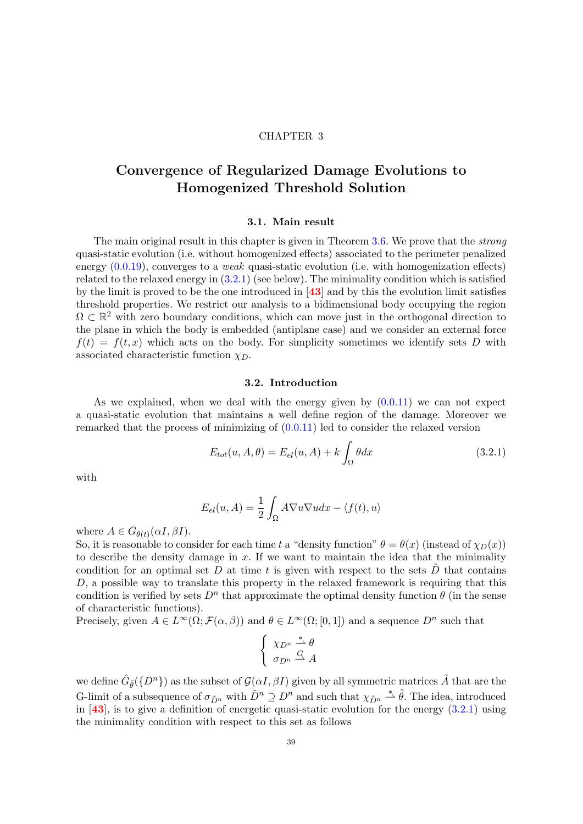### CHAPTER 3

# <span id="page-40-1"></span>Convergence of Regularized Damage Evolutions to Homogenized Threshold Solution

### 3.1. Main result

The main original result in this chapter is given in Theorem [3.6.](#page-43-0) We prove that the strong quasi-static evolution (i.e. without homogenized effects) associated to the perimeter penalized energy  $(0.0.19)$ , converges to a *weak* quasi-static evolution (i.e. with homogenization effects) related to the relaxed energy in [\(3.2.1\)](#page-40-0) (see below). The minimality condition which is satisfied by the limit is proved to be the one introduced in  $[43]$  $[43]$  $[43]$  and by this the evolution limit satisfies threshold properties. We restrict our analysis to a bidimensional body occupying the region  $\Omega \subset \mathbb{R}^2$  with zero boundary conditions, which can move just in the orthogonal direction to the plane in which the body is embedded (antiplane case) and we consider an external force  $f(t) = f(t, x)$  which acts on the body. For simplicity sometimes we identify sets D with associated characteristic function  $\chi_D$ .

### 3.2. Introduction

As we explained, when we deal with the energy given by  $(0.0.11)$  we can not expect a quasi-static evolution that maintains a well define region of the damage. Moreover we remarked that the process of minimizing of  $(0.0.11)$  led to consider the relaxed version

<span id="page-40-0"></span>
$$
E_{tot}(u, A, \theta) = E_{el}(u, A) + k \int_{\Omega} \theta dx
$$
\n(3.2.1)

with

$$
E_{el}(u, A) = \frac{1}{2} \int_{\Omega} A \nabla u \nabla u dx - \langle f(t), u \rangle
$$

where  $A \in \bar{G}_{\theta(t)}(\alpha I, \beta I)$ .

So, it is reasonable to consider for each time t a "density function"  $\theta = \theta(x)$  (instead of  $\chi_D(x)$ ) to describe the density damage in  $x$ . If we want to maintain the idea that the minimality condition for an optimal set D at time t is given with respect to the sets  $\overline{D}$  that contains D, a possible way to translate this property in the relaxed framework is requiring that this condition is verified by sets  $D^n$  that approximate the optimal density function  $\theta$  (in the sense of characteristic functions).

Precisely, given  $A \in L^{\infty}(\Omega; \mathcal{F}(\alpha, \beta))$  and  $\theta \in L^{\infty}(\Omega; [0, 1])$  and a sequence  $D^n$  such that

$$
\begin{cases} \chi_{D^n} \stackrel{*}{\rightharpoonup} \theta \\ \sigma_{D^n} \stackrel{G}{\rightharpoonup} A \end{cases}
$$

we define  $\hat{G}_{\tilde{\theta}}(\{D^n\})$  as the subset of  $\mathcal{G}(\alpha I, \beta I)$  given by all symmetric matrices  $\tilde{A}$  that are the G-limit of a subsequence of  $\sigma_{\tilde{D}^n}$  with  $\tilde{D}^n \supseteq D^n$  and such that  $\chi_{\tilde{D}^n} \stackrel{*}{\rightharpoonup} \tilde{\theta}$ . The idea, introduced in  $[43]$  $[43]$  $[43]$ , is to give a definition of energetic quasi-static evolution for the energy  $(3.2.1)$  using the minimality condition with respect to this set as follows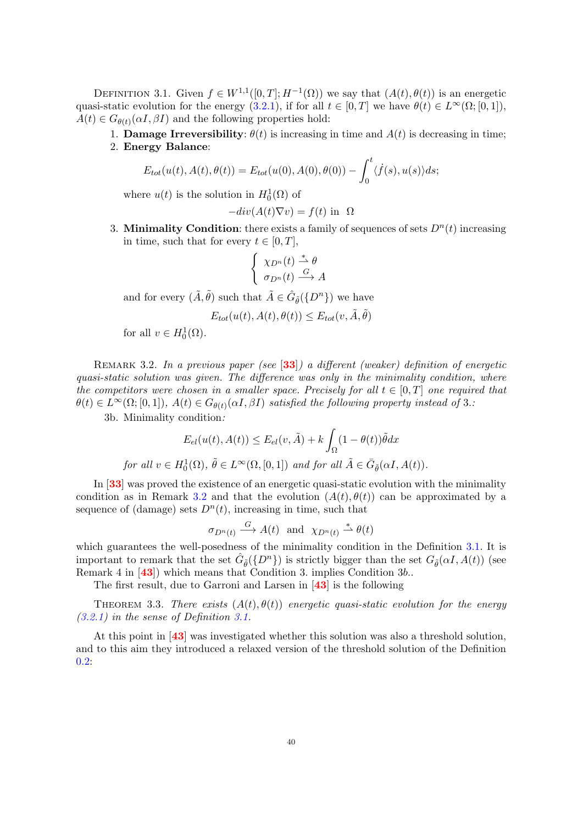<span id="page-41-1"></span>DEFINITION 3.1. Given  $f \in W^{1,1}([0,T];H^{-1}(\Omega))$  we say that  $(A(t),\theta(t))$  is an energetic quasi-static evolution for the energy [\(3.2.1\)](#page-40-0), if for all  $t \in [0, T]$  we have  $\theta(t) \in L^{\infty}(\Omega; [0, 1]),$  $A(t) \in G_{\theta(t)}(\alpha I, \beta I)$  and the following properties hold:

1. **Damage Irreversibility**:  $\theta(t)$  is increasing in time and  $A(t)$  is decreasing in time; 2. Energy Balance:

$$
E_{tot}(u(t), A(t), \theta(t)) = E_{tot}(u(0), A(0), \theta(0)) - \int_0^t \langle \dot{f}(s), u(s) \rangle ds;
$$

where  $u(t)$  is the solution in  $H_0^1(\Omega)$  of

$$
-div(A(t)\nabla v) = f(t) \text{ in } \Omega
$$

3. Minimality Condition: there exists a family of sequences of sets  $D^n(t)$  increasing in time, such that for every  $t \in [0, T]$ ,

$$
\begin{cases} \chi_{D^n}(t) \stackrel{*}{\rightharpoonup} \theta \\ \sigma_{D^n}(t) \stackrel{G}{\longrightarrow} A \end{cases}
$$

and for every  $(\tilde{A}, \tilde{\theta})$  such that  $\tilde{A} \in \hat{G}_{\tilde{\theta}}(\{D^n\})$  we have

$$
E_{tot}(u(t), A(t), \theta(t)) \le E_{tot}(v, \tilde{A}, \tilde{\theta})
$$

for all  $v \in H_0^1(\Omega)$ .

<span id="page-41-0"></span>REMARK 3.2. In a previous paper (see [[33](#page-82-1)]) a different (weaker) definition of energetic quasi-static solution was given. The difference was only in the minimality condition, where the competitors were chosen in a smaller space. Precisely for all  $t \in [0, T]$  one required that  $\theta(t) \in L^{\infty}(\Omega; [0,1])$ ,  $A(t) \in G_{\theta(t)}(\alpha I, \beta I)$  satisfied the following property instead of 3.:

3b. Minimality condition:

$$
E_{el}(u(t), A(t)) \le E_{el}(v, \tilde{A}) + k \int_{\Omega} (1 - \theta(t)) \tilde{\theta} dx
$$
  
for all  $v \in H_0^1(\Omega)$ ,  $\tilde{\theta} \in L^{\infty}(\Omega, [0, 1])$  and for all  $\tilde{A} \in \bar{G}_{\tilde{\theta}}(\alpha I, A(t))$ .

In [[33](#page-82-1)] was proved the existence of an energetic quasi-static evolution with the minimality condition as in Remark [3.2](#page-41-0) and that the evolution  $(A(t), \theta(t))$  can be approximated by a sequence of (damage) sets  $D^n(t)$ , increasing in time, such that

$$
\sigma_{D^n(t)} \stackrel{G}{\longrightarrow} A(t)
$$
 and  $\chi_{D^n(t)} \stackrel{*}{\rightharpoonup} \theta(t)$ 

which guarantees the well-posedness of the minimality condition in the Definition [3.1.](#page-41-1) It is important to remark that the set  $\hat{G}_{\tilde{\theta}}(\{D^n\})$  is strictly bigger than the set  $G_{\tilde{\theta}}(\alpha I, A(t))$  (see Remark 4 in [[43](#page-82-0)]) which means that Condition 3. implies Condition 3b...

The first result, due to Garroni and Larsen in [[43](#page-82-0)] is the following

THEOREM 3.3. There exists  $(A(t), \theta(t))$  energetic quasi-static evolution for the energy [\(3.2.1\)](#page-40-0) in the sense of Definition [3.1.](#page-41-1)

At this point in [[43](#page-82-0)] was investigated whether this solution was also a threshold solution, and to this aim they introduced a relaxed version of the threshold solution of the Definition [0.2:](#page-8-0)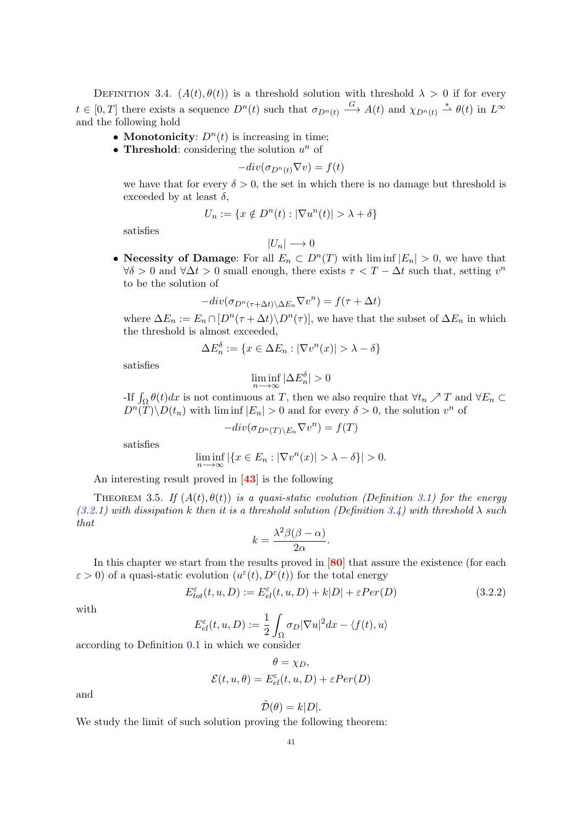<span id="page-42-0"></span>DEFINITION 3.4.  $(A(t), \theta(t))$  is a threshold solution with threshold  $\lambda > 0$  if for every  $t \in [0,T]$  there exists a sequence  $D^n(t)$  such that  $\sigma_{D^n(t)} \stackrel{G}{\longrightarrow} A(t)$  and  $\chi_{D^n(t)} \stackrel{*}{\rightharpoonup} \theta(t)$  in  $L^{\infty}$ and the following hold

- Monotonicity:  $D^n(t)$  is increasing in time;
- Threshold: considering the solution  $u^n$  of

$$
-div(\sigma_{D^n(t)} \nabla v) = f(t)
$$

we have that for every  $\delta > 0$ , the set in which there is no damage but threshold is exceeded by at least  $\delta$ ,

$$
U_n := \{ x \notin D^n(t) : |\nabla u^n(t)| > \lambda + \delta \}
$$

satisfies

$$
|U_n|\longrightarrow 0
$$

• Necessity of Damage: For all  $E_n \subset D^n(T)$  with  $\liminf |E_n| > 0$ , we have that  $\forall \delta > 0$  and  $\forall \Delta t > 0$  small enough, there exists  $\tau < T - \Delta t$  such that, setting  $v^n$ to be the solution of

$$
-div(\sigma_{D^n(\tau+\Delta t)\Delta E_n}\nabla v^n) = f(\tau+\Delta t)
$$

where  $\Delta E_n := E_n \cap [D^n(\tau + \Delta t) \setminus D^n(\tau)],$  we have that the subset of  $\Delta E_n$  in which the threshold is almost exceeded,

$$
\Delta E_n^{\delta} := \{ x \in \Delta E_n : |\nabla v^n(x)| > \lambda - \delta \}
$$

satisfies

$$
\liminf_{n \to \infty} |\Delta E_n^{\delta}| > 0
$$

-If  $\int_{\Omega} \theta(t) dx$  is not continuous at T, then we also require that  $\forall t_n \nearrow T$  and  $\forall E_n \subset$  $D^{n}(T)\backslash D(t_{n})$  with lim inf  $|E_{n}| > 0$  and for every  $\delta > 0$ , the solution  $v^{n}$  of

$$
-div(\sigma_{D^n(T)\setminus E_n}\nabla v^n) = f(T)
$$

satisfies

$$
\liminf_{n \to \infty} |\{x \in E_n : |\nabla v^n(x)| > \lambda - \delta\}| > 0.
$$

An interesting result proved in [[43](#page-82-0)] is the following

THEOREM 3.5. If  $(A(t), \theta(t))$  is a quasi-static evolution (Definition [3.1\)](#page-41-1) for the energy  $(3.2.1)$  with dissipation k then it is a threshold solution (Definition [3.4\)](#page-42-0) with threshold  $\lambda$  such that

$$
k = \frac{\lambda^2 \beta(\beta - \alpha)}{2\alpha}.
$$

In this chapter we start from the results proved in  $[80]$  $[80]$  $[80]$  that assure the existence (for each  $\varepsilon > 0$ ) of a quasi-static evolution  $(u^{\varepsilon}(t), D^{\varepsilon}(t))$  for the total energy

<span id="page-42-1"></span>
$$
E_{tot}^{\varepsilon}(t, u, D) := E_{el}^{\varepsilon}(t, u, D) + k|D| + \varepsilon Per(D)
$$
\n(3.2.2)

with

$$
E_{el}^{\varepsilon}(t, u, D) := \frac{1}{2} \int_{\Omega} \sigma_D |\nabla u|^2 dx - \langle f(t), u \rangle
$$

according to Definition [0.1](#page-5-0) in which we consider

$$
\theta = \chi_D,
$$
  

$$
\mathcal{E}(t, u, \theta) = E_{el}^{\varepsilon}(t, u, D) + \varepsilon Per(D)
$$

and

$$
\tilde{\mathcal{D}}(\theta) = k|D|.
$$

We study the limit of such solution proving the following theorem: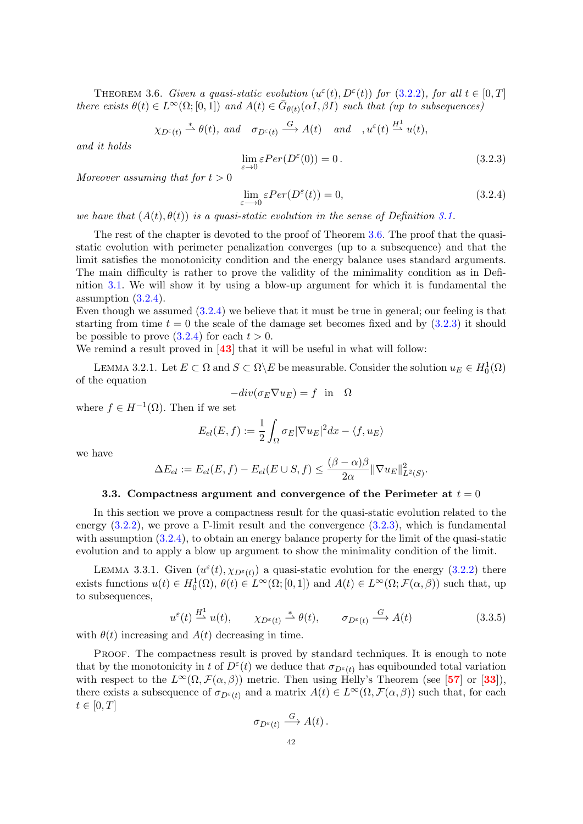<span id="page-43-0"></span>THEOREM 3.6. Given a quasi-static evolution  $(u^{\varepsilon}(t), D^{\varepsilon}(t))$  for  $(3.2.2)$ , for all  $t \in [0, T]$ there exists  $\theta(t) \in L^{\infty}(\Omega; [0,1])$  and  $A(t) \in \bar{G}_{\theta(t)}(\alpha I, \beta I)$  such that (up to subsequences)

$$
\chi_{D^{\varepsilon}(t)} \stackrel{*}{\rightharpoonup} \theta(t)
$$
, and  $\sigma_{D^{\varepsilon}(t)} \stackrel{G}{\longrightarrow} A(t)$  and  $\omega^{\varepsilon}(t) \stackrel{H^1}{\rightharpoonup} u(t)$ ,

and it holds

<span id="page-43-2"></span>
$$
\lim_{\varepsilon \to 0} \varepsilon Per(D^{\varepsilon}(0)) = 0.
$$
\n(3.2.3)

Moreover assuming that for  $t > 0$ 

<span id="page-43-1"></span>
$$
\lim_{\varepsilon \to 0} \varepsilon Per(D^{\varepsilon}(t)) = 0,\tag{3.2.4}
$$

we have that  $(A(t), \theta(t))$  is a quasi-static evolution in the sense of Definition [3.1.](#page-41-1)

The rest of the chapter is devoted to the proof of Theorem [3.6.](#page-43-0) The proof that the quasistatic evolution with perimeter penalization converges (up to a subsequence) and that the limit satisfies the monotonicity condition and the energy balance uses standard arguments. The main difficulty is rather to prove the validity of the minimality condition as in Definition [3.1.](#page-41-1) We will show it by using a blow-up argument for which it is fundamental the assumption [\(3.2.4\)](#page-43-1).

Even though we assumed [\(3.2.4\)](#page-43-1) we believe that it must be true in general; our feeling is that starting from time  $t = 0$  the scale of the damage set becomes fixed and by  $(3.2.3)$  it should be possible to prove  $(3.2.4)$  for each  $t > 0$ .

We remind a result proved in [[43](#page-82-0)] that it will be useful in what will follow:

LEMMA 3.2.1. Let  $E \subset \Omega$  and  $S \subset \Omega \backslash E$  be measurable. Consider the solution  $u_E \in H_0^1(\Omega)$ of the equation

$$
-div(\sigma_E \nabla u_E) = f \text{ in } \Omega
$$

where  $f \in H^{-1}(\Omega)$ . Then if we set

$$
E_{el}(E,f):=\frac{1}{2}\int_{\Omega}\sigma_E|\nabla u_E|^2dx-\langle f,u_E\rangle
$$

we have

$$
\Delta E_{el} := E_{el}(E, f) - E_{el}(E \cup S, f) \le \frac{(\beta - \alpha)\beta}{2\alpha} \|\nabla u_E\|_{L^2(S)}^2.
$$

#### 3.3. Compactness argument and convergence of the Perimeter at  $t = 0$

In this section we prove a compactness result for the quasi-static evolution related to the energy [\(3.2.2\)](#page-42-1), we prove a Γ-limit result and the convergence [\(3.2.3\)](#page-43-2), which is fundamental with assumption  $(3.2.4)$ , to obtain an energy balance property for the limit of the quasi-static evolution and to apply a blow up argument to show the minimality condition of the limit.

<span id="page-43-3"></span>LEMMA 3.3.1. Given  $(u^{\varepsilon}(t), \chi_{D^{\varepsilon}(t)})$  a quasi-static evolution for the energy [\(3.2.2\)](#page-42-1) there exists functions  $u(t) \in H_0^1(\Omega)$ ,  $\theta(t) \in L^\infty(\Omega; [0,1])$  and  $A(t) \in L^\infty(\Omega; \mathcal{F}(\alpha, \beta))$  such that, up to subsequences,

$$
u^{\varepsilon}(t) \xrightarrow{H^1} u(t), \qquad \chi_{D^{\varepsilon}(t)} \xrightarrow{\ast} \theta(t), \qquad \sigma_{D^{\varepsilon}(t)} \xrightarrow{G} A(t) \tag{3.3.5}
$$

with  $\theta(t)$  increasing and  $A(t)$  decreasing in time.

PROOF. The compactness result is proved by standard techniques. It is enough to note that by the monotonicity in t of  $D^{\varepsilon}(t)$  we deduce that  $\sigma_{D^{\varepsilon}(t)}$  has equibounded total variation with respect to the  $L^{\infty}(\Omega, \mathcal{F}(\alpha, \beta))$  metric. Then using Helly's Theorem (see [[57](#page-83-0)] or [[33](#page-82-1)]), there exists a subsequence of  $\sigma_{D^{\varepsilon}(t)}$  and a matrix  $A(t) \in L^{\infty}(\Omega, \mathcal{F}(\alpha, \beta))$  such that, for each  $t\in[0,T]$ 

$$
\sigma_{D^{\varepsilon}(t)} \xrightarrow{G} A(t).
$$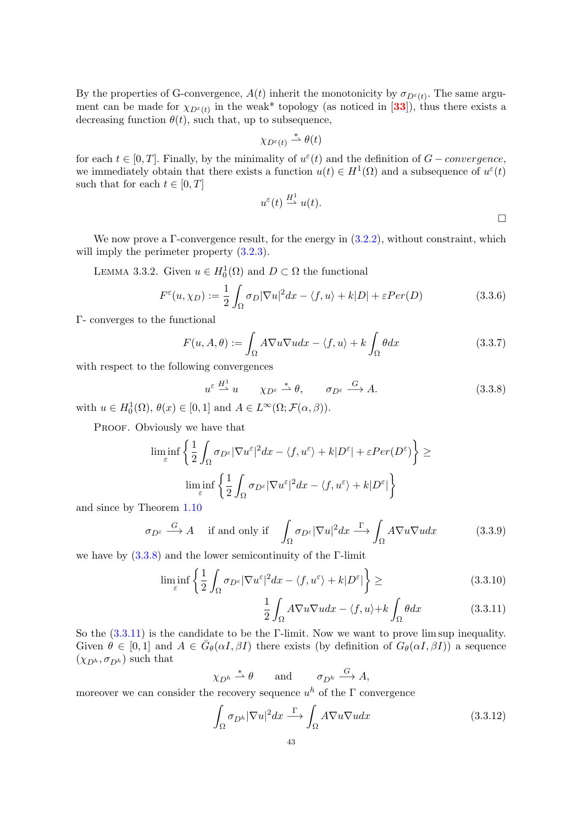By the properties of G-convergence,  $A(t)$  inherit the monotonicity by  $\sigma_{D^{\varepsilon}(t)}$ . The same argument can be made for  $\chi_{D^{\epsilon}(t)}$  in the weak\* topology (as noticed in [[33](#page-82-1)]), thus there exists a decreasing function  $\theta(t)$ , such that, up to subsequence,

$$
\chi_{D^{\varepsilon}(t)} \stackrel{*}{\rightharpoonup} \theta(t)
$$

for each  $t \in [0, T]$ . Finally, by the minimality of  $u^{\varepsilon}(t)$  and the definition of  $G-convergence$ , we immediately obtain that there exists a function  $u(t) \in H^1(\Omega)$  and a subsequence of  $u^{\varepsilon}(t)$ such that for each  $t \in [0, T]$ 

$$
u^{\varepsilon}(t) \stackrel{H^1}{\longrightarrow} u(t).
$$

We now prove a  $\Gamma$ -convergence result, for the energy in  $(3.2.2)$ , without constraint, which will imply the perimeter property  $(3.2.3)$ .

LEMMA 3.3.2. Given  $u \in H_0^1(\Omega)$  and  $D \subset \Omega$  the functional

<span id="page-44-2"></span>
$$
F^{\varepsilon}(u,\chi_D) := \frac{1}{2} \int_{\Omega} \sigma_D |\nabla u|^2 dx - \langle f, u \rangle + k|D| + \varepsilon Per(D)
$$
\n(3.3.6)

Γ- converges to the functional

$$
F(u, A, \theta) := \int_{\Omega} A \nabla u \nabla u dx - \langle f, u \rangle + k \int_{\Omega} \theta dx \qquad (3.3.7)
$$

with respect to the following convergences

<span id="page-44-0"></span>
$$
u^{\varepsilon} \stackrel{H^1}{\longrightarrow} u \qquad \chi_{D^{\varepsilon}} \stackrel{*}{\longrightarrow} \theta, \qquad \sigma_{D^{\varepsilon}} \stackrel{G}{\longrightarrow} A. \tag{3.3.8}
$$

with  $u \in H_0^1(\Omega)$ ,  $\theta(x) \in [0,1]$  and  $A \in L^\infty(\Omega; \mathcal{F}(\alpha, \beta))$ .

PROOF. Obviously we have that

$$
\liminf_{\varepsilon} \left\{ \frac{1}{2} \int_{\Omega} \sigma_{D^{\varepsilon}} |\nabla u^{\varepsilon}|^2 dx - \langle f, u^{\varepsilon} \rangle + k |D^{\varepsilon}| + \varepsilon Per(D^{\varepsilon}) \right\} \ge
$$
  

$$
\liminf_{\varepsilon} \left\{ \frac{1}{2} \int_{\Omega} \sigma_{D^{\varepsilon}} |\nabla u^{\varepsilon}|^2 dx - \langle f, u^{\varepsilon} \rangle + k |D^{\varepsilon}| \right\}
$$

and since by Theorem [1.10](#page-17-0)

$$
\sigma_{D^{\varepsilon}} \xrightarrow{G} A \quad \text{if and only if} \quad \int_{\Omega} \sigma_{D^{\varepsilon}} |\nabla u|^2 dx \xrightarrow{\Gamma} \int_{\Omega} A \nabla u \nabla u dx \tag{3.3.9}
$$

we have by  $(3.3.8)$  and the lower semicontinuity of the Γ-limit

$$
\liminf_{\varepsilon} \left\{ \frac{1}{2} \int_{\Omega} \sigma_{D^{\varepsilon}} |\nabla u^{\varepsilon}|^2 dx - \langle f, u^{\varepsilon} \rangle + k |D^{\varepsilon}| \right\} \ge \tag{3.3.10}
$$

<span id="page-44-1"></span>
$$
\frac{1}{2} \int_{\Omega} A \nabla u \nabla u dx - \langle f, u \rangle + k \int_{\Omega} \theta dx \tag{3.3.11}
$$

So the [\(3.3.11\)](#page-44-1) is the candidate to be the Γ-limit. Now we want to prove lim sup inequality. Given  $\theta \in [0,1]$  and  $A \in \bar{G}_{\theta}(\alpha I, \beta I)$  there exists (by definition of  $G_{\theta}(\alpha I, \beta I)$ ) a sequence  $(\chi_{D^h}, \sigma_{D^h})$  such that

$$
\chi_{D^h} \stackrel{*}{\rightharpoonup} \theta \qquad \text{and} \qquad \sigma_{D^h} \stackrel{G}{\longrightarrow} A,
$$

moreover we can consider the recovery sequence  $u^h$  of the  $\Gamma$  convergence

$$
\int_{\Omega} \sigma_{D^h} |\nabla u|^2 dx \stackrel{\Gamma}{\longrightarrow} \int_{\Omega} A \nabla u \nabla u dx \tag{3.3.12}
$$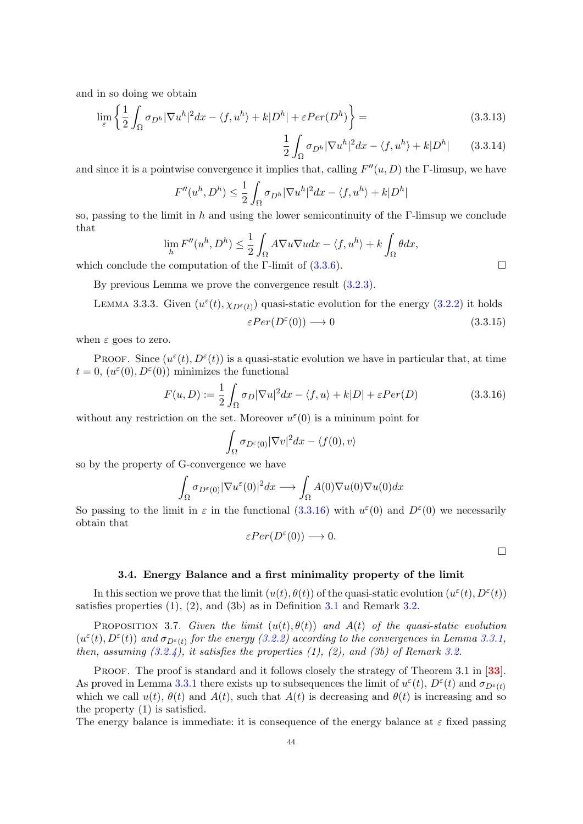and in so doing we obtain

$$
\lim_{\varepsilon} \left\{ \frac{1}{2} \int_{\Omega} \sigma_{D^h} |\nabla u^h|^2 dx - \langle f, u^h \rangle + k |D^h| + \varepsilon Per(D^h) \right\} =
$$
\n(3.3.13)

$$
\frac{1}{2} \int_{\Omega} \sigma_{D^h} |\nabla u^h|^2 dx - \langle f, u^h \rangle + k |D^h| \qquad (3.3.14)
$$

and since it is a pointwise convergence it implies that, calling  $F''(u, D)$  the  $\Gamma$ -limsup, we have

$$
F''(u^h, D^h) \le \frac{1}{2} \int_{\Omega} \sigma_{D^h} |\nabla u^h|^2 dx - \langle f, u^h \rangle + k |D^h|
$$

so, passing to the limit in h and using the lower semicontinuity of the  $\Gamma$ -limsup we conclude that

$$
\lim_{h} F''(u^h, D^h) \le \frac{1}{2} \int_{\Omega} A \nabla u \nabla u dx - \langle f, u^h \rangle + k \int_{\Omega} \theta dx,
$$

which conclude the computation of the Γ-limit of  $(3.3.6)$ .

By previous Lemma we prove the convergence result [\(3.2.3\)](#page-43-2).

LEMMA 3.3.3. Given 
$$
(u^{\varepsilon}(t), \chi_{D^{\varepsilon}(t)})
$$
 quasi-static evolution for the energy (3.2.2) it holds  
\n
$$
\varepsilon Per(D^{\varepsilon}(0)) \longrightarrow 0
$$
\n(3.3.15)

when  $\varepsilon$  goes to zero.

PROOF. Since  $(u^{\varepsilon}(t), D^{\varepsilon}(t))$  is a quasi-static evolution we have in particular that, at time  $t = 0, (u^{\varepsilon}(0), D^{\varepsilon}(0))$  minimizes the functional

<span id="page-45-0"></span>
$$
F(u, D) := \frac{1}{2} \int_{\Omega} \sigma_D |\nabla u|^2 dx - \langle f, u \rangle + k|D| + \varepsilon Per(D)
$$
 (3.3.16)

without any restriction on the set. Moreover  $u^{\varepsilon}(0)$  is a mininum point for

$$
\int_{\Omega} \sigma_{D^{\varepsilon}(0)} |\nabla v|^2 dx - \langle f(0), v \rangle
$$

so by the property of G-convergence we have

$$
\int_{\Omega} \sigma_{D^{\varepsilon}(0)} |\nabla u^{\varepsilon}(0)|^2 dx \longrightarrow \int_{\Omega} A(0) \nabla u(0) \nabla u(0) dx
$$

So passing to the limit in  $\varepsilon$  in the functional  $(3.3.16)$  with  $u^{\varepsilon}(0)$  and  $D^{\varepsilon}(0)$  we necessarily obtain that

$$
\varepsilon Per(D^{\varepsilon}(0)) \longrightarrow 0.
$$

 $\Box$ 

#### 3.4. Energy Balance and a first minimality property of the limit

In this section we prove that the limit  $(u(t), \theta(t))$  of the quasi-static evolution  $(u^{\varepsilon}(t), D^{\varepsilon}(t))$ satisfies properties  $(1)$ ,  $(2)$ , and  $(3b)$  as in Definition [3.1](#page-41-1) and Remark [3.2.](#page-41-0)

<span id="page-45-1"></span>PROPOSITION 3.7. Given the limit  $(u(t), \theta(t))$  and  $A(t)$  of the quasi-static evolution  $(u^{\varepsilon}(t), D^{\varepsilon}(t))$  and  $\sigma_{D^{\varepsilon}(t)}$  for the energy [\(3.2.2\)](#page-42-1) according to the convergences in Lemma [3.3.1,](#page-43-3) then, assuming  $(3.2.4)$ , it satisfies the properties  $(1)$ ,  $(2)$ , and  $(3b)$  of Remark [3.2.](#page-41-0)

PROOF. The proof is standard and it follows closely the strategy of Theorem 3.1 in [[33](#page-82-1)]. As proved in Lemma [3.3.1](#page-43-3) there exists up to subsequences the limit of  $u^{\varepsilon}(t)$ ,  $D^{\varepsilon}(t)$  and  $\sigma_{D^{\varepsilon}(t)}$ which we call  $u(t)$ ,  $\theta(t)$  and  $A(t)$ , such that  $A(t)$  is decreasing and  $\theta(t)$  is increasing and so the property (1) is satisfied.

The energy balance is immediate: it is consequence of the energy balance at  $\varepsilon$  fixed passing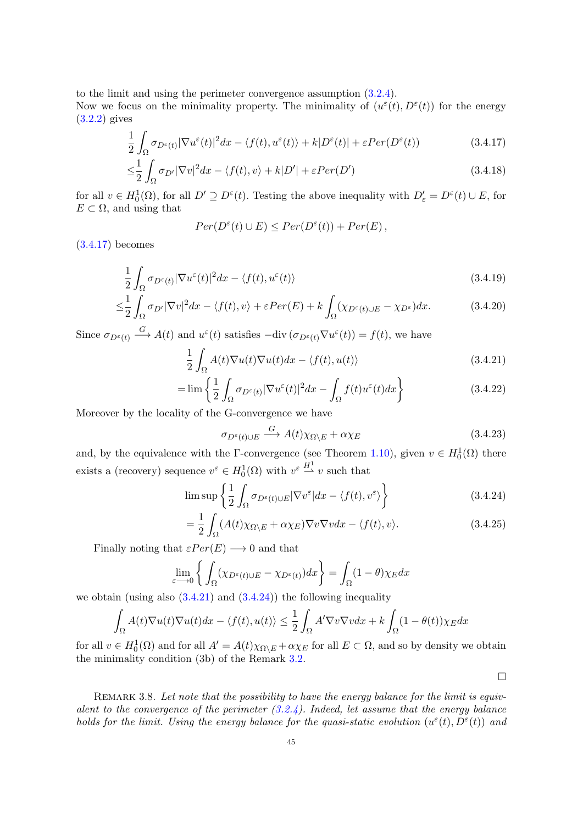to the limit and using the perimeter convergence assumption [\(3.2.4\)](#page-43-1).

Now we focus on the minimality property. The minimality of  $(u^{\varepsilon}(t), D^{\varepsilon}(t))$  for the energy [\(3.2.2\)](#page-42-1) gives

$$
\frac{1}{2} \int_{\Omega} \sigma_{D^{\varepsilon}(t)} |\nabla u^{\varepsilon}(t)|^2 dx - \langle f(t), u^{\varepsilon}(t) \rangle + k |D^{\varepsilon}(t)| + \varepsilon Per(D^{\varepsilon}(t)) \tag{3.4.17}
$$

$$
\leq \frac{1}{2} \int_{\Omega} \sigma_{D'} |\nabla v|^2 dx - \langle f(t), v \rangle + k|D'| + \varepsilon Per(D')
$$
\n(3.4.18)

for all  $v \in H_0^1(\Omega)$ , for all  $D' \supseteq D^{\varepsilon}(t)$ . Testing the above inequality with  $D'_{\varepsilon} = D^{\varepsilon}(t) \cup E$ , for  $E \subset \Omega$ , and using that

<span id="page-46-0"></span>
$$
Per(D^{\varepsilon}(t) \cup E) \leq Per(D^{\varepsilon}(t)) + Per(E),
$$

[\(3.4.17\)](#page-46-0) becomes

$$
\frac{1}{2} \int_{\Omega} \sigma_{D^{\varepsilon}(t)} |\nabla u^{\varepsilon}(t)|^2 dx - \langle f(t), u^{\varepsilon}(t) \rangle \tag{3.4.19}
$$

$$
\leq \frac{1}{2} \int_{\Omega} \sigma_{D'} |\nabla v|^2 dx - \langle f(t), v \rangle + \varepsilon Per(E) + k \int_{\Omega} (\chi_{D^{\varepsilon}(t) \cup E} - \chi_{D^{\varepsilon}}) dx.
$$
 (3.4.20)

Since  $\sigma_{D^{\varepsilon}(t)} \stackrel{G}{\longrightarrow} A(t)$  and  $u^{\varepsilon}(t)$  satisfies  $-\text{div}(\sigma_{D^{\varepsilon}(t)} \nabla u^{\varepsilon}(t)) = f(t)$ , we have

$$
\frac{1}{2} \int_{\Omega} A(t) \nabla u(t) \nabla u(t) dx - \langle f(t), u(t) \rangle \tag{3.4.21}
$$

$$
= \lim \left\{ \frac{1}{2} \int_{\Omega} \sigma_{D^{\varepsilon}(t)} |\nabla u^{\varepsilon}(t)|^2 dx - \int_{\Omega} f(t) u^{\varepsilon}(t) dx \right\}
$$
(3.4.22)

Moreover by the locality of the G-convergence we have

<span id="page-46-1"></span>
$$
\sigma_{D^{\varepsilon}(t)\cup E} \xrightarrow{G} A(t)\chi_{\Omega\setminus E} + \alpha \chi_E \tag{3.4.23}
$$

and, by the equivalence with the Γ-convergence (see Theorem [1.10\)](#page-17-0), given  $v \in H_0^1(\Omega)$  there exists a (recovery) sequence  $v^{\varepsilon} \in H_0^1(\Omega)$  with  $v^{\varepsilon} \stackrel{H_1^1}{\longrightarrow} v$  such that

$$
\limsup \left\{ \frac{1}{2} \int_{\Omega} \sigma_{D^{\varepsilon}(t) \cup E} |\nabla v^{\varepsilon}| dx - \langle f(t), v^{\varepsilon} \rangle \right\}
$$
(3.4.24)

$$
= \frac{1}{2} \int_{\Omega} (A(t)\chi_{\Omega \setminus E} + \alpha \chi_E) \nabla v \nabla v dx - \langle f(t), v \rangle.
$$
 (3.4.25)

<span id="page-46-2"></span> $\Box$ 

Finally noting that  $\varepsilon Per(E) \longrightarrow 0$  and that

$$
\lim_{\varepsilon \to 0} \left\{ \int_{\Omega} (\chi_{D^{\varepsilon}(t) \cup E} - \chi_{D^{\varepsilon}(t)}) dx \right\} = \int_{\Omega} (1 - \theta) \chi_E dx
$$

we obtain (using also  $(3.4.21)$  and  $(3.4.24)$ ) the following inequality

$$
\int_{\Omega} A(t) \nabla u(t) \nabla u(t) dx - \langle f(t), u(t) \rangle \le \frac{1}{2} \int_{\Omega} A' \nabla v \nabla v dx + k \int_{\Omega} (1 - \theta(t)) \chi_E dx
$$

for all  $v \in H_0^1(\Omega)$  and for all  $A' = A(t)\chi_{\Omega \backslash E} + \alpha \chi_E$  for all  $E \subset \Omega$ , and so by density we obtain the minimality condition (3b) of the Remark [3.2.](#page-41-0)

REMARK 3.8. Let note that the possibility to have the energy balance for the limit is equivalent to the convergence of the perimeter  $(3.2.4)$ . Indeed, let assume that the energy balance holds for the limit. Using the energy balance for the quasi-static evolution  $(u^{\varepsilon}(t), D^{\varepsilon}(t))$  and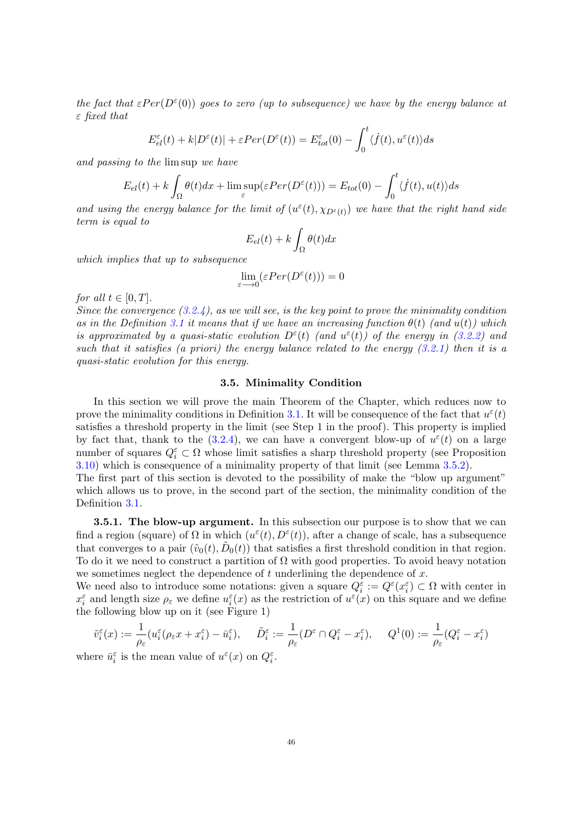the fact that  $\epsilon Per(D^{\epsilon}(0))$  goes to zero (up to subsequence) we have by the energy balance at  $\varepsilon$  fixed that

$$
E_{el}^{\varepsilon}(t) + k|D^{\varepsilon}(t)| + \varepsilon Per(D^{\varepsilon}(t)) = E_{tot}^{\varepsilon}(0) - \int_0^t \langle \dot{f}(t), u^{\varepsilon}(t) \rangle ds
$$

and passing to the lim sup we have

$$
E_{el}(t) + k \int_{\Omega} \theta(t) dx + \limsup_{\varepsilon} (\varepsilon Per(D^{\varepsilon}(t))) = E_{tot}(0) - \int_{0}^{t} \langle \dot{f}(t), u(t) \rangle ds
$$

and using the energy balance for the limit of  $(u^{\varepsilon}(t), \chi_{D^{\varepsilon}(t)})$  we have that the right hand side term is equal to

$$
E_{el}(t) + k \int_{\Omega} \theta(t) dx
$$

which implies that up to subsequence

$$
\lim_{\varepsilon \longrightarrow 0} (\varepsilon Per(D^\varepsilon(t))) = 0
$$

for all  $t \in [0, T]$ .

Since the convergence  $(3.2.4)$ , as we will see, is the key point to prove the minimality condition as in the Definition [3.1](#page-41-1) it means that if we have an increasing function  $\theta(t)$  (and  $u(t)$ ) which is approximated by a quasi-static evolution  $D^{\varepsilon}(t)$  (and  $u^{\varepsilon}(t)$ ) of the energy in [\(3.2.2\)](#page-42-1) and such that it satisfies (a priori) the energy balance related to the energy  $(3.2.1)$  then it is a quasi-static evolution for this energy.

### 3.5. Minimality Condition

In this section we will prove the main Theorem of the Chapter, which reduces now to prove the minimality conditions in Definition [3.1.](#page-41-1) It will be consequence of the fact that  $u^{\varepsilon}(t)$ satisfies a threshold property in the limit (see Step 1 in the proof). This property is implied by fact that, thank to the  $(3.2.4)$ , we can have a convergent blow-up of  $u^{\varepsilon}(t)$  on a large number of squares  $Q_i^{\varepsilon} \subset \Omega$  whose limit satisfies a sharp threshold property (see Proposition [3.10\)](#page-52-0) which is consequence of a minimality property of that limit (see Lemma [3.5.2\)](#page-50-0).

The first part of this section is devoted to the possibility of make the "blow up argument" which allows us to prove, in the second part of the section, the minimality condition of the Definition [3.1.](#page-41-1)

**3.5.1. The blow-up argument.** In this subsection our purpose is to show that we can find a region (square) of  $\Omega$  in which  $(u^{\varepsilon}(t), D^{\varepsilon}(t))$ , after a change of scale, has a subsequence that converges to a pair  $(\tilde{v}_0(t), \tilde{D}_0(t))$  that satisfies a first threshold condition in that region. To do it we need to construct a partition of  $\Omega$  with good properties. To avoid heavy notation we sometimes neglect the dependence of  $t$  underlining the dependence of  $x$ .

We need also to introduce some notations: given a square  $Q_i^{\varepsilon} := Q^{\varepsilon}(x_i^{\varepsilon}) \subset \Omega$  with center in  $x_i^{\varepsilon}$  and length size  $\rho_{\varepsilon}$  we define  $u_i^{\varepsilon}(x)$  as the restriction of  $u^{\varepsilon}(x)$  on this square and we define the following blow up on it (see Figure 1)

$$
\tilde{v}_i^{\varepsilon}(x) := \frac{1}{\rho_{\varepsilon}} (u_i^{\varepsilon}(\rho_{\varepsilon}x + x_i^{\varepsilon}) - \bar{u}_i^{\varepsilon}), \quad \tilde{D}_i^{\varepsilon} := \frac{1}{\rho_{\varepsilon}} (D^{\varepsilon} \cap Q_i^{\varepsilon} - x_i^{\varepsilon}), \quad Q^1(0) := \frac{1}{\rho_{\varepsilon}} (Q_i^{\varepsilon} - x_i^{\varepsilon})
$$

where  $\bar{u}_i^{\varepsilon}$  is the mean value of  $u^{\varepsilon}(x)$  on  $Q_i^{\varepsilon}$ .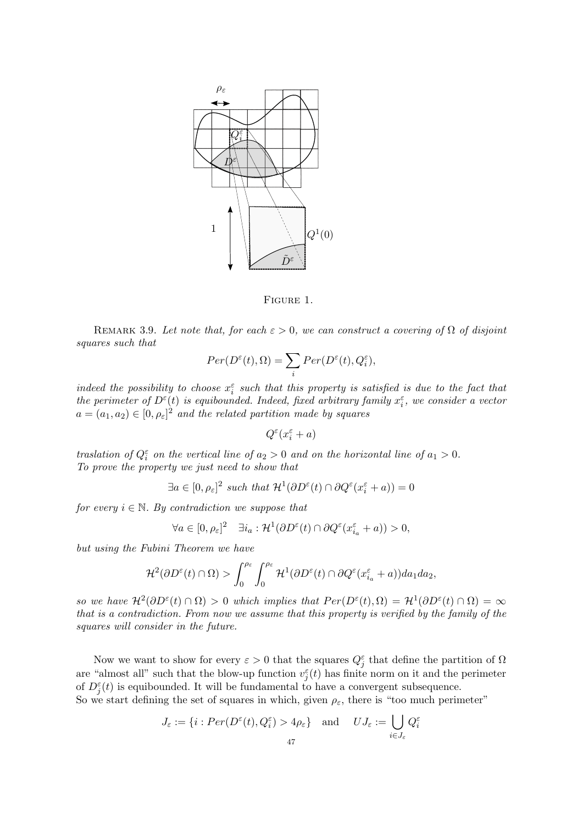

Figure 1.

<span id="page-48-0"></span>REMARK 3.9. Let note that, for each  $\varepsilon > 0$ , we can construct a covering of  $\Omega$  of disjoint squares such that

$$
Per(D^{\varepsilon}(t), \Omega) = \sum_{i} Per(D^{\varepsilon}(t), Q^{\varepsilon}_{i}),
$$

indeed the possibility to choose  $x_i^{\varepsilon}$  such that this property is satisfied is due to the fact that the perimeter of  $D^{\varepsilon}(t)$  is equibounded. Indeed, fixed arbitrary family  $x_i^{\varepsilon}$ , we consider a vector  $a = (a_1, a_2) \in [0, \rho_{\varepsilon}]^2$  and the related partition made by squares

$$
Q^\varepsilon(x_i^\varepsilon+a)
$$

traslation of  $Q_i^{\varepsilon}$  on the vertical line of  $a_2 > 0$  and on the horizontal line of  $a_1 > 0$ . To prove the property we just need to show that

$$
\exists a \in [0, \rho_{\varepsilon}]^2 \text{ such that } \mathcal{H}^1(\partial D^{\varepsilon}(t) \cap \partial Q^{\varepsilon}(x_i^{\varepsilon} + a)) = 0
$$

for every  $i \in \mathbb{N}$ . By contradiction we suppose that

$$
\forall a \in [0, \rho_{\varepsilon}]^2 \quad \exists i_a : \mathcal{H}^1(\partial D^{\varepsilon}(t) \cap \partial Q^{\varepsilon}(x_{i_a}^{\varepsilon} + a)) > 0,
$$

but using the Fubini Theorem we have

$$
\mathcal{H}^{2}(\partial D^{\varepsilon}(t) \cap \Omega) > \int_{0}^{\rho_{\varepsilon}} \int_{0}^{\rho_{\varepsilon}} \mathcal{H}^{1}(\partial D^{\varepsilon}(t) \cap \partial Q^{\varepsilon}(x_{i_{a}}^{\varepsilon}+a))da_{1}da_{2},
$$

so we have  $\mathcal{H}^2(\partial D^\varepsilon(t) \cap \Omega) > 0$  which implies that  $Per(D^\varepsilon(t), \Omega) = \mathcal{H}^1(\partial D^\varepsilon(t) \cap \Omega) = \infty$ that is a contradiction. From now we assume that this property is verified by the family of the squares will consider in the future.

Now we want to show for every  $\varepsilon > 0$  that the squares  $Q_j^{\varepsilon}$  that define the partition of  $\Omega$ are "almost all" such that the blow-up function  $v_j^{\varepsilon}(t)$  has finite norm on it and the perimeter of  $D_j^{\varepsilon}(t)$  is equibounded. It will be fundamental to have a convergent subsequence.

So we start defining the set of squares in which, given  $\rho_{\varepsilon}$ , there is "too much perimeter"

$$
J_{\varepsilon} := \{ i : Per(D^{\varepsilon}(t), Q^{\varepsilon}_i) > 4\rho_{\varepsilon} \} \quad \text{and} \quad UJ_{\varepsilon} := \bigcup_{i \in J_{\varepsilon}} Q^{\varepsilon}_i
$$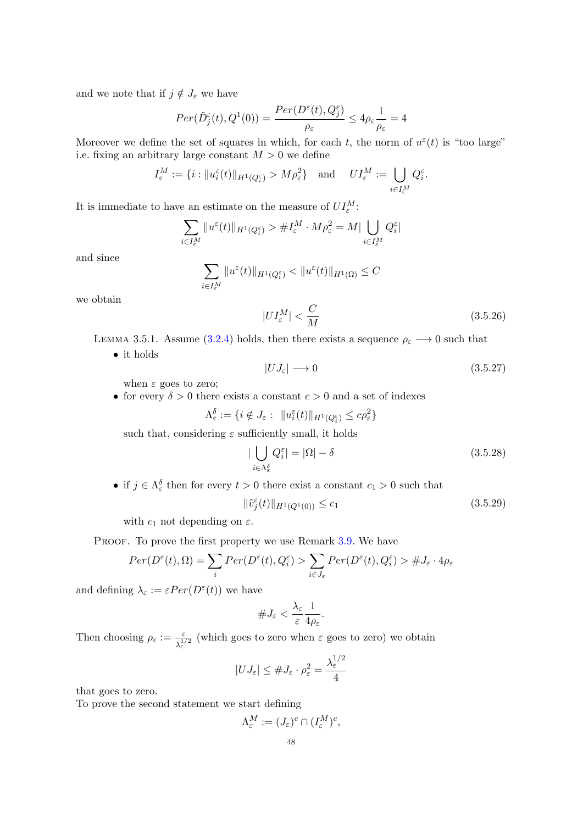and we note that if  $j \notin J_{\varepsilon}$  we have

$$
Per(\tilde{D}_{j}^{\varepsilon}(t), Q^{1}(0)) = \frac{Per(D^{\varepsilon}(t), Q_{j}^{\varepsilon})}{\rho_{\varepsilon}} \le 4\rho_{\varepsilon} \frac{1}{\rho_{\varepsilon}} = 4
$$

Moreover we define the set of squares in which, for each t, the norm of  $u^{\varepsilon}(t)$  is "too large" i.e. fixing an arbitrary large constant  $M > 0$  we define

$$
I_{\varepsilon}^M := \{ i : \| u_i^{\varepsilon}(t) \|_{H^1(Q_i^{\varepsilon})} > M \rho_{\varepsilon}^2 \} \quad \text{and} \quad U I_{\varepsilon}^M := \bigcup_{i \in I_{\varepsilon}^M} Q_i^{\varepsilon}.
$$

It is immediate to have an estimate on the measure of  $UI_{\varepsilon}^M$ :

$$
\sum_{i \in I_{\varepsilon}^M} \|u^{\varepsilon}(t)\|_{H^1(Q_{i}^{\varepsilon})} > \#I_{\varepsilon}^M \cdot M\rho_{\varepsilon}^2 = M \big| \bigcup_{i \in I_{\varepsilon}^M} Q_i^{\varepsilon} \big|
$$

and since

$$
\sum_{i \in I_{\varepsilon}^M} \|u^{\varepsilon}(t)\|_{H^1(Q_{i}^{\varepsilon})} < \|u^{\varepsilon}(t)\|_{H^1(\Omega)} \leq C
$$

we obtain

<span id="page-49-0"></span>
$$
|UI_{\varepsilon}^{M}| < \frac{C}{M}
$$
 (3.5.26)

<span id="page-49-2"></span>LEMMA 3.5.1. Assume [\(3.2.4\)](#page-43-1) holds, then there exists a sequence  $\rho_{\varepsilon} \longrightarrow 0$  such that

• it holds

<span id="page-49-1"></span>
$$
|UJ_{\varepsilon}| \longrightarrow 0 \tag{3.5.27}
$$

when  $\varepsilon$  goes to zero;

• for every  $\delta > 0$  there exists a constant  $c > 0$  and a set of indexes

$$
\Lambda_{\varepsilon}^{\delta} := \{ i \notin J_{\varepsilon} : \ \|u_i^{\varepsilon}(t)\|_{H^1(Q_i^{\varepsilon})} \le c\rho_{\varepsilon}^2 \}
$$

such that, considering  $\varepsilon$  sufficiently small, it holds

<span id="page-49-3"></span>
$$
|\bigcup_{i \in \Lambda_{\varepsilon}^{\delta}} Q_{i}^{\varepsilon}| = |\Omega| - \delta
$$
\n(3.5.28)

• if  $j \in \Lambda_{\varepsilon}^{\delta}$  then for every  $t > 0$  there exist a constant  $c_1 > 0$  such that

$$
\|\tilde{v}_j^{\varepsilon}(t)\|_{H^1(Q^1(0))} \le c_1
$$
\n(3.5.29)

with  $c_1$  not depending on  $\varepsilon$ .

PROOF. To prove the first property we use Remark [3.9.](#page-48-0) We have

$$
Per(D^{\varepsilon}(t), \Omega) = \sum_{i} Per(D^{\varepsilon}(t), Q^{\varepsilon}_i) > \sum_{i \in J_{\varepsilon}} Per(D^{\varepsilon}(t), Q^{\varepsilon}_i) > \#J_{\varepsilon} \cdot 4\rho_{\varepsilon}
$$

and defining  $\lambda_{\varepsilon} := \varepsilon Per(D^{\varepsilon}(t))$  we have

$$
\#J_{\varepsilon}<\frac{\lambda_{\varepsilon}}{\varepsilon}\frac{1}{4\rho_{\varepsilon}}.
$$

Then choosing  $\rho_{\varepsilon} := \frac{\varepsilon}{\lambda_{\varepsilon}^{1/2}}$  (which goes to zero when  $\varepsilon$  goes to zero) we obtain  $1/2$ 

$$
|UJ_{\varepsilon}| \leq \#J_{\varepsilon} \cdot \rho_{\varepsilon}^2 = \frac{\lambda_{\varepsilon}^{1/2}}{4}
$$

that goes to zero.

To prove the second statement we start defining

$$
\Lambda^M_{\varepsilon} := (J_{\varepsilon})^c \cap (I^M_{\varepsilon})^c,
$$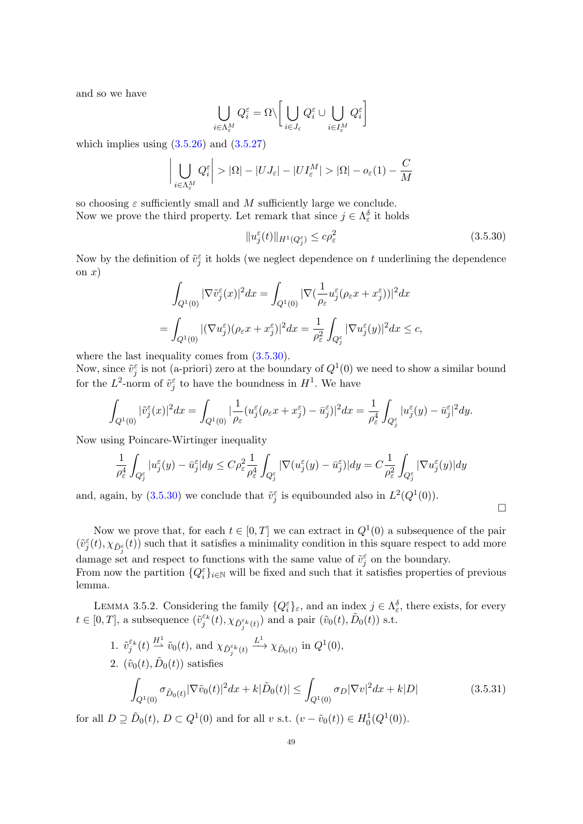and so we have

$$
\bigcup_{i\in\Lambda^M_\varepsilon}Q_i^\varepsilon=\Omega\backslash\bigg[\bigcup_{i\in J_\varepsilon}Q_i^\varepsilon\cup\bigcup_{i\in I^M_\varepsilon}Q_i^\varepsilon\bigg]
$$

which implies using  $(3.5.26)$  and  $(3.5.27)$ 

$$
\left| \bigcup_{i \in \Lambda_{\varepsilon}^{M}} Q_{i}^{\varepsilon} \right| > |\Omega| - |U J_{\varepsilon}| - |U I_{\varepsilon}^{M}| > |\Omega| - o_{\varepsilon}(1) - \frac{C}{M}
$$

so choosing  $\varepsilon$  sufficiently small and M sufficiently large we conclude. Now we prove the third property. Let remark that since  $j \in \Lambda_{\varepsilon}^{\delta}$  it holds

<span id="page-50-1"></span>
$$
||u_j^{\varepsilon}(t)||_{H^1(Q_j^{\varepsilon})} \leq c\rho_{\varepsilon}^2 \tag{3.5.30}
$$

 $\Box$ 

Now by the definition of  $\tilde{v}_j^{\varepsilon}$  it holds (we neglect dependence on t underlining the dependence on  $x)$ 

$$
\int_{Q^1(0)} |\nabla \tilde{v}_j^{\varepsilon}(x)|^2 dx = \int_{Q^1(0)} |\nabla (\frac{1}{\rho_{\varepsilon}} u_j^{\varepsilon}(\rho_{\varepsilon} x + x_j^{\varepsilon}))|^2 dx
$$
  
= 
$$
\int_{Q^1(0)} |(\nabla u_j^{\varepsilon})(\rho_{\varepsilon} x + x_j^{\varepsilon})|^2 dx = \frac{1}{\rho_{\varepsilon}^2} \int_{Q_j^{\varepsilon}} |\nabla u_j^{\varepsilon}(y)|^2 dx \leq c,
$$

where the last inequality comes from  $(3.5.30)$ .

Now, since  $\tilde{v}_j^{\varepsilon}$  is not (a-priori) zero at the boundary of  $Q^1(0)$  we need to show a similar bound for the  $L^2$ -norm of  $\tilde{v}_j^{\varepsilon}$  to have the boundness in  $H^1$ . We have

$$
\int_{Q^1(0)} |\tilde{v}_j^{\varepsilon}(x)|^2 dx = \int_{Q^1(0)} \left| \frac{1}{\rho_{\varepsilon}} (u_j^{\varepsilon}(\rho_{\varepsilon}x + x_j^{\varepsilon}) - \bar{u}_j^{\varepsilon}) \right|^2 dx = \frac{1}{\rho_{\varepsilon}^4} \int_{Q_j^{\varepsilon}} |u_j^{\varepsilon}(y) - \bar{u}_j^{\varepsilon}|^2 dy.
$$

Now using Poincare-Wirtinger inequality

$$
\frac{1}{\rho_\varepsilon^4}\int_{Q_j^\varepsilon}|u_j^\varepsilon(y)-\bar u_j^\varepsilon|dy\leq C\rho_\varepsilon^2\frac{1}{\rho_\varepsilon^4}\int_{Q_j^\varepsilon}|\nabla(u_j^\varepsilon(y)-\bar u_j^\varepsilon)|dy=C\frac{1}{\rho_\varepsilon^2}\int_{Q_j^\varepsilon}|\nabla u_j^\varepsilon(y)|dy
$$

and, again, by [\(3.5.30\)](#page-50-1) we conclude that  $\tilde{v}_j^{\varepsilon}$  is equibounded also in  $L^2(Q^1(0))$ .

Now we prove that, for each  $t \in [0, T]$  we can extract in  $Q^1(0)$  a subsequence of the pair  $(\tilde{v}_j^{\varepsilon}(t), \chi_{\tilde{D}_j^{\varepsilon}}(t))$  such that it satisfies a minimality condition in this square respect to add more damage set and respect to functions with the same value of  $\tilde{v}_j^{\varepsilon}$  on the boundary. From now the partition  ${Q_i^{\varepsilon}}_{i\in\mathbb{N}}$  will be fixed and such that it satisfies properties of previous lemma.

<span id="page-50-0"></span>LEMMA 3.5.2. Considering the family  $\{Q_i^{\varepsilon}\}_{\varepsilon}$ , and an index  $j \in \Lambda_{\varepsilon}^{\delta}$ , there exists, for every  $t \in [0,T]$ , a subsequence  $(\tilde{v}_j^{\varepsilon_k}(t), \chi_{\tilde{D}_j^{\varepsilon_k}(t)})$  and a pair  $(\tilde{v}_0(t), \tilde{D}_0(t))$  s.t.

<span id="page-50-2"></span>1. 
$$
\tilde{v}_{j}^{\varepsilon_{k}}(t) \xrightarrow{H^{1}} \tilde{v}_{0}(t)
$$
, and  $\chi_{\tilde{D}_{j}^{\varepsilon_{k}}(t)} \xrightarrow{L^{1}} \chi_{\tilde{D}_{0}(t)}$  in  $Q^{1}(0)$ ,  
\n2.  $(\tilde{v}_{0}(t), \tilde{D}_{0}(t))$  satisfies  
\n
$$
\int_{Q^{1}(0)} \sigma_{\tilde{D}_{0}(t)} |\nabla \tilde{v}_{0}(t)|^{2} dx + k|\tilde{D}_{0}(t)| \leq \int_{Q^{1}(0)} \sigma_{D} |\nabla v|^{2} dx + k|D|
$$
\n(3.5.31)

for all  $D \supseteq \tilde{D}_0(t)$ ,  $D \subset Q^1(0)$  and for all v s.t.  $(v - \tilde{v}_0(t)) \in H_0^1(Q^1(0))$ .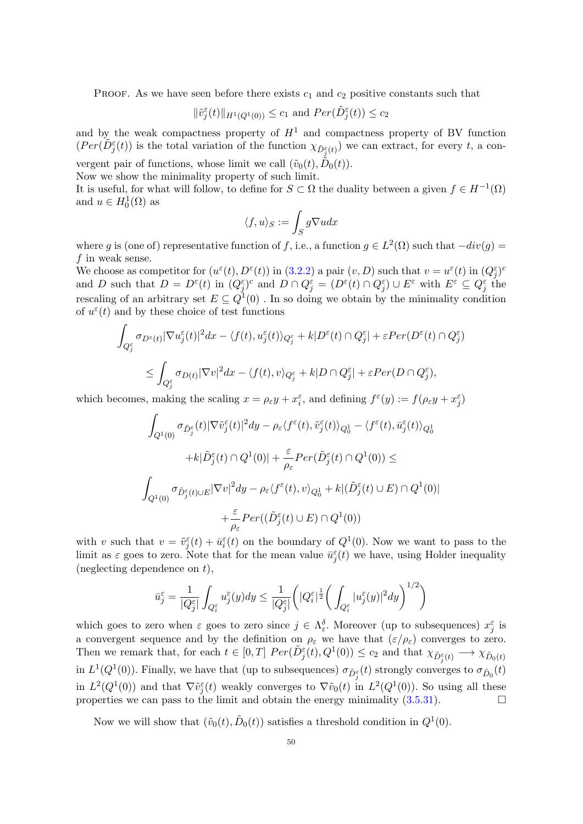PROOF. As we have seen before there exists  $c_1$  and  $c_2$  positive constants such that

$$
\|\tilde{v}_j^{\varepsilon}(t)\|_{H^1(Q^1(0))} \le c_1 \text{ and } Per(\tilde{D}_j^{\varepsilon}(t)) \le c_2
$$

and by the weak compactness property of  $H<sup>1</sup>$  and compactness property of BV function  $(Per(\tilde{D}_{j}^{\varepsilon}(t))$  is the total variation of the function  $\chi_{\tilde{D}_{j}^{\varepsilon}(t)})$  we can extract, for every t, a con-

vergent pair of functions, whose limit we call  $(\tilde{v}_0(t), \tilde{D}_0(t))$ . Now we show the minimality property of such limit.

It is useful, for what will follow, to define for  $S \subset \Omega$  the duality between a given  $f \in H^{-1}(\Omega)$ and  $u \in H_0^1(\Omega)$  as

$$
\langle f,u\rangle_S:=\int_S g\nabla u dx
$$

where g is (one of) representative function of f, i.e., a function  $g \in L^2(\Omega)$  such that  $-div(g) =$  $f$  in weak sense.

We choose as competitor for  $(u^{\varepsilon}(t), D^{\varepsilon}(t))$  in  $(3.2.2)$  a pair  $(v, D)$  such that  $v = u^{\varepsilon}(t)$  in  $(Q^{\varepsilon}_{j})^{c}$ and D such that  $D = D^{\varepsilon}(t)$  in  $(Q^{\varepsilon}_j)^c$  and  $D \cap Q^{\varepsilon}_j = (D^{\varepsilon}(t) \cap Q^{\varepsilon}_j) \cup E^{\varepsilon}$  with  $E^{\varepsilon} \subseteq Q^{\varepsilon}_j$  the rescaling of an arbitrary set  $E \subseteq Q^1(0)$ . In so doing we obtain by the minimality condition of  $u^{\varepsilon}(t)$  and by these choice of test functions

$$
\int_{Q_j^{\varepsilon}} \sigma_{D^{\varepsilon}(t)} |\nabla u_j^{\varepsilon}(t)|^2 dx - \langle f(t), u_j^{\varepsilon}(t) \rangle_{Q_j^{\varepsilon}} + k |D^{\varepsilon}(t) \cap Q_j^{\varepsilon}| + \varepsilon Per(D^{\varepsilon}(t) \cap Q_j^{\varepsilon})
$$
  

$$
\leq \int_{Q_j^{\varepsilon}} \sigma_{D(t)} |\nabla v|^2 dx - \langle f(t), v \rangle_{Q_j^{\varepsilon}} + k |D \cap Q_j^{\varepsilon}| + \varepsilon Per(D \cap Q_j^{\varepsilon}),
$$

which becomes, making the scaling  $x = \rho_{\varepsilon} y + x_i^{\varepsilon}$ , and defining  $f^{\varepsilon}(y) := f(\rho_{\varepsilon} y + x_j^{\varepsilon})$ 

$$
\begin{aligned}\n\int_{Q^1(0)} \sigma_{\tilde{D}_j^\varepsilon}(t) |\nabla \tilde{v}_j^\varepsilon(t)|^2 dy - \rho_\varepsilon \langle f^\varepsilon(t), \tilde{v}_j^\varepsilon(t) \rangle_{Q_0^1} - \langle f^\varepsilon(t), \bar{u}_j^\varepsilon(t) \rangle_{Q_0^1} \\
&\quad + k |\tilde{D}_j^\varepsilon(t) \cap Q^1(0)| + \frac{\varepsilon}{\rho_\varepsilon} Per(\tilde{D}_j^\varepsilon(t) \cap Q^1(0)) \leq \\
\int_{Q^1(0)} \sigma_{\tilde{D}_j^\varepsilon(t) \cup E} |\nabla v|^2 dy - \rho_\varepsilon \langle f^\varepsilon(t), v \rangle_{Q_0^1} + k |(\tilde{D}_j^\varepsilon(t) \cup E) \cap Q^1(0)| \\
&\quad + \frac{\varepsilon}{\rho_\varepsilon} Per((\tilde{D}_j^\varepsilon(t) \cup E) \cap Q^1(0))\n\end{aligned}
$$

with v such that  $v = \tilde{v}_j^{\varepsilon}(t) + \bar{u}_i^{\varepsilon}(t)$  on the boundary of  $Q^1(0)$ . Now we want to pass to the limit as  $\varepsilon$  goes to zero. Note that for the mean value  $\bar{u}_j^{\varepsilon}(t)$  we have, using Holder inequality (neglecting dependence on  $t$ ),

$$
\bar{u}_j^{\varepsilon} = \frac{1}{|Q_j^{\varepsilon}|} \int_{Q_i^{\varepsilon}} u_j^{\varepsilon}(y) dy \le \frac{1}{|Q_j^{\varepsilon}|} \left( |Q_i^{\varepsilon}|^{\frac{1}{2}} \left( \int_{Q_i^{\varepsilon}} |u_j^{\varepsilon}(y)|^2 dy \right)^{1/2} \right)
$$

which goes to zero when  $\varepsilon$  goes to zero since  $j \in \Lambda_{\varepsilon}^{\delta}$ . Moreover (up to subsequences)  $x_j^{\varepsilon}$  is a convergent sequence and by the definition on  $\rho_{\varepsilon}$  we have that  $(\varepsilon/\rho_{\varepsilon})$  converges to zero. Then we remark that, for each  $t \in [0,T]$   $Per(\tilde{D}_{j}^{\varepsilon}(t), Q^{1}(0)) \leq c_2$  and that  $\chi_{\tilde{D}_{j}^{\varepsilon}(t)} \longrightarrow \chi_{\tilde{D}_{0}(t)}$ in  $L^1(Q^1(0))$ . Finally, we have that (up to subsequences)  $\sigma_{\tilde{D}_j^{\varepsilon}}(t)$  strongly converges to  $\sigma_{\tilde{D}_0}(t)$ in  $L^2(Q^1(0))$  and that  $\nabla \tilde{v}^{\epsilon}_j(t)$  weakly converges to  $\nabla \tilde{v}_0(t)$  in  $L^2(Q^1(0))$ . So using all these properties we can pass to the limit and obtain the energy minimality [\(3.5.31\)](#page-50-2).

Now we will show that  $(\tilde{v}_0(t), \tilde{D}_0(t))$  satisfies a threshold condition in  $Q^1(0)$ .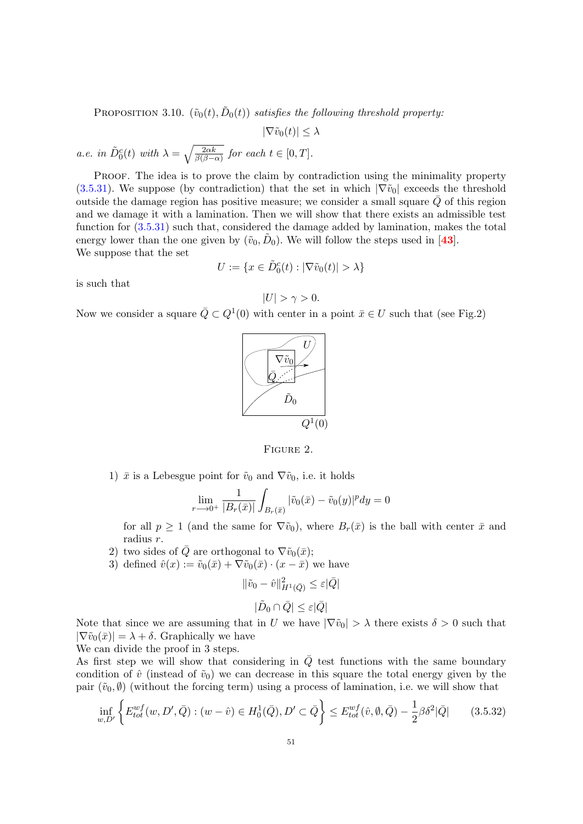<span id="page-52-0"></span>PROPOSITION 3.10.  $(\tilde{v}_0(t), \tilde{D}_0(t))$  satisfies the following threshold property:

 $|\nabla \tilde{v}_0(t)| \leq \lambda$ a.e. in  $\tilde{D}_0^c(t)$  with  $\lambda = \sqrt{\frac{2\alpha k}{\beta(\beta-\alpha)}}$  for each  $t \in [0, T]$ .

PROOF. The idea is to prove the claim by contradiction using the minimality property [\(3.5.31\)](#page-50-2). We suppose (by contradiction) that the set in which  $|\nabla \tilde{v}_0|$  exceeds the threshold outside the damage region has positive measure; we consider a small square  $\overline{Q}$  of this region and we damage it with a lamination. Then we will show that there exists an admissible test function for [\(3.5.31\)](#page-50-2) such that, considered the damage added by lamination, makes the total energy lower than the one given by  $(\tilde{v}_0, \tilde{D}_0)$ . We will follow the steps used in [[43](#page-82-0)]. We suppose that the set

$$
U:=\{x\in \tilde{D}^c_0(t): |\nabla \tilde{v}_0(t)|>\lambda\}
$$

is such that

$$
|U| > \gamma > 0.
$$

Now we consider a square  $\overline{Q} \subset Q^1(0)$  with center in a point  $\overline{x} \in U$  such that (see Fig.2)





1)  $\bar{x}$  is a Lebesgue point for  $\tilde{v}_0$  and  $\nabla \tilde{v}_0$ , i.e. it holds

$$
\lim_{r \to 0^+} \frac{1}{|B_r(\bar{x})|} \int_{B_r(\bar{x})} |\tilde{v}_0(\bar{x}) - \tilde{v}_0(y)|^p dy = 0
$$

for all  $p \ge 1$  (and the same for  $\nabla \tilde{v}_0$ ), where  $B_r(\bar{x})$  is the ball with center  $\bar{x}$  and radius r.

- 2) two sides of  $\overline{Q}$  are orthogonal to  $\nabla \tilde{v}_0(\overline{x});$
- 3) defined  $\hat{v}(x) := \tilde{v}_0(\bar{x}) + \nabla \tilde{v}_0(\bar{x}) \cdot (x \bar{x})$  we have

<span id="page-52-1"></span>
$$
\begin{aligned} \|\tilde{v}_0 - \hat{v}\|_{H^1(\bar{Q})}^2 \le \varepsilon |\bar{Q}| \\ |\tilde{D}_0 \cap \bar{Q}| \le \varepsilon |\bar{Q}| \end{aligned}
$$

Note that since we are assuming that in U we have  $|\nabla \tilde{v}_0| > \lambda$  there exists  $\delta > 0$  such that  $|\nabla \tilde{v}_0(\bar{x})| = \lambda + \delta$ . Graphically we have

We can divide the proof in 3 steps.

As first step we will show that considering in  $\overline{Q}$  test functions with the same boundary condition of  $\hat{v}$  (instead of  $\tilde{v}_0$ ) we can decrease in this square the total energy given by the pair  $(\tilde{v}_0, \emptyset)$  (without the forcing term) using a process of lamination, i.e. we will show that

$$
\inf_{w,D'} \left\{ E_{tot}^{wf}(w, D', \bar{Q}) : (w - \hat{v}) \in H_0^1(\bar{Q}), D' \subset \bar{Q} \right\} \le E_{tot}^{wf}(\hat{v}, \emptyset, \bar{Q}) - \frac{1}{2} \beta \delta^2 |\bar{Q}| \tag{3.5.32}
$$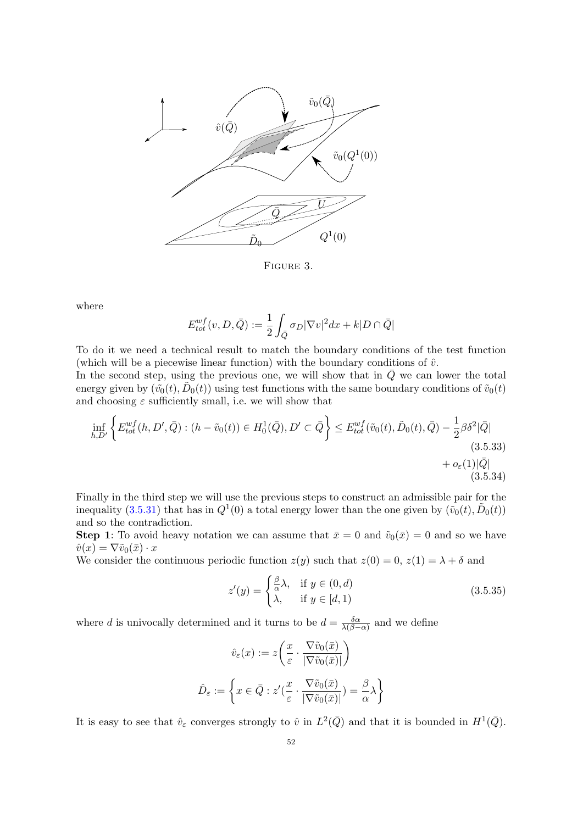

Figure 3.

where

$$
E_{tot}^{wf}(v, D, \bar{Q}) := \frac{1}{2} \int_{\bar{Q}} \sigma_D |\nabla v|^2 dx + k|D \cap \bar{Q}|
$$

To do it we need a technical result to match the boundary conditions of the test function (which will be a piecewise linear function) with the boundary conditions of  $\hat{v}$ .

In the second step, using the previous one, we will show that in  $\overline{Q}$  we can lower the total energy given by  $(\tilde{v}_0(t), \tilde{D}_0(t))$  using test functions with the same boundary conditions of  $\tilde{v}_0(t)$ and choosing  $\varepsilon$  sufficiently small, i.e. we will show that

$$
\inf_{h,D'} \left\{ E_{tot}^{wf}(h, D', \bar{Q}) : (h - \tilde{v}_0(t)) \in H_0^1(\bar{Q}), D' \subset \bar{Q} \right\} \le E_{tot}^{wf}(\tilde{v}_0(t), \tilde{D}_0(t), \bar{Q}) - \frac{1}{2} \beta \delta^2 |\bar{Q}|
$$
\n(3.5.33)\n
$$
+ o_{\varepsilon}(1)|\bar{Q}|
$$
\n(3.5.34)

Finally in the third step we will use the previous steps to construct an admissible pair for the inequality [\(3.5.31\)](#page-50-2) that has in  $Q^1(0)$  a total energy lower than the one given by  $(\tilde{v}_0(t), \tilde{D}_0(t))$ and so the contradiction.

**Step 1**: To avoid heavy notation we can assume that  $\bar{x} = 0$  and  $\tilde{v}_0(\bar{x}) = 0$  and so we have  $\hat{v}(x) = \nabla \tilde{v}_0(\bar{x}) \cdot x$ 

We consider the continuous periodic function  $z(y)$  such that  $z(0) = 0$ ,  $z(1) = \lambda + \delta$  and

<span id="page-53-0"></span>
$$
z'(y) = \begin{cases} \frac{\beta}{\alpha}\lambda, & \text{if } y \in (0, d) \\ \lambda, & \text{if } y \in [d, 1) \end{cases}
$$
 (3.5.35)

where d is univocally determined and it turns to be  $d = \frac{\delta \alpha}{\lambda / \beta}$  $\frac{\delta \alpha}{\lambda(\beta-\alpha)}$  and we define

$$
\hat{v}_{\varepsilon}(x) := z \left( \frac{x}{\varepsilon} \cdot \frac{\nabla \tilde{v}_0(\bar{x})}{|\nabla \tilde{v}_0(\bar{x})|} \right)
$$

$$
\hat{D}_{\varepsilon} := \left\{ x \in \bar{Q} : z'(\frac{x}{\varepsilon} \cdot \frac{\nabla \tilde{v}_0(\bar{x})}{|\nabla \tilde{v}_0(\bar{x})|}) = \frac{\beta}{\alpha} \lambda \right\}
$$

It is easy to see that  $\hat{v}_{\varepsilon}$  converges strongly to  $\hat{v}$  in  $L^2(\bar{Q})$  and that it is bounded in  $H^1(\bar{Q})$ .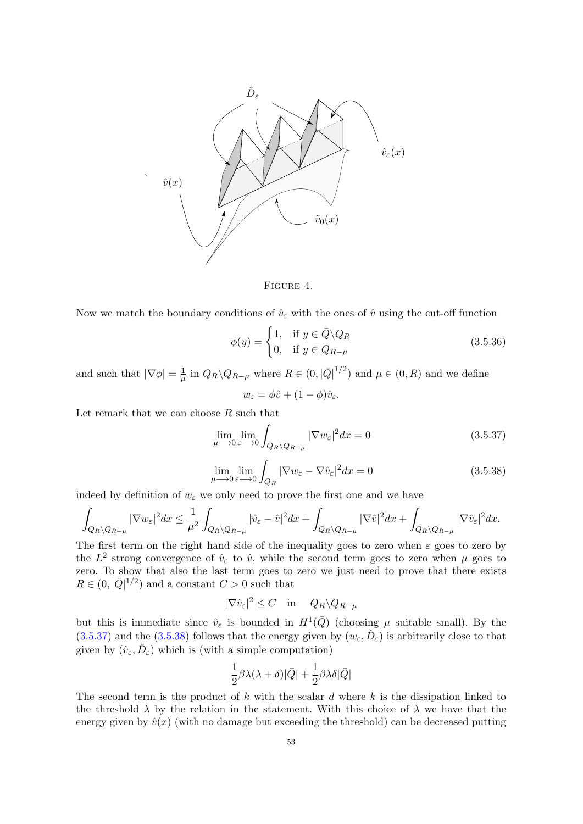

Figure 4.

Now we match the boundary conditions of  $\hat{v}_{\varepsilon}$  with the ones of  $\hat{v}$  using the cut-off function

$$
\phi(y) = \begin{cases} 1, & \text{if } y \in \bar{Q} \backslash Q_R \\ 0, & \text{if } y \in Q_{R-\mu} \end{cases}
$$
 (3.5.36)

and such that  $|\nabla \phi| = \frac{1}{\mu}$  $\frac{1}{\mu}$  in  $Q_R \backslash Q_{R-\mu}$  where  $R \in (0, |\bar{Q}|^{1/2})$  and  $\mu \in (0, R)$  and we define

$$
w_{\varepsilon} = \phi \hat{v} + (1 - \phi)\hat{v}_{\varepsilon}.
$$

Let remark that we can choose  $R$  such that

<span id="page-54-0"></span>
$$
\lim_{\mu \to 0} \lim_{\varepsilon \to 0} \int_{Q_R \setminus Q_{R-\mu}} |\nabla w_{\varepsilon}|^2 dx = 0
$$
\n(3.5.37)

<span id="page-54-1"></span>
$$
\lim_{\mu \to 0} \lim_{\varepsilon \to 0} \int_{Q_R} |\nabla w_{\varepsilon} - \nabla \hat{v}_{\varepsilon}|^2 dx = 0
$$
\n(3.5.38)

indeed by definition of  $w_\varepsilon$  we only need to prove the first one and we have

$$
\int_{Q_R\backslash Q_{R-\mu}}|\nabla w_{\varepsilon}|^2dx\leq \frac{1}{\mu^2}\int_{Q_R\backslash Q_{R-\mu}}|\hat{v}_{\varepsilon}-\hat{v}|^2dx+\int_{Q_R\backslash Q_{R-\mu}}|\nabla \hat{v}|^2dx+\int_{Q_R\backslash Q_{R-\mu}}|\nabla \hat{v}_{\varepsilon}|^2dx.
$$

The first term on the right hand side of the inequality goes to zero when  $\varepsilon$  goes to zero by the  $L^2$  strong convergence of  $\hat{v}_{\varepsilon}$  to  $\hat{v}$ , while the second term goes to zero when  $\mu$  goes to zero. To show that also the last term goes to zero we just need to prove that there exists  $R \in (0, |\bar{Q}|^{1/2})$  and a constant  $C > 0$  such that

$$
|\nabla \hat{v}_{\varepsilon}|^2 \le C \quad \text{in} \quad Q_R \backslash Q_{R-\mu}
$$

but this is immediate since  $\hat{v}_{\varepsilon}$  is bounded in  $H^1(\bar{Q})$  (choosing  $\mu$  suitable small). By the  $(3.5.37)$  and the  $(3.5.38)$  follows that the energy given by  $(w_\varepsilon, \hat{D}_\varepsilon)$  is arbitrarily close to that given by  $(\hat{v}_{\varepsilon}, \hat{D}_{\varepsilon})$  which is (with a simple computation)

$$
\frac{1}{2}\beta\lambda(\lambda+\delta)|\bar{Q}|+\frac{1}{2}\beta\lambda\delta|\bar{Q}|
$$

The second term is the product of k with the scalar d where  $k$  is the dissipation linked to the threshold  $\lambda$  by the relation in the statement. With this choice of  $\lambda$  we have that the energy given by  $\hat{v}(x)$  (with no damage but exceeding the threshold) can be decreased putting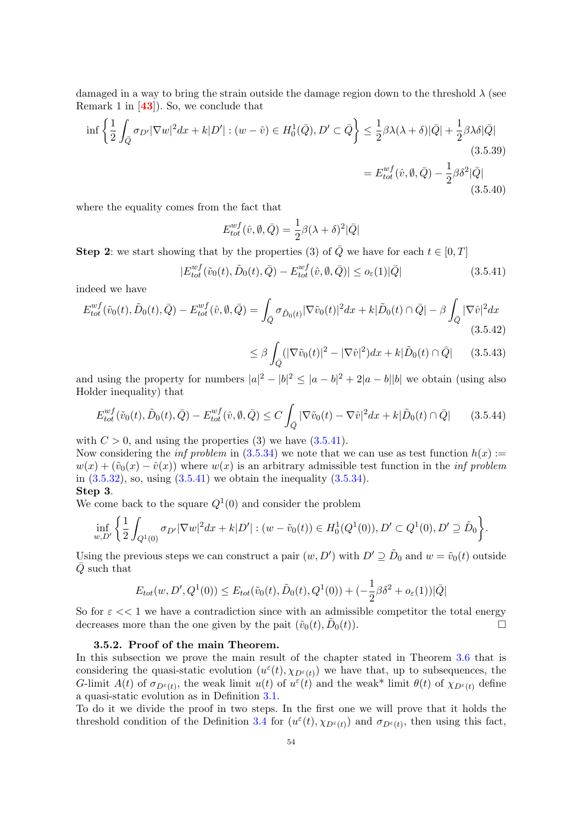damaged in a way to bring the strain outside the damage region down to the threshold  $\lambda$  (see Remark 1 in [[43](#page-82-0)]). So, we conclude that

$$
\inf \left\{ \frac{1}{2} \int_{\overline{Q}} \sigma_{D'} |\nabla w|^2 dx + k|D'| : (w - \hat{v}) \in H_0^1(\overline{Q}), D' \subset \overline{Q} \right\} \le \frac{1}{2} \beta \lambda (\lambda + \delta) |\overline{Q}| + \frac{1}{2} \beta \lambda \delta |\overline{Q}|
$$
\n(3.5.39)\n
$$
= E_{tot}^{wf}(\hat{v}, \emptyset, \overline{Q}) - \frac{1}{2} \beta \delta^2 |\overline{Q}|
$$
\n(3.5.40)

where the equality comes from the fact that

$$
E_{tot}^{wf}(\hat{v}, \emptyset, \bar{Q}) = \frac{1}{2}\beta(\lambda + \delta)^2|\bar{Q}|
$$

**Step 2:** we start showing that by the properties (3) of  $\overline{Q}$  we have for each  $t \in [0, T]$ 

<span id="page-55-0"></span>
$$
|E_{tot}^{wf}(\tilde{v}_0(t), \tilde{D}_0(t), \bar{Q}) - E_{tot}^{wf}(\hat{v}, \emptyset, \bar{Q})| \le o_{\varepsilon}(1)|\bar{Q}| \tag{3.5.41}
$$

indeed we have

$$
E_{tot}^{wf}(\tilde{v}_0(t), \tilde{D}_0(t), \bar{Q}) - E_{tot}^{wf}(\hat{v}, \emptyset, \bar{Q}) = \int_{\bar{Q}} \sigma_{\tilde{D}_0(t)} |\nabla \tilde{v}_0(t)|^2 dx + k|\tilde{D}_0(t) \cap \bar{Q}| - \beta \int_{\bar{Q}} |\nabla \hat{v}|^2 dx
$$
\n(3.5.42)

$$
\leq \beta \int_{\bar{Q}} (|\nabla \tilde{v}_0(t)|^2 - |\nabla \hat{v}|^2) dx + k|\tilde{D}_0(t) \cap \bar{Q}| \qquad (3.5.43)
$$

and using the property for numbers  $|a|^2 - |b|^2 \leq |a-b|^2 + 2|a-b||b|$  we obtain (using also Holder inequality) that

$$
E_{tot}^{wf}(\tilde{v}_0(t), \tilde{D}_0(t), \bar{Q}) - E_{tot}^{wf}(\hat{v}, \emptyset, \bar{Q}) \le C \int_{\bar{Q}} |\nabla \tilde{v}_0(t) - \nabla \hat{v}|^2 dx + k|\tilde{D}_0(t) \cap \bar{Q}| \qquad (3.5.44)
$$

with  $C > 0$ , and using the properties (3) we have  $(3.5.41)$ .

Now considering the *inf problem* in  $(3.5.34)$  we note that we can use as test function  $h(x) :=$  $w(x) + (\tilde{v}_0(x) - \hat{v}(x))$  where  $w(x)$  is an arbitrary admissible test function in the *inf problem* in  $(3.5.32)$ , so, using  $(3.5.41)$  we obtain the inequality  $(3.5.34)$ .

### Step 3.

We come back to the square  $Q^1(0)$  and consider the problem

$$
\inf_{w,D'}\left\{\frac{1}{2}\int_{Q^1(0)}\sigma_{D'}|\nabla w|^2dx+k|D'|:(w-\tilde{v}_0(t))\in H_0^1(Q^1(0)), D'\subset Q^1(0), D'\supseteq \tilde{D}_0\right\}.
$$

Using the previous steps we can construct a pair  $(w, D')$  with  $D' \supseteq \tilde{D}_0$  and  $w = \tilde{v}_0(t)$  outside  $\overline{Q}$  such that

$$
E_{tot}(w, D', Q^1(0)) \le E_{tot}(\tilde{v}_0(t), \tilde{D}_0(t), Q^1(0)) + (-\frac{1}{2}\beta \delta^2 + o_{\varepsilon}(1))|\bar{Q}|
$$

So for  $\varepsilon << 1$  we have a contradiction since with an admissible competitor the total energy decreases more than the one given by the pait  $(\tilde{v}_0(t), \tilde{D}_0(t))$ .

#### 3.5.2. Proof of the main Theorem.

In this subsection we prove the main result of the chapter stated in Theorem [3.6](#page-43-0) that is considering the quasi-static evolution  $(u^{\varepsilon}(t), \chi_{D^{\varepsilon}(t)})$  we have that, up to subsequences, the G-limit  $A(t)$  of  $\sigma_{D^{\epsilon}(t)}$ , the weak limit  $u(t)$  of  $u^{\epsilon}(t)$  and the weak\* limit  $\theta(t)$  of  $\chi_{D^{\epsilon}(t)}$  define a quasi-static evolution as in Definition [3.1.](#page-41-1)

To do it we divide the proof in two steps. In the first one we will prove that it holds the threshold condition of the Definition [3.4](#page-42-0) for  $(u^{\varepsilon}(t), \chi_{D^{\varepsilon}(t)})$  and  $\sigma_{D^{\varepsilon}(t)}$ , then using this fact,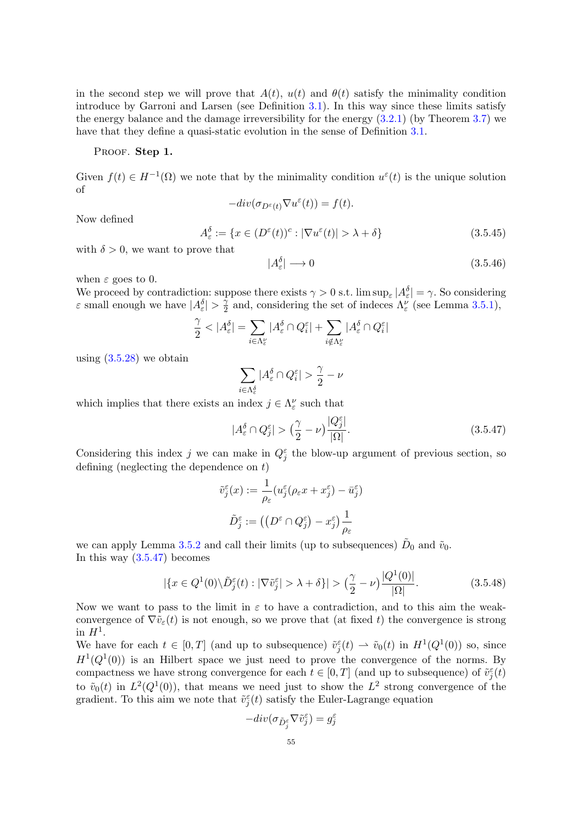in the second step we will prove that  $A(t)$ ,  $u(t)$  and  $\theta(t)$  satisfy the minimality condition introduce by Garroni and Larsen (see Definition [3.1\)](#page-41-1). In this way since these limits satisfy the energy balance and the damage irreversibility for the energy [\(3.2.1\)](#page-40-0) (by Theorem [3.7\)](#page-45-1) we have that they define a quasi-static evolution in the sense of Definition [3.1.](#page-41-1)

#### PROOF. Step 1.

Given  $f(t) \in H^{-1}(\Omega)$  we note that by the minimality condition  $u^{\varepsilon}(t)$  is the unique solution of

$$
-div(\sigma_{D^{\varepsilon}(t)}\nabla u^{\varepsilon}(t)) = f(t).
$$

Now defined

$$
A_{\varepsilon}^{\delta} := \{ x \in (D^{\varepsilon}(t))^c : |\nabla u^{\varepsilon}(t)| > \lambda + \delta \}
$$
\n(3.5.45)

with  $\delta > 0$ , we want to prove that

$$
|A_{\varepsilon}^{\delta}| \longrightarrow 0 \tag{3.5.46}
$$

when  $\varepsilon$  goes to 0.

We proceed by contradiction: suppose there exists  $\gamma > 0$  s.t.  $\limsup_{\varepsilon} |A_{\varepsilon}^{\delta}| = \gamma$ . So considering  $\varepsilon$  small enough we have  $|A_{\varepsilon}^{\delta}| > \frac{\gamma}{2}$  $\frac{\gamma}{2}$  and, considering the set of indeces  $\Lambda_{\varepsilon}^{\nu}$  (see Lemma [3.5.1\)](#page-49-2),

$$
\frac{\gamma}{2}<|A_{\varepsilon}^{\delta}|=\sum_{i\in\Lambda_{\varepsilon}^{\nu}}|A_{\varepsilon}^{\delta}\cap Q_{i}^{\varepsilon}|+\sum_{i\notin\Lambda_{\varepsilon}^{\nu}}|A_{\varepsilon}^{\delta}\cap Q_{i}^{\varepsilon}|
$$

using  $(3.5.28)$  we obtain

$$
\sum_{i\in\Lambda_{\varepsilon}^{\delta}}|A_{\varepsilon}^{\delta}\cap Q_{i}^{\varepsilon}|>\frac{\gamma}{2}-\nu
$$

which implies that there exists an index  $j \in \Lambda_{\varepsilon}^{\nu}$  such that

<span id="page-56-0"></span> $|A_{\varepsilon}^{\delta} \cap Q_{j}^{\varepsilon}| > (\frac{\gamma}{2})$  $\frac{\gamma}{2} - \nu \big) \frac{|Q_j^{\varepsilon}|}{|\Omega|}$ |Ω|  $(3.5.47)$ 

Considering this index j we can make in  $Q_j^{\varepsilon}$  the blow-up argument of previous section, so defining (neglecting the dependence on t)

$$
\tilde{v}_j^{\varepsilon}(x) := \frac{1}{\rho_{\varepsilon}} (u_j^{\varepsilon}(\rho_{\varepsilon}x + x_j^{\varepsilon}) - \bar{u}_j^{\varepsilon})
$$

$$
\tilde{D}_j^{\varepsilon} := ((D^{\varepsilon} \cap Q_j^{\varepsilon}) - x_j^{\varepsilon}) \frac{1}{\rho_{\varepsilon}}
$$

we can apply Lemma [3.5.2](#page-50-0) and call their limits (up to subsequences)  $\tilde{D}_0$  and  $\tilde{v}_0$ . In this way  $(3.5.47)$  becomes

<span id="page-56-1"></span>
$$
|\{x \in Q^1(0) \setminus \tilde{D}_j^{\varepsilon}(t) : |\nabla \tilde{v}_j^{\varepsilon}| > \lambda + \delta\}| > \left(\frac{\gamma}{2} - \nu\right) \frac{|Q^1(0)|}{|\Omega|}.\tag{3.5.48}
$$

Now we want to pass to the limit in  $\varepsilon$  to have a contradiction, and to this aim the weakconvergence of  $\nabla \tilde{v}_{\varepsilon}(t)$  is not enough, so we prove that (at fixed t) the convergence is strong in  $H^1$ .

We have for each  $t \in [0,T]$  (and up to subsequence)  $\tilde{v}_j^{\varepsilon}(t) \rightharpoonup \tilde{v}_0(t)$  in  $H^1(Q^1(0))$  so, since  $H^1(Q^1(0))$  is an Hilbert space we just need to prove the convergence of the norms. By compactness we have strong convergence for each  $t \in [0, T]$  (and up to subsequence) of  $\tilde{v}_j^{\varepsilon}(t)$ to  $\tilde{v}_0(t)$  in  $L^2(Q^1(0))$ , that means we need just to show the  $L^2$  strong convergence of the gradient. To this aim we note that  $\tilde{v}_j^{\varepsilon}(t)$  satisfy the Euler-Lagrange equation

$$
-div(\sigma_{\tilde{D}_{j}^{\varepsilon}}\nabla\tilde{v}_{j}^{\varepsilon})=g_{j}^{\varepsilon}
$$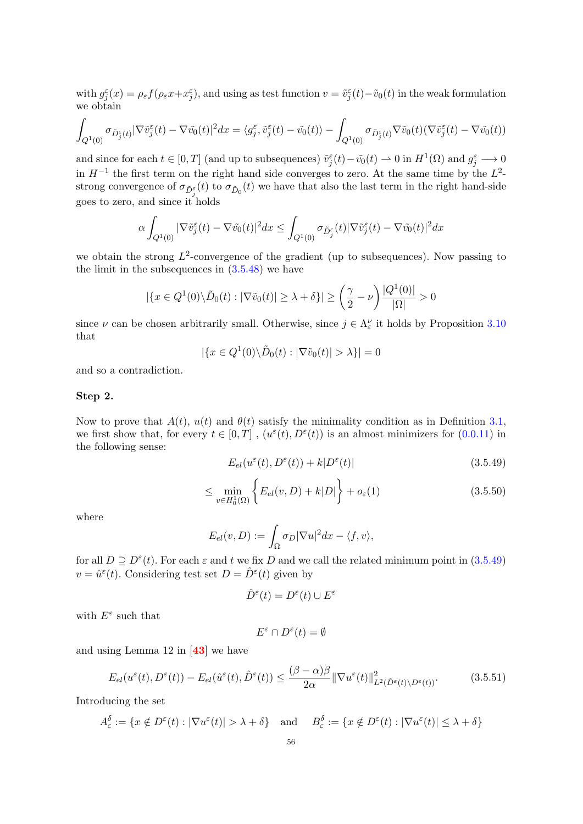with  $g_j^{\varepsilon}(x) = \rho_{\varepsilon} f(\rho_{\varepsilon} x + x_j^{\varepsilon})$ , and using as test function  $v = \tilde{v}_j^{\varepsilon}(t) - \tilde{v}_0(t)$  in the weak formulation we obtain

$$
\int_{Q^1(0)}\sigma_{\tilde{D}_j^\varepsilon(t)}|\nabla \tilde{v}_j^\varepsilon(t)-\nabla \tilde{v}_0(t)|^2dx=\langle g_j^\varepsilon,\tilde{v}_j^\varepsilon(t)-\tilde{v}_0(t)\rangle-\int_{Q^1(0)}\sigma_{\tilde{D}_j^\varepsilon(t)}\nabla \tilde{v}_0(t)(\nabla \tilde{v}_j^\varepsilon(t)-\nabla \tilde{v}_0(t))
$$

and since for each  $t \in [0, T]$  (and up to subsequences)  $\tilde{v}_j^{\varepsilon}(t) - \tilde{v}_0(t) \rightharpoonup 0$  in  $H^1(\Omega)$  and  $g_j^{\varepsilon} \longrightarrow 0$ in  $H^{-1}$  the first term on the right hand side converges to zero. At the same time by the  $L^2$ strong convergence of  $\sigma_{\tilde{D}_{j}^{\varepsilon}}(t)$  to  $\sigma_{\tilde{D}_{0}}(t)$  we have that also the last term in the right hand-side goes to zero, and since it holds

$$
\alpha \int_{Q^1(0)} |\nabla \tilde{v}_j^{\varepsilon}(t) - \nabla \tilde{v}_0(t)|^2 dx \le \int_{Q^1(0)} \sigma_{\tilde{D}_j^{\varepsilon}}(t) |\nabla \tilde{v}_j^{\varepsilon}(t) - \nabla \tilde{v}_0(t)|^2 dx
$$

we obtain the strong  $L^2$ -convergence of the gradient (up to subsequences). Now passing to the limit in the subsequences in [\(3.5.48\)](#page-56-1) we have

$$
|\{x \in Q^1(0) \setminus \tilde{D}_0(t) : |\nabla \tilde{v}_0(t)| \ge \lambda + \delta\}| \ge \left(\frac{\gamma}{2} - \nu\right) \frac{|Q^1(0)|}{|\Omega|} > 0
$$

since  $\nu$  can be chosen arbitrarily small. Otherwise, since  $j \in \Lambda_{\varepsilon}^{\nu}$  it holds by Proposition [3.10](#page-52-0) that

$$
|\{x \in Q^1(0) \setminus \tilde{D}_0(t) : |\nabla \tilde{v}_0(t)| > \lambda\}| = 0
$$

and so a contradiction.

### Step 2.

Now to prove that  $A(t)$ ,  $u(t)$  and  $\theta(t)$  satisfy the minimality condition as in Definition [3.1,](#page-41-1) we first show that, for every  $t \in [0,T]$ ,  $(u^{\varepsilon}(t), D^{\varepsilon}(t))$  is an almost minimizers for  $(0.0.11)$  in the following sense:

<span id="page-57-0"></span>
$$
E_{el}(u^{\varepsilon}(t), D^{\varepsilon}(t)) + k|D^{\varepsilon}(t)|
$$
\n(3.5.49)

$$
\leq \min_{v \in H_0^1(\Omega)} \left\{ E_{el}(v, D) + k|D| \right\} + o_{\varepsilon}(1) \tag{3.5.50}
$$

where

$$
E_{el}(v, D) := \int_{\Omega} \sigma_D |\nabla u|^2 dx - \langle f, v \rangle,
$$

for all  $D \supseteq D^{\varepsilon}(t)$ . For each  $\varepsilon$  and t we fix D and we call the related minimum point in  $(3.5.49)$  $v = \hat{u}^{\varepsilon}(t)$ . Considering test set  $D = \hat{D}^{\varepsilon}(t)$  given by

$$
\hat{D}^{\varepsilon}(t) = D^{\varepsilon}(t) \cup E^{\varepsilon}
$$

with  $E^{\varepsilon}$  such that

$$
E^{\varepsilon} \cap D^{\varepsilon}(t) = \emptyset
$$

and using Lemma 12 in [[43](#page-82-0)] we have

<span id="page-57-1"></span>
$$
E_{el}(u^{\varepsilon}(t), D^{\varepsilon}(t)) - E_{el}(\hat{u}^{\varepsilon}(t), \hat{D}^{\varepsilon}(t)) \le \frac{(\beta - \alpha)\beta}{2\alpha} \|\nabla u^{\varepsilon}(t)\|_{L^{2}(\hat{D}^{\varepsilon}(t)\setminus D^{\varepsilon}(t))}^{2}.
$$
 (3.5.51)

Introducing the set

$$
A_{\varepsilon}^{\delta} := \{ x \notin D^{\varepsilon}(t) : |\nabla u^{\varepsilon}(t)| > \lambda + \delta \} \quad \text{and} \quad B_{\varepsilon}^{\delta} := \{ x \notin D^{\varepsilon}(t) : |\nabla u^{\varepsilon}(t)| \le \lambda + \delta \}
$$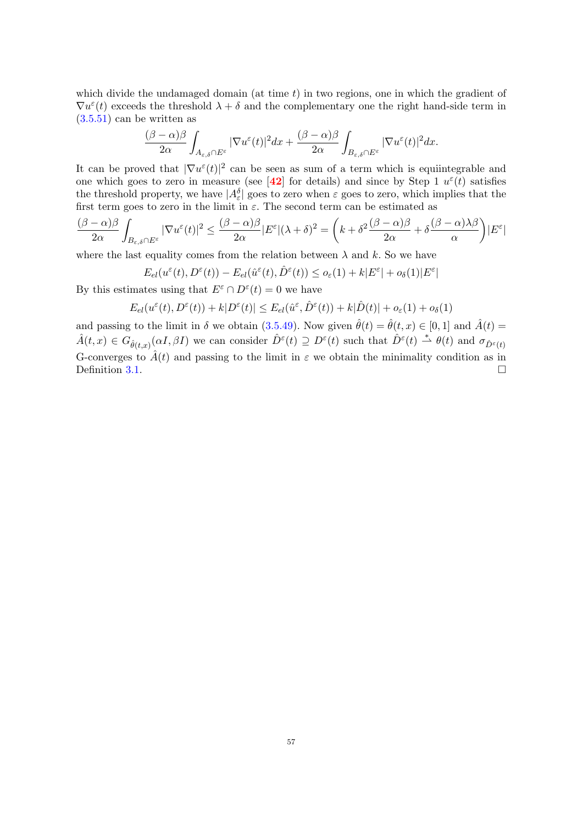which divide the undamaged domain (at time  $t$ ) in two regions, one in which the gradient of  $\nabla u^{\varepsilon}(t)$  exceeds the threshold  $\lambda + \delta$  and the complementary one the right hand-side term in  $(3.5.51)$  can be written as

$$
\frac{(\beta-\alpha)\beta}{2\alpha}\int_{A_{\varepsilon,\delta}\cap E^{\varepsilon}}|\nabla u^{\varepsilon}(t)|^{2}dx+\frac{(\beta-\alpha)\beta}{2\alpha}\int_{B_{\varepsilon,\delta}\cap E^{\varepsilon}}|\nabla u^{\varepsilon}(t)|^{2}dx.
$$

It can be proved that  $|\nabla u^{\varepsilon}(t)|^2$  can be seen as sum of a term which is equiintegrable and one which goes to zero in measure (see [[42](#page-82-2)] for details) and since by Step 1  $u^{\varepsilon}(t)$  satisfies the threshold property, we have  $|A_{\varepsilon}^{\delta}|$  goes to zero when  $\varepsilon$  goes to zero, which implies that the first term goes to zero in the limit in  $\varepsilon$ . The second term can be estimated as

$$
\frac{(\beta-\alpha)\beta}{2\alpha}\int_{B_{\varepsilon,\delta}\cap E^\varepsilon}|\nabla u^\varepsilon(t)|^2\leq \frac{(\beta-\alpha)\beta}{2\alpha}|E^\varepsilon|(\lambda+\delta)^2=\bigg(k+\delta^2\frac{(\beta-\alpha)\beta}{2\alpha}+\delta\frac{(\beta-\alpha)\lambda\beta}{\alpha}\bigg)|E^\varepsilon|
$$

where the last equality comes from the relation between  $\lambda$  and k. So we have

$$
E_{el}(u^{\varepsilon}(t), D^{\varepsilon}(t)) - E_{el}(\hat{u}^{\varepsilon}(t), \hat{D}^{\varepsilon}(t)) \leq o_{\varepsilon}(1) + k|E^{\varepsilon}| + o_{\delta}(1)|E^{\varepsilon}|
$$

By this estimates using that  $E^{\varepsilon} \cap D^{\varepsilon}(t) = 0$  we have

$$
E_{el}(u^{\varepsilon}(t),D^{\varepsilon}(t)) + k|D^{\varepsilon}(t)| \leq E_{el}(\hat{u}^{\varepsilon},\hat{D}^{\varepsilon}(t)) + k|\hat{D}(t)| + o_{\varepsilon}(1) + o_{\delta}(1)
$$

and passing to the limit in  $\delta$  we obtain [\(3.5.49\)](#page-57-0). Now given  $\hat{\theta}(t) = \hat{\theta}(t, x) \in [0, 1]$  and  $\hat{A}(t) =$  $\hat{A}(t,x) \in G_{\hat{\theta}(t,x)}(\alpha I, \beta I)$  we can consider  $\hat{D}^{\varepsilon}(t) \supseteq D^{\varepsilon}(t)$  such that  $\hat{D}^{\varepsilon}(t) \stackrel{*}{\rightharpoonup} \theta(t)$  and  $\sigma_{\hat{D}^{\varepsilon}(t)}$ G-converges to  $\hat{A}(t)$  and passing to the limit in  $\varepsilon$  we obtain the minimality condition as in Definition [3.1.](#page-41-1)  $\Box$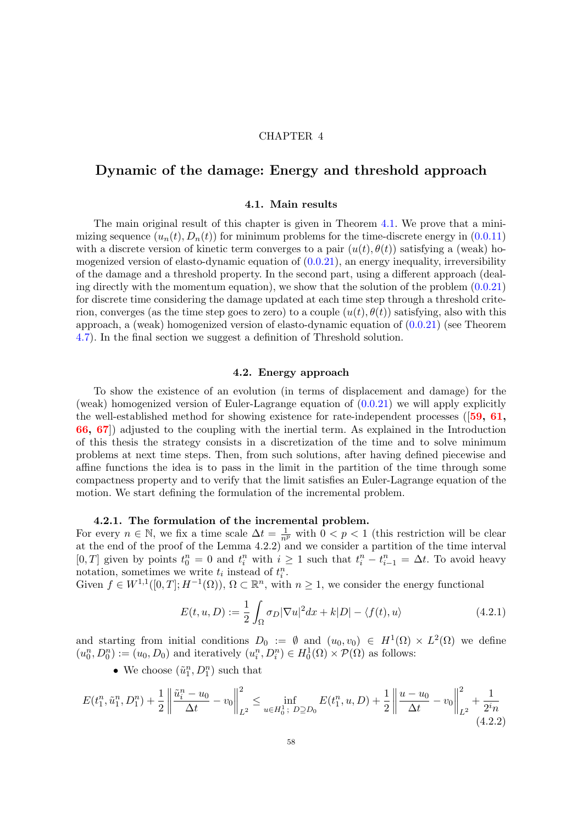### CHAPTER 4

## Dynamic of the damage: Energy and threshold approach

#### 4.1. Main results

The main original result of this chapter is given in Theorem [4.1.](#page-61-0) We prove that a minimizing sequence  $(u_n(t), D_n(t))$  for minimum problems for the time-discrete energy in  $(0.0.11)$ with a discrete version of kinetic term converges to a pair  $(u(t), \theta(t))$  satisfying a (weak) homogenized version of elasto-dynamic equation of  $(0.0.21)$ , an energy inequality, irreversibility of the damage and a threshold property. In the second part, using a different approach (dealing directly with the momentum equation), we show that the solution of the problem  $(0.0.21)$ for discrete time considering the damage updated at each time step through a threshold criterion, converges (as the time step goes to zero) to a couple  $(u(t), \theta(t))$  satisfying, also with this approach, a (weak) homogenized version of elasto-dynamic equation of [\(0.0.21\)](#page-10-0) (see Theorem [4.7\)](#page-76-0). In the final section we suggest a definition of Threshold solution.

#### 4.2. Energy approach

To show the existence of an evolution (in terms of displacement and damage) for the (weak) homogenized version of Euler-Lagrange equation of  $(0.0.21)$  we will apply explicitly the well-established method for showing existence for rate-independent processes  $(59, 61, 1)$  $(59, 61, 1)$  $(59, 61, 1)$  $(59, 61, 1)$  $(59, 61, 1)$ [66,](#page-83-4) [67](#page-83-5)]) adjusted to the coupling with the inertial term. As explained in the Introduction of this thesis the strategy consists in a discretization of the time and to solve minimum problems at next time steps. Then, from such solutions, after having defined piecewise and affine functions the idea is to pass in the limit in the partition of the time through some compactness property and to verify that the limit satisfies an Euler-Lagrange equation of the motion. We start defining the formulation of the incremental problem.

#### 4.2.1. The formulation of the incremental problem.

For every  $n \in \mathbb{N}$ , we fix a time scale  $\Delta t = \frac{1}{n^p}$  with  $0 \le p \le 1$  (this restriction will be clear at the end of the proof of the Lemma 4.2.2) and we consider a partition of the time interval [0, T] given by points  $t_0^n = 0$  and  $t_i^n$  with  $i \geq 1$  such that  $t_i^n - t_{i-1}^n = \Delta t$ . To avoid heavy notation, sometimes we write  $t_i$  instead of  $t_i^n$ .

Given  $f \in W^{1,1}([0,T];H^{-1}(\Omega))$ ,  $\Omega \subset \mathbb{R}^n$ , with  $n \geq 1$ , we consider the energy functional

$$
E(t, u, D) := \frac{1}{2} \int_{\Omega} \sigma_D |\nabla u|^2 dx + k|D| - \langle f(t), u \rangle \tag{4.2.1}
$$

and starting from initial conditions  $D_0 := \emptyset$  and  $(u_0, v_0) \in H^1(\Omega) \times L^2(\Omega)$  we define  $(u_0^n, D_0^n) := (u_0, D_0)$  and iteratively  $(u_i^n, D_i^n) \in H_0^1(\Omega) \times \mathcal{P}(\Omega)$  as follows:

• We choose  $(\tilde{u}_1^n, D_1^n)$  such that

$$
E(t_1^n, \tilde{u}_1^n, D_1^n) + \frac{1}{2} \left\| \frac{\tilde{u}_i^n - u_0}{\Delta t} - v_0 \right\|_{L^2}^2 \le \inf_{u \in H_0^1; \ D \supseteq D_0} E(t_1^n, u, D) + \frac{1}{2} \left\| \frac{u - u_0}{\Delta t} - v_0 \right\|_{L^2}^2 + \frac{1}{2^i n} \tag{4.2.2}
$$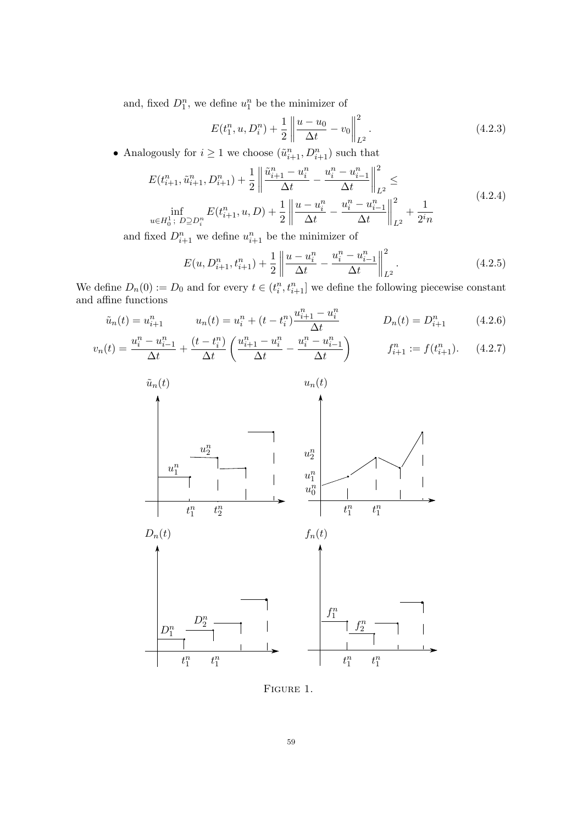and, fixed  $D_1^n$ , we define  $u_1^n$  be the minimizer of

$$
E(t_1^n, u, D_i^n) + \frac{1}{2} \left\| \frac{u - u_0}{\Delta t} - v_0 \right\|_{L^2}^2.
$$
 (4.2.3)

<span id="page-60-3"></span>• Analogously for  $i \geq 1$  we choose  $(\tilde{u}_{i+1}^n, D_{i+1}^n)$  such that

$$
E(t_{i+1}^n, \tilde{u}_{i+1}^n, D_{i+1}^n) + \frac{1}{2} \left\| \frac{\tilde{u}_{i+1}^n - u_i^n}{\Delta t} - \frac{u_i^n - u_{i-1}^n}{\Delta t} \right\|_{L^2}^2 \le
$$
  
\n
$$
\inf_{u \in H_0^1; D \supseteq D_i^n} E(t_{i+1}^n, u, D) + \frac{1}{2} \left\| \frac{u - u_i^n}{\Delta t} - \frac{u_i^n - u_{i-1}^n}{\Delta t} \right\|_{L^2}^2 + \frac{1}{2^i n}
$$
\n(4.2.4)

and fixed  $D_{i+1}^n$  we define  $u_{i+1}^n$  be the minimizer of

<span id="page-60-2"></span>
$$
E(u, D_{i+1}^n, t_{i+1}^n) + \frac{1}{2} \left\| \frac{u - u_i^n}{\Delta t} - \frac{u_i^n - u_{i-1}^n}{\Delta t} \right\|_{L^2}^2.
$$
 (4.2.5)

We define  $D_n(0) := D_0$  and for every  $t \in (t_i^n, t_{i+1}^n]$  we define the following piecewise constant and affine functions

<span id="page-60-0"></span>
$$
\tilde{u}_n(t) = u_{i+1}^n \qquad u_n(t) = u_i^n + (t - t_i^n) \frac{u_{i+1}^n - u_i^n}{\Delta t} \qquad D_n(t) = D_{i+1}^n \qquad (4.2.6)
$$

<span id="page-60-1"></span>
$$
v_n(t) = \frac{u_i^n - u_{i-1}^n}{\Delta t} + \frac{(t - t_i^n)}{\Delta t} \left( \frac{u_{i+1}^n - u_i^n}{\Delta t} - \frac{u_i^n - u_{i-1}^n}{\Delta t} \right) \qquad f_{i+1}^n := f(t_{i+1}^n). \tag{4.2.7}
$$



Figure 1.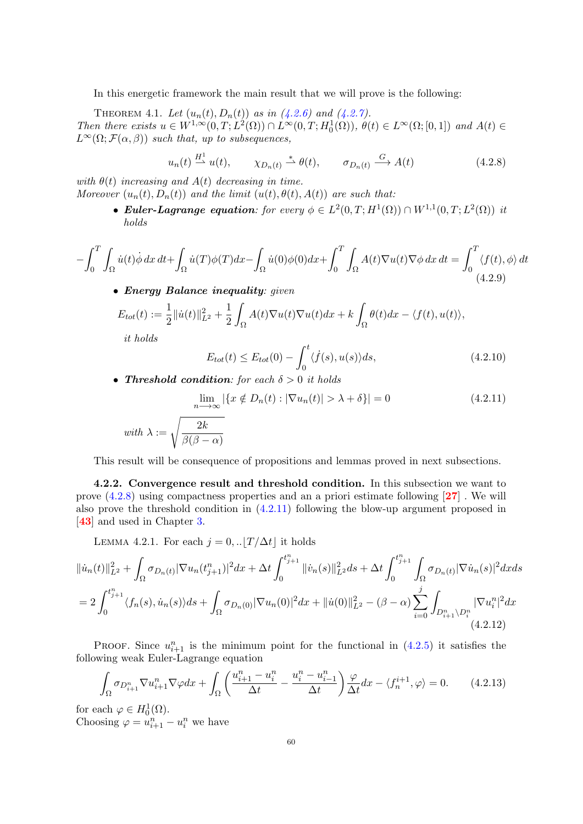In this energetic framework the main result that we will prove is the following:

<span id="page-61-0"></span>THEOREM 4.1. Let  $(u_n(t), D_n(t))$  as in  $(4.2.6)$  and  $(4.2.7)$ . Then there exists  $u \in W^{1,\infty}(0,T; L^2(\Omega)) \cap L^{\infty}(0,T; H_0^1(\Omega)), \ \theta(t) \in L^{\infty}(\Omega; [0,1])$  and  $A(t) \in$  $L^{\infty}(\Omega; \mathcal{F}(\alpha, \beta))$  such that, up to subsequences,

<span id="page-61-1"></span>
$$
u_n(t) \stackrel{H^1}{\longrightarrow} u(t), \qquad \chi_{D_n(t)} \stackrel{*}{\longrightarrow} \theta(t), \qquad \sigma_{D_n(t)} \stackrel{G}{\longrightarrow} A(t) \tag{4.2.8}
$$

with  $\theta(t)$  increasing and  $A(t)$  decreasing in time. Moreover  $(u_n(t), D_n(t))$  and the limit  $(u(t), \theta(t), A(t))$  are such that:

> • Euler-Lagrange equation: for every  $\phi \in L^2(0,T;H^1(\Omega)) \cap W^{1,1}(0,T;L^2(\Omega))$  it holds

$$
-\int_0^T \int_{\Omega} \dot{u}(t) \dot{\phi} \, dx \, dt + \int_{\Omega} \dot{u}(T) \phi(T) dx - \int_{\Omega} \dot{u}(0) \phi(0) dx + \int_0^T \int_{\Omega} A(t) \nabla u(t) \nabla \phi \, dx \, dt = \int_0^T \langle f(t), \phi \rangle \, dt
$$
\n(4.2.9)

• Energy Balance inequality: given

$$
E_{tot}(t) := \frac{1}{2} ||\dot{u}(t)||_{L^2}^2 + \frac{1}{2} \int_{\Omega} A(t) \nabla u(t) \nabla u(t) dx + k \int_{\Omega} \theta(t) dx - \langle f(t), u(t) \rangle,
$$
  
it holds

it holds

<span id="page-61-4"></span>
$$
E_{tot}(t) \le E_{tot}(0) - \int_0^t \langle \dot{f}(s), u(s) \rangle ds, \tag{4.2.10}
$$

• Threshold condition: for each  $\delta > 0$  it holds

<span id="page-61-2"></span>
$$
\lim_{n \to \infty} |\{x \notin D_n(t) : |\nabla u_n(t)| > \lambda + \delta\}| = 0 \tag{4.2.11}
$$

$$
\text{ with } \lambda := \sqrt{\frac{2k}{\beta(\beta-\alpha)}}
$$

This result will be consequence of propositions and lemmas proved in next subsections.

4.2.2. Convergence result and threshold condition. In this subsection we want to prove  $(4.2.8)$  using compactness properties and an a priori estimate following  $[27]$  $[27]$  $[27]$ . We will also prove the threshold condition in [\(4.2.11\)](#page-61-2) following the blow-up argument proposed in [[43](#page-82-0)] and used in Chapter [3.](#page-40-1)

LEMMA 4.2.1. For each  $j = 0, \ldots |T/\Delta t|$  it holds

<span id="page-61-3"></span>
$$
\|\dot{u}_{n}(t)\|_{L^{2}}^{2} + \int_{\Omega} \sigma_{D_{n}(t)} |\nabla u_{n}(t_{j+1}^{n})|^{2} dx + \Delta t \int_{0}^{t_{j+1}^{n}} \|\dot{v}_{n}(s)\|_{L^{2}}^{2} ds + \Delta t \int_{0}^{t_{j+1}^{n}} \int_{\Omega} \sigma_{D_{n}(t)} |\nabla \dot{u}_{n}(s)|^{2} dx ds
$$
  
= 
$$
2 \int_{0}^{t_{j+1}^{n}} \langle f_{n}(s), \dot{u}_{n}(s) \rangle ds + \int_{\Omega} \sigma_{D_{n}(0)} |\nabla u_{n}(0)|^{2} dx + \|\dot{u}(0)\|_{L^{2}}^{2} - (\beta - \alpha) \sum_{i=0}^{j} \int_{D_{i+1}^{n} \setminus D_{i}^{n}} |\nabla u_{i}^{n}|^{2} dx
$$
(4.2.12)

PROOF. Since  $u_{i+1}^n$  is the minimum point for the functional in  $(4.2.5)$  it satisfies the following weak Euler-Lagrange equation

$$
\int_{\Omega} \sigma_{D_{i+1}^n} \nabla u_{i+1}^n \nabla \varphi dx + \int_{\Omega} \left( \frac{u_{i+1}^n - u_i^n}{\Delta t} - \frac{u_i^n - u_{i-1}^n}{\Delta t} \right) \frac{\varphi}{\Delta t} dx - \langle f_n^{i+1}, \varphi \rangle = 0. \tag{4.2.13}
$$

for each  $\varphi \in H_0^1(\Omega)$ . Choosing  $\varphi = u_{i+1}^n - u_i^n$  we have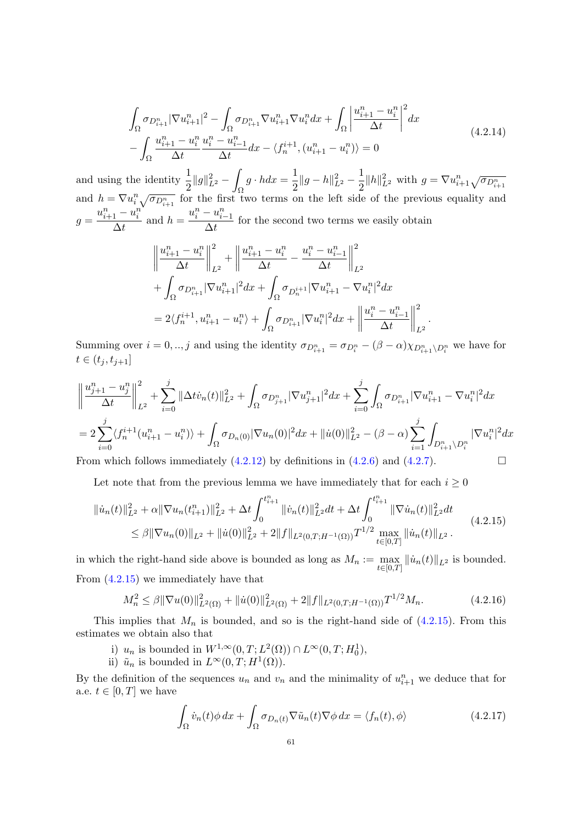$$
\int_{\Omega} \sigma_{D_{i+1}^n} |\nabla u_{i+1}^n|^2 - \int_{\Omega} \sigma_{D_{i+1}^n} \nabla u_{i+1}^n \nabla u_i^n dx + \int_{\Omega} \left| \frac{u_{i+1}^n - u_i^n}{\Delta t} \right|^2 dx \n- \int_{\Omega} \frac{u_{i+1}^n - u_i^n}{\Delta t} \frac{u_i^n - u_{i-1}^n}{\Delta t} dx - \langle f_n^{i+1}, (u_{i+1}^n - u_i^n) \rangle = 0
$$
\n(4.2.14)

and using the identity  $\frac{1}{2}||g||_{L^2}^2 - \int$ Ω  $g \cdot h dx = \frac{1}{2}$  $\frac{1}{2} \|g - h\|_{L^2}^2 - \frac{1}{2}$  $\frac{1}{2} ||h||_{L^2}^2$  with  $g = \nabla u_{i+1}^n \sqrt{\sigma_{D_{i+1}^n}}$ and  $h = \nabla u_i^n \sqrt{\sigma_{D_{i+1}^n}}$  for the first two terms on the left side of the previous equality and  $g =$  $u_{i+1}^n - u_i^n$  $\frac{1}{\Delta t}$  and  $h =$  $u_i^n - u_{i-1}^n$  $\frac{a_{i-1}}{\Delta t}$  for the second two terms we easily obtain

$$
\left\|\frac{u_{i+1}^n - u_i^n}{\Delta t}\right\|_{L^2}^2 + \left\|\frac{u_{i+1}^n - u_i^n}{\Delta t} - \frac{u_i^n - u_{i-1}^n}{\Delta t}\right\|_{L^2}^2
$$
  
+ 
$$
\int_{\Omega} \sigma_{D_{i+1}^n} |\nabla u_{i+1}^n|^2 dx + \int_{\Omega} \sigma_{D_n^{i+1}} |\nabla u_{i+1}^n - \nabla u_i^n|^2 dx
$$
  
= 
$$
2\langle f_n^{i+1}, u_{i+1}^n - u_i^n \rangle + \int_{\Omega} \sigma_{D_{i+1}^n} |\nabla u_i^n|^2 dx + \left\|\frac{u_i^n - u_{i-1}^n}{\Delta t}\right\|_{L^2}^2.
$$

Summing over  $i = 0, ..., j$  and using the identity  $\sigma_{D_{i+1}^n} = \sigma_{D_i^n} - (\beta - \alpha)\chi_{D_{i+1}^n \setminus D_i^n}$  we have for  $t \in (t_j, t_{j+1}]$ 

$$
\left\|\frac{u_{j+1}^n - u_j^n}{\Delta t}\right\|_{L^2}^2 + \sum_{i=0}^j \|\Delta t \dot{v}_n(t)\|_{L^2}^2 + \int_{\Omega} \sigma_{D_{j+1}^n} |\nabla u_{j+1}^n|^2 dx + \sum_{i=0}^j \int_{\Omega} \sigma_{D_{i+1}^n} |\nabla u_{i+1}^n - \nabla u_i^n|^2 dx
$$
  
\n
$$
= 2 \sum_{i=0}^j \langle f_n^{i+1} (u_{i+1}^n - u_i^n) \rangle + \int_{\Omega} \sigma_{D_n(0)} |\nabla u_n(0)|^2 dx + \| \dot{u}(0) \|_{L^2}^2 - (\beta - \alpha) \sum_{i=1}^j \int_{D_{i+1}^n \setminus D_i^n} |\nabla u_i^n|^2 dx
$$
  
\nFrom which follows immediately (4.2.12) by definitions in (4.2.6) and (4.2.7).

Let note that from the previous lemma we have immediately that for each  $i \geq 0$ 

<span id="page-62-0"></span>
$$
\begin{split} \|\dot{u}_{n}(t)\|_{L^{2}}^{2} + \alpha \|\nabla u_{n}(t_{i+1}^{n})\|_{L^{2}}^{2} + \Delta t \int_{0}^{t_{i+1}^{n}} \|\dot{v}_{n}(t)\|_{L^{2}}^{2} dt + \Delta t \int_{0}^{t_{i+1}^{n}} \|\nabla \dot{u}_{n}(t)\|_{L^{2}}^{2} dt \\ &\leq \beta \|\nabla u_{n}(0)\|_{L^{2}} + \|\dot{u}(0)\|_{L^{2}}^{2} + 2\|f\|_{L^{2}(0,T;H^{-1}(\Omega))} T^{1/2} \max_{t \in [0,T]} \|\dot{u}_{n}(t)\|_{L^{2}}. \end{split} \tag{4.2.15}
$$

in which the right-hand side above is bounded as long as  $M_n := \max_{t \in [0,T]} ||\dot{u}_n(t)||_{L^2}$  is bounded. From [\(4.2.15\)](#page-62-0) we immediately have that

<span id="page-62-1"></span>
$$
M_n^2 \le \beta \|\nabla u(0)\|_{L^2(\Omega)}^2 + \|\dot{u}(0)\|_{L^2(\Omega)}^2 + 2\|f\|_{L^2(0,T;H^{-1}(\Omega))}T^{1/2}M_n. \tag{4.2.16}
$$

This implies that  $M_n$  is bounded, and so is the right-hand side of  $(4.2.15)$ . From this estimates we obtain also that

- i)  $u_n$  is bounded in  $W^{1,\infty}(0,T; L^2(\Omega)) \cap L^{\infty}(0,T; H_0^1)$ ,
- ii)  $\tilde{u}_n$  is bounded in  $L^{\infty}(0,T;H^1(\Omega)).$

By the definition of the sequences  $u_n$  and  $v_n$  and the minimality of  $u_{i+1}^n$  we deduce that for a.e.  $t \in [0, T]$  we have

<span id="page-62-2"></span>
$$
\int_{\Omega} \dot{v}_n(t) \phi \, dx + \int_{\Omega} \sigma_{D_n(t)} \nabla \tilde{u}_n(t) \nabla \phi \, dx = \langle f_n(t), \phi \rangle \tag{4.2.17}
$$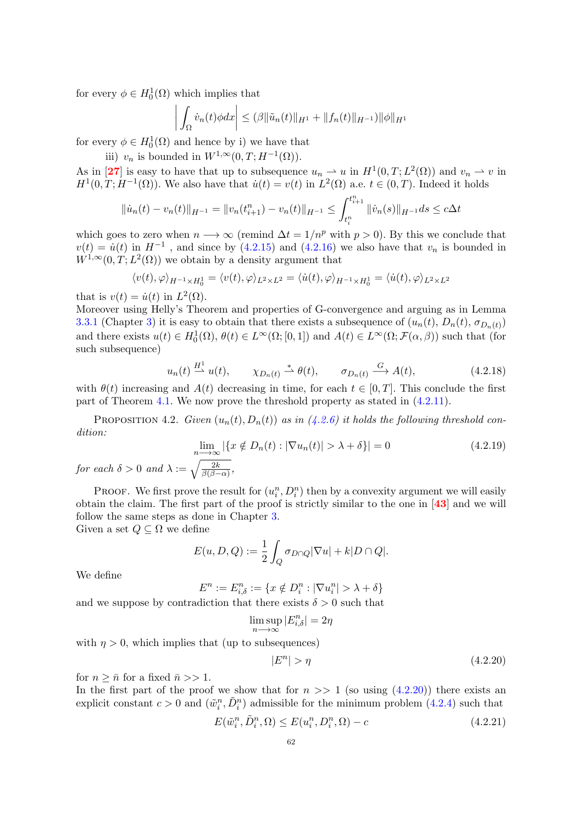for every  $\phi \in H_0^1(\Omega)$  which implies that

$$
\left| \int_{\Omega} \dot{v}_n(t) \phi dx \right| \leq (\beta ||\tilde{u}_n(t)||_{H^1} + ||f_n(t)||_{H^{-1}}) ||\phi||_{H^1}
$$

for every  $\phi \in H_0^1(\Omega)$  and hence by i) we have that

iii)  $v_n$  is bounded in  $W^{1,\infty}(0,T;H^{-1}(\Omega)).$ 

As in [[27](#page-82-3)] is easy to have that up to subsequence  $u_n \rightharpoonup u$  in  $H^1(0,T;L^2(\Omega))$  and  $v_n \rightharpoonup v$  in  $H^1(0,T;H^{-1}(\Omega))$ . We also have that  $\dot{u}(t) = v(t)$  in  $L^2(\Omega)$  a.e.  $t \in (0,T)$ . Indeed it holds

$$
\|\dot{u}_n(t) - v_n(t)\|_{H^{-1}} = \|v_n(t_{i+1}^n) - v_n(t)\|_{H^{-1}} \le \int_{t_i^n}^{t_{i+1}^n} \|\dot{v}_n(s)\|_{H^{-1}} ds \le c\Delta t
$$

which goes to zero when  $n \longrightarrow \infty$  (remind  $\Delta t = 1/n^p$  with  $p > 0$ ). By this we conclude that  $v(t) = \dot{u}(t)$  in  $H^{-1}$ , and since by [\(4.2.15\)](#page-62-0) and [\(4.2.16\)](#page-62-1) we also have that  $v_n$  is bounded in  $W^{1,\infty}(0,T;L^2(\Omega))$  we obtain by a density argument that

$$
\langle v(t), \varphi \rangle_{H^{-1} \times H_0^1} = \langle v(t), \varphi \rangle_{L^2 \times L^2} = \langle \dot{u}(t), \varphi \rangle_{H^{-1} \times H_0^1} = \langle \dot{u}(t), \varphi \rangle_{L^2 \times L^2}
$$

that is  $v(t) = \dot{u}(t)$  in  $L^2(\Omega)$ .

Moreover using Helly's Theorem and properties of G-convergence and arguing as in Lemma [3.3.1](#page-43-3) (Chapter [3\)](#page-40-1) it is easy to obtain that there exists a subsequence of  $(u_n(t), D_n(t), \sigma_{D_n(t)})$ and there exists  $u(t) \in H_0^1(\Omega)$ ,  $\theta(t) \in L^\infty(\Omega; [0,1])$  and  $A(t) \in L^\infty(\Omega; \mathcal{F}(\alpha, \beta))$  such that (for such subsequence)

$$
u_n(t) \stackrel{H^1}{\longrightarrow} u(t), \qquad \chi_{D_n(t)} \stackrel{*}{\longrightarrow} \theta(t), \qquad \sigma_{D_n(t)} \stackrel{G}{\longrightarrow} A(t), \tag{4.2.18}
$$

with  $\theta(t)$  increasing and  $A(t)$  decreasing in time, for each  $t \in [0, T]$ . This conclude the first part of Theorem [4.1.](#page-61-0) We now prove the threshold property as stated in [\(4.2.11\)](#page-61-2).

PROPOSITION 4.2. Given  $(u_n(t), D_n(t))$  as in  $(4.2.6)$  it holds the following threshold condition:

<span id="page-63-2"></span>
$$
\lim_{n \to \infty} |\{x \notin D_n(t) : |\nabla u_n(t)| > \lambda + \delta\}| = 0 \tag{4.2.19}
$$
  
and  $\lambda := \sqrt{\frac{2k}{\beta(\beta - \alpha)}},$ 

PROOF. We first prove the result for  $(u_i^n, D_i^n)$  then by a convexity argument we will easily obtain the claim. The first part of the proof is strictly similar to the one in [[43](#page-82-0)] and we will follow the same steps as done in Chapter [3.](#page-40-1)

Given a set  $Q \subseteq \Omega$  we define

$$
E(u, D, Q) := \frac{1}{2} \int_{Q} \sigma_{D \cap Q} |\nabla u| + k |D \cap Q|.
$$

We define

for each  $\delta > 0$  a

$$
E^n := E_{i, \delta}^n := \{ x \notin D_i^n : |\nabla u_i^n| > \lambda + \delta \}
$$

and we suppose by contradiction that there exists  $\delta > 0$  such that

$$
\limsup_{n \to \infty} |E_{i,\delta}^n| = 2\eta
$$

with  $\eta > 0$ , which implies that (up to subsequences)

<span id="page-63-0"></span>
$$
|E^n| > \eta \tag{4.2.20}
$$

for  $n \geq \bar{n}$  for a fixed  $\bar{n} >> 1$ .

In the first part of the proof we show that for  $n \gg 1$  (so using  $(4.2.20)$ ) there exists an explicit constant  $c > 0$  and  $(\tilde{w}_i^n, \tilde{D}_i^n)$  admissible for the minimum problem  $(4.2.4)$  such that

<span id="page-63-1"></span>
$$
E(\tilde{w}_i^n, \tilde{D}_i^n, \Omega) \le E(u_i^n, D_i^n, \Omega) - c \tag{4.2.21}
$$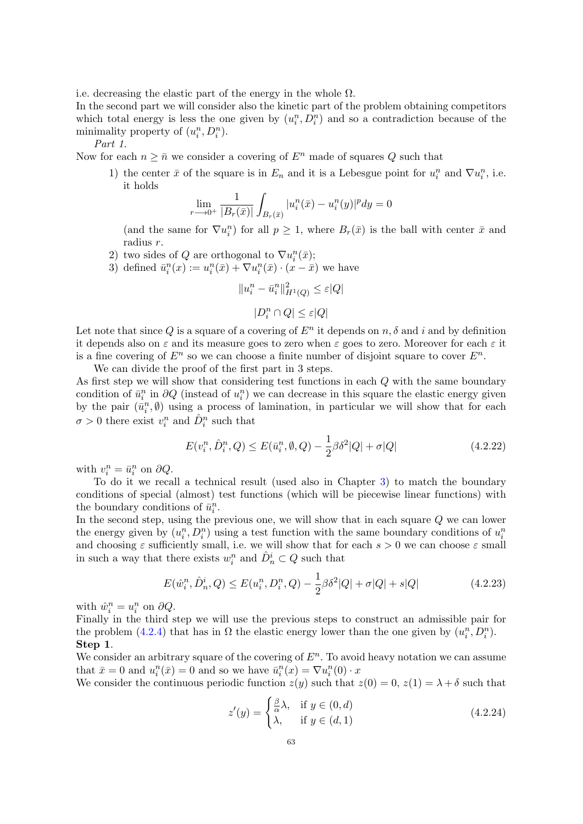i.e. decreasing the elastic part of the energy in the whole  $\Omega$ .

In the second part we will consider also the kinetic part of the problem obtaining competitors which total energy is less the one given by  $(u_i^n, D_i^n)$  and so a contradiction because of the minimality property of  $(u_i^n, D_i^n)$ .

Part 1.

Now for each  $n \geq \bar{n}$  we consider a covering of  $E^n$  made of squares Q such that

1) the center  $\bar{x}$  of the square is in  $E_n$  and it is a Lebesgue point for  $u_i^n$  and  $\nabla u_i^n$ , i.e. it holds

$$
\lim_{r \to 0^+} \frac{1}{|B_r(\bar{x})|} \int_{B_r(\bar{x})} |u_i^n(\bar{x}) - u_i^n(y)|^p dy = 0
$$

(and the same for  $\nabla u_i^n$ ) for all  $p \geq 1$ , where  $B_r(\bar{x})$  is the ball with center  $\bar{x}$  and radius r.

- 2) two sides of Q are orthogonal to  $\nabla u_i^n(\bar{x});$
- 3) defined  $\bar{u}_i^n(x) := u_i^n(\bar{x}) + \nabla u_i^n(\bar{x}) \cdot (x \bar{x})$  we have

$$
||u_i^n - \bar{u}_i^n||_{H^1(Q)}^2 \le \varepsilon|Q|
$$
  

$$
|D_i^n \cap Q| \le \varepsilon|Q|
$$

Let note that since Q is a square of a covering of  $E<sup>n</sup>$  it depends on  $n, \delta$  and i and by definition it depends also on  $\varepsilon$  and its measure goes to zero when  $\varepsilon$  goes to zero. Moreover for each  $\varepsilon$  it is a fine covering of  $E^n$  so we can choose a finite number of disjoint square to cover  $E^n$ .

We can divide the proof of the first part in 3 steps.

As first step we will show that considering test functions in each Q with the same boundary condition of  $\bar{u}_i^n$  in  $\partial Q$  (instead of  $u_i^n$ ) we can decrease in this square the elastic energy given by the pair  $(\bar{u}_i^n, \emptyset)$  using a process of lamination, in particular we will show that for each  $\sigma > 0$  there exist  $v_i^n$  and  $\hat{D}_i^n$  such that

<span id="page-64-0"></span>
$$
E(v_i^n, \hat{D}_i^n, Q) \le E(\bar{u}_i^n, \emptyset, Q) - \frac{1}{2}\beta \delta^2 |Q| + \sigma |Q|
$$
\n(4.2.22)

with  $v_i^n = \bar{u}_i^n$  on  $\partial Q$ .

To do it we recall a technical result (used also in Chapter [3\)](#page-40-1) to match the boundary conditions of special (almost) test functions (which will be piecewise linear functions) with the boundary conditions of  $\bar{u}_i^n$ .

In the second step, using the previous one, we will show that in each square Q we can lower the energy given by  $(u_i^n, D_i^n)$  using a test function with the same boundary conditions of  $u_i^n$ and choosing  $\varepsilon$  sufficiently small, i.e. we will show that for each  $s > 0$  we can choose  $\varepsilon$  small in such a way that there exists  $w_i^n$  and  $\hat{D}_n^i \subset Q$  such that

<span id="page-64-1"></span>
$$
E(\hat{w}_i^n, \hat{D}_n^i, Q) \le E(u_i^n, D_i^n, Q) - \frac{1}{2}\beta \delta^2 |Q| + \sigma |Q| + s|Q| \tag{4.2.23}
$$

with  $\hat{w}_i^n = u_i^n$  on  $\partial Q$ .

Finally in the third step we will use the previous steps to construct an admissible pair for the problem [\(4.2.4\)](#page-60-3) that has in  $\Omega$  the elastic energy lower than the one given by  $(u_i^n, D_i^n)$ . Step 1.

We consider an arbitrary square of the covering of  $E<sup>n</sup>$ . To avoid heavy notation we can assume that  $\bar{x} = 0$  and  $u_i^n(\bar{x}) = 0$  and so we have  $\bar{u}_i^n(x) = \nabla u_i^n(0) \cdot x$ 

We consider the continuous periodic function 
$$
z(y)
$$
 such that  $z(0) = 0$ ,  $z(1) = \lambda + \delta$  such that

$$
z'(y) = \begin{cases} \frac{\beta}{\alpha}\lambda, & \text{if } y \in (0, d) \\ \lambda, & \text{if } y \in (d, 1) \end{cases}
$$
 (4.2.24)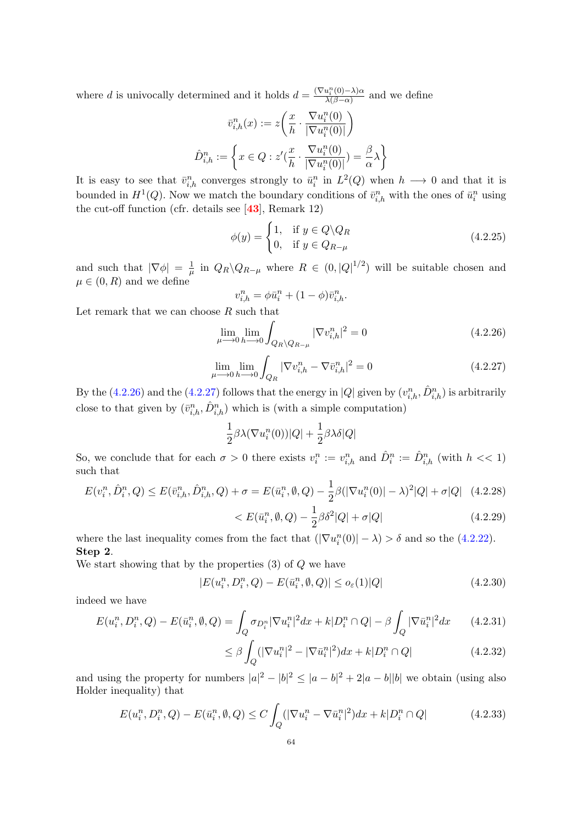where d is univocally determined and it holds  $d = \frac{(\nabla u_i^n(0) - \lambda)\alpha}{\lambda(\beta - \alpha)}$  $\frac{a_i(\theta) - \lambda \alpha}{\lambda(\beta - \alpha)}$  and we define

$$
\bar{v}_{i,h}^n(x) := z \left( \frac{x}{h} \cdot \frac{\nabla u_i^n(0)}{|\nabla u_i^n(0)|} \right)
$$

$$
\hat{D}_{i,h}^n := \left\{ x \in Q : z'(\frac{x}{h} \cdot \frac{\nabla u_i^n(0)}{|\nabla u_i^n(0)|}) = \frac{\beta}{\alpha} \lambda \right\}
$$

It is easy to see that  $\bar{v}_{i,h}^n$  converges strongly to  $\bar{u}_i^n$  in  $L^2(Q)$  when  $h \longrightarrow 0$  and that it is bounded in  $H^1(Q)$ . Now we match the boundary conditions of  $\bar{v}_{i,h}^n$  with the ones of  $\bar{u}_i^n$  using the cut-off function (cfr. details see [[43](#page-82-0)], Remark 12)

$$
\phi(y) = \begin{cases} 1, & \text{if } y \in Q \backslash Q_R \\ 0, & \text{if } y \in Q_{R-\mu} \end{cases}
$$
 (4.2.25)

and such that  $|\nabla \phi| = \frac{1}{\mu}$  $\frac{1}{\mu}$  in  $Q_R \backslash Q_{R-\mu}$  where  $R \in (0, |Q|^{1/2})$  will be suitable chosen and  $\mu \in (0, R)$  and we define

$$
v_{i,h}^n = \phi \bar{u}_i^n + (1 - \phi)\bar{v}_{i,h}^n.
$$

Let remark that we can choose  $R$  such that

<span id="page-65-0"></span>
$$
\lim_{\mu \to 0} \lim_{h \to 0} \int_{Q_R \setminus Q_{R-\mu}} |\nabla v_{i,h}^n|^2 = 0
$$
\n(4.2.26)

<span id="page-65-1"></span>
$$
\lim_{\mu \to 0} \lim_{h \to 0} \int_{Q_R} |\nabla v_{i,h}^n - \nabla \bar{v}_{i,h}^n|^2 = 0
$$
\n(4.2.27)

By the [\(4.2.26\)](#page-65-0) and the [\(4.2.27\)](#page-65-1) follows that the energy in |Q| given by  $(v_{i,h}^n, \hat{D}_{i,h}^n)$  is arbitrarily close to that given by  $(\bar{v}_{i,h}^n, \hat{D}_{i,h}^n)$  which is (with a simple computation)

<span id="page-65-3"></span>
$$
\frac{1}{2}\beta\lambda(\nabla u_i^n(0))|Q| + \frac{1}{2}\beta\lambda\delta|Q|
$$

So, we conclude that for each  $\sigma > 0$  there exists  $v_i^n := v_{i,h}^n$  and  $\hat{D}_i^n := \hat{D}_{i,h}^n$  (with  $h \ll 1$ ) such that

$$
E(v_i^n, \hat{D}_i^n, Q) \le E(\bar{v}_{i,h}^n, \hat{D}_{i,h}^n, Q) + \sigma = E(\bar{u}_i^n, \emptyset, Q) - \frac{1}{2}\beta(|\nabla u_i^n(0)| - \lambda)^2|Q| + \sigma|Q| \quad (4.2.28)
$$

$$
< E(\bar{u}_i^n, \emptyset, Q) - \frac{1}{2}\beta\delta^2|Q| + \sigma|Q| \quad (4.2.29)
$$

where the last inequality comes from the fact that  $(|\nabla u_i^n(0)| - \lambda) > \delta$  and so the [\(4.2.22\)](#page-64-0). Step 2.

We start showing that by the properties  $(3)$  of  $Q$  we have

<span id="page-65-2"></span>
$$
|E(u_i^n, D_i^n, Q) - E(\bar{u}_i^n, \emptyset, Q)| \le o_{\varepsilon}(1)|Q| \tag{4.2.30}
$$

indeed we have

$$
E(u_i^n, D_i^n, Q) - E(\bar{u}_i^n, \emptyset, Q) = \int_Q \sigma_{D_i^n} |\nabla u_i^n|^2 dx + k|D_i^n \cap Q| - \beta \int_Q |\nabla \bar{u}_i^n|^2 dx \qquad (4.2.31)
$$

$$
\leq \beta \int_{Q} (|\nabla u_i^n|^2 - |\nabla \bar{u}_i^n|^2) dx + k|D_i^n \cap Q| \tag{4.2.32}
$$

and using the property for numbers  $|a|^2 - |b|^2 \leq |a-b|^2 + 2|a-b||b|$  we obtain (using also Holder inequality) that

$$
E(u_i^n, D_i^n, Q) - E(\bar{u}_i^n, \emptyset, Q) \le C \int_Q (|\nabla u_i^n - \nabla \bar{u}_i^n|^2) dx + k|D_i^n \cap Q| \tag{4.2.33}
$$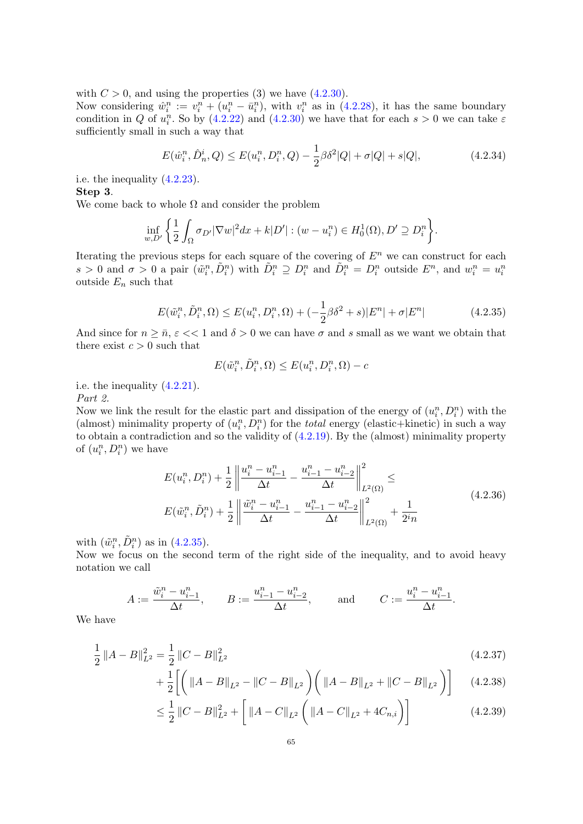with  $C > 0$ , and using the properties (3) we have [\(4.2.30\)](#page-65-2).

Now considering  $\hat{w}_i^n := v_i^n + (u_i^n - \bar{u}_i^n)$ , with  $v_i^n$  as in [\(4.2.28\)](#page-65-3), it has the same boundary condition in Q of  $u_i^n$ . So by [\(4.2.22\)](#page-64-0) and [\(4.2.30\)](#page-65-2) we have that for each  $s > 0$  we can take  $\varepsilon$ sufficiently small in such a way that

$$
E(\hat{w}_i^n, \hat{D}_n^i, Q) \le E(u_i^n, D_i^n, Q) - \frac{1}{2}\beta \delta^2 |Q| + \sigma |Q| + s|Q|,
$$
\n(4.2.34)

i.e. the inequality [\(4.2.23\)](#page-64-1). Step 3.

We come back to whole  $\Omega$  and consider the problem

$$
\inf_{w,D'}\left\{\frac{1}{2}\int_{\Omega}\sigma_{D'}|\nabla w|^2dx+k|D'|:(w-u_i^n)\in H_0^1(\Omega),D'\supseteq D_i^n\right\}.
$$

Iterating the previous steps for each square of the covering of  $E<sup>n</sup>$  we can construct for each  $s > 0$  and  $\sigma > 0$  a pair  $(\tilde{w}_i^n, \tilde{D}_i^n)$  with  $\tilde{D}_i^n \supseteq D_i^n$  and  $\tilde{D}_i^n = D_i^n$  outside  $E^n$ , and  $w_i^n = u_i^n$ outside  $E_n$  such that

<span id="page-66-0"></span>
$$
E(\tilde{w}_i^n, \tilde{D}_i^n, \Omega) \le E(u_i^n, D_i^n, \Omega) + (-\frac{1}{2}\beta \delta^2 + s)|E^n| + \sigma |E^n|
$$
\n(4.2.35)

And since for  $n \geq \bar{n}$ ,  $\varepsilon \ll 1$  and  $\delta > 0$  we can have  $\sigma$  and s small as we want we obtain that there exist  $c > 0$  such that

$$
E(\tilde{w}_i^n, \tilde{D}_i^n, \Omega) \le E(u_i^n, D_i^n, \Omega) - c
$$

i.e. the inequality [\(4.2.21\)](#page-63-1).

Part 2.

Now we link the result for the elastic part and dissipation of the energy of  $(u_i^n, D_i^n)$  with the (almost) minimality property of  $(u_i^n, D_i^n)$  for the *total* energy (elastic+kinetic) in such a way to obtain a contradiction and so the validity of  $(4.2.19)$ . By the (almost) minimality property of  $(u_i^n, D_i^n)$  we have

$$
E(u_i^n, D_i^n) + \frac{1}{2} \left\| \frac{u_i^n - u_{i-1}^n}{\Delta t} - \frac{u_{i-1}^n - u_{i-2}^n}{\Delta t} \right\|_{L^2(\Omega)}^2 \le
$$
  

$$
E(\tilde{w}_i^n, \tilde{D}_i^n) + \frac{1}{2} \left\| \frac{\tilde{w}_i^n - u_{i-1}^n}{\Delta t} - \frac{u_{i-1}^n - u_{i-2}^n}{\Delta t} \right\|_{L^2(\Omega)}^2 + \frac{1}{2^i n}
$$
(4.2.36)

<span id="page-66-1"></span>with  $(\tilde{w}_i^n, \tilde{D}_i^n)$  as in  $(4.2.35)$ .

Now we focus on the second term of the right side of the inequality, and to avoid heavy notation we call

$$
A:=\frac{\tilde w_i^n-u_{i-1}^n}{\Delta t},\qquad B:=\frac{u_{i-1}^n-u_{i-2}^n}{\Delta t},\qquad\text{ and }\qquad C:=\frac{u_i^n-u_{i-1}^n}{\Delta t}.
$$

We have

$$
\frac{1}{2} \|A - B\|_{L^2}^2 = \frac{1}{2} \|C - B\|_{L^2}^2
$$
\n(4.2.37)

$$
+\frac{1}{2}\left[\left(\left\|A-B\right\|_{L^{2}}-\left\|C-B\right\|_{L^{2}}\right)\left(\left\|A-B\right\|_{L^{2}}+\left\|C-B\right\|_{L^{2}}\right)\right]
$$
(4.2.38)

$$
\leq \frac{1}{2} \|C - B\|_{L^2}^2 + \left[ \|A - C\|_{L^2} \left( \|A - C\|_{L^2} + 4C_{n,i} \right) \right] \tag{4.2.39}
$$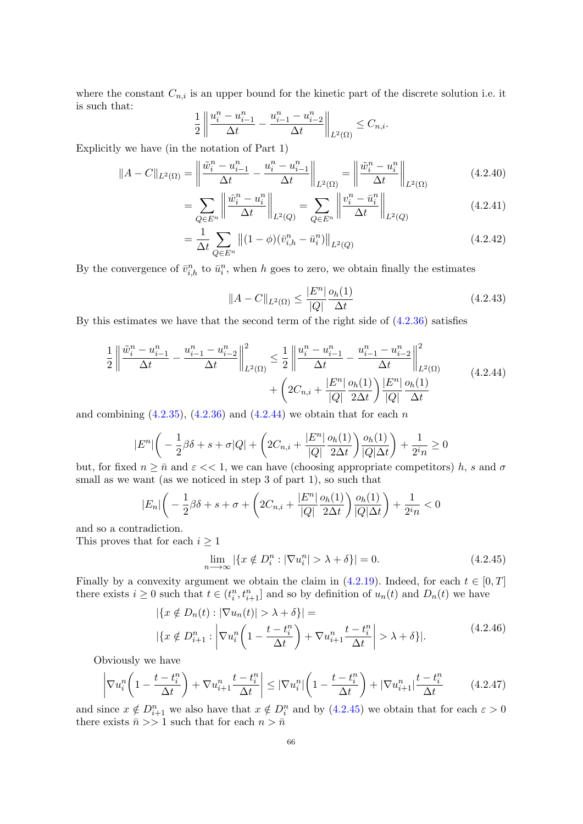where the constant  $C_{n,i}$  is an upper bound for the kinetic part of the discrete solution i.e. it is such that:

$$
\frac{1}{2} \left\| \frac{u_i^n - u_{i-1}^n}{\Delta t} - \frac{u_{i-1}^n - u_{i-2}^n}{\Delta t} \right\|_{L^2(\Omega)} \le C_{n,i}.
$$

Explicitly we have (in the notation of Part 1)

$$
||A - C||_{L^{2}(\Omega)} = \left\| \frac{\tilde{w}_{i}^{n} - u_{i-1}^{n}}{\Delta t} - \frac{u_{i}^{n} - u_{i-1}^{n}}{\Delta t} \right\|_{L^{2}(\Omega)} = \left\| \frac{\tilde{w}_{i}^{n} - u_{i}^{n}}{\Delta t} \right\|_{L^{2}(\Omega)}
$$
(4.2.40)

$$
= \sum_{Q \in E^n} \left\| \frac{\hat{w}_i^n - u_i^n}{\Delta t} \right\|_{L^2(Q)} = \sum_{Q \in E^n} \left\| \frac{v_i^n - \bar{u}_i^n}{\Delta t} \right\|_{L^2(Q)} \tag{4.2.41}
$$

$$
= \frac{1}{\Delta t} \sum_{Q \in E^n} \left\| (1 - \phi)(\bar{v}_{i,h}^n - \bar{u}_i^n) \right\|_{L^2(Q)} \tag{4.2.42}
$$

By the convergence of  $\bar{v}_{i,h}^n$  to  $\bar{u}_i^n$ , when h goes to zero, we obtain finally the estimates

$$
||A - C||_{L^{2}(\Omega)} \le \frac{|E^{n}|}{|Q|} \frac{o_{h}(1)}{\Delta t}
$$
\n(4.2.43)

By this estimates we have that the second term of the right side of [\(4.2.36\)](#page-66-1) satisfies

<span id="page-67-0"></span>
$$
\frac{1}{2} \left\| \frac{\tilde{w}_{i}^{n} - u_{i-1}^{n}}{\Delta t} - \frac{u_{i-1}^{n} - u_{i-2}^{n}}{\Delta t} \right\|_{L^{2}(\Omega)}^{2} \leq \frac{1}{2} \left\| \frac{u_{i}^{n} - u_{i-1}^{n}}{\Delta t} - \frac{u_{i-1}^{n} - u_{i-2}^{n}}{\Delta t} \right\|_{L^{2}(\Omega)}^{2} + \left( 2C_{n,i} + \frac{|E^{n}|}{|Q|} \frac{o_{h}(1)}{2\Delta t} \right) \frac{|E^{n}|}{|Q|} \frac{o_{h}(1)}{\Delta t}
$$
\n(4.2.44)

and combining  $(4.2.35)$ ,  $(4.2.36)$  and  $(4.2.44)$  we obtain that for each n

$$
|E^n| \left( -\frac{1}{2}\beta \delta + s + \sigma |Q| + \left( 2C_{n,i} + \frac{|E^n|}{|Q|} \frac{o_h(1)}{2\Delta t} \right) \frac{o_h(1)}{|Q|\Delta t} \right) + \frac{1}{2^i n} \ge 0
$$

but, for fixed  $n \geq \bar{n}$  and  $\varepsilon \ll 1$ , we can have (choosing appropriate competitors) h, s and  $\sigma$ small as we want (as we noticed in step 3 of part 1), so such that

$$
|E_n| \bigg(-\frac{1}{2}\beta \delta + s + \sigma + \bigg(2C_{n,i} + \frac{|E^n|}{|Q|} \frac{o_h(1)}{2\Delta t} \bigg) \frac{o_h(1)}{|Q|\Delta t} \bigg) + \frac{1}{2^i n} < 0
$$

and so a contradiction.

This proves that for each  $i \geq 1$ 

<span id="page-67-1"></span>
$$
\lim_{n \to \infty} |\{x \notin D_i^n : |\nabla u_i^n| > \lambda + \delta\}| = 0. \tag{4.2.45}
$$

Finally by a convexity argument we obtain the claim in  $(4.2.19)$ . Indeed, for each  $t \in [0, T]$ there exists  $i \geq 0$  such that  $t \in (t_i^n, t_{i+1}^n]$  and so by definition of  $u_n(t)$  and  $D_n(t)$  we have

$$
|\{x \notin D_n(t) : |\nabla u_n(t)| > \lambda + \delta\}| =
$$
  
 
$$
|\{x \notin D_{i+1}^n : \left| \nabla u_i^n \left(1 - \frac{t - t_i^n}{\Delta t}\right) + \nabla u_{i+1}^n \frac{t - t_i^n}{\Delta t} \right| > \lambda + \delta\}|.
$$
 (4.2.46)

<span id="page-67-2"></span>Obviously we have

<span id="page-67-3"></span>
$$
\left|\nabla u_i^n\left(1 - \frac{t - t_i^n}{\Delta t}\right) + \nabla u_{i+1}^n \frac{t - t_i^n}{\Delta t}\right| \leq |\nabla u_i^n| \left(1 - \frac{t - t_i^n}{\Delta t}\right) + |\nabla u_{i+1}^n| \frac{t - t_i^n}{\Delta t}
$$
(4.2.47)

and since  $x \notin D_{i+1}^n$  we also have that  $x \notin D_i^n$  and by  $(4.2.45)$  we obtain that for each  $\varepsilon > 0$ there exists  $\bar{n} >> 1$  such that for each  $n > \bar{n}$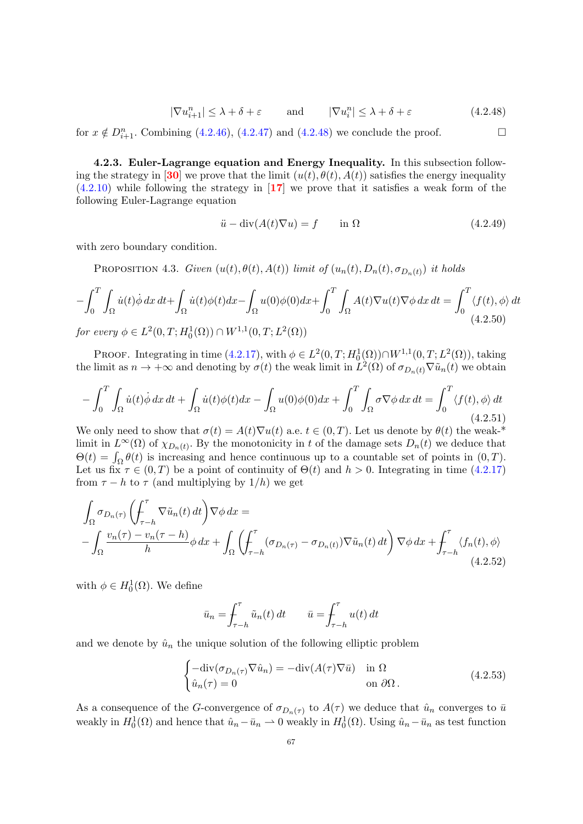<span id="page-68-0"></span>
$$
|\nabla u_{i+1}^n| \le \lambda + \delta + \varepsilon \quad \text{and} \quad |\nabla u_i^n| \le \lambda + \delta + \varepsilon \quad (4.2.48)
$$

for  $x \notin D_{i+1}^n$ . Combining [\(4.2.46\)](#page-67-2), [\(4.2.47\)](#page-67-3) and [\(4.2.48\)](#page-68-0) we conclude the proof.

4.2.3. Euler-Lagrange equation and Energy Inequality. In this subsection follow-ing the strategy in [[30](#page-82-4)] we prove that the limit  $(u(t), \theta(t), A(t))$  satisfies the energy inequality  $(4.2.10)$  while following the strategy in  $\left[17\right]$  $\left[17\right]$  $\left[17\right]$  we prove that it satisfies a weak form of the following Euler-Lagrange equation

$$
\ddot{u} - \operatorname{div}(A(t)\nabla u) = f \qquad \text{in } \Omega \tag{4.2.49}
$$

with zero boundary condition.

PROPOSITION 4.3. Given  $(u(t), \theta(t), A(t))$  limit of  $(u_n(t), D_n(t), \sigma_{D_n(t)})$  it holds

$$
-\int_0^T \int_{\Omega} \dot{u}(t) \dot{\phi} \, dx \, dt + \int_{\Omega} \dot{u}(t) \phi(t) dx - \int_{\Omega} u(0) \phi(0) dx + \int_0^T \int_{\Omega} A(t) \nabla u(t) \nabla \phi \, dx \, dt = \int_0^T \langle f(t), \phi \rangle \, dt
$$
  
for every  $\phi \in L^2(0, T; H_0^1(\Omega)) \cap W^{1,1}(0, T; L^2(\Omega))$  (4.2.50)

PROOF. Integrating in time  $(4.2.17)$ , with  $\phi \in L^2(0,T; H_0^1(\Omega)) \cap W^{1,1}(0,T; L^2(\Omega))$ , taking the limit as  $n \to +\infty$  and denoting by  $\sigma(t)$  the weak limit in  $\tilde{L}^2(\Omega)$  of  $\sigma_{D_n(t)}\nabla \tilde{u}_n(t)$  we obtain

$$
-\int_0^T \int_{\Omega} \dot{u}(t) \dot{\phi} \, dx \, dt + \int_{\Omega} \dot{u}(t) \phi(t) \, dx - \int_{\Omega} u(0) \phi(0) \, dx + \int_0^T \int_{\Omega} \sigma \nabla \phi \, dx \, dt = \int_0^T \langle f(t), \phi \rangle \, dt \tag{4.2.51}
$$

We only need to show that  $\sigma(t) = A(t)\nabla u(t)$  a.e.  $t \in (0,T)$ . Let us denote by  $\theta(t)$  the weak-\* limit in  $L^{\infty}(\Omega)$  of  $\chi_{D_n(t)}$ . By the monotonicity in t of the damage sets  $D_n(t)$  we deduce that  $\Theta(t) = \int_{\Omega} \theta(t)$  is increasing and hence continuous up to a countable set of points in  $(0, T)$ . Let us fix  $\tau \in (0, T)$  be a point of continuity of  $\Theta(t)$  and  $h > 0$ . Integrating in time [\(4.2.17\)](#page-62-2) from  $\tau - h$  to  $\tau$  (and multiplying by  $1/h$ ) we get

<span id="page-68-1"></span>
$$
\int_{\Omega} \sigma_{D_n(\tau)} \left( \int_{\tau-h}^{\tau} \nabla \tilde{u}_n(t) dt \right) \nabla \phi dx =
$$
\n
$$
- \int_{\Omega} \frac{v_n(\tau) - v_n(\tau-h)}{h} \phi dx + \int_{\Omega} \left( \int_{\tau-h}^{\tau} (\sigma_{D_n(\tau)} - \sigma_{D_n(t)}) \nabla \tilde{u}_n(t) dt \right) \nabla \phi dx + \int_{\tau-h}^{\tau} \langle f_n(t), \phi \rangle
$$
\n(4.2.52)

with  $\phi \in H_0^1(\Omega)$ . We define

$$
\bar{u}_n = \int_{\tau-h}^{\tau} \tilde{u}_n(t) dt \qquad \bar{u} = \int_{\tau-h}^{\tau} u(t) dt
$$

and we denote by  $\hat{u}_n$  the unique solution of the following elliptic problem

<span id="page-68-2"></span>
$$
\begin{cases}\n-\text{div}(\sigma_{D_n(\tau)}\nabla \hat{u}_n) = -\text{div}(A(\tau)\nabla \bar{u}) & \text{in } \Omega \\
\hat{u}_n(\tau) = 0 & \text{on } \partial\Omega\n\end{cases}
$$
\n(4.2.53)

As a consequence of the G-convergence of  $\sigma_{D_n(\tau)}$  to  $A(\tau)$  we deduce that  $\hat{u}_n$  converges to  $\bar{u}$ weakly in  $H_0^1(\Omega)$  and hence that  $\hat{u}_n - \bar{u}_n \to 0$  weakly in  $H_0^1(\Omega)$ . Using  $\hat{u}_n - \bar{u}_n$  as test function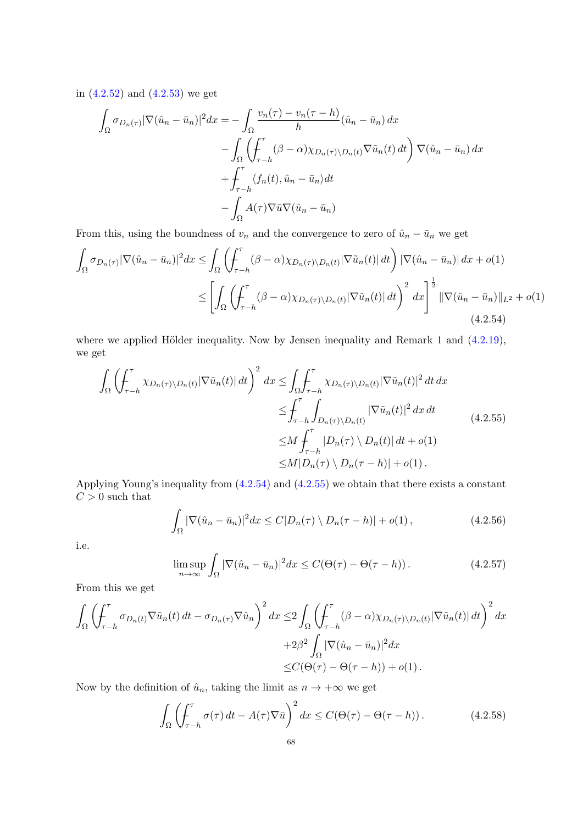in [\(4.2.52\)](#page-68-1) and [\(4.2.53\)](#page-68-2) we get

$$
\int_{\Omega} \sigma_{D_n(\tau)} |\nabla(\hat{u}_n - \bar{u}_n)|^2 dx = -\int_{\Omega} \frac{v_n(\tau) - v_n(\tau - h)}{h} (\hat{u}_n - \bar{u}_n) dx \n- \int_{\Omega} \left( \int_{\tau - h}^{\tau} (\beta - \alpha) \chi_{D_n(\tau) \setminus D_n(t)} \nabla \tilde{u}_n(t) dt \right) \nabla(\hat{u}_n - \bar{u}_n) dx \n+ \int_{\tau - h}^{\tau} \langle f_n(t), \hat{u}_n - \bar{u}_n \rangle dt \n- \int_{\Omega} A(\tau) \nabla \bar{u} \nabla(\hat{u}_n - \bar{u}_n)
$$

From this, using the boundness of  $v_n$  and the convergence to zero of  $\hat{u}_n - \bar{u}_n$  we get

<span id="page-69-0"></span>
$$
\int_{\Omega} \sigma_{D_n(\tau)} |\nabla(\hat{u}_n - \bar{u}_n)|^2 dx \le \int_{\Omega} \left( \int_{\tau-h}^{\tau} (\beta - \alpha) \chi_{D_n(\tau) \setminus D_n(t)} |\nabla \tilde{u}_n(t)| dt \right) |\nabla(\hat{u}_n - \bar{u}_n)| dx + o(1)
$$
\n
$$
\le \left[ \int_{\Omega} \left( \int_{\tau-h}^{\tau} (\beta - \alpha) \chi_{D_n(\tau) \setminus D_n(t)} |\nabla \tilde{u}_n(t)| dt \right)^2 dx \right]^{\frac{1}{2}} ||\nabla(\hat{u}_n - \bar{u}_n)||_{L^2} + o(1)
$$
\n(4.2.54)

where we applied Hölder inequality. Now by Jensen inequality and Remark 1 and  $(4.2.19)$ , we get

<span id="page-69-1"></span>
$$
\int_{\Omega} \left( \int_{\tau-h}^{\tau} \chi_{D_n(\tau) \setminus D_n(t)} |\nabla \tilde{u}_n(t)| dt \right)^2 dx \leq \int_{\Omega} \int_{\tau-h}^{\tau} \chi_{D_n(\tau) \setminus D_n(t)} |\nabla \tilde{u}_n(t)|^2 dt dx
$$
  
\n
$$
\leq \int_{\tau-h}^{\tau} \int_{D_n(\tau) \setminus D_n(t)} |\nabla \tilde{u}_n(t)|^2 dx dt
$$
  
\n
$$
\leq M \int_{\tau-h}^{\tau} |D_n(\tau) \setminus D_n(t)| dt + o(1)
$$
  
\n
$$
\leq M |D_n(\tau) \setminus D_n(\tau-h)| + o(1).
$$
\n(4.2.55)

Applying Young's inequality from [\(4.2.54\)](#page-69-0) and [\(4.2.55\)](#page-69-1) we obtain that there exists a constant  $C>0$  such that

$$
\int_{\Omega} |\nabla(\hat{u}_n - \bar{u}_n)|^2 dx \le C|D_n(\tau) \setminus D_n(\tau - h)| + o(1), \qquad (4.2.56)
$$

i.e.

$$
\limsup_{n \to \infty} \int_{\Omega} |\nabla(\hat{u}_n - \bar{u}_n)|^2 dx \le C(\Theta(\tau) - \Theta(\tau - h)). \tag{4.2.57}
$$

From this we get

$$
\int_{\Omega} \left( \int_{\tau-h}^{\tau} \sigma_{D_n(t)} \nabla \tilde{u}_n(t) dt - \sigma_{D_n(\tau)} \nabla \hat{u}_n \right)^2 dx \leq 2 \int_{\Omega} \left( \int_{\tau-h}^{\tau} (\beta - \alpha) \chi_{D_n(\tau) \setminus D_n(t)} |\nabla \tilde{u}_n(t)| dt \right)^2 dx
$$
  
+2\beta^2 \int\_{\Omega} |\nabla (\hat{u}\_n - \bar{u}\_n)|^2 dx  

$$
\leq C(\Theta(\tau) - \Theta(\tau-h)) + o(1).
$$

Now by the definition of  $\hat{u}_n$ , taking the limit as  $n \to +\infty$  we get

$$
\int_{\Omega} \left( \int_{\tau-h}^{\tau} \sigma(\tau) dt - A(\tau) \nabla \bar{u} \right)^2 dx \le C(\Theta(\tau) - \Theta(\tau - h)). \tag{4.2.58}
$$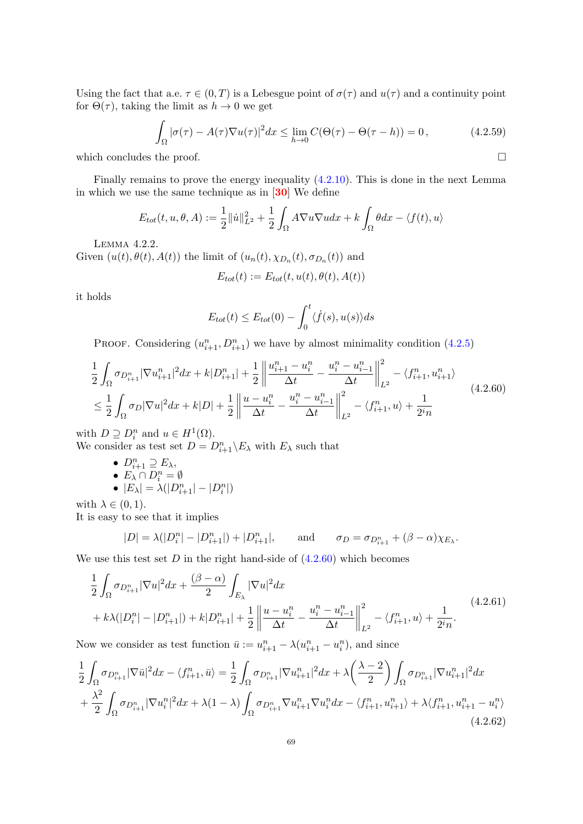Using the fact that a.e.  $\tau \in (0, T)$  is a Lebesgue point of  $\sigma(\tau)$  and  $u(\tau)$  and a continuity point for  $\Theta(\tau)$ , taking the limit as  $h \to 0$  we get

$$
\int_{\Omega} |\sigma(\tau) - A(\tau)\nabla u(\tau)|^2 dx \le \lim_{h \to 0} C(\Theta(\tau) - \Theta(\tau - h)) = 0, \qquad (4.2.59)
$$

which concludes the proof.  $\hfill \square$ 

Finally remains to prove the energy inequality [\(4.2.10\)](#page-61-4). This is done in the next Lemma in which we use the same technique as in  $[30]$  $[30]$  $[30]$  We define

$$
E_{tot}(t, u, \theta, A) := \frac{1}{2} ||\dot{u}||_{L^2}^2 + \frac{1}{2} \int_{\Omega} A \nabla u \nabla u dx + k \int_{\Omega} \theta dx - \langle f(t), u \rangle
$$

Lemma 4.2.2.

Given  $(u(t), \theta(t), A(t))$  the limit of  $(u_n(t), \chi_{D_n}(t), \sigma_{D_n}(t))$  and

$$
E_{tot}(t) := E_{tot}(t, u(t), \theta(t), A(t))
$$

it holds

$$
E_{tot}(t) \le E_{tot}(0) - \int_0^t \langle \dot{f}(s), u(s) \rangle ds
$$

PROOF. Considering  $(u_{i+1}^n, D_{i+1}^n)$  we have by almost minimality condition  $(4.2.5)$ 

<span id="page-70-0"></span>
$$
\frac{1}{2} \int_{\Omega} \sigma_{D_{i+1}^n} |\nabla u_{i+1}^n|^2 dx + k |D_{i+1}^n| + \frac{1}{2} \left\| \frac{u_{i+1}^n - u_i^n}{\Delta t} - \frac{u_i^n - u_{i-1}^n}{\Delta t} \right\|_{L^2}^2 - \langle f_{i+1}^n, u_{i+1}^n \rangle
$$
\n
$$
\leq \frac{1}{2} \int_{\Omega} \sigma_D |\nabla u|^2 dx + k |D| + \frac{1}{2} \left\| \frac{u - u_i^n}{\Delta t} - \frac{u_i^n - u_{i-1}^n}{\Delta t} \right\|_{L^2}^2 - \langle f_{i+1}^n, u \rangle + \frac{1}{2^i n} \tag{4.2.60}
$$

with  $D \supseteq D_i^n$  and  $u \in H^1(\Omega)$ .

We consider as test set  $D = D_{i+1}^n \backslash E_\lambda$  with  $E_\lambda$  such that

•  $D_{i+1}^n \supseteq E_\lambda$ , •  $E_{\lambda} \cap D_i^n = \emptyset$ 

$$
\bullet \ |E_{\lambda}| = \lambda(|D_{i+1}^n| - |D_i^n|)
$$

with  $\lambda \in (0,1)$ .

It is easy to see that it implies

$$
|D| = \lambda(|D_i^n| - |D_{i+1}^n|) + |D_{i+1}^n|, \quad \text{and} \quad \sigma_D = \sigma_{D_{i+1}^n} + (\beta - \alpha)\chi_{E_\lambda}.
$$

We use this test set  $D$  in the right hand-side of  $(4.2.60)$  which becomes

<span id="page-70-1"></span>
$$
\frac{1}{2} \int_{\Omega} \sigma_{D_{i+1}^n} |\nabla u|^2 dx + \frac{(\beta - \alpha)}{2} \int_{E_{\lambda}} |\nabla u|^2 dx \n+ k\lambda (|D_i^n| - |D_{i+1}^n|) + k|D_{i+1}^n| + \frac{1}{2} \left\| \frac{u - u_i^n}{\Delta t} - \frac{u_i^n - u_{i-1}^n}{\Delta t} \right\|_{L^2}^2 - \langle f_{i+1}^n, u \rangle + \frac{1}{2^i n}.
$$
\n(4.2.61)

Now we consider as test function  $\bar{u} := u_{i+1}^n - \lambda (u_{i+1}^n - u_i^n)$ , and since

<span id="page-70-2"></span>
$$
\frac{1}{2} \int_{\Omega} \sigma_{D_{i+1}^n} |\nabla \bar{u}|^2 dx - \langle f_{i+1}^n, \bar{u} \rangle = \frac{1}{2} \int_{\Omega} \sigma_{D_{i+1}^n} |\nabla u_{i+1}^n|^2 dx + \lambda \left(\frac{\lambda - 2}{2}\right) \int_{\Omega} \sigma_{D_{i+1}^n} |\nabla u_{i+1}^n|^2 dx \n+ \frac{\lambda^2}{2} \int_{\Omega} \sigma_{D_{i+1}^n} |\nabla u_i^n|^2 dx + \lambda (1 - \lambda) \int_{\Omega} \sigma_{D_{i+1}^n} \nabla u_{i+1}^n \nabla u_i^n dx - \langle f_{i+1}^n, u_{i+1}^n \rangle + \lambda \langle f_{i+1}^n, u_{i+1}^n - u_i^n \rangle \n+ 2 \int_{\Omega} \sigma_{D_{i+1}^n} |\nabla u_i^n|^2 dx + \lambda (1 - \lambda) \int_{\Omega} \sigma_{D_{i+1}^n} \nabla u_i^n dx - \langle f_{i+1}^n, u_{i+1}^n \rangle + \lambda \langle f_{i+1}^n, u_{i+1}^n - u_i^n \rangle
$$
\n(4.2.62)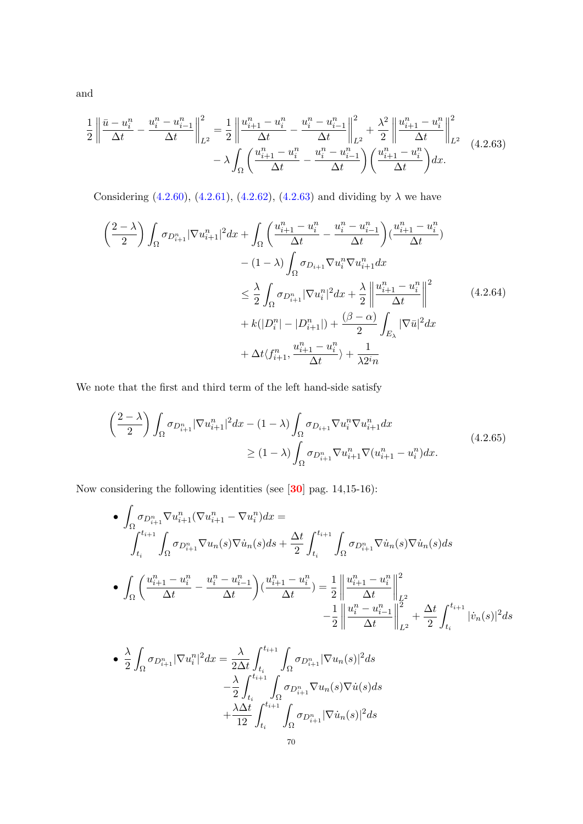and

<span id="page-71-0"></span>
$$
\frac{1}{2} \left\| \frac{\bar{u} - u_i^n}{\Delta t} - \frac{u_i^n - u_{i-1}^n}{\Delta t} \right\|_{L^2}^2 = \frac{1}{2} \left\| \frac{u_{i+1}^n - u_i^n}{\Delta t} - \frac{u_i^n - u_{i-1}^n}{\Delta t} \right\|_{L^2}^2 + \frac{\lambda^2}{2} \left\| \frac{u_{i+1}^n - u_i^n}{\Delta t} \right\|_{L^2}^2
$$
\n
$$
- \lambda \int_{\Omega} \left( \frac{u_{i+1}^n - u_i^n}{\Delta t} - \frac{u_i^n - u_{i-1}^n}{\Delta t} \right) \left( \frac{u_{i+1}^n - u_i^n}{\Delta t} \right) dx.
$$
\n(4.2.63)

Considering [\(4.2.60\)](#page-70-0), [\(4.2.61\)](#page-70-1), [\(4.2.62\)](#page-70-2), [\(4.2.63\)](#page-71-0) and dividing by  $\lambda$  we have

$$
\left(\frac{2-\lambda}{2}\right) \int_{\Omega} \sigma_{D_{i+1}^n} |\nabla u_{i+1}^n|^2 dx + \int_{\Omega} \left(\frac{u_{i+1}^n - u_i^n}{\Delta t} - \frac{u_i^n - u_{i-1}^n}{\Delta t}\right) (\frac{u_{i+1}^n - u_i^n}{\Delta t})
$$
  

$$
- (1-\lambda) \int_{\Omega} \sigma_{D_{i+1}} \nabla u_i^n \nabla u_{i+1}^n dx
$$
  

$$
\leq \frac{\lambda}{2} \int_{\Omega} \sigma_{D_{i+1}^n} |\nabla u_i^n|^2 dx + \frac{\lambda}{2} \left\| \frac{u_{i+1}^n - u_i^n}{\Delta t} \right\|^2
$$
  

$$
+ k(|D_i^n| - |D_{i+1}^n|) + \frac{(\beta - \alpha)}{2} \int_{E_{\lambda}} |\nabla \bar{u}|^2 dx
$$
  

$$
+ \Delta t \langle f_{i+1}^n, \frac{u_{i+1}^n - u_i^n}{\Delta t} \rangle + \frac{1}{\lambda 2^i n}
$$
 (4.2.64)

We note that the first and third term of the left hand-side satisfy

$$
\left(\frac{2-\lambda}{2}\right) \int_{\Omega} \sigma_{D_{i+1}^n} |\nabla u_{i+1}^n|^2 dx - (1-\lambda) \int_{\Omega} \sigma_{D_{i+1}} \nabla u_i^n \nabla u_{i+1}^n dx
$$
\n
$$
\geq (1-\lambda) \int_{\Omega} \sigma_{D_{i+1}^n} \nabla u_{i+1}^n \nabla (u_{i+1}^n - u_i^n) dx.
$$
\n(4.2.65)

Now considering the following identities (see [[30](#page-82-4)] pag. 14,15-16):

• 
$$
\int_{\Omega} \sigma_{D_{i+1}^n} \nabla u_{i+1}^n (\nabla u_{i+1}^n - \nabla u_i^n) dx =
$$
\n
$$
\int_{t_i}^{t_{i+1}} \int_{\Omega} \sigma_{D_{i+1}^n} \nabla u_n(s) \nabla u_n(s) ds + \frac{\Delta t}{2} \int_{t_i}^{t_{i+1}} \int_{\Omega} \sigma_{D_{i+1}^n} \nabla u_n(s) \nabla u_n(s) ds
$$
\n• 
$$
\int_{\Omega} \left( \frac{u_{i+1}^n - u_i^n}{\Delta t} - \frac{u_i^n - u_{i-1}^n}{\Delta t} \right) \left( \frac{u_{i+1}^n - u_i^n}{\Delta t} \right) = \frac{1}{2} \left\| \frac{u_{i+1}^n - u_i^n}{\Delta t} \right\|_{L^2}^2 - \frac{1}{2} \left\| \frac{u_i^n - u_{i-1}^n}{\Delta t} \right\|_{L^2}^2 + \frac{\Delta t}{2} \int_{t_i}^{t_{i+1}} |v_n(s)|^2 ds
$$

$$
\begin{aligned}\n\bullet \frac{\lambda}{2} \int_{\Omega} \sigma_{D_{i+1}^n} |\nabla u_i^n|^2 dx &= \frac{\lambda}{2\Delta t} \int_{t_i}^{t_{i+1}} \int_{\Omega} \sigma_{D_{i+1}^n} |\nabla u_n(s)|^2 ds \\
&\quad - \frac{\lambda}{2} \int_{t_i}^{t_{i+1}} \int_{\Omega} \sigma_{D_{i+1}^n} \nabla u_n(s) \nabla u(s) ds \\
&\quad + \frac{\lambda \Delta t}{12} \int_{t_i}^{t_{i+1}} \int_{\Omega} \sigma_{D_{i+1}^n} |\nabla \dot{u}_n(s)|^2 ds\n\end{aligned}
$$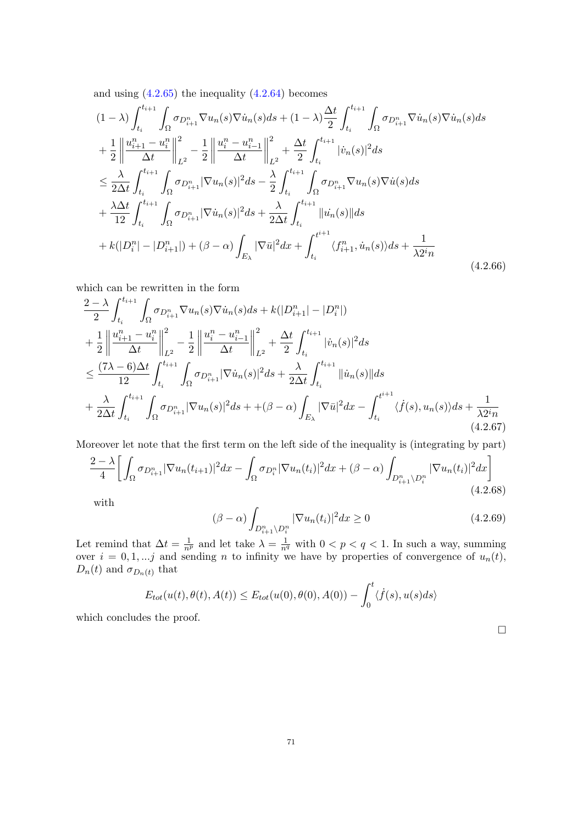and using  $(4.2.65)$  the inequality  $(4.2.64)$  becomes

$$
(1 - \lambda) \int_{t_i}^{t_{i+1}} \int_{\Omega} \sigma_{D_{i+1}^n} \nabla u_n(s) \nabla \dot{u}_n(s) ds + (1 - \lambda) \frac{\Delta t}{2} \int_{t_i}^{t_{i+1}} \int_{\Omega} \sigma_{D_{i+1}^n} \nabla \dot{u}_n(s) \nabla \dot{u}_n(s) ds + \frac{1}{2} \left\| \frac{u_{i+1}^n - u_i^n}{\Delta t} \right\|_{L^2}^2 - \frac{1}{2} \left\| \frac{u_i^n - u_{i-1}^n}{\Delta t} \right\|_{L^2}^2 + \frac{\Delta t}{2} \int_{t_i}^{t_{i+1}} |\dot{v}_n(s)|^2 ds \n\leq \frac{\lambda}{2\Delta t} \int_{t_i}^{t_{i+1}} \int_{\Omega} \sigma_{D_{i+1}^n} |\nabla u_n(s)|^2 ds - \frac{\lambda}{2} \int_{t_i}^{t_{i+1}} \int_{\Omega} \sigma_{D_{i+1}^n} \nabla u_n(s) \nabla \dot{u}(s) ds + \frac{\lambda \Delta t}{12} \int_{t_i}^{t_{i+1}} \int_{\Omega} \sigma_{D_{i+1}^n} |\nabla \dot{u}_n(s)|^2 ds + \frac{\lambda}{2\Delta t} \int_{t_i}^{t_{i+1}} ||\dot{u}_n(s)|| ds + k(|D_i^n| - |D_{i+1}^n|) + (\beta - \alpha) \int_{E_{\lambda}} |\nabla \bar{u}|^2 dx + \int_{t_i}^{t_i+1} \langle f_{i+1}^n, \dot{u}_n(s) \rangle ds + \frac{1}{\lambda 2^i n}
$$
\n(4.2.66)

which can be rewritten in the form

$$
\frac{2-\lambda}{2} \int_{t_i}^{t_{i+1}} \int_{\Omega} \sigma_{D_{i+1}^n} \nabla u_n(s) \nabla \dot{u}_n(s) ds + k(|D_{i+1}^n| - |D_i^n|) \n+ \frac{1}{2} \left\| \frac{u_{i+1}^n - u_i^n}{\Delta t} \right\|_{L^2}^2 - \frac{1}{2} \left\| \frac{u_i^n - u_{i-1}^n}{\Delta t} \right\|_{L^2}^2 + \frac{\Delta t}{2} \int_{t_i}^{t_{i+1}} |\dot{v}_n(s)|^2 ds \n\leq \frac{(7\lambda - 6)\Delta t}{12} \int_{t_i}^{t_{i+1}} \int_{\Omega} \sigma_{D_{i+1}^n} |\nabla \dot{u}_n(s)|^2 ds + \frac{\lambda}{2\Delta t} \int_{t_i}^{t_{i+1}} ||\dot{u}_n(s)|| ds \n+ \frac{\lambda}{2\Delta t} \int_{t_i}^{t_{i+1}} \int_{\Omega} \sigma_{D_{i+1}^n} |\nabla u_n(s)|^2 ds + \left. + (\beta - \alpha) \int_{E_{\lambda}} |\nabla \bar{u}|^2 dx - \int_{t_i}^{t_{i+1}} \langle \dot{f}(s), u_n(s) \rangle ds + \frac{1}{\lambda 2^i n} \n(4.2.67)
$$

Moreover let note that the first term on the left side of the inequality is (integrating by part)

$$
\frac{2-\lambda}{4} \bigg[ \int_{\Omega} \sigma_{D_{i+1}^n} |\nabla u_n(t_{i+1})|^2 dx - \int_{\Omega} \sigma_{D_i^n} |\nabla u_n(t_i)|^2 dx + (\beta - \alpha) \int_{D_{i+1}^n \setminus D_i^n} |\nabla u_n(t_i)|^2 dx \bigg] \tag{4.2.68}
$$

with

$$
(\beta - \alpha) \int_{D_{i+1}^n \backslash D_i^n} |\nabla u_n(t_i)|^2 dx \ge 0
$$
\n(4.2.69)

Let remind that  $\Delta t = \frac{1}{n^p}$  and let take  $\lambda = \frac{1}{n^q}$  with  $0 < p < q < 1$ . In such a way, summing over  $i = 0, 1, \ldots j$  and sending n to infinity we have by properties of convergence of  $u_n(t)$ ,  $D_n(t)$  and  $\sigma_{D_n(t)}$  that

$$
E_{tot}(u(t),\theta(t),A(t)) \le E_{tot}(u(0),\theta(0),A(0)) - \int_0^t \langle \dot{f}(s),u(s)ds \rangle
$$

which concludes the proof.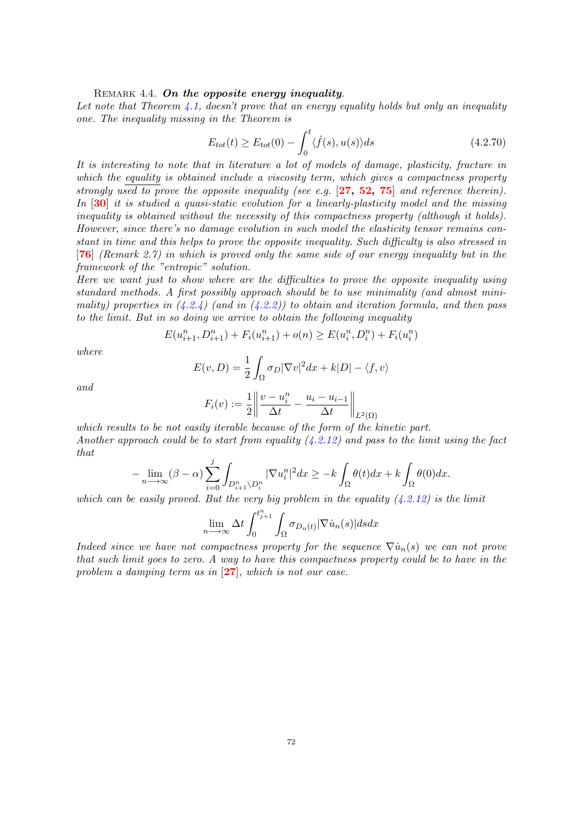### REMARK 4.4. On the opposite energy inequality.

Let note that Theorem [4.1,](#page-61-0) doesn't prove that an energy equality holds but only an inequality one. The inequality missing in the Theorem is

$$
E_{tot}(t) \ge E_{tot}(0) - \int_0^t \langle \dot{f}(s), u(s) \rangle ds \tag{4.2.70}
$$

It is interesting to note that in literature a lot of models of damage, plasticity, fracture in which the equality is obtained include a viscosity term, which gives a compactness property strongly used to prove the opposite inequality (see e.g.  $[27, 52, 75]$  $[27, 52, 75]$  $[27, 52, 75]$  $[27, 52, 75]$  $[27, 52, 75]$  $[27, 52, 75]$  $[27, 52, 75]$  and reference therein). In [[30](#page-82-2)] it is studied a quasi-static evolution for a linearly-plasticity model and the missing inequality is obtained without the necessity of this compactness property (although it holds). However, since there's no damage evolution in such model the elasticity tensor remains constant in time and this helps to prove the opposite inequality. Such difficulty is also stressed in [[76](#page-83-1)] (Remark 2.7) in which is proved only the same side of our energy inequality but in the framework of the "entropic" solution.

Here we want just to show where are the difficulties to prove the opposite inequality using standard methods. A first possibly approach should be to use minimality (and almost minimality) properties in  $(4.2.4)$  (and in  $(4.2.2)$ ) to obtain and iteration formula, and then pass to the limit. But in so doing we arrive to obtain the following inequality

$$
E(u_{i+1}^n, D_{i+1}^n) + F_i(u_{i+1}^n) + o(n) \ge E(u_i^n, D_i^n) + F_i(u_i^n)
$$

where

$$
E(v, D) = \frac{1}{2} \int_{\Omega} \sigma_D |\nabla v|^2 dx + k|D| - \langle f, v \rangle
$$

and

$$
F_i(v) := \frac{1}{2} \left\| \frac{v - u_i^n}{\Delta t} - \frac{u_i - u_{i-1}}{\Delta t} \right\|_{L^2(\Omega)}
$$

which results to be not easily iterable because of the form of the kinetic part. Another approach could be to start from equality  $(4.2.12)$  and pass to the limit using the fact that

$$
-\lim_{n\longrightarrow\infty}(\beta-\alpha)\sum_{i=0}^j\int_{D_{i+1}^n\backslash D_i^n}|\nabla u^n_i|^2dx\geq -k\int_{\Omega}\theta(t)dx+k\int_{\Omega}\theta(0)dx.
$$

which can be easily proved. But the very big problem in the equality  $(4.2.12)$  is the limit

$$
\lim_{n \to \infty} \Delta t \int_0^{t_{j+1}^n} \int_{\Omega} \sigma_{D_n(t)} |\nabla \dot{u}_n(s)| ds dx
$$

Indeed since we have not compactness property for the sequence  $\nabla \dot{u}_n(s)$  we can not prove that such limit goes to zero. A way to have this compactness property could be to have in the problem a damping term as in [[27](#page-82-0)], which is not our case.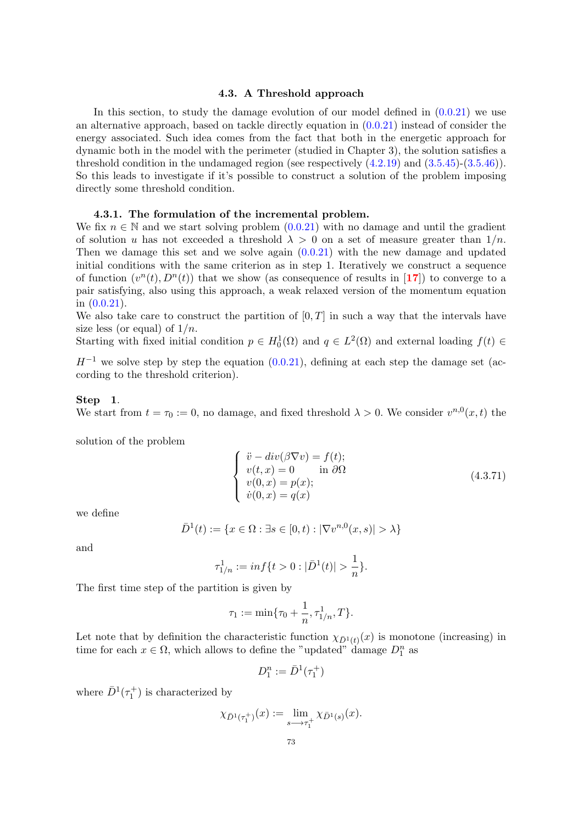### 4.3. A Threshold approach

In this section, to study the damage evolution of our model defined in  $(0.0.21)$  we use an alternative approach, based on tackle directly equation in [\(0.0.21\)](#page-10-0) instead of consider the energy associated. Such idea comes from the fact that both in the energetic approach for dynamic both in the model with the perimeter (studied in Chapter 3), the solution satisfies a threshold condition in the undamaged region (see respectively  $(4.2.19)$  and  $(3.5.45)-(3.5.46)$  $(3.5.45)-(3.5.46)$ ). So this leads to investigate if it's possible to construct a solution of the problem imposing directly some threshold condition.

## 4.3.1. The formulation of the incremental problem.

We fix  $n \in \mathbb{N}$  and we start solving problem  $(0.0.21)$  with no damage and until the gradient of solution u has not exceeded a threshold  $\lambda > 0$  on a set of measure greater than  $1/n$ . Then we damage this set and we solve again  $(0.0.21)$  with the new damage and updated initial conditions with the same criterion as in step 1. Iteratively we construct a sequence of function  $(v^n(t), D^n(t))$  that we show (as consequence of results in [[17](#page-81-0)]) to converge to a pair satisfying, also using this approach, a weak relaxed version of the momentum equation in [\(0.0.21\)](#page-10-0).

We also take care to construct the partition of  $[0, T]$  in such a way that the intervals have size less (or equal) of  $1/n$ .

Starting with fixed initial condition  $p \in H_0^1(\Omega)$  and  $q \in L^2(\Omega)$  and external loading  $f(t) \in$ 

 $H^{-1}$  we solve step by step the equation [\(0.0.21\)](#page-10-0), defining at each step the damage set (according to the threshold criterion).

#### Step 1.

We start from  $t = \tau_0 := 0$ , no damage, and fixed threshold  $\lambda > 0$ . We consider  $v^{n,0}(x,t)$  the

solution of the problem

$$
\begin{cases}\n\ddot{v} - div(\beta \nabla v) = f(t); \\
v(t, x) = 0 \quad \text{in } \partial \Omega \\
v(0, x) = p(x); \\
\dot{v}(0, x) = q(x)\n\end{cases}
$$
\n(4.3.71)

we define

$$
\bar{D}^1(t) := \{ x \in \Omega : \exists s \in [0, t) : |\nabla v^{n,0}(x, s)| > \lambda \}
$$

and

$$
\tau_{1/n}^1 := \inf\{t > 0 : |\bar{D}^1(t)| > \frac{1}{n}\}.
$$

The first time step of the partition is given by

$$
\tau_1 := \min\{\tau_0 + \frac{1}{n}, \tau_{1/n}^1, T\}.
$$

Let note that by definition the characteristic function  $\chi_{\bar{D}^1(t)}(x)$  is monotone (increasing) in time for each  $x \in \Omega$ , which allows to define the "updated" damage  $D_1^n$  as

$$
D_1^n:=\bar{D}^1(\tau_1^+)
$$

where  $\bar{D}^1(\tau_1^+)$  is characterized by

$$
\chi_{\bar{D}^1(\tau_1^+)}(x) := \lim_{s \to \tau_1^+} \chi_{\bar{D}^1(s)}(x).
$$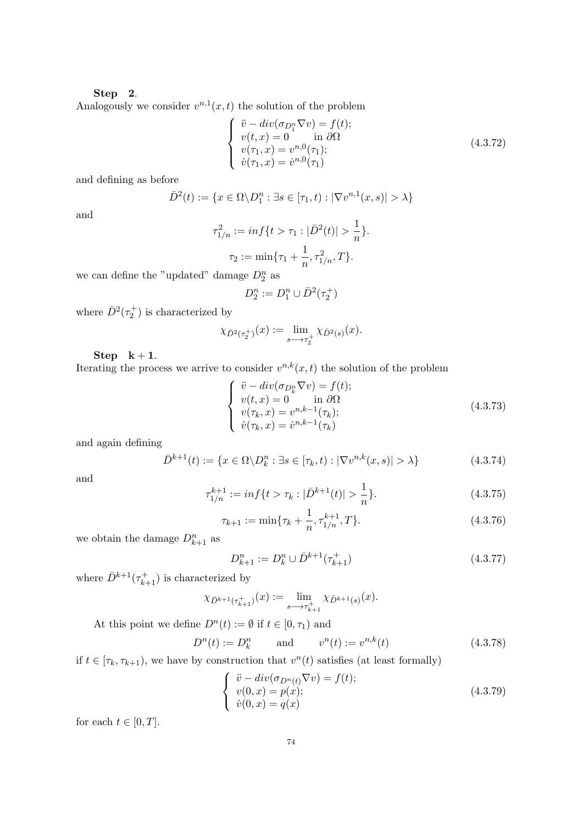#### Step 2.

Analogously we consider  $v^{n,1}(x,t)$  the solution of the problem

$$
\begin{cases}\n\ddot{v} - div(\sigma_{D_1^n} \nabla v) = f(t); \\
v(t, x) = 0 \quad \text{in } \partial\Omega \\
v(\tau_1, x) = v^{n,0}(\tau_1); \\
\dot{v}(\tau_1, x) = \dot{v}^{n,0}(\tau_1)\n\end{cases}
$$
\n(4.3.72)

and defining as before

$$
\bar{D}^2(t) := \{x \in \Omega \backslash D_1^n : \exists s \in [\tau_1, t) : |\nabla v^{n,1}(x, s)| > \lambda\}
$$

and

$$
\tau_{1/n}^2 := \inf\{t > \tau_1 : |\bar{D}^2(t)| > \frac{1}{n}\}.
$$

$$
\tau_2 := \min\{\tau_1 + \frac{1}{n}, \tau_{1/n}^2, T\}.
$$

we can define the "updated" damage  $D_2^n$  as

$$
D_2^n := D_1^n \cup \bar{D}^2(\tau_2^+)
$$

where  $\bar{D}^2(\tau_2^+)$  is characterized by

$$
\chi_{\bar{D}^2(\tau_2^+)}(x) := \lim_{s \to \tau_2^+} \chi_{\bar{D}^2(s)}(x).
$$

Step  $k + 1$ .

Iterating the process we arrive to consider  $v^{n,k}(x,t)$  the solution of the problem

$$
\begin{cases}\n\ddot{v} - div(\sigma_{D_k^n} \nabla v) = f(t); \\
v(t, x) = 0 \quad \text{in } \partial \Omega \\
v(\tau_k, x) = v^{n, k-1}(\tau_k); \\
\dot{v}(\tau_k, x) = \dot{v}^{n, k-1}(\tau_k)\n\end{cases}
$$
\n(4.3.73)

and again defining

<span id="page-75-3"></span>
$$
\bar{D}^{k+1}(t) := \{ x \in \Omega \setminus D^n_k : \exists s \in [\tau_k, t) : |\nabla v^{n,k}(x, s)| > \lambda \}
$$
\n(4.3.74)

and

$$
\tau_{1/n}^{k+1} := \inf\{t > \tau_k : |\bar{D}^{k+1}(t)| > \frac{1}{n}\}.
$$
\n(4.3.75)

<span id="page-75-0"></span>
$$
\tau_{k+1} := \min\{\tau_k + \frac{1}{n}, \tau_{1/n}^{k+1}, T\}.
$$
\n(4.3.76)

we obtain the damage  $D_{k+1}^n$  as

$$
D_{k+1}^n := D_k^n \cup \bar{D}^{k+1}(\tau_{k+1}^+) \tag{4.3.77}
$$

where  $\bar{D}^{k+1}(\tau_{k+1}^+)$  is characterized by

$$
\chi_{\bar{D}^{k+1}(\tau_{k+1}^+)}(x) := \lim_{s \to \tau_{k+1}^+} \chi_{\bar{D}^{k+1}(s)}(x).
$$

At this point we define  $D^n(t) := \emptyset$  if  $t \in [0, \tau_1)$  and

<span id="page-75-2"></span>
$$
D^{n}(t) := D_{k}^{n} \qquad \text{and} \qquad v^{n}(t) := v^{n,k}(t) \tag{4.3.78}
$$

if  $t \in [\tau_k, \tau_{k+1})$ , we have by construction that  $v^n(t)$  satisfies (at least formally)

<span id="page-75-1"></span>
$$
\begin{cases}\n\ddot{v} - div(\sigma_{D^n(t)} \nabla v) = f(t); \\
v(0, x) = p(x); \\
\dot{v}(0, x) = q(x)\n\end{cases}
$$
\n(4.3.79)

for each  $t \in [0, T]$ .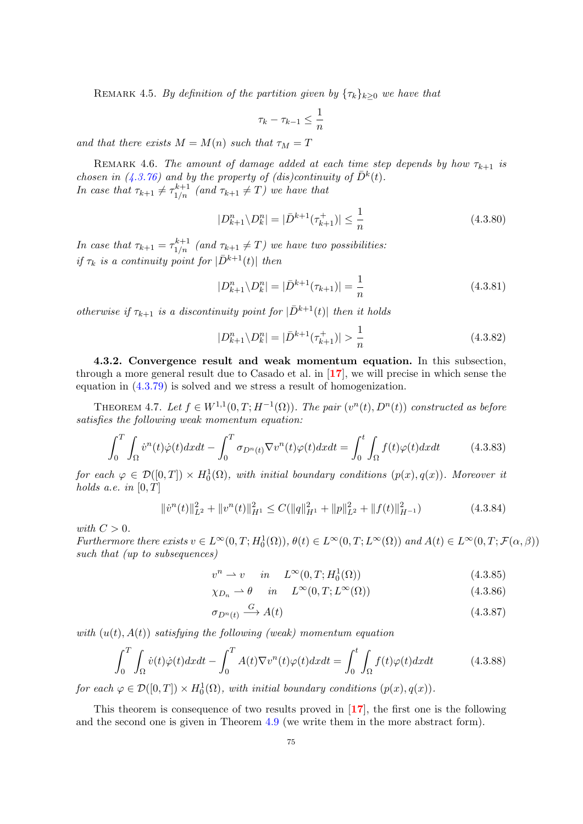REMARK 4.5. By definition of the partition given by  $\{\tau_k\}_{k\geq 0}$  we have that

$$
\tau_k - \tau_{k-1} \leq \frac{1}{n}
$$

and that there exists  $M = M(n)$  such that  $\tau_M = T$ 

<span id="page-76-3"></span>REMARK 4.6. The amount of damage added at each time step depends by how  $\tau_{k+1}$  is chosen in [\(4.3.76\)](#page-75-0) and by the property of (dis)continuity of  $\bar{D}^k(t)$ . In case that  $\tau_{k+1} \neq \tau_{1/n}^{k+1}$  (and  $\tau_{k+1} \neq T$ ) we have that

<span id="page-76-4"></span>
$$
|D_{k+1}^n \setminus D_k^n| = |\bar{D}^{k+1}(\tau_{k+1}^+)| \le \frac{1}{n}
$$
\n(4.3.80)

In case that  $\tau_{k+1} = \tau_{1/n}^{k+1}$  (and  $\tau_{k+1} \neq T$ ) we have two possibilities: if  $\tau_k$  is a continuity point for  $|\bar{D}^{k+1}(t)|$  then

<span id="page-76-5"></span>
$$
|D_{k+1}^n \setminus D_k^n| = |\bar{D}^{k+1}(\tau_{k+1})| = \frac{1}{n}
$$
\n(4.3.81)

otherwise if  $\tau_{k+1}$  is a discontinuity point for  $|\bar{D}^{k+1}(t)|$  then it holds

$$
|D_{k+1}^n \setminus D_k^n| = |\bar{D}^{k+1}(\tau_{k+1}^+)| > \frac{1}{n}
$$
\n(4.3.82)

4.3.2. Convergence result and weak momentum equation. In this subsection, through a more general result due to Casado et al. in [[17](#page-81-0)], we will precise in which sense the equation in [\(4.3.79\)](#page-75-1) is solved and we stress a result of homogenization.

<span id="page-76-2"></span>THEOREM 4.7. Let  $f \in W^{1,1}(0,T;H^{-1}(\Omega))$ . The pair  $(v^n(t), D^n(t))$  constructed as before satisfies the following weak momentum equation:

<span id="page-76-0"></span>
$$
\int_0^T \int_{\Omega} \dot{v}^n(t) \dot{\varphi}(t) dx dt - \int_0^T \sigma_{D^n(t)} \nabla v^n(t) \varphi(t) dx dt = \int_0^t \int_{\Omega} f(t) \varphi(t) dx dt \tag{4.3.83}
$$

for each  $\varphi \in \mathcal{D}([0,T]) \times H_0^1(\Omega)$ , with initial boundary conditions  $(p(x), q(x))$ . Moreover it holds a.e. in  $[0, T]$ 

<span id="page-76-1"></span>
$$
\|\dot{v}^n(t)\|_{L^2}^2 + \|v^n(t)\|_{H^1}^2 \le C(\|q\|_{H^1}^2 + \|p\|_{L^2}^2 + \|f(t)\|_{H^{-1}}^2)
$$
\n(4.3.84)

with  $C > 0$ .

Furthermore there exists  $v \in L^{\infty}(0,T; H_0^1(\Omega)), \theta(t) \in L^{\infty}(0,T; L^{\infty}(\Omega))$  and  $A(t) \in L^{\infty}(0,T; \mathcal{F}(\alpha, \beta))$ such that (up to subsequences)

$$
v^n \rightharpoonup v \quad in \quad L^\infty(0, T; H_0^1(\Omega)) \tag{4.3.85}
$$

$$
\chi_{D_n} \rightharpoonup \theta \quad in \quad L^{\infty}(0, T; L^{\infty}(\Omega)) \tag{4.3.86}
$$

$$
\sigma_{D^n(t)} \xrightarrow{G} A(t) \tag{4.3.87}
$$

with  $(u(t), A(t))$  satisfying the following (weak) momentum equation

$$
\int_0^T \int_{\Omega} \dot{v}(t)\dot{\varphi}(t)dxdt - \int_0^T A(t)\nabla v^n(t)\varphi(t)dxdt = \int_0^t \int_{\Omega} f(t)\varphi(t)dxdt
$$
 (4.3.88)

for each  $\varphi \in \mathcal{D}([0,T]) \times H_0^1(\Omega)$ , with initial boundary conditions  $(p(x), q(x))$ .

This theorem is consequence of two results proved in [[17](#page-81-0)], the first one is the following and the second one is given in Theorem [4.9](#page-78-0) (we write them in the more abstract form).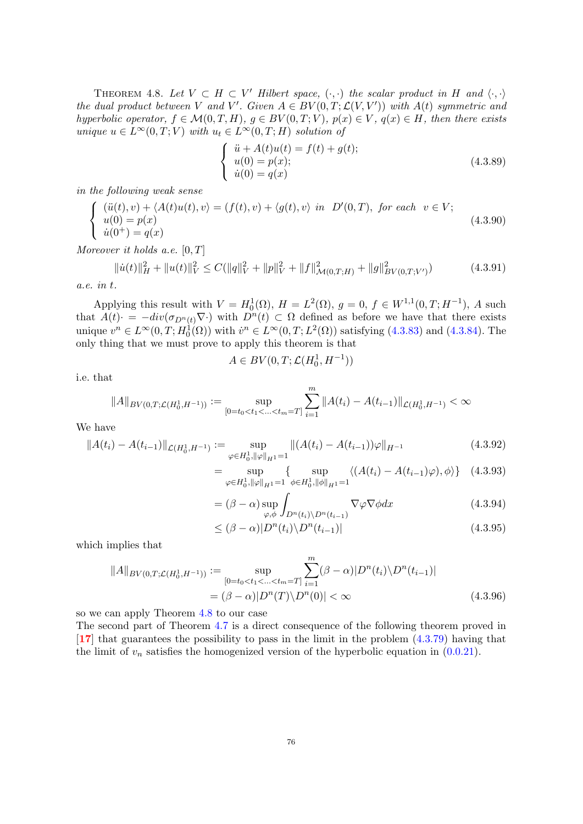<span id="page-77-0"></span>THEOREM 4.8. Let  $V \subset H \subset V'$  Hilbert space,  $(\cdot, \cdot)$  the scalar product in H and  $\langle \cdot, \cdot \rangle$ the dual product between V and V'. Given  $A \in BV(0,T; \mathcal{L}(V,V'))$  with  $A(t)$  symmetric and hyperbolic operator,  $f \in \mathcal{M}(0,T,H)$ ,  $g \in BV(0,T;V)$ ,  $p(x) \in V$ ,  $q(x) \in H$ , then there exists unique  $u \in L^{\infty}(0,T;V)$  with  $u_t \in L^{\infty}(0,T;H)$  solution of

$$
\begin{cases}\n\ddot{u} + A(t)u(t) = f(t) + g(t); \\
u(0) = p(x); \\
\dot{u}(0) = q(x)\n\end{cases}
$$
\n(4.3.89)

in the following weak sense

<span id="page-77-1"></span>
$$
\begin{cases}\n(\ddot{u}(t), v) + \langle A(t)u(t), v \rangle = (f(t), v) + \langle g(t), v \rangle \text{ in } D'(0, T), \text{ for each } v \in V; \\
u(0) = p(x) \\
\dot{u}(0^+) = q(x)\n\end{cases}
$$
\n(4.3.90)

Moreover it holds a.e.  $[0, T]$ 

$$
\|\dot{u}(t)\|_{H}^{2} + \|u(t)\|_{V}^{2} \le C(\|q\|_{V}^{2} + \|p\|_{V}^{2} + \|f\|_{\mathcal{M}(0,T;H)}^{2} + \|g\|_{BV(0,T;V')}^{2})
$$
(4.3.91)

a.e. in t.

Applying this result with  $V = H_0^1(\Omega)$ ,  $H = L^2(\Omega)$ ,  $g = 0$ ,  $f \in W^{1,1}(0,T;H^{-1})$ , A such that  $A(t) = -div(\sigma_{D^n(t)} \nabla \cdot)$  with  $D^n(t) \subset \Omega$  defined as before we have that there exists unique  $v^n \in L^{\infty}(0,T; H_0^1(\Omega))$  with  $\dot{v}^n \in L^{\infty}(0,T; L^2(\Omega))$  satisfying [\(4.3.83\)](#page-76-0) and [\(4.3.84\)](#page-76-1). The only thing that we must prove to apply this theorem is that

$$
A \in BV(0,T; \mathcal{L}(H^1_0, H^{-1}))
$$

i.e. that

$$
||A||_{BV(0,T;\mathcal{L}(H_0^1,H^{-1}))} := \sup_{[0=t_0
$$

We have

$$
||A(t_i) - A(t_{i-1})||_{\mathcal{L}(H_0^1, H^{-1})} := \sup_{\varphi \in H_0^1, ||\varphi||_{H^1} = 1} ||(A(t_i) - A(t_{i-1}))\varphi||_{H^{-1}}
$$
(4.3.92)

$$
= \sup_{\varphi \in H_0^1, \|\varphi\|_{H^1} = 1} \{ \sup_{\phi \in H_0^1, \|\phi\|_{H^1} = 1} \langle (A(t_i) - A(t_{i-1})\varphi), \phi \rangle \} \quad (4.3.93)
$$

$$
= (\beta - \alpha) \sup_{\varphi, \phi} \int_{D^n(t_i) \backslash D^n(t_{i-1})} \nabla \varphi \nabla \phi dx \qquad (4.3.94)
$$

$$
\leq (\beta - \alpha)|D^n(t_i)\backslash D^n(t_{i-1})| \tag{4.3.95}
$$

which implies that

$$
||A||_{BV(0,T;\mathcal{L}(H_0^1, H^{-1}))} := \sup_{[0=t_0  
=  $(\beta - \alpha)|D^n(T)\setminus D^n(0)| < \infty$  (4.3.96)
$$

so we can apply Theorem [4.8](#page-77-0) to our case

The second part of Theorem [4.7](#page-76-2) is a direct consequence of the following theorem proved in [[17](#page-81-0)] that guarantees the possibility to pass in the limit in the problem [\(4.3.79\)](#page-75-1) having that the limit of  $v_n$  satisfies the homogenized version of the hyperbolic equation in  $(0.0.21)$ .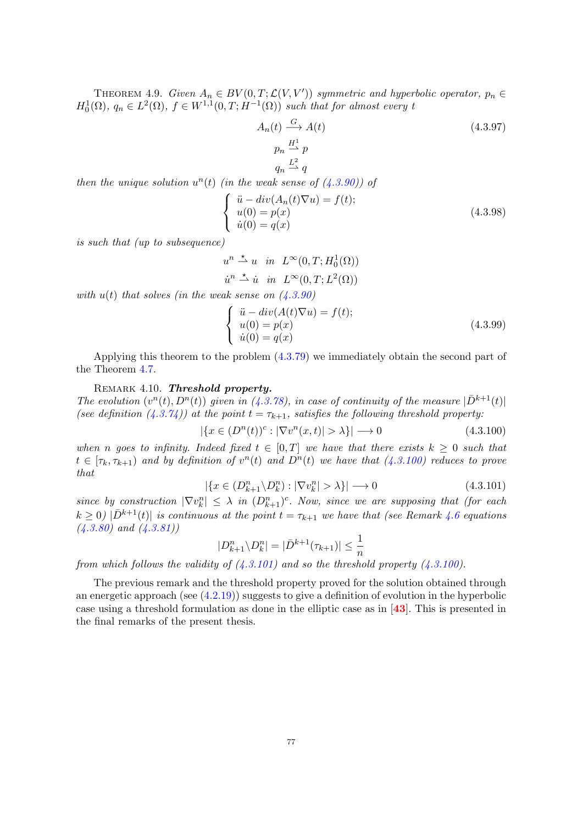<span id="page-78-0"></span>THEOREM 4.9. Given  $A_n \in BV(0,T; \mathcal{L}(V, V'))$  symmetric and hyperbolic operator,  $p_n \in$  $H_0^1(\Omega)$ ,  $q_n \in L^2(\Omega)$ ,  $f \in W^{1,1}(0,T;H^{-1}(\Omega))$  such that for almost every t

$$
A_n(t) \xrightarrow{G} A(t)
$$
  
\n
$$
p_n \xrightarrow{H^1} p
$$
  
\n
$$
q_n \xrightarrow{L^2} q
$$
\n(4.3.97)

then the unique solution  $u^n(t)$  (in the weak sense of  $(4.3.90)$ ) of

$$
\begin{cases}\n\ddot{u} - div(A_n(t)\nabla u) = f(t); \\
u(0) = p(x) \\
\dot{u}(0) = q(x)\n\end{cases}
$$
\n(4.3.98)

is such that (up to subsequence)

$$
u^{n} \stackrel{\star}{\rightharpoonup} u \quad in \quad L^{\infty}(0, T; H_0^1(\Omega))
$$
  

$$
\dot{u}^{n} \stackrel{\star}{\rightharpoonup} \dot{u} \quad in \quad L^{\infty}(0, T; L^2(\Omega))
$$

with  $u(t)$  that solves (in the weak sense on  $(4.3.90)$ )

$$
\begin{cases}\n\ddot{u} - div(A(t)\nabla u) = f(t); \\
u(0) = p(x) \\
\dot{u}(0) = q(x)\n\end{cases}
$$
\n(4.3.99)

Applying this theorem to the problem [\(4.3.79\)](#page-75-1) we immediately obtain the second part of the Theorem [4.7.](#page-76-2)

#### REMARK 4.10. Threshold property.

The evolution  $(v^n(t), D^n(t))$  given in [\(4.3.78\)](#page-75-2), in case of continuity of the measure  $|\bar{D}^{k+1}(t)|$ (see definition [\(4.3.74\)](#page-75-3)) at the point  $t = \tau_{k+1}$ , satisfies the following threshold property:

<span id="page-78-1"></span>
$$
|\{x \in (D^n(t))^c : |\nabla v^n(x,t)| > \lambda\}| \longrightarrow 0 \tag{4.3.100}
$$

when n goes to infinity. Indeed fixed  $t \in [0,T]$  we have that there exists  $k \geq 0$  such that  $t \in [\tau_k, \tau_{k+1})$  and by definition of  $v^n(t)$  and  $D^n(t)$  we have that  $(4.3.100)$  reduces to prove that

<span id="page-78-2"></span>
$$
|\{x \in (D_{k+1}^n \setminus D_k^n) : |\nabla v_k^n| > \lambda\}| \longrightarrow 0 \tag{4.3.101}
$$

since by construction  $|\nabla v_k^n| \leq \lambda$  in  $(D_{k+1}^n)^c$ . Now, since we are supposing that (for each  $k \geq 0$ )  $|\bar{D}^{k+1}(t)|$  is continuous at the point  $t = \tau_{k+1}$  we have that (see Remark [4.6](#page-76-3) equations  $(4.3.80)$  and  $(4.3.81)$ 

$$
|D_{k+1}^n \setminus D_k^n| = |\bar{D}^{k+1}(\tau_{k+1})| \le \frac{1}{n}
$$

from which follows the validity of  $(4.3.101)$  and so the threshold property  $(4.3.100)$ .

The previous remark and the threshold property proved for the solution obtained through an energetic approach (see  $(4.2.19)$ ) suggests to give a definition of evolution in the hyperbolic case using a threshold formulation as done in the elliptic case as in [[43](#page-82-3)]. This is presented in the final remarks of the present thesis.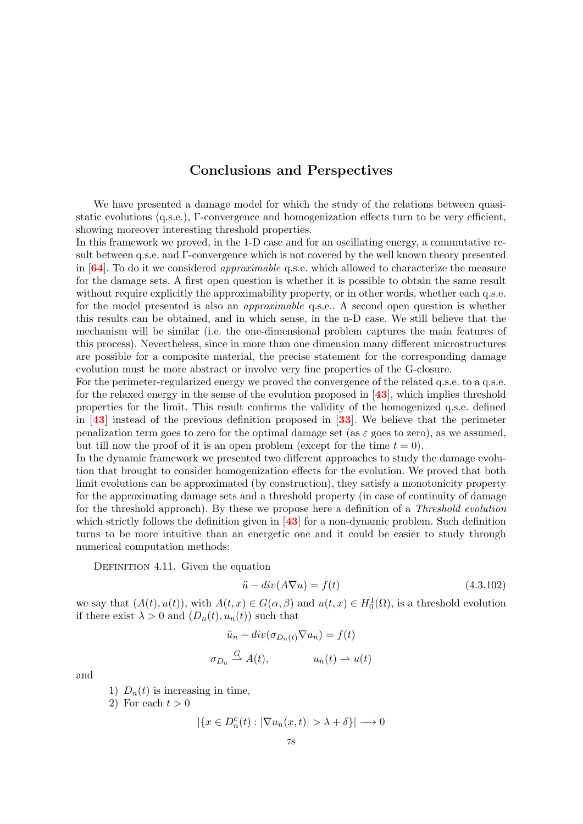# Conclusions and Perspectives

We have presented a damage model for which the study of the relations between quasistatic evolutions (q.s.e.), Γ-convergence and homogenization effects turn to be very efficient, showing moreover interesting threshold properties.

In this framework we proved, in the 1-D case and for an oscillating energy, a commutative result between q.s.e. and Γ-convergence which is not covered by the well known theory presented in  $[64]$  $[64]$  $[64]$ . To do it we considered *approximable* q.s.e. which allowed to characterize the measure for the damage sets. A first open question is whether it is possible to obtain the same result without require explicitly the approximability property, or in other words, whether each q.s.e. for the model presented is also an approximable q.s.e.. A second open question is whether this results can be obtained, and in which sense, in the n-D case. We still believe that the mechanism will be similar (i.e. the one-dimensional problem captures the main features of this process). Nevertheless, since in more than one dimension many different microstructures are possible for a composite material, the precise statement for the corresponding damage evolution must be more abstract or involve very fine properties of the G-closure.

For the perimeter-regularized energy we proved the convergence of the related q.s.e. to a q.s.e. for the relaxed energy in the sense of the evolution proposed in  $[43]$  $[43]$  $[43]$ , which implies threshold properties for the limit. This result confirms the validity of the homogenized q.s.e. defined in [[43](#page-82-3)] instead of the previous definition proposed in [[33](#page-82-4)]. We believe that the perimeter penalization term goes to zero for the optimal damage set (as  $\varepsilon$  goes to zero), as we assumed, but till now the proof of it is an open problem (except for the time  $t = 0$ ).

In the dynamic framework we presented two different approaches to study the damage evolution that brought to consider homogenization effects for the evolution. We proved that both limit evolutions can be approximated (by construction), they satisfy a monotonicity property for the approximating damage sets and a threshold property (in case of continuity of damage for the threshold approach). By these we propose here a definition of a Threshold evolution which strictly follows the definition given in [[43](#page-82-3)] for a non-dynamic problem. Such definition turns to be more intuitive than an energetic one and it could be easier to study through numerical computation methods:

<span id="page-79-0"></span>DEFINITION 4.11. Given the equation

$$
\ddot{u} - div(A\nabla u) = f(t) \tag{4.3.102}
$$

we say that  $(A(t), u(t))$ , with  $A(t, x) \in G(\alpha, \beta)$  and  $u(t, x) \in H_0^1(\Omega)$ , is a threshold evolution if there exist  $\lambda > 0$  and  $(D_n(t), u_n(t))$  such that

$$
\ddot{u}_n - div(\sigma_{D_n(t)} \nabla u_n) = f(t)
$$
  

$$
\sigma_{D_n} \stackrel{G}{\rightharpoonup} A(t), \qquad u_n(t) \rightharpoonup u(t)
$$

and

1)  $D_n(t)$  is increasing in time,

2) For each  $t > 0$ 

$$
|\{x \in D_n^c(t) : |\nabla u_n(x,t)| > \lambda + \delta\}| \longrightarrow 0
$$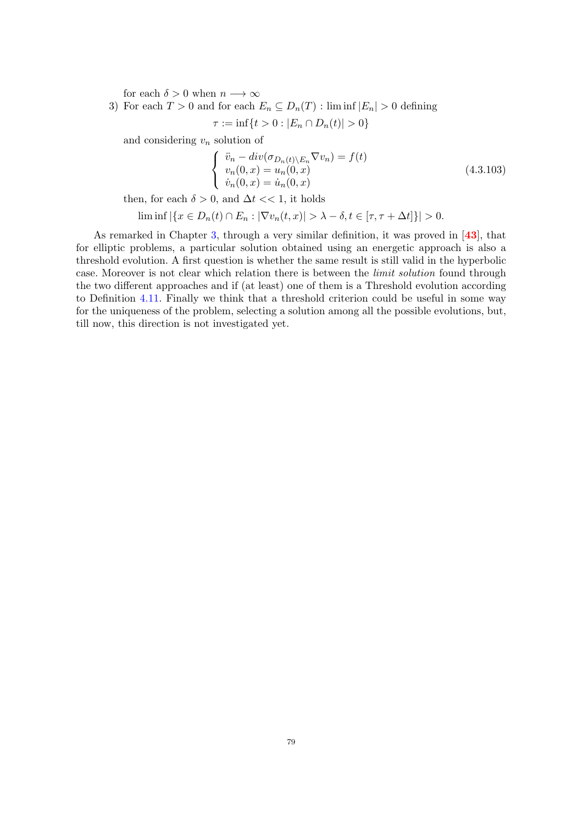for each  $\delta > 0$  when  $n \longrightarrow \infty$ 

3) For each  $T > 0$  and for each  $E_n \subseteq D_n(T)$ : lim inf  $|E_n| > 0$  defining

$$
\tau := \inf\{t > 0 : |E_n \cap D_n(t)| > 0\}
$$

and considering  $v_n$  solution of

$$
\begin{cases}\n\ddot{v}_n - div(\sigma_{D_n(t)\setminus E_n} \nabla v_n) = f(t) \\
v_n(0, x) = u_n(0, x) \\
\dot{v}_n(0, x) = \dot{u}_n(0, x)\n\end{cases}
$$
\n(4.3.103)

then, for each  $\delta > 0$ , and  $\Delta t < 1$ , it holds

$$
\liminf \left| \{ x \in D_n(t) \cap E_n : |\nabla v_n(t,x)| > \lambda - \delta, t \in [\tau, \tau + \Delta t] \} \right| > 0.
$$

As remarked in Chapter [3,](#page-40-0) through a very similar definition, it was proved in  $[43]$  $[43]$  $[43]$ , that for elliptic problems, a particular solution obtained using an energetic approach is also a threshold evolution. A first question is whether the same result is still valid in the hyperbolic case. Moreover is not clear which relation there is between the limit solution found through the two different approaches and if (at least) one of them is a Threshold evolution according to Definition [4.11.](#page-79-0) Finally we think that a threshold criterion could be useful in some way for the uniqueness of the problem, selecting a solution among all the possible evolutions, but, till now, this direction is not investigated yet.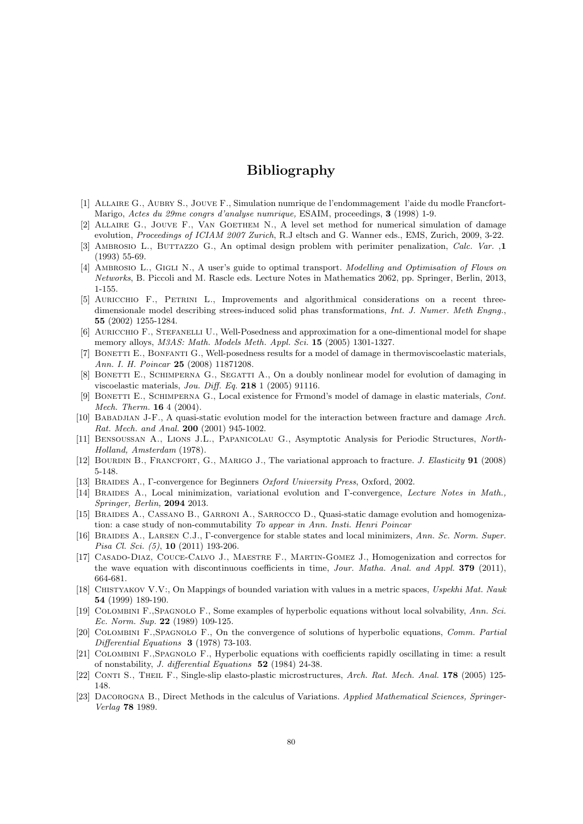# Bibliography

- [1] Allaire G., Aubry S., Jouve F., Simulation numrique de l'endommagement l'aide du modle Francfort-Marigo, Actes du 29me congrs d'analyse numrique, ESAIM, proceedings, 3 (1998) 1-9.
- ALLAIRE G., JOUVE F., VAN GOETHEM N., A level set method for numerical simulation of damage evolution, Proceedings of ICIAM 2007 Zurich, R.J eltsch and G. Wanner eds., EMS, Zurich, 2009, 3-22.
- [3] Ambrosio L., Buttazzo G., An optimal design problem with perimiter penalization, Calc. Var. ,1 (1993) 55-69.
- [4] AMBROSIO L., GIGLI N., A user's guide to optimal transport. Modelling and Optimisation of Flows on Networks, B. Piccoli and M. Rascle eds. Lecture Notes in Mathematics 2062, pp. Springer, Berlin, 2013, 1-155.
- [5] Auricchio F., Petrini L., Improvements and algorithmical considerations on a recent threedimensionale model describing strees-induced solid phas transformations, Int. J. Numer. Meth Engng. 55 (2002) 1255-1284.
- [6] Auricchio F., Stefanelli U., Well-Posedness and approximation for a one-dimentional model for shape memory alloys, *M3AS: Math. Models Meth. Appl. Sci.* **15** (2005) 1301-1327.
- [7] BONETTI E., BONFANTI G., Well-posedness results for a model of damage in thermoviscoelastic materials, Ann. I. H. Poincar 25 (2008) 11871208.
- [8] BONETTI E., SCHIMPERNA G., SEGATTI A., On a doubly nonlinear model for evolution of damaging in viscoelastic materials, Jou. Diff. Eq. 218 1 (2005) 91116.
- [9] BONETTI E., SCHIMPERNA G., Local existence for Frmond's model of damage in elastic materials, Cont. Mech. Therm. 16 4 (2004).
- [10] BABADJIAN J-F., A quasi-static evolution model for the interaction between fracture and damage Arch. Rat. Mech. and Anal. **200** (2001) 945-1002.
- [11] Bensoussan A., Lions J.L., Papanicolau G., Asymptotic Analysis for Periodic Structures, North-Holland, Amsterdam (1978).
- [12] BOURDIN B., FRANCFORT, G., MARIGO J., The variational approach to fracture. J. Elasticity 91 (2008) 5-148.
- [13] BRAIDES A., Γ-convergence for Beginners *Oxford University Press*, Oxford, 2002.
- [14] Braides A., Local minimization, variational evolution and Γ-convergence, Lecture Notes in Math., Springer, Berlin, 2094 2013.
- [15] Braides A., Cassano B., Garroni A., Sarrocco D., Quasi-static damage evolution and homogenization: a case study of non-commutability To appear in Ann. Insti. Henri Poincar
- [16] BRAIDES A., LARSEN C.J., Γ-convergence for stable states and local minimizers, Ann. Sc. Norm. Super. Pisa Cl. Sci. (5), 10 (2011) 193-206.
- <span id="page-81-0"></span>[17] Casado-Diaz, Couce-Calvo J., Maestre F., Martin-Gomez J., Homogenization and correctos for the wave equation with discontinuous coefficients in time, Jour. Matha. Anal. and Appl. 379 (2011), 664-681.
- [18] CHISTYAKOV V.V:, On Mappings of bounded variation with values in a metric spaces, Uspekhi Mat. Nauk 54 (1999) 189-190.
- [19] Colombini F.,Spagnolo F., Some examples of hyperbolic equations without local solvability, Ann. Sci. Ec. Norm. Sup. 22 (1989) 109-125.
- [20] COLOMBINI F.,SPAGNOLO F., On the convergence of solutions of hyperbolic equations, Comm. Partial Differential Equations 3 (1978) 73-103.
- [21] Colombini F.,Spagnolo F., Hyperbolic equations with coefficients rapidly oscillating in time: a result of nonstability, J. differential Equations 52 (1984) 24-38.
- [22] CONTI S., THEIL F., Single-slip elasto-plastic microstructures, Arch. Rat. Mech. Anal. 178 (2005) 125-148.
- [23] Dacorogna B., Direct Methods in the calculus of Variations. Applied Mathematical Sciences, Springer-Verlag 78 1989.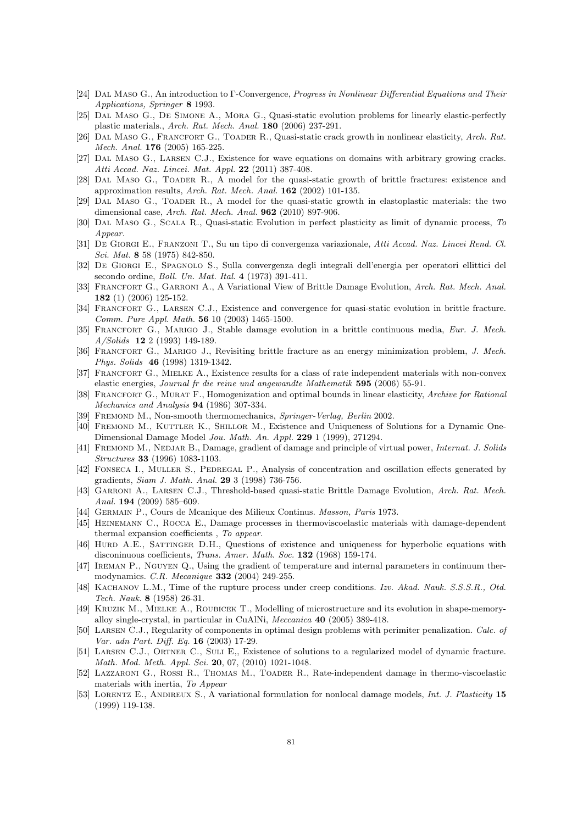- [24] DAL MASO G., An introduction to Γ-Convergence, Progress in Nonlinear Differential Equations and Their Applications, Springer 8 1993.
- [25] Dal Maso G., De Simone A., Mora G., Quasi-static evolution problems for linearly elastic-perfectly plastic materials., Arch. Rat. Mech. Anal. 180 (2006) 237-291.
- [26] DAL MASO G., FRANCFORT G., TOADER R., Quasi-static crack growth in nonlinear elasticity, Arch. Rat. Mech. Anal. **176** (2005) 165-225.
- <span id="page-82-0"></span>[27] Dal Maso G., Larsen C.J., Existence for wave equations on domains with arbitrary growing cracks. Atti Accad. Naz. Lincei. Mat. Appl. 22 (2011) 387-408.
- [28] Dal Maso G., Toader R., A model for the quasi-static growth of brittle fractures: existence and approximation results, Arch. Rat. Mech. Anal. 162 (2002) 101-135.
- [29] Dal Maso G., Toader R., A model for the quasi-static growth in elastoplastic materials: the two dimensional case, Arch. Rat. Mech. Anal. 962 (2010) 897-906.
- <span id="page-82-2"></span>[30] Dal Maso G., Scala R., Quasi-static Evolution in perfect plasticity as limit of dynamic process, To Appear.
- [31] De Giorgi E., Franzoni T., Su un tipo di convergenza variazionale, Atti Accad. Naz. Lincei Rend. Cl. Sci. Mat. 8 58 (1975) 842-850.
- [32] De Giorgi E., Spagnolo S., Sulla convergenza degli integrali dell'energia per operatori ellittici del secondo ordine, Boll. Un. Mat. Ital. 4 (1973) 391-411.
- <span id="page-82-4"></span>[33] FRANCFORT G., GARRONI A., A Variational View of Brittle Damage Evolution, Arch. Rat. Mech. Anal. 182 (1) (2006) 125-152.
- [34] Francfort G., Larsen C.J., Existence and convergence for quasi-static evolution in brittle fracture. Comm. Pure Appl. Math. 56 10 (2003) 1465-1500.
- [35] Francfort G., Marigo J., Stable damage evolution in a brittle continuous media, Eur. J. Mech. A/Solids 12 2 (1993) 149-189.
- [36] FRANCFORT G., MARIGO J., Revisiting brittle fracture as an energy minimization problem, J. Mech. Phys. Solids 46 (1998) 1319-1342.
- [37] FRANCFORT G., MIELKE A., Existence results for a class of rate independent materials with non-convex elastic energies, Journal fr die reine und angewandte Mathematik 595 (2006) 55-91.
- [38] FRANCFORT G., MURAT F., Homogenization and optimal bounds in linear elasticity, Archive for Rational Mechanics and Analysis 94 (1986) 307-334.
- [39] FREMOND M., Non-smooth thermomechanics, Springer-Verlag, Berlin 2002.
- [40] FREMOND M., KUTTLER K., SHILLOR M., Existence and Uniqueness of Solutions for a Dynamic One-Dimensional Damage Model Jou. Math. An. Appl. 229 1 (1999), 271294.
- [41] FREMOND M., NEDJAR B., Damage, gradient of damage and principle of virtual power, Internat. J. Solids Structures 33 (1996) 1083-1103.
- [42] FONSECA I., MULLER S., PEDREGAL P., Analysis of concentration and oscillation effects generated by gradients, Siam J. Math. Anal. 29 3 (1998) 736-756.
- <span id="page-82-3"></span>[43] GARRONI A., LARSEN C.J., Threshold-based quasi-static Brittle Damage Evolution, Arch. Rat. Mech. Anal. 194 (2009) 585-609.
- [44] Germain P., Cours de Mcanique des Milieux Continus. Masson, Paris 1973.
- [45] Heinemann C., Rocca E., Damage processes in thermoviscoelastic materials with damage-dependent thermal expansion coefficients , To appear.
- [46] HURD A.E., SATTINGER D.H., Questions of existence and uniqueness for hyperbolic equations with disconinuous coefficients, Trans. Amer. Math. Soc. 132 (1968) 159-174.
- [47] Ireman P., Nguyen Q., Using the gradient of temperature and internal parameters in continuum thermodynamics. C.R. Mecanique 332 (2004) 249-255.
- [48] KACHANOV L.M., Time of the rupture process under creep conditions. Izv. Akad. Nauk. S.S.S.R., Otd. Tech. Nauk. 8 (1958) 26-31.
- [49] Kruzik M., Mielke A., Roubicek T., Modelling of microstructure and its evolution in shape-memoryalloy single-crystal, in particular in CuAlNi, Meccanica 40 (2005) 389-418.
- [50] Larsen C.J., Regularity of components in optimal design problems with perimiter penalization. Calc. of Var. adn Part. Diff. Eq. 16 (2003) 17-29.
- [51] Larsen C.J., Ortner C., Suli E,, Existence of solutions to a regularized model of dynamic fracture. Math. Mod. Meth. Appl. Sci. 20, 07, (2010) 1021-1048.
- <span id="page-82-1"></span>[52] Lazzaroni G., Rossi R., Thomas M., Toader R., Rate-independent damage in thermo-viscoelastic materials with inertia, To Appear
- [53] LORENTZ E., ANDIREUX S., A variational formulation for nonlocal damage models, Int. J. Plasticity 15 (1999) 119-138.